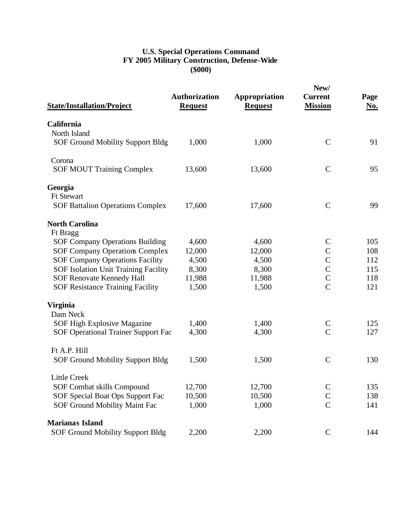## **U.S. Special Operations Command FY 2005 Military Construction, Defense-Wide (\$000)**

| <b>State/Installation/Project</b>           | <b>Authorization</b><br><b>Request</b> | Appropriation<br><b>Request</b> | New/<br><b>Current</b><br><b>Mission</b> | Page<br><u>No.</u> |
|---------------------------------------------|----------------------------------------|---------------------------------|------------------------------------------|--------------------|
| California                                  |                                        |                                 |                                          |                    |
| North Island                                |                                        |                                 |                                          |                    |
| <b>SOF Ground Mobility Support Bldg</b>     | 1,000                                  | 1,000                           | $\mathsf{C}$                             | 91                 |
| Corona                                      |                                        |                                 |                                          |                    |
| <b>SOF MOUT Training Complex</b>            | 13,600                                 | 13,600                          | $\mathbf C$                              | 95                 |
| Georgia                                     |                                        |                                 |                                          |                    |
| <b>Ft Stewart</b>                           |                                        |                                 |                                          |                    |
| <b>SOF Battalion Operations Complex</b>     | 17,600                                 | 17,600                          | $\mathbf C$                              | 99                 |
| <b>North Carolina</b>                       |                                        |                                 |                                          |                    |
| Ft Bragg                                    |                                        |                                 |                                          |                    |
| <b>SOF Company Operations Building</b>      | 4,600                                  | 4,600                           | $\mathsf{C}$                             | 105                |
| <b>SOF Company Operations Complex</b>       | 12,000                                 | 12,000                          | $\mathsf{C}$                             | 108                |
| <b>SOF Company Operations Facility</b>      | 4,500                                  | 4,500                           | $\mathbf C$                              | 112                |
| <b>SOF Isolation Unit Training Facility</b> | 8,300                                  | 8,300                           | $\mathsf{C}$                             | 115                |
| <b>SOF Renovate Kennedy Hall</b>            | 11,988                                 | 11,988                          | $\mathbf C$                              | 118                |
| <b>SOF Resistance Training Facility</b>     | 1,500                                  | 1,500                           | $\overline{C}$                           | 121                |
| <b>Virginia</b>                             |                                        |                                 |                                          |                    |
| Dam Neck                                    |                                        |                                 |                                          |                    |
| SOF High Explosive Magazine                 | 1,400                                  | 1,400                           | $\mathsf{C}$                             | 125                |
| SOF Operational Trainer Support Fac         | 4,300                                  | 4,300                           | $\overline{C}$                           | 127                |
| Ft A.P. Hill                                |                                        |                                 |                                          |                    |
| SOF Ground Mobility Support Bldg            | 1,500                                  | 1,500                           | $\mathsf{C}$                             | 130                |
| <b>Little Creek</b>                         |                                        |                                 |                                          |                    |
| SOF Combat skills Compound                  | 12,700                                 | 12,700                          | $\mathbf C$                              | 135                |
| SOF Special Boat Ops Support Fac            | 10,500                                 | 10,500                          | $\mathsf{C}$                             | 138                |
| SOF Ground Mobility Maint Fac               | 1,000                                  | 1,000                           | $\mathbf C$                              | 141                |
| <b>Marianas Island</b>                      |                                        |                                 |                                          |                    |
| <b>SOF Ground Mobility Support Bldg</b>     | 2,200                                  | 2,200                           | $\mathsf{C}$                             | 144                |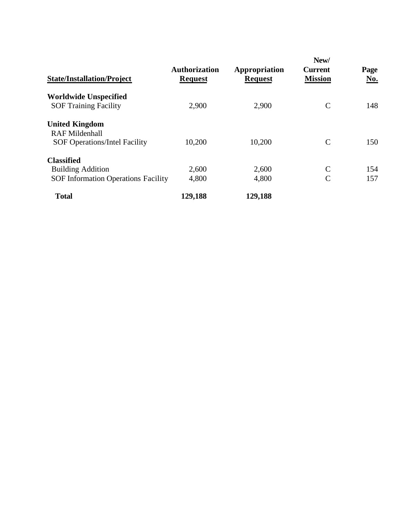| <b>State/Installation/Project</b>                            | <b>Authorization</b><br><b>Request</b> | Appropriation<br><b>Request</b> | New/<br><b>Current</b><br><b>Mission</b> | Page<br>No. |
|--------------------------------------------------------------|----------------------------------------|---------------------------------|------------------------------------------|-------------|
| <b>Worldwide Unspecified</b><br><b>SOF Training Facility</b> | 2,900                                  | 2,900                           | $\mathsf{C}$                             | 148         |
| <b>United Kingdom</b>                                        |                                        |                                 |                                          |             |
| <b>RAF Mildenhall</b>                                        |                                        |                                 |                                          |             |
| <b>SOF Operations/Intel Facility</b>                         | 10,200                                 | 10,200                          | C                                        | 150         |
| <b>Classified</b>                                            |                                        |                                 |                                          |             |
| <b>Building Addition</b>                                     | 2,600                                  | 2,600                           | $\mathcal{C}$                            | 154         |
| <b>SOF Information Operations Facility</b>                   | 4,800                                  | 4,800                           | C                                        | 157         |
| <b>Total</b>                                                 | 129,188                                | 129,188                         |                                          |             |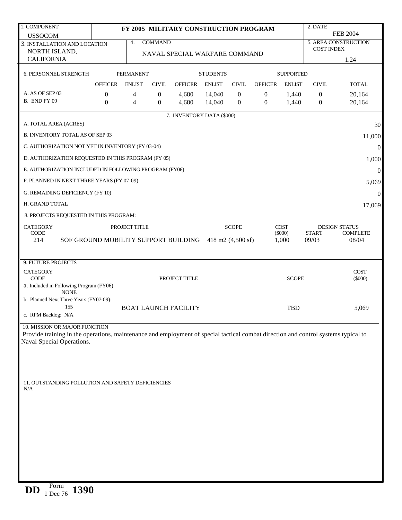| 1. COMPONENT                                                                                                                                                    |                                                        |                  |                | FY 2005 MILITARY CONSTRUCTION PROGRAM |                 |                  |                  |                  | 2. DATE           |                      |
|-----------------------------------------------------------------------------------------------------------------------------------------------------------------|--------------------------------------------------------|------------------|----------------|---------------------------------------|-----------------|------------------|------------------|------------------|-------------------|----------------------|
| <b>USSOCOM</b>                                                                                                                                                  |                                                        |                  |                |                                       |                 |                  |                  |                  |                   | <b>FEB 2004</b>      |
| 3. INSTALLATION AND LOCATION                                                                                                                                    |                                                        | 4.               | <b>COMMAND</b> |                                       |                 |                  |                  |                  | <b>COST INDEX</b> | 5. AREA CONSTRUCTION |
| NORTH ISLAND,<br><b>CALIFORNIA</b>                                                                                                                              |                                                        |                  |                | NAVAL SPECIAL WARFARE COMMAND         |                 |                  |                  |                  |                   |                      |
|                                                                                                                                                                 |                                                        |                  |                |                                       |                 |                  |                  |                  |                   | 1.24                 |
| 6. PERSONNEL STRENGTH                                                                                                                                           |                                                        | <b>PERMANENT</b> |                |                                       | <b>STUDENTS</b> |                  |                  | <b>SUPPORTED</b> |                   |                      |
|                                                                                                                                                                 | <b>OFFICER</b>                                         | <b>ENLIST</b>    | <b>CIVIL</b>   | <b>OFFICER</b>                        | <b>ENLIST</b>   | <b>CIVIL</b>     | <b>OFFICER</b>   | <b>ENLIST</b>    | <b>CIVIL</b>      | <b>TOTAL</b>         |
| A. AS OF SEP 03                                                                                                                                                 | $\boldsymbol{0}$                                       | 4                | $\mathbf{0}$   | 4,680                                 | 14,040          | $\boldsymbol{0}$ | $\boldsymbol{0}$ | 1,440            | $\mathbf{0}$      | 20,164               |
| B. END FY 09                                                                                                                                                    | $\overline{0}$                                         | $\overline{4}$   | $\theta$       | 4,680                                 | 14,040          | $\overline{0}$   | $\boldsymbol{0}$ | 1,440            | $\boldsymbol{0}$  | 20,164               |
|                                                                                                                                                                 |                                                        |                  |                | 7. INVENTORY DATA (\$000)             |                 |                  |                  |                  |                   |                      |
| A. TOTAL AREA (ACRES)                                                                                                                                           |                                                        |                  |                |                                       |                 |                  |                  |                  |                   | 30                   |
| <b>B. INVENTORY TOTAL AS OF SEP 03</b>                                                                                                                          |                                                        |                  |                |                                       |                 |                  |                  |                  |                   |                      |
|                                                                                                                                                                 |                                                        |                  |                |                                       |                 |                  |                  |                  |                   | 11,000               |
| C. AUTHORIZATION NOT YET IN INVENTORY (FY 03-04)                                                                                                                |                                                        |                  |                |                                       |                 |                  |                  |                  |                   | $\boldsymbol{0}$     |
| D. AUTHORIZATION REQUESTED IN THIS PROGRAM (FY 05)                                                                                                              |                                                        |                  |                |                                       |                 |                  |                  |                  |                   | 1,000                |
| E. AUTHORIZATION INCLUDED IN FOLLOWING PROGRAM (FY06)                                                                                                           |                                                        |                  |                |                                       |                 |                  |                  |                  |                   | $\boldsymbol{0}$     |
| F. PLANNED IN NEXT THREE YEARS (FY 07-09)                                                                                                                       |                                                        |                  |                |                                       |                 |                  |                  |                  |                   | 5,069                |
| G. REMAINING DEFICIENCY (FY 10)                                                                                                                                 |                                                        |                  |                |                                       |                 |                  |                  |                  |                   | $\boldsymbol{0}$     |
| H. GRAND TOTAL                                                                                                                                                  |                                                        |                  |                |                                       |                 |                  |                  |                  |                   | 17,069               |
| 8. PROJECTS REQUESTED IN THIS PROGRAM:                                                                                                                          |                                                        |                  |                |                                       |                 |                  |                  |                  |                   |                      |
| <b>CATEGORY</b>                                                                                                                                                 |                                                        | PROJECT TITLE    |                |                                       |                 | <b>SCOPE</b>     |                  | <b>COST</b>      |                   | <b>DESIGN STATUS</b> |
| <b>CODE</b>                                                                                                                                                     |                                                        |                  |                |                                       |                 |                  |                  | $(\$000)$        | <b>START</b>      | <b>COMPLETE</b>      |
| 214                                                                                                                                                             | SOF GROUND MOBILITY SUPPORT BUILDING 418 m2 (4,500 sf) |                  |                |                                       |                 |                  |                  | 1,000            | 09/03             | 08/04                |
|                                                                                                                                                                 |                                                        |                  |                |                                       |                 |                  |                  |                  |                   |                      |
| 9. FUTURE PROJECTS                                                                                                                                              |                                                        |                  |                |                                       |                 |                  |                  |                  |                   |                      |
| <b>CATEGORY</b>                                                                                                                                                 |                                                        |                  |                |                                       |                 |                  |                  |                  |                   | <b>COST</b>          |
| <b>CODE</b><br>a. Included in Following Program (FY06)                                                                                                          |                                                        |                  |                | PROJECT TITLE                         |                 |                  |                  | <b>SCOPE</b>     |                   | $(\$000)$            |
| <b>NONE</b>                                                                                                                                                     |                                                        |                  |                |                                       |                 |                  |                  |                  |                   |                      |
| b. Planned Next Three Years (FY07-09):                                                                                                                          |                                                        |                  |                |                                       |                 |                  |                  |                  |                   |                      |
| 155<br>c. RPM Backlog: N/A                                                                                                                                      |                                                        |                  |                | <b>BOAT LAUNCH FACILITY</b>           |                 |                  |                  | <b>TBD</b>       |                   | 5,069                |
|                                                                                                                                                                 |                                                        |                  |                |                                       |                 |                  |                  |                  |                   |                      |
| 10. MISSION OR MAJOR FUNCTION                                                                                                                                   |                                                        |                  |                |                                       |                 |                  |                  |                  |                   |                      |
| Provide training in the operations, maintenance and employment of special tactical combat direction and control systems typical to<br>Naval Special Operations. |                                                        |                  |                |                                       |                 |                  |                  |                  |                   |                      |
|                                                                                                                                                                 |                                                        |                  |                |                                       |                 |                  |                  |                  |                   |                      |
|                                                                                                                                                                 |                                                        |                  |                |                                       |                 |                  |                  |                  |                   |                      |
|                                                                                                                                                                 |                                                        |                  |                |                                       |                 |                  |                  |                  |                   |                      |
|                                                                                                                                                                 |                                                        |                  |                |                                       |                 |                  |                  |                  |                   |                      |
| 11. OUTSTANDING POLLUTION AND SAFETY DEFICIENCIES<br>N/A                                                                                                        |                                                        |                  |                |                                       |                 |                  |                  |                  |                   |                      |
|                                                                                                                                                                 |                                                        |                  |                |                                       |                 |                  |                  |                  |                   |                      |
|                                                                                                                                                                 |                                                        |                  |                |                                       |                 |                  |                  |                  |                   |                      |
|                                                                                                                                                                 |                                                        |                  |                |                                       |                 |                  |                  |                  |                   |                      |
|                                                                                                                                                                 |                                                        |                  |                |                                       |                 |                  |                  |                  |                   |                      |
|                                                                                                                                                                 |                                                        |                  |                |                                       |                 |                  |                  |                  |                   |                      |
|                                                                                                                                                                 |                                                        |                  |                |                                       |                 |                  |                  |                  |                   |                      |
|                                                                                                                                                                 |                                                        |                  |                |                                       |                 |                  |                  |                  |                   |                      |
|                                                                                                                                                                 |                                                        |                  |                |                                       |                 |                  |                  |                  |                   |                      |
|                                                                                                                                                                 |                                                        |                  |                |                                       |                 |                  |                  |                  |                   |                      |
| $\Gamma$                                                                                                                                                        |                                                        |                  |                |                                       |                 |                  |                  |                  |                   |                      |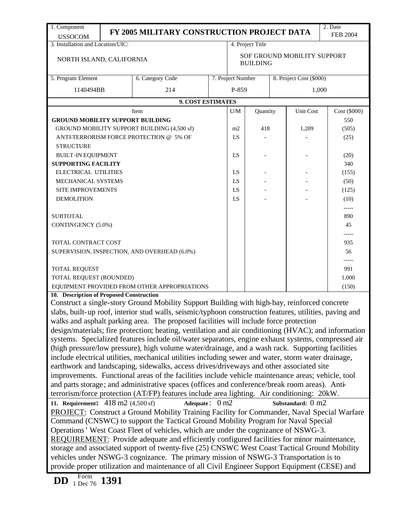| 1. Component                                                                                 |                                                                                                                                                                          | FY 2005 MILITARY CONSTRUCTION PROJECT DATA                                                              |  |                   |                  |  |                             | 2. Date<br><b>FEB 2004</b> |  |
|----------------------------------------------------------------------------------------------|--------------------------------------------------------------------------------------------------------------------------------------------------------------------------|---------------------------------------------------------------------------------------------------------|--|-------------------|------------------|--|-----------------------------|----------------------------|--|
| <b>USSOCOM</b><br>3. Installation and Location/UIC:                                          |                                                                                                                                                                          |                                                                                                         |  |                   | 4. Project Title |  |                             |                            |  |
| NORTH ISLAND, CALIFORNIA                                                                     |                                                                                                                                                                          | SOF GROUND MOBILITY SUPPORT<br><b>BUILDING</b>                                                          |  |                   |                  |  |                             |                            |  |
| 5. Program Element                                                                           |                                                                                                                                                                          | 6. Category Code                                                                                        |  | 7. Project Number |                  |  | 8. Project Cost (\$000)     |                            |  |
| 1140494BB                                                                                    |                                                                                                                                                                          | 214                                                                                                     |  | P-859             |                  |  | 1,000                       |                            |  |
|                                                                                              |                                                                                                                                                                          | 9. COST ESTIMATES                                                                                       |  |                   |                  |  |                             |                            |  |
|                                                                                              |                                                                                                                                                                          | Item                                                                                                    |  | U/M               | Quantity         |  | Unit Cost                   | Cost (\$000)               |  |
| <b>GROUND MOBILITY SUPPORT BUILDING</b>                                                      |                                                                                                                                                                          |                                                                                                         |  |                   |                  |  |                             | 550                        |  |
|                                                                                              |                                                                                                                                                                          | GROUND MOBILITY SUPPORT BUILDING (4,500 sf)                                                             |  | m <sub>2</sub>    | 418              |  | 1,209                       | (505)                      |  |
|                                                                                              |                                                                                                                                                                          | ANTI-TERRORISM FORCE PROTECTION @ 5% OF                                                                 |  | LS                |                  |  |                             | (25)                       |  |
| <b>STRUCTURE</b>                                                                             |                                                                                                                                                                          |                                                                                                         |  |                   |                  |  |                             |                            |  |
| <b>BUILT-IN EQUIPMENT</b>                                                                    |                                                                                                                                                                          |                                                                                                         |  | LS                |                  |  |                             | (20)                       |  |
| <b>SUPPORTING FACILITY</b>                                                                   |                                                                                                                                                                          |                                                                                                         |  |                   |                  |  |                             | 340                        |  |
| ELECTRICAL UTILITIES                                                                         |                                                                                                                                                                          |                                                                                                         |  | LS                |                  |  |                             | (155)                      |  |
| MECHANICAL SYSTEMS                                                                           |                                                                                                                                                                          |                                                                                                         |  | LS                |                  |  |                             | (50)                       |  |
| SITE IMPROVEMENTS                                                                            |                                                                                                                                                                          |                                                                                                         |  | LS                |                  |  |                             | (125)                      |  |
| <b>DEMOLITION</b>                                                                            |                                                                                                                                                                          |                                                                                                         |  | LS                |                  |  |                             | (10)                       |  |
|                                                                                              |                                                                                                                                                                          |                                                                                                         |  |                   |                  |  |                             | $-----$                    |  |
| <b>SUBTOTAL</b>                                                                              |                                                                                                                                                                          |                                                                                                         |  |                   |                  |  |                             | 890                        |  |
| CONTINGENCY (5.0%)                                                                           |                                                                                                                                                                          |                                                                                                         |  |                   |                  |  |                             | 45                         |  |
| TOTAL CONTRACT COST                                                                          |                                                                                                                                                                          |                                                                                                         |  |                   |                  |  |                             | -----<br>935               |  |
|                                                                                              |                                                                                                                                                                          | SUPERVISION, INSPECTION, AND OVERHEAD (6.0%)                                                            |  |                   |                  |  |                             | 56                         |  |
| TOTAL REQUEST                                                                                |                                                                                                                                                                          |                                                                                                         |  |                   |                  |  |                             | 991                        |  |
| TOTAL REQUEST (ROUNDED)                                                                      |                                                                                                                                                                          |                                                                                                         |  |                   |                  |  |                             | 1,000                      |  |
|                                                                                              |                                                                                                                                                                          | EQUIPMENT PROVIDED FROM OTHER APPROPRIATIONS                                                            |  |                   |                  |  |                             | (150)                      |  |
| 10. Description of Proposed Construction                                                     |                                                                                                                                                                          |                                                                                                         |  |                   |                  |  |                             |                            |  |
|                                                                                              |                                                                                                                                                                          | Construct a single-story Ground Mobility Support Building with high-bay, reinforced concrete            |  |                   |                  |  |                             |                            |  |
|                                                                                              |                                                                                                                                                                          | slabs, built-up roof, interior stud walls, seismic/typhoon construction features, utilities, paving and |  |                   |                  |  |                             |                            |  |
|                                                                                              |                                                                                                                                                                          | walks and asphalt parking area. The proposed facilities will include force protection                   |  |                   |                  |  |                             |                            |  |
|                                                                                              |                                                                                                                                                                          | design/materials; fire protection; heating, ventilation and air conditioning (HVAC); and information    |  |                   |                  |  |                             |                            |  |
|                                                                                              |                                                                                                                                                                          | systems. Specialized features include oil/water separators, engine exhaust systems, compressed air      |  |                   |                  |  |                             |                            |  |
|                                                                                              |                                                                                                                                                                          | (high pressure/low pressure), high volume water/drainage, and a wash rack. Supporting facilities        |  |                   |                  |  |                             |                            |  |
|                                                                                              |                                                                                                                                                                          | include electrical utilities, mechanical utilities including sewer and water, storm water drainage,     |  |                   |                  |  |                             |                            |  |
|                                                                                              |                                                                                                                                                                          | earthwork and landscaping, sidewalks, access drives/driveways and other associated site                 |  |                   |                  |  |                             |                            |  |
|                                                                                              |                                                                                                                                                                          | improvements. Functional areas of the facilities include vehicle maintenance areas; vehicle, tool       |  |                   |                  |  |                             |                            |  |
|                                                                                              |                                                                                                                                                                          | and parts storage; and administrative spaces (offices and conference/break room areas). Anti-           |  |                   |                  |  |                             |                            |  |
|                                                                                              |                                                                                                                                                                          | terrorism/force protection (AT/FP) features include area lighting. Air conditioning: 20kW.              |  |                   |                  |  |                             |                            |  |
| 11. Requirement: $418 \text{ m}$ 2 (4,500 sf)                                                |                                                                                                                                                                          | Adequate: $0 \text{ m2}$                                                                                |  |                   |                  |  | Substandard: $0 \text{ m2}$ |                            |  |
|                                                                                              |                                                                                                                                                                          | <b>PROJECT:</b> Construct a Ground Mobility Training Facility for Commander, Naval Special Warfare      |  |                   |                  |  |                             |                            |  |
|                                                                                              |                                                                                                                                                                          |                                                                                                         |  |                   |                  |  |                             |                            |  |
|                                                                                              | Command (CNSWC) to support the Tactical Ground Mobility Program for Naval Special<br>Operations' West Coast Fleet of vehicles, which are under the cognizance of NSWG-3. |                                                                                                         |  |                   |                  |  |                             |                            |  |
| REQUIREMENT: Provide adequate and efficiently configured facilities for minor maintenance,   |                                                                                                                                                                          |                                                                                                         |  |                   |                  |  |                             |                            |  |
| storage and associated support of twenty-five (25) CNSWC West Coast Tactical Ground Mobility |                                                                                                                                                                          |                                                                                                         |  |                   |                  |  |                             |                            |  |
|                                                                                              | vehicles under NSWG-3 cognizance. The primary mission of NSWG-3 Transportation is to                                                                                     |                                                                                                         |  |                   |                  |  |                             |                            |  |
|                                                                                              |                                                                                                                                                                          | provide proper utilization and maintenance of all Civil Engineer Support Equipment (CESE) and           |  |                   |                  |  |                             |                            |  |
| Form<br>DD<br>1 Dec 76                                                                       | 1391                                                                                                                                                                     |                                                                                                         |  |                   |                  |  |                             |                            |  |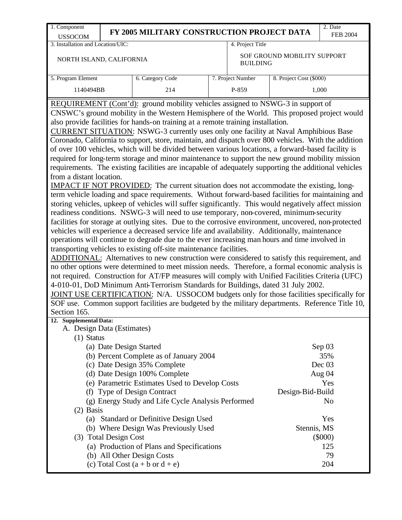| 1. Component                                                                                                                                                                                                                                                                                                                                                                                                                                                                                                                                                                                                                                                                                                                                                                                                                                                                                                                                                                                                                                                                                                                                                                                                                                                                                                                                                                                                                                                                                                                                                                                                                                                                                                                                                                                                                                                                                                                                                                                                                                                                             |                         |                                                                                                  |  |                   |                             | 2. Date         |  |  |  |  |
|------------------------------------------------------------------------------------------------------------------------------------------------------------------------------------------------------------------------------------------------------------------------------------------------------------------------------------------------------------------------------------------------------------------------------------------------------------------------------------------------------------------------------------------------------------------------------------------------------------------------------------------------------------------------------------------------------------------------------------------------------------------------------------------------------------------------------------------------------------------------------------------------------------------------------------------------------------------------------------------------------------------------------------------------------------------------------------------------------------------------------------------------------------------------------------------------------------------------------------------------------------------------------------------------------------------------------------------------------------------------------------------------------------------------------------------------------------------------------------------------------------------------------------------------------------------------------------------------------------------------------------------------------------------------------------------------------------------------------------------------------------------------------------------------------------------------------------------------------------------------------------------------------------------------------------------------------------------------------------------------------------------------------------------------------------------------------------------|-------------------------|--------------------------------------------------------------------------------------------------|--|-------------------|-----------------------------|-----------------|--|--|--|--|
| <b>USSOCOM</b>                                                                                                                                                                                                                                                                                                                                                                                                                                                                                                                                                                                                                                                                                                                                                                                                                                                                                                                                                                                                                                                                                                                                                                                                                                                                                                                                                                                                                                                                                                                                                                                                                                                                                                                                                                                                                                                                                                                                                                                                                                                                           |                         | FY 2005 MILITARY CONSTRUCTION PROJECT DATA                                                       |  |                   |                             | <b>FEB 2004</b> |  |  |  |  |
| 3. Installation and Location/UIC:                                                                                                                                                                                                                                                                                                                                                                                                                                                                                                                                                                                                                                                                                                                                                                                                                                                                                                                                                                                                                                                                                                                                                                                                                                                                                                                                                                                                                                                                                                                                                                                                                                                                                                                                                                                                                                                                                                                                                                                                                                                        |                         |                                                                                                  |  | 4. Project Title  |                             |                 |  |  |  |  |
| NORTH ISLAND, CALIFORNIA                                                                                                                                                                                                                                                                                                                                                                                                                                                                                                                                                                                                                                                                                                                                                                                                                                                                                                                                                                                                                                                                                                                                                                                                                                                                                                                                                                                                                                                                                                                                                                                                                                                                                                                                                                                                                                                                                                                                                                                                                                                                 |                         |                                                                                                  |  | <b>BUILDING</b>   | SOF GROUND MOBILITY SUPPORT |                 |  |  |  |  |
| 5. Program Element                                                                                                                                                                                                                                                                                                                                                                                                                                                                                                                                                                                                                                                                                                                                                                                                                                                                                                                                                                                                                                                                                                                                                                                                                                                                                                                                                                                                                                                                                                                                                                                                                                                                                                                                                                                                                                                                                                                                                                                                                                                                       |                         | 6. Category Code                                                                                 |  | 7. Project Number | 8. Project Cost (\$000)     |                 |  |  |  |  |
| 1140494BB                                                                                                                                                                                                                                                                                                                                                                                                                                                                                                                                                                                                                                                                                                                                                                                                                                                                                                                                                                                                                                                                                                                                                                                                                                                                                                                                                                                                                                                                                                                                                                                                                                                                                                                                                                                                                                                                                                                                                                                                                                                                                |                         | 214                                                                                              |  | P-859             |                             | 1,000           |  |  |  |  |
| REQUIREMENT (Cont'd): ground mobility vehicles assigned to NSWG-3 in support of<br>CNSWC's ground mobility in the Western Hemisphere of the World. This proposed project would<br>also provide facilities for hands-on training at a remote training installation.<br>CURRENT SITUATION: NSWG-3 currently uses only one facility at Naval Amphibious Base<br>Coronado, California to support, store, maintain, and dispatch over 800 vehicles. With the addition<br>of over 100 vehicles, which will be divided between various locations, a forward-based facility is<br>required for long-term storage and minor maintenance to support the new ground mobility mission<br>requirements. The existing facilities are incapable of adequately supporting the additional vehicles<br>from a distant location.<br>IMPACT IF NOT PROVIDED: The current situation does not accommodate the existing, long-<br>term vehicle loading and space requirements. Without forward-based facilities for maintaining and<br>storing vehicles, upkeep of vehicles will suffer significantly. This would negatively affect mission<br>readiness conditions. NSWG-3 will need to use temporary, non-covered, minimum-security<br>facilities for storage at outlying sites. Due to the corrosive environment, uncovered, non-protected<br>vehicles will experience a decreased service life and availability. Additionally, maintenance<br>operations will continue to degrade due to the ever increasing man hours and time involved in<br>transporting vehicles to existing off-site maintenance facilities.<br>ADDITIONAL: Alternatives to new construction were considered to satisfy this requirement, and<br>no other options were determined to meet mission needs. Therefore, a formal economic analysis is<br>not required. Construction for AT/FP measures will comply with Unified Facilities Criteria (UFC)<br>4-010-01, DoD Minimum Anti-Terrorism Standards for Buildings, dated 31 July 2002.<br>JOINT USE CERTIFICATION: N/A. USSOCOM budgets only for those facilities specifically for |                         |                                                                                                  |  |                   |                             |                 |  |  |  |  |
|                                                                                                                                                                                                                                                                                                                                                                                                                                                                                                                                                                                                                                                                                                                                                                                                                                                                                                                                                                                                                                                                                                                                                                                                                                                                                                                                                                                                                                                                                                                                                                                                                                                                                                                                                                                                                                                                                                                                                                                                                                                                                          |                         | SOF use. Common support facilities are budgeted by the military departments. Reference Title 10, |  |                   |                             |                 |  |  |  |  |
| Section 165.<br>12. Supplemental Data:                                                                                                                                                                                                                                                                                                                                                                                                                                                                                                                                                                                                                                                                                                                                                                                                                                                                                                                                                                                                                                                                                                                                                                                                                                                                                                                                                                                                                                                                                                                                                                                                                                                                                                                                                                                                                                                                                                                                                                                                                                                   |                         |                                                                                                  |  |                   |                             |                 |  |  |  |  |
| A. Design Data (Estimates)                                                                                                                                                                                                                                                                                                                                                                                                                                                                                                                                                                                                                                                                                                                                                                                                                                                                                                                                                                                                                                                                                                                                                                                                                                                                                                                                                                                                                                                                                                                                                                                                                                                                                                                                                                                                                                                                                                                                                                                                                                                               |                         |                                                                                                  |  |                   |                             |                 |  |  |  |  |
| $(1)$ Status                                                                                                                                                                                                                                                                                                                                                                                                                                                                                                                                                                                                                                                                                                                                                                                                                                                                                                                                                                                                                                                                                                                                                                                                                                                                                                                                                                                                                                                                                                                                                                                                                                                                                                                                                                                                                                                                                                                                                                                                                                                                             |                         |                                                                                                  |  |                   |                             |                 |  |  |  |  |
|                                                                                                                                                                                                                                                                                                                                                                                                                                                                                                                                                                                                                                                                                                                                                                                                                                                                                                                                                                                                                                                                                                                                                                                                                                                                                                                                                                                                                                                                                                                                                                                                                                                                                                                                                                                                                                                                                                                                                                                                                                                                                          | (a) Date Design Started |                                                                                                  |  |                   |                             | Sep 03          |  |  |  |  |
|                                                                                                                                                                                                                                                                                                                                                                                                                                                                                                                                                                                                                                                                                                                                                                                                                                                                                                                                                                                                                                                                                                                                                                                                                                                                                                                                                                                                                                                                                                                                                                                                                                                                                                                                                                                                                                                                                                                                                                                                                                                                                          |                         | (b) Percent Complete as of January 2004                                                          |  |                   |                             | 35%             |  |  |  |  |
|                                                                                                                                                                                                                                                                                                                                                                                                                                                                                                                                                                                                                                                                                                                                                                                                                                                                                                                                                                                                                                                                                                                                                                                                                                                                                                                                                                                                                                                                                                                                                                                                                                                                                                                                                                                                                                                                                                                                                                                                                                                                                          |                         | (c) Date Design 35% Complete                                                                     |  |                   |                             | Dec $03$        |  |  |  |  |
|                                                                                                                                                                                                                                                                                                                                                                                                                                                                                                                                                                                                                                                                                                                                                                                                                                                                                                                                                                                                                                                                                                                                                                                                                                                                                                                                                                                                                                                                                                                                                                                                                                                                                                                                                                                                                                                                                                                                                                                                                                                                                          |                         | (d) Date Design 100% Complete                                                                    |  |                   |                             | Aug 04          |  |  |  |  |
|                                                                                                                                                                                                                                                                                                                                                                                                                                                                                                                                                                                                                                                                                                                                                                                                                                                                                                                                                                                                                                                                                                                                                                                                                                                                                                                                                                                                                                                                                                                                                                                                                                                                                                                                                                                                                                                                                                                                                                                                                                                                                          |                         | (e) Parametric Estimates Used to Develop Costs                                                   |  |                   |                             | Yes             |  |  |  |  |
|                                                                                                                                                                                                                                                                                                                                                                                                                                                                                                                                                                                                                                                                                                                                                                                                                                                                                                                                                                                                                                                                                                                                                                                                                                                                                                                                                                                                                                                                                                                                                                                                                                                                                                                                                                                                                                                                                                                                                                                                                                                                                          |                         | (f) Type of Design Contract                                                                      |  |                   | Design-Bid-Build            |                 |  |  |  |  |
|                                                                                                                                                                                                                                                                                                                                                                                                                                                                                                                                                                                                                                                                                                                                                                                                                                                                                                                                                                                                                                                                                                                                                                                                                                                                                                                                                                                                                                                                                                                                                                                                                                                                                                                                                                                                                                                                                                                                                                                                                                                                                          |                         | (g) Energy Study and Life Cycle Analysis Performed                                               |  |                   |                             | No              |  |  |  |  |
| $(2)$ Basis                                                                                                                                                                                                                                                                                                                                                                                                                                                                                                                                                                                                                                                                                                                                                                                                                                                                                                                                                                                                                                                                                                                                                                                                                                                                                                                                                                                                                                                                                                                                                                                                                                                                                                                                                                                                                                                                                                                                                                                                                                                                              |                         |                                                                                                  |  |                   |                             |                 |  |  |  |  |
|                                                                                                                                                                                                                                                                                                                                                                                                                                                                                                                                                                                                                                                                                                                                                                                                                                                                                                                                                                                                                                                                                                                                                                                                                                                                                                                                                                                                                                                                                                                                                                                                                                                                                                                                                                                                                                                                                                                                                                                                                                                                                          |                         | (a) Standard or Definitive Design Used                                                           |  |                   |                             | Yes             |  |  |  |  |
|                                                                                                                                                                                                                                                                                                                                                                                                                                                                                                                                                                                                                                                                                                                                                                                                                                                                                                                                                                                                                                                                                                                                                                                                                                                                                                                                                                                                                                                                                                                                                                                                                                                                                                                                                                                                                                                                                                                                                                                                                                                                                          |                         | (b) Where Design Was Previously Used                                                             |  |                   | Stennis, MS                 |                 |  |  |  |  |
|                                                                                                                                                                                                                                                                                                                                                                                                                                                                                                                                                                                                                                                                                                                                                                                                                                                                                                                                                                                                                                                                                                                                                                                                                                                                                                                                                                                                                                                                                                                                                                                                                                                                                                                                                                                                                                                                                                                                                                                                                                                                                          | (3) Total Design Cost   |                                                                                                  |  |                   |                             | $(\$000)$       |  |  |  |  |
|                                                                                                                                                                                                                                                                                                                                                                                                                                                                                                                                                                                                                                                                                                                                                                                                                                                                                                                                                                                                                                                                                                                                                                                                                                                                                                                                                                                                                                                                                                                                                                                                                                                                                                                                                                                                                                                                                                                                                                                                                                                                                          |                         | (a) Production of Plans and Specifications                                                       |  |                   |                             | 125             |  |  |  |  |
|                                                                                                                                                                                                                                                                                                                                                                                                                                                                                                                                                                                                                                                                                                                                                                                                                                                                                                                                                                                                                                                                                                                                                                                                                                                                                                                                                                                                                                                                                                                                                                                                                                                                                                                                                                                                                                                                                                                                                                                                                                                                                          |                         | (b) All Other Design Costs                                                                       |  |                   |                             | 79              |  |  |  |  |
|                                                                                                                                                                                                                                                                                                                                                                                                                                                                                                                                                                                                                                                                                                                                                                                                                                                                                                                                                                                                                                                                                                                                                                                                                                                                                                                                                                                                                                                                                                                                                                                                                                                                                                                                                                                                                                                                                                                                                                                                                                                                                          |                         | (c) Total Cost $(a + b \text{ or } d + e)$                                                       |  |                   |                             | 204             |  |  |  |  |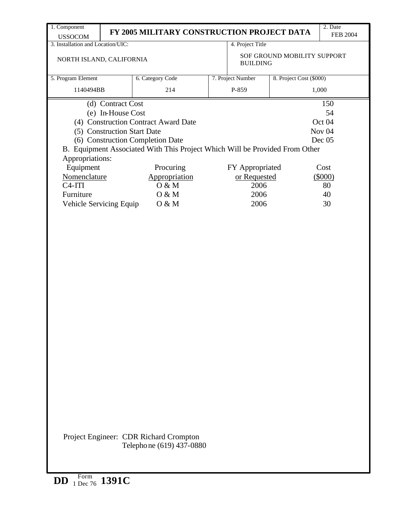| 1. Component                                                                |                                            |                   |                             | 2. Date           |  |  |  |
|-----------------------------------------------------------------------------|--------------------------------------------|-------------------|-----------------------------|-------------------|--|--|--|
| <b>USSOCOM</b>                                                              | FY 2005 MILITARY CONSTRUCTION PROJECT DATA |                   |                             | <b>FEB 2004</b>   |  |  |  |
| 3. Installation and Location/UIC:                                           |                                            | 4. Project Title  |                             |                   |  |  |  |
| NORTH ISLAND, CALIFORNIA                                                    |                                            | <b>BUILDING</b>   | SOF GROUND MOBILITY SUPPORT |                   |  |  |  |
| 5. Program Element                                                          | 6. Category Code                           | 7. Project Number | 8. Project Cost (\$000)     |                   |  |  |  |
| 1140494BB                                                                   | 214                                        | P-859             |                             | 1,000             |  |  |  |
| (d) Contract Cost                                                           |                                            |                   |                             | 150               |  |  |  |
| (e) In-House Cost                                                           |                                            |                   |                             | 54                |  |  |  |
| (4) Construction Contract Award Date                                        |                                            |                   |                             | Oct 04            |  |  |  |
| (5) Construction Start Date                                                 |                                            |                   |                             | Nov <sub>04</sub> |  |  |  |
| (6) Construction Completion Date                                            |                                            |                   |                             | Dec $05$          |  |  |  |
| B. Equipment Associated With This Project Which Will be Provided From Other |                                            |                   |                             |                   |  |  |  |
| Appropriations:                                                             |                                            |                   |                             |                   |  |  |  |
| Equipment                                                                   | Procuring                                  | FY Appropriated   |                             | Cost              |  |  |  |
| Nomenclature                                                                | Appropriation                              | or Requested      |                             | $(\$000)$         |  |  |  |
| $C4-ITI$                                                                    | O & M                                      |                   | 2006                        |                   |  |  |  |
| Furniture                                                                   | O & M                                      | 2006              |                             | 80<br>40          |  |  |  |
| Vehicle Servicing Equip                                                     | O & M                                      | 2006              |                             | 30                |  |  |  |
|                                                                             |                                            |                   |                             |                   |  |  |  |
|                                                                             |                                            |                   |                             |                   |  |  |  |
|                                                                             |                                            |                   |                             |                   |  |  |  |
|                                                                             |                                            |                   |                             |                   |  |  |  |
|                                                                             |                                            |                   |                             |                   |  |  |  |
|                                                                             |                                            |                   |                             |                   |  |  |  |
|                                                                             |                                            |                   |                             |                   |  |  |  |
|                                                                             |                                            |                   |                             |                   |  |  |  |
|                                                                             |                                            |                   |                             |                   |  |  |  |
|                                                                             |                                            |                   |                             |                   |  |  |  |
|                                                                             |                                            |                   |                             |                   |  |  |  |

Telephone (619) 437-0880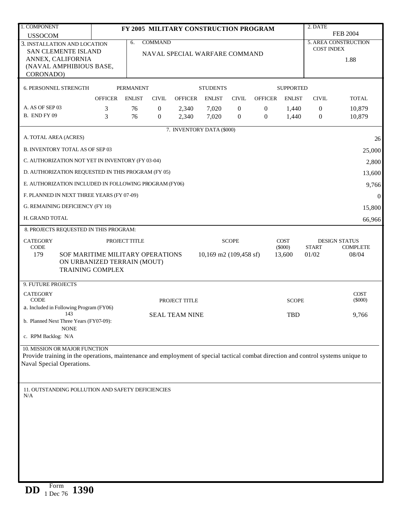| 1. COMPONENT                                                                                                                                                       |                                                                                            |                  |                  | FY 2005 MILITARY CONSTRUCTION PROGRAM |                        |                  |                  |                          | 2. DATE           |                                         |
|--------------------------------------------------------------------------------------------------------------------------------------------------------------------|--------------------------------------------------------------------------------------------|------------------|------------------|---------------------------------------|------------------------|------------------|------------------|--------------------------|-------------------|-----------------------------------------|
| <b>USSOCOM</b>                                                                                                                                                     |                                                                                            |                  |                  |                                       |                        |                  |                  |                          |                   | <b>FEB 2004</b>                         |
| 3. INSTALLATION AND LOCATION                                                                                                                                       |                                                                                            | 6.               | <b>COMMAND</b>   |                                       |                        |                  |                  |                          | <b>COST INDEX</b> | <b>5. AREA CONSTRUCTION</b>             |
| <b>SAN CLEMENTE ISLAND</b>                                                                                                                                         |                                                                                            |                  |                  | NAVAL SPECIAL WARFARE COMMAND         |                        |                  |                  |                          |                   |                                         |
| ANNEX, CALIFORNIA<br>(NAVAL AMPHIBIOUS BASE,                                                                                                                       |                                                                                            |                  |                  |                                       |                        |                  |                  |                          |                   | 1.88                                    |
| CORONADO)                                                                                                                                                          |                                                                                            |                  |                  |                                       |                        |                  |                  |                          |                   |                                         |
| 6. PERSONNEL STRENGTH                                                                                                                                              |                                                                                            | <b>PERMANENT</b> |                  |                                       | <b>STUDENTS</b>        |                  |                  | <b>SUPPORTED</b>         |                   |                                         |
|                                                                                                                                                                    | <b>OFFICER</b>                                                                             | <b>ENLIST</b>    | <b>CIVIL</b>     | <b>OFFICER</b>                        | <b>ENLIST</b>          | <b>CIVIL</b>     | <b>OFFICER</b>   | <b>ENLIST</b>            | <b>CIVIL</b>      | <b>TOTAL</b>                            |
| A. AS OF SEP 03                                                                                                                                                    | 3                                                                                          | 76               | 0                | 2,340                                 | 7,020                  | $\boldsymbol{0}$ | $\boldsymbol{0}$ | 1,440                    | $\boldsymbol{0}$  | 10,879                                  |
| B. END FY 09                                                                                                                                                       | 3                                                                                          | 76               | $\boldsymbol{0}$ | 2,340                                 | 7,020                  | $\overline{0}$   | $\boldsymbol{0}$ | 1,440                    | $\boldsymbol{0}$  | 10,879                                  |
|                                                                                                                                                                    |                                                                                            |                  |                  | 7. INVENTORY DATA (\$000)             |                        |                  |                  |                          |                   |                                         |
| A. TOTAL AREA (ACRES)                                                                                                                                              |                                                                                            |                  |                  |                                       |                        |                  |                  |                          |                   | 26                                      |
| <b>B. INVENTORY TOTAL AS OF SEP 03</b>                                                                                                                             |                                                                                            |                  |                  |                                       |                        |                  |                  |                          |                   | 25,000                                  |
| C. AUTHORIZATION NOT YET IN INVENTORY (FY 03-04)                                                                                                                   |                                                                                            |                  |                  |                                       |                        |                  |                  |                          |                   | 2,800                                   |
| D. AUTHORIZATION REQUESTED IN THIS PROGRAM (FY 05)                                                                                                                 |                                                                                            |                  |                  |                                       |                        |                  |                  |                          |                   | 13,600                                  |
| E. AUTHORIZATION INCLUDED IN FOLLOWING PROGRAM (FY06)                                                                                                              |                                                                                            |                  |                  |                                       |                        |                  |                  |                          |                   | 9,766                                   |
| F. PLANNED IN NEXT THREE YEARS (FY 07-09)                                                                                                                          |                                                                                            |                  |                  |                                       |                        |                  |                  |                          |                   | $\overline{0}$                          |
| G. REMAINING DEFICIENCY (FY 10)                                                                                                                                    |                                                                                            |                  |                  |                                       |                        |                  |                  |                          |                   | 15,800                                  |
| H. GRAND TOTAL                                                                                                                                                     |                                                                                            |                  |                  |                                       |                        |                  |                  |                          |                   | 66,966                                  |
| 8. PROJECTS REQUESTED IN THIS PROGRAM:                                                                                                                             |                                                                                            |                  |                  |                                       |                        |                  |                  |                          |                   |                                         |
| <b>CATEGORY</b><br><b>CODE</b>                                                                                                                                     | PROJECT TITLE                                                                              |                  |                  |                                       |                        | <b>SCOPE</b>     |                  | <b>COST</b><br>$(\$000)$ | <b>START</b>      | <b>DESIGN STATUS</b><br><b>COMPLETE</b> |
| 179                                                                                                                                                                | SOF MARITIME MILITARY OPERATIONS<br>ON URBANIZED TERRAIN (MOUT)<br><b>TRAINING COMPLEX</b> |                  |                  |                                       | 10,169 m2 (109,458 sf) |                  |                  | 13,600                   | 01/02             | 08/04                                   |
| 9. FUTURE PROJECTS                                                                                                                                                 |                                                                                            |                  |                  |                                       |                        |                  |                  |                          |                   |                                         |
| <b>CATEGORY</b><br><b>CODE</b>                                                                                                                                     |                                                                                            |                  |                  | PROJECT TITLE                         |                        |                  |                  | <b>SCOPE</b>             |                   | <b>COST</b><br>$(\$000)$                |
| a. Included in Following Program (FY06)                                                                                                                            |                                                                                            |                  |                  |                                       |                        |                  |                  |                          |                   |                                         |
| 143<br>b. Planned Next Three Years (FY07-09):                                                                                                                      |                                                                                            |                  |                  | <b>SEAL TEAM NINE</b>                 |                        |                  |                  | <b>TBD</b>               |                   | 9,766                                   |
| <b>NONE</b>                                                                                                                                                        |                                                                                            |                  |                  |                                       |                        |                  |                  |                          |                   |                                         |
| c. RPM Backlog: N/A                                                                                                                                                |                                                                                            |                  |                  |                                       |                        |                  |                  |                          |                   |                                         |
| 10. MISSION OR MAJOR FUNCTION<br>Provide training in the operations, maintenance and employment of special tactical combat direction and control systems unique to |                                                                                            |                  |                  |                                       |                        |                  |                  |                          |                   |                                         |
| Naval Special Operations.                                                                                                                                          |                                                                                            |                  |                  |                                       |                        |                  |                  |                          |                   |                                         |
|                                                                                                                                                                    |                                                                                            |                  |                  |                                       |                        |                  |                  |                          |                   |                                         |
| 11. OUTSTANDING POLLUTION AND SAFETY DEFICIENCIES<br>N/A                                                                                                           |                                                                                            |                  |                  |                                       |                        |                  |                  |                          |                   |                                         |
|                                                                                                                                                                    |                                                                                            |                  |                  |                                       |                        |                  |                  |                          |                   |                                         |
|                                                                                                                                                                    |                                                                                            |                  |                  |                                       |                        |                  |                  |                          |                   |                                         |
|                                                                                                                                                                    |                                                                                            |                  |                  |                                       |                        |                  |                  |                          |                   |                                         |
|                                                                                                                                                                    |                                                                                            |                  |                  |                                       |                        |                  |                  |                          |                   |                                         |
|                                                                                                                                                                    |                                                                                            |                  |                  |                                       |                        |                  |                  |                          |                   |                                         |
|                                                                                                                                                                    |                                                                                            |                  |                  |                                       |                        |                  |                  |                          |                   |                                         |
|                                                                                                                                                                    |                                                                                            |                  |                  |                                       |                        |                  |                  |                          |                   |                                         |
|                                                                                                                                                                    |                                                                                            |                  |                  |                                       |                        |                  |                  |                          |                   |                                         |
|                                                                                                                                                                    |                                                                                            |                  |                  |                                       |                        |                  |                  |                          |                   |                                         |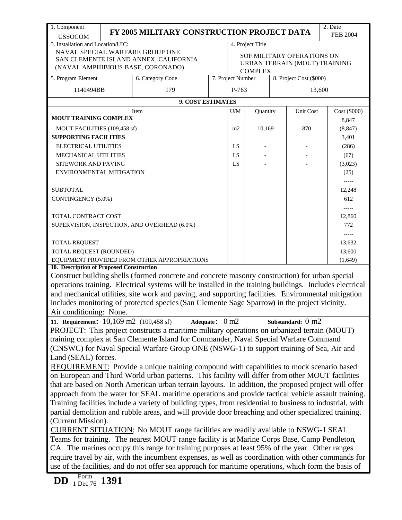| 1. Component                                                                                   |                                                                                                                                                                                                              |                                                                                                           |  |                                                             |                  |  |                             | 2. Date      |  |  |
|------------------------------------------------------------------------------------------------|--------------------------------------------------------------------------------------------------------------------------------------------------------------------------------------------------------------|-----------------------------------------------------------------------------------------------------------|--|-------------------------------------------------------------|------------------|--|-----------------------------|--------------|--|--|
| <b>USSOCOM</b>                                                                                 | FY 2005 MILITARY CONSTRUCTION PROJECT DATA<br><b>FEB 2004</b>                                                                                                                                                |                                                                                                           |  |                                                             |                  |  |                             |              |  |  |
| 3. Installation and Location/UIC:                                                              |                                                                                                                                                                                                              |                                                                                                           |  |                                                             | 4. Project Title |  |                             |              |  |  |
|                                                                                                |                                                                                                                                                                                                              | NAVAL SPECIAL WARFARE GROUP ONE                                                                           |  |                                                             |                  |  |                             |              |  |  |
|                                                                                                |                                                                                                                                                                                                              | SAN CLEMENTE ISLAND ANNEX, CALIFORNIA<br>(NAVAL AMPHIBIOUS BASE, CORONADO)                                |  | SOF MILITARY OPERATIONS ON<br>URBAN TERRAIN (MOUT) TRAINING |                  |  |                             |              |  |  |
|                                                                                                |                                                                                                                                                                                                              |                                                                                                           |  |                                                             | <b>COMPLEX</b>   |  |                             |              |  |  |
| 8. Project Cost (\$000)<br>5. Program Element<br>6. Category Code<br>7. Project Number         |                                                                                                                                                                                                              |                                                                                                           |  |                                                             |                  |  |                             |              |  |  |
| 1140494BB                                                                                      |                                                                                                                                                                                                              | 179                                                                                                       |  | P-763                                                       |                  |  | 13,600                      |              |  |  |
|                                                                                                |                                                                                                                                                                                                              | 9. COST ESTIMATES                                                                                         |  |                                                             |                  |  |                             |              |  |  |
|                                                                                                |                                                                                                                                                                                                              | Item                                                                                                      |  | U/M                                                         | Quantity         |  | Unit Cost                   | Cost (\$000) |  |  |
| <b>MOUT TRAINING COMPLEX</b>                                                                   |                                                                                                                                                                                                              |                                                                                                           |  |                                                             |                  |  |                             | 8,847        |  |  |
| MOUT FACILITIES (109,458 sf)                                                                   |                                                                                                                                                                                                              |                                                                                                           |  | m2                                                          | 10,169           |  | 870                         | (8, 847)     |  |  |
| <b>SUPPORTING FACILITIES</b>                                                                   |                                                                                                                                                                                                              |                                                                                                           |  |                                                             |                  |  |                             | 3,401        |  |  |
| <b>ELECTRICAL UTILITIES</b>                                                                    |                                                                                                                                                                                                              |                                                                                                           |  | LS                                                          |                  |  |                             | (286)        |  |  |
| MECHANICAL UTILITIES                                                                           |                                                                                                                                                                                                              |                                                                                                           |  | LS                                                          |                  |  |                             | (67)         |  |  |
| SITEWORK AND PAVING                                                                            |                                                                                                                                                                                                              |                                                                                                           |  | LS                                                          |                  |  |                             | (3,023)      |  |  |
| ENVIRONMENTAL MITIGATION                                                                       |                                                                                                                                                                                                              |                                                                                                           |  |                                                             |                  |  |                             | (25)         |  |  |
|                                                                                                |                                                                                                                                                                                                              |                                                                                                           |  |                                                             |                  |  |                             | -----        |  |  |
| <b>SUBTOTAL</b>                                                                                |                                                                                                                                                                                                              |                                                                                                           |  |                                                             |                  |  |                             | 12,248       |  |  |
| CONTINGENCY (5.0%)                                                                             |                                                                                                                                                                                                              |                                                                                                           |  |                                                             |                  |  |                             | 612          |  |  |
| TOTAL CONTRACT COST                                                                            |                                                                                                                                                                                                              |                                                                                                           |  |                                                             |                  |  |                             | 12,860       |  |  |
|                                                                                                |                                                                                                                                                                                                              | SUPERVISION, INSPECTION, AND OVERHEAD (6.0%)                                                              |  |                                                             |                  |  |                             | 772          |  |  |
|                                                                                                |                                                                                                                                                                                                              |                                                                                                           |  |                                                             |                  |  |                             | -----        |  |  |
| TOTAL REQUEST                                                                                  |                                                                                                                                                                                                              |                                                                                                           |  |                                                             |                  |  |                             | 13,632       |  |  |
| TOTAL REQUEST (ROUNDED)                                                                        |                                                                                                                                                                                                              |                                                                                                           |  |                                                             |                  |  |                             | 13,600       |  |  |
|                                                                                                |                                                                                                                                                                                                              | EQUIPMENT PROVIDED FROM OTHER APPROPRIATIONS                                                              |  |                                                             |                  |  |                             | (1,649)      |  |  |
| 10. Description of Proposed Construction                                                       |                                                                                                                                                                                                              |                                                                                                           |  |                                                             |                  |  |                             |              |  |  |
|                                                                                                |                                                                                                                                                                                                              | Construct building shells (formed concrete and concrete masonry construction) for urban special           |  |                                                             |                  |  |                             |              |  |  |
|                                                                                                |                                                                                                                                                                                                              | operations training. Electrical systems will be installed in the training buildings. Includes electrical  |  |                                                             |                  |  |                             |              |  |  |
|                                                                                                |                                                                                                                                                                                                              | and mechanical utilities, site work and paving, and supporting facilities. Environmental mitigation       |  |                                                             |                  |  |                             |              |  |  |
|                                                                                                |                                                                                                                                                                                                              | includes monitoring of protected species (San Clemente Sage Sparrow) in the project vicinity.             |  |                                                             |                  |  |                             |              |  |  |
| Air conditioning: None.                                                                        |                                                                                                                                                                                                              |                                                                                                           |  |                                                             |                  |  |                             |              |  |  |
| 11. Requirement: $10,169$ m2 (109,458 sf)                                                      |                                                                                                                                                                                                              | Adequate: $0 \text{ m2}$                                                                                  |  |                                                             |                  |  | Substandard: $0 \text{ m2}$ |              |  |  |
|                                                                                                |                                                                                                                                                                                                              | PROJECT: This project constructs a maritime military operations on urbanized terrain (MOUT)               |  |                                                             |                  |  |                             |              |  |  |
|                                                                                                |                                                                                                                                                                                                              | training complex at San Clemente Island for Commander, Naval Special Warfare Command                      |  |                                                             |                  |  |                             |              |  |  |
|                                                                                                |                                                                                                                                                                                                              | (CNSWC) for Naval Special Warfare Group ONE (NSWG-1) to support training of Sea, Air and                  |  |                                                             |                  |  |                             |              |  |  |
| Land (SEAL) forces.                                                                            |                                                                                                                                                                                                              |                                                                                                           |  |                                                             |                  |  |                             |              |  |  |
|                                                                                                |                                                                                                                                                                                                              | REQUIREMENT: Provide a unique training compound with capabilities to mock scenario based                  |  |                                                             |                  |  |                             |              |  |  |
|                                                                                                |                                                                                                                                                                                                              | on European and Third World urban patterns. This facility will differ from other MOUT facilities          |  |                                                             |                  |  |                             |              |  |  |
|                                                                                                |                                                                                                                                                                                                              | that are based on North American urban terrain layouts. In addition, the proposed project will offer      |  |                                                             |                  |  |                             |              |  |  |
|                                                                                                |                                                                                                                                                                                                              | approach from the water for SEAL maritime operations and provide tactical vehicle assault training.       |  |                                                             |                  |  |                             |              |  |  |
|                                                                                                |                                                                                                                                                                                                              | Training facilities include a variety of building types, from residential to business to industrial, with |  |                                                             |                  |  |                             |              |  |  |
|                                                                                                |                                                                                                                                                                                                              | partial demolition and rubble areas, and will provide door breaching and other specialized training.      |  |                                                             |                  |  |                             |              |  |  |
| (Current Mission).                                                                             |                                                                                                                                                                                                              |                                                                                                           |  |                                                             |                  |  |                             |              |  |  |
|                                                                                                |                                                                                                                                                                                                              | <b>CURRENT SITUATION:</b> No MOUT range facilities are readily available to NSWG-1 SEAL                   |  |                                                             |                  |  |                             |              |  |  |
| Teams for training. The nearest MOUT range facility is at Marine Corps Base, Camp Pendleton,   |                                                                                                                                                                                                              |                                                                                                           |  |                                                             |                  |  |                             |              |  |  |
| CA. The marines occupy this range for training purposes at least 95% of the year. Other ranges |                                                                                                                                                                                                              |                                                                                                           |  |                                                             |                  |  |                             |              |  |  |
|                                                                                                | require travel by air, with the incumbent expenses, as well as coordination with other commands for<br>use of the facilities, and do not offer sea approach for maritime operations, which form the basis of |                                                                                                           |  |                                                             |                  |  |                             |              |  |  |
|                                                                                                |                                                                                                                                                                                                              |                                                                                                           |  |                                                             |                  |  |                             |              |  |  |
| $\frac{\text{Form}}{1 \text{ Dec } 76}$ 1391<br><b>DD</b>                                      |                                                                                                                                                                                                              |                                                                                                           |  |                                                             |                  |  |                             |              |  |  |
|                                                                                                |                                                                                                                                                                                                              |                                                                                                           |  |                                                             |                  |  |                             |              |  |  |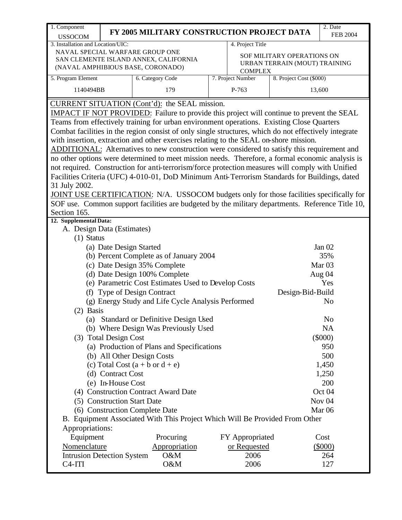| 1. Component                                                                                                                                      |                                |                                                                             |  |                   |                                                             | $\overline{2}$ . Date |  |  |  |
|---------------------------------------------------------------------------------------------------------------------------------------------------|--------------------------------|-----------------------------------------------------------------------------|--|-------------------|-------------------------------------------------------------|-----------------------|--|--|--|
| <b>USSOCOM</b>                                                                                                                                    |                                | FY 2005 MILITARY CONSTRUCTION PROJECT DATA                                  |  |                   |                                                             | <b>FEB 2004</b>       |  |  |  |
| 3. Installation and Location/UIC:                                                                                                                 |                                |                                                                             |  | 4. Project Title  |                                                             |                       |  |  |  |
| NAVAL SPECIAL WARFARE GROUP ONE                                                                                                                   |                                |                                                                             |  |                   |                                                             |                       |  |  |  |
| SAN CLEMENTE ISLAND ANNEX, CALIFORNIA                                                                                                             |                                |                                                                             |  |                   | SOF MILITARY OPERATIONS ON<br>URBAN TERRAIN (MOUT) TRAINING |                       |  |  |  |
| (NAVAL AMPHIBIOUS BASE, CORONADO)                                                                                                                 |                                |                                                                             |  | <b>COMPLEX</b>    |                                                             |                       |  |  |  |
| 5. Program Element                                                                                                                                |                                | 6. Category Code                                                            |  | 7. Project Number | 8. Project Cost (\$000)                                     |                       |  |  |  |
| 1140494BB                                                                                                                                         |                                | 179                                                                         |  | P-763             |                                                             | 13,600                |  |  |  |
|                                                                                                                                                   |                                |                                                                             |  |                   |                                                             |                       |  |  |  |
| CURRENT SITUATION (Cont'd): the SEAL mission.<br><b>IMPACT IF NOT PROVIDED:</b> Failure to provide this project will continue to prevent the SEAL |                                |                                                                             |  |                   |                                                             |                       |  |  |  |
| Teams from effectively training for urban environment operations. Existing Close Quarters                                                         |                                |                                                                             |  |                   |                                                             |                       |  |  |  |
| Combat facilities in the region consist of only single structures, which do not effectively integrate                                             |                                |                                                                             |  |                   |                                                             |                       |  |  |  |
| with insertion, extraction and other exercises relating to the SEAL on-shore mission.                                                             |                                |                                                                             |  |                   |                                                             |                       |  |  |  |
| ADDITIONAL: Alternatives to new construction were considered to satisfy this requirement and                                                      |                                |                                                                             |  |                   |                                                             |                       |  |  |  |
| no other options were determined to meet mission needs. Therefore, a formal economic analysis is                                                  |                                |                                                                             |  |                   |                                                             |                       |  |  |  |
| not required. Construction for anti-terrorism/force protection measures will comply with Unified                                                  |                                |                                                                             |  |                   |                                                             |                       |  |  |  |
| Facilities Criteria (UFC) 4-010-01, DoD Minimum Anti-Terrorism Standards for Buildings, dated                                                     |                                |                                                                             |  |                   |                                                             |                       |  |  |  |
| 31 July 2002.                                                                                                                                     |                                |                                                                             |  |                   |                                                             |                       |  |  |  |
| JOINT USE CERTIFICATION: N/A. USSOCOM budgets only for those facilities specifically for                                                          |                                |                                                                             |  |                   |                                                             |                       |  |  |  |
| SOF use. Common support facilities are budgeted by the military departments. Reference Title 10,                                                  |                                |                                                                             |  |                   |                                                             |                       |  |  |  |
| Section 165.                                                                                                                                      |                                |                                                                             |  |                   |                                                             |                       |  |  |  |
| 12. Supplemental Data:                                                                                                                            |                                |                                                                             |  |                   |                                                             |                       |  |  |  |
| A. Design Data (Estimates)                                                                                                                        |                                |                                                                             |  |                   |                                                             |                       |  |  |  |
| $(1)$ Status                                                                                                                                      |                                |                                                                             |  |                   |                                                             |                       |  |  |  |
| (a) Date Design Started                                                                                                                           |                                |                                                                             |  |                   |                                                             | Jan $02$              |  |  |  |
|                                                                                                                                                   |                                | (b) Percent Complete as of January 2004                                     |  |                   |                                                             | 35%                   |  |  |  |
|                                                                                                                                                   |                                | (c) Date Design 35% Complete                                                |  |                   |                                                             | Mar <sub>03</sub>     |  |  |  |
|                                                                                                                                                   |                                | (d) Date Design 100% Complete                                               |  |                   |                                                             | Aug 04                |  |  |  |
|                                                                                                                                                   |                                | (e) Parametric Cost Estimates Used to Develop Costs                         |  |                   |                                                             | Yes                   |  |  |  |
| (f)                                                                                                                                               | <b>Type of Design Contract</b> |                                                                             |  |                   | Design-Bid-Build                                            |                       |  |  |  |
|                                                                                                                                                   |                                | (g) Energy Study and Life Cycle Analysis Performed                          |  |                   |                                                             | N <sub>o</sub>        |  |  |  |
| (2) Basis                                                                                                                                         |                                |                                                                             |  |                   |                                                             |                       |  |  |  |
|                                                                                                                                                   |                                | (a) Standard or Definitive Design Used                                      |  |                   |                                                             | N <sub>o</sub>        |  |  |  |
|                                                                                                                                                   |                                | (b) Where Design Was Previously Used                                        |  |                   |                                                             | <b>NA</b>             |  |  |  |
| (3) Total Design Cost                                                                                                                             |                                |                                                                             |  |                   |                                                             | $(\$000)$             |  |  |  |
|                                                                                                                                                   |                                | (a) Production of Plans and Specifications                                  |  |                   |                                                             | 950                   |  |  |  |
| (b) All Other Design Costs                                                                                                                        |                                |                                                                             |  |                   |                                                             | 500                   |  |  |  |
| (c) Total Cost $(a + b \text{ or } d + e)$                                                                                                        |                                |                                                                             |  |                   |                                                             | 1,450                 |  |  |  |
| (d) Contract Cost                                                                                                                                 |                                |                                                                             |  |                   |                                                             | 1,250                 |  |  |  |
| (e) In-House Cost                                                                                                                                 |                                |                                                                             |  |                   |                                                             | 200                   |  |  |  |
|                                                                                                                                                   |                                | (4) Construction Contract Award Date                                        |  |                   |                                                             | Oct 04                |  |  |  |
| (5) Construction Start Date<br>Nov <sub>04</sub>                                                                                                  |                                |                                                                             |  |                   |                                                             |                       |  |  |  |
| (6) Construction Complete Date<br>Mar <sub>06</sub>                                                                                               |                                |                                                                             |  |                   |                                                             |                       |  |  |  |
|                                                                                                                                                   |                                | B. Equipment Associated With This Project Which Will Be Provided From Other |  |                   |                                                             |                       |  |  |  |
| Appropriations:                                                                                                                                   |                                |                                                                             |  |                   |                                                             |                       |  |  |  |
| Equipment                                                                                                                                         |                                | Procuring                                                                   |  | FY Appropriated   |                                                             | Cost                  |  |  |  |
| Nomenclature                                                                                                                                      |                                | Appropriation                                                               |  | or Requested      |                                                             | $(\$000)$             |  |  |  |
| <b>Intrusion Detection System</b>                                                                                                                 |                                | O&M                                                                         |  | 2006              |                                                             | 264                   |  |  |  |
| C <sub>4</sub> -ITI                                                                                                                               |                                | O&M                                                                         |  | 2006              |                                                             | 127                   |  |  |  |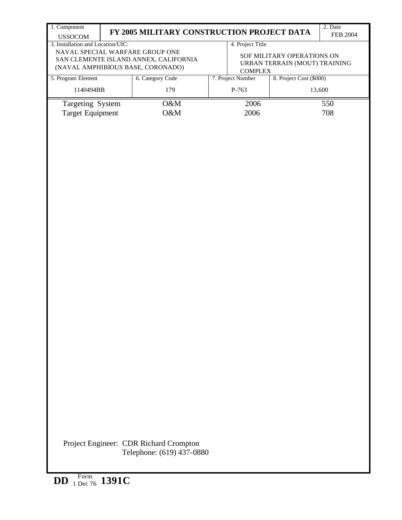| 1. Component                      | FY 2005 MILITARY CONSTRUCTION PROJECT DATA                       |                  |                               | 2. Date         |  |  |  |  |  |  |  |
|-----------------------------------|------------------------------------------------------------------|------------------|-------------------------------|-----------------|--|--|--|--|--|--|--|
| <b>USSOCOM</b>                    |                                                                  |                  |                               | <b>FEB 2004</b> |  |  |  |  |  |  |  |
| 3. Installation and Location/UIC: | NAVAL SPECIAL WARFARE GROUP ONE                                  | 4. Project Title |                               |                 |  |  |  |  |  |  |  |
|                                   | SAN CLEMENTE ISLAND ANNEX, CALIFORNIA                            |                  | SOF MILITARY OPERATIONS ON    |                 |  |  |  |  |  |  |  |
|                                   | (NAVAL AMPHIBIOUS BASE, CORONADO)                                | <b>COMPLEX</b>   | URBAN TERRAIN (MOUT) TRAINING |                 |  |  |  |  |  |  |  |
| 5. Program Element                | 8. Project Cost (\$000)<br>6. Category Code<br>7. Project Number |                  |                               |                 |  |  |  |  |  |  |  |
| 1140494BB                         | 179                                                              | P-763<br>13,600  |                               |                 |  |  |  |  |  |  |  |
| Targeting System                  | O&M                                                              | 2006             |                               | 550             |  |  |  |  |  |  |  |
| <b>Target Equipment</b>           | O&M                                                              | 2006             |                               | 708             |  |  |  |  |  |  |  |
|                                   |                                                                  |                  |                               |                 |  |  |  |  |  |  |  |
|                                   |                                                                  |                  |                               |                 |  |  |  |  |  |  |  |
|                                   |                                                                  |                  |                               |                 |  |  |  |  |  |  |  |
|                                   |                                                                  |                  |                               |                 |  |  |  |  |  |  |  |
|                                   |                                                                  |                  |                               |                 |  |  |  |  |  |  |  |
|                                   |                                                                  |                  |                               |                 |  |  |  |  |  |  |  |
|                                   |                                                                  |                  |                               |                 |  |  |  |  |  |  |  |
|                                   |                                                                  |                  |                               |                 |  |  |  |  |  |  |  |
|                                   |                                                                  |                  |                               |                 |  |  |  |  |  |  |  |
|                                   |                                                                  |                  |                               |                 |  |  |  |  |  |  |  |
|                                   |                                                                  |                  |                               |                 |  |  |  |  |  |  |  |
|                                   |                                                                  |                  |                               |                 |  |  |  |  |  |  |  |
|                                   |                                                                  |                  |                               |                 |  |  |  |  |  |  |  |
|                                   |                                                                  |                  |                               |                 |  |  |  |  |  |  |  |
|                                   |                                                                  |                  |                               |                 |  |  |  |  |  |  |  |
|                                   |                                                                  |                  |                               |                 |  |  |  |  |  |  |  |
|                                   |                                                                  |                  |                               |                 |  |  |  |  |  |  |  |
|                                   |                                                                  |                  |                               |                 |  |  |  |  |  |  |  |
|                                   |                                                                  |                  |                               |                 |  |  |  |  |  |  |  |
|                                   |                                                                  |                  |                               |                 |  |  |  |  |  |  |  |
|                                   |                                                                  |                  |                               |                 |  |  |  |  |  |  |  |
|                                   |                                                                  |                  |                               |                 |  |  |  |  |  |  |  |
|                                   |                                                                  |                  |                               |                 |  |  |  |  |  |  |  |
|                                   |                                                                  |                  |                               |                 |  |  |  |  |  |  |  |
|                                   |                                                                  |                  |                               |                 |  |  |  |  |  |  |  |
|                                   |                                                                  |                  |                               |                 |  |  |  |  |  |  |  |
|                                   |                                                                  |                  |                               |                 |  |  |  |  |  |  |  |
|                                   |                                                                  |                  |                               |                 |  |  |  |  |  |  |  |
|                                   |                                                                  |                  |                               |                 |  |  |  |  |  |  |  |
|                                   |                                                                  |                  |                               |                 |  |  |  |  |  |  |  |
|                                   |                                                                  |                  |                               |                 |  |  |  |  |  |  |  |
|                                   |                                                                  |                  |                               |                 |  |  |  |  |  |  |  |
|                                   |                                                                  |                  |                               |                 |  |  |  |  |  |  |  |
|                                   |                                                                  |                  |                               |                 |  |  |  |  |  |  |  |
|                                   |                                                                  |                  |                               |                 |  |  |  |  |  |  |  |
|                                   |                                                                  |                  |                               |                 |  |  |  |  |  |  |  |
|                                   | Project Engineer: CDR Richard Crompton                           |                  |                               |                 |  |  |  |  |  |  |  |
|                                   | Telephone: (619) 437-0880                                        |                  |                               |                 |  |  |  |  |  |  |  |
|                                   |                                                                  |                  |                               |                 |  |  |  |  |  |  |  |
|                                   |                                                                  |                  |                               |                 |  |  |  |  |  |  |  |
| $F_{\rm \alpha rm}$               |                                                                  |                  |                               |                 |  |  |  |  |  |  |  |

**DD** Form 1 Dec 76 **1391C**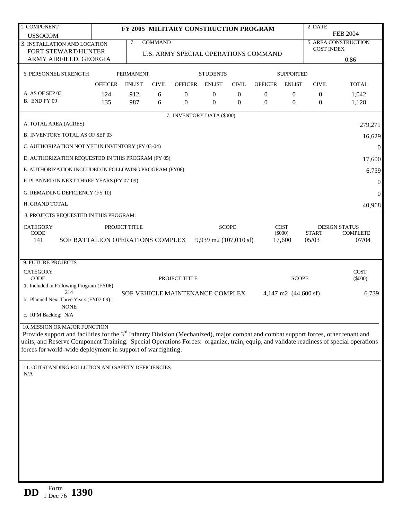| 1. COMPONENT                                                                                                                                                                                           |                |                  |                | FY 2005 MILITARY CONSTRUCTION PROGRAM |                                 |              |                                      |                                | 2. DATE               |                          |
|--------------------------------------------------------------------------------------------------------------------------------------------------------------------------------------------------------|----------------|------------------|----------------|---------------------------------------|---------------------------------|--------------|--------------------------------------|--------------------------------|-----------------------|--------------------------|
| <b>USSOCOM</b>                                                                                                                                                                                         |                |                  |                |                                       |                                 |              |                                      |                                |                       | <b>FEB 2004</b>          |
| 3. INSTALLATION AND LOCATION                                                                                                                                                                           |                | 7.               | <b>COMMAND</b> |                                       |                                 |              |                                      |                                | <b>COST INDEX</b>     | 5. AREA CONSTRUCTION     |
| FORT STEWART/HUNTER                                                                                                                                                                                    |                |                  |                |                                       |                                 |              | U.S. ARMY SPECIAL OPERATIONS COMMAND |                                |                       |                          |
| ARMY AIRFIELD, GEORGIA                                                                                                                                                                                 |                |                  |                |                                       |                                 |              |                                      |                                |                       | 0.86                     |
| 6. PERSONNEL STRENGTH                                                                                                                                                                                  |                | <b>PERMANENT</b> |                |                                       | <b>STUDENTS</b>                 |              |                                      | <b>SUPPORTED</b>               |                       |                          |
|                                                                                                                                                                                                        | <b>OFFICER</b> | <b>ENLIST</b>    | <b>CIVIL</b>   | <b>OFFICER</b>                        | <b>ENLIST</b>                   | <b>CIVIL</b> | <b>OFFICER</b>                       | <b>ENLIST</b>                  | <b>CIVIL</b>          | <b>TOTAL</b>             |
| A. AS OF SEP 03                                                                                                                                                                                        | 124            | 912              | 6              | $\theta$                              | $\boldsymbol{0}$                | $\theta$     | $\theta$                             | $\theta$                       | 0                     | 1,042                    |
| <b>B. END FY 09</b>                                                                                                                                                                                    | 135            | 987              | 6              | $\theta$                              | $\overline{0}$                  | $\theta$     | $\mathbf{0}$                         | $\overline{0}$                 | $\mathbf{0}$          | 1,128                    |
|                                                                                                                                                                                                        |                |                  |                | 7. INVENTORY DATA (\$000)             |                                 |              |                                      |                                |                       |                          |
| A. TOTAL AREA (ACRES)                                                                                                                                                                                  |                |                  |                |                                       |                                 |              |                                      |                                |                       | 279,271                  |
| <b>B. INVENTORY TOTAL AS OF SEP 03</b>                                                                                                                                                                 |                |                  |                |                                       |                                 |              |                                      |                                |                       | 16,629                   |
| C. AUTHORIZATION NOT YET IN INVENTORY (FY 03-04)                                                                                                                                                       |                |                  |                |                                       |                                 |              |                                      |                                |                       | $\overline{0}$           |
| D. AUTHORIZATION REQUESTED IN THIS PROGRAM (FY 05)                                                                                                                                                     |                |                  |                |                                       |                                 |              |                                      |                                |                       | 17,600                   |
| E. AUTHORIZATION INCLUDED IN FOLLOWING PROGRAM (FY06)                                                                                                                                                  |                |                  |                |                                       |                                 |              |                                      |                                |                       | 6,739                    |
| F. PLANNED IN NEXT THREE YEARS (FY 07-09)                                                                                                                                                              |                |                  |                |                                       |                                 |              |                                      |                                |                       | $\mathbf{0}$             |
| G. REMAINING DEFICIENCY (FY 10)                                                                                                                                                                        |                |                  |                |                                       |                                 |              |                                      |                                |                       | $\overline{0}$           |
| H. GRAND TOTAL                                                                                                                                                                                         |                |                  |                |                                       |                                 |              |                                      |                                |                       | 40,968                   |
| 8. PROJECTS REQUESTED IN THIS PROGRAM:                                                                                                                                                                 |                |                  |                |                                       |                                 |              |                                      |                                |                       |                          |
| <b>CATEGORY</b>                                                                                                                                                                                        |                | PROJECT TITLE    |                |                                       |                                 | <b>SCOPE</b> |                                      | <b>COST</b>                    |                       | <b>DESIGN STATUS</b>     |
| <b>CODE</b><br>141<br>SOF BATTALION OPERATIONS COMPLEX                                                                                                                                                 |                |                  |                |                                       | 9,939 m2 $(107,010 \text{ sf})$ |              |                                      | (5000)<br>17,600               | <b>START</b><br>05/03 | <b>COMPLETE</b><br>07/04 |
|                                                                                                                                                                                                        |                |                  |                |                                       |                                 |              |                                      |                                |                       |                          |
| 9. FUTURE PROJECTS                                                                                                                                                                                     |                |                  |                |                                       |                                 |              |                                      |                                |                       |                          |
| <b>CATEGORY</b>                                                                                                                                                                                        |                |                  |                |                                       |                                 |              |                                      |                                |                       | <b>COST</b>              |
| <b>CODE</b><br>a. Included in Following Program (FY06)                                                                                                                                                 |                |                  |                | PROJECT TITLE                         |                                 |              |                                      | <b>SCOPE</b>                   |                       | $(\$000)$                |
| 214<br>b. Planned Next Three Years (FY07-09):                                                                                                                                                          |                |                  |                | SOF VEHICLE MAINTENANCE COMPLEX       |                                 |              |                                      | 4,147 m2 $(44,600 \text{ sf})$ |                       | 6,739                    |
| <b>NONE</b>                                                                                                                                                                                            |                |                  |                |                                       |                                 |              |                                      |                                |                       |                          |
| c. RPM Backlog: N/A                                                                                                                                                                                    |                |                  |                |                                       |                                 |              |                                      |                                |                       |                          |
| 10. MISSION OR MAJOR FUNCTION                                                                                                                                                                          |                |                  |                |                                       |                                 |              |                                      |                                |                       |                          |
| Provide support and facilities for the 3 <sup>rd</sup> Infantry Division (Mechanized), major combat and combat support forces, other tenant and                                                        |                |                  |                |                                       |                                 |              |                                      |                                |                       |                          |
| units, and Reserve Component Training. Special Operations Forces: organize, train, equip, and validate readiness of special operations<br>forces for world-wide deployment in support of war fighting. |                |                  |                |                                       |                                 |              |                                      |                                |                       |                          |
|                                                                                                                                                                                                        |                |                  |                |                                       |                                 |              |                                      |                                |                       |                          |
| 11. OUTSTANDING POLLUTION AND SAFETY DEFICIENCIES                                                                                                                                                      |                |                  |                |                                       |                                 |              |                                      |                                |                       |                          |
| N/A                                                                                                                                                                                                    |                |                  |                |                                       |                                 |              |                                      |                                |                       |                          |
|                                                                                                                                                                                                        |                |                  |                |                                       |                                 |              |                                      |                                |                       |                          |
|                                                                                                                                                                                                        |                |                  |                |                                       |                                 |              |                                      |                                |                       |                          |
|                                                                                                                                                                                                        |                |                  |                |                                       |                                 |              |                                      |                                |                       |                          |
|                                                                                                                                                                                                        |                |                  |                |                                       |                                 |              |                                      |                                |                       |                          |
|                                                                                                                                                                                                        |                |                  |                |                                       |                                 |              |                                      |                                |                       |                          |
|                                                                                                                                                                                                        |                |                  |                |                                       |                                 |              |                                      |                                |                       |                          |
|                                                                                                                                                                                                        |                |                  |                |                                       |                                 |              |                                      |                                |                       |                          |
|                                                                                                                                                                                                        |                |                  |                |                                       |                                 |              |                                      |                                |                       |                          |
|                                                                                                                                                                                                        |                |                  |                |                                       |                                 |              |                                      |                                |                       |                          |
|                                                                                                                                                                                                        |                |                  |                |                                       |                                 |              |                                      |                                |                       |                          |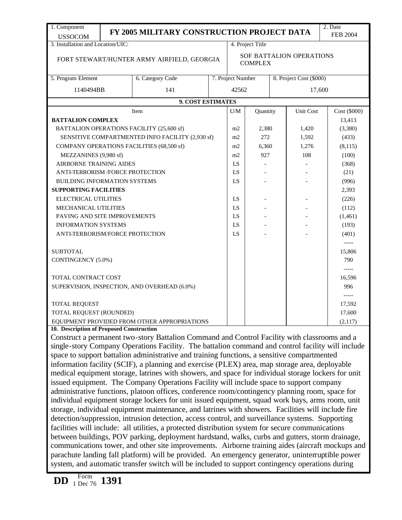| 1. Component                                                                                                                                                                                                                                                                                                                                                                                                                                                                                               |                                                                                                  |  |                                            |          |  |                         | 2. Date         |  |
|------------------------------------------------------------------------------------------------------------------------------------------------------------------------------------------------------------------------------------------------------------------------------------------------------------------------------------------------------------------------------------------------------------------------------------------------------------------------------------------------------------|--------------------------------------------------------------------------------------------------|--|--------------------------------------------|----------|--|-------------------------|-----------------|--|
| <b>USSOCOM</b>                                                                                                                                                                                                                                                                                                                                                                                                                                                                                             | FY 2005 MILITARY CONSTRUCTION PROJECT DATA                                                       |  |                                            |          |  |                         | <b>FEB 2004</b> |  |
| 3. Installation and Location/UIC:                                                                                                                                                                                                                                                                                                                                                                                                                                                                          |                                                                                                  |  | 4. Project Title                           |          |  |                         |                 |  |
|                                                                                                                                                                                                                                                                                                                                                                                                                                                                                                            | FORT STEWART/HUNTER ARMY AIRFIELD, GEORGIA                                                       |  | SOF BATTALION OPERATIONS<br><b>COMPLEX</b> |          |  |                         |                 |  |
| 5. Program Element                                                                                                                                                                                                                                                                                                                                                                                                                                                                                         | 6. Category Code                                                                                 |  | 7. Project Number                          |          |  | 8. Project Cost (\$000) |                 |  |
| 1140494BB                                                                                                                                                                                                                                                                                                                                                                                                                                                                                                  | 141                                                                                              |  | 42562                                      |          |  | 17,600                  |                 |  |
|                                                                                                                                                                                                                                                                                                                                                                                                                                                                                                            | 9. COST ESTIMATES                                                                                |  |                                            |          |  |                         |                 |  |
|                                                                                                                                                                                                                                                                                                                                                                                                                                                                                                            | Item                                                                                             |  | U/M                                        | Quantity |  | Unit Cost               | Cost (\$000)    |  |
| <b>BATTALION COMPLEX</b>                                                                                                                                                                                                                                                                                                                                                                                                                                                                                   |                                                                                                  |  |                                            |          |  |                         | 13,413          |  |
| BATTALION OPERATIONS FACILITY (25,600 sf)                                                                                                                                                                                                                                                                                                                                                                                                                                                                  |                                                                                                  |  | m <sub>2</sub>                             | 2,380    |  | 1,420                   | (3,380)         |  |
|                                                                                                                                                                                                                                                                                                                                                                                                                                                                                                            | SENSITIVE COMPARTMENTED INFO FACILITY (2,930 sf)                                                 |  | m2                                         | 272      |  | 1,592                   | (433)           |  |
| COMPANY OPERATIONS FACILITIES (68,500 sf)                                                                                                                                                                                                                                                                                                                                                                                                                                                                  |                                                                                                  |  | m2                                         | 6,360    |  | 1,276                   | (8, 115)        |  |
| MEZZANINES (9,980 sf)                                                                                                                                                                                                                                                                                                                                                                                                                                                                                      |                                                                                                  |  | m2                                         | 927      |  | 108                     | (100)           |  |
| AIRBORNE TRAINING AIDES                                                                                                                                                                                                                                                                                                                                                                                                                                                                                    |                                                                                                  |  | LS                                         |          |  |                         | (368)           |  |
| ANTI-TERRORISM /FORCE PROTECTION                                                                                                                                                                                                                                                                                                                                                                                                                                                                           |                                                                                                  |  | LS                                         |          |  |                         | (21)            |  |
| <b>BUILDING INFORMATION SYSTEMS</b>                                                                                                                                                                                                                                                                                                                                                                                                                                                                        |                                                                                                  |  | LS                                         |          |  |                         | (996)           |  |
| <b>SUPPORTING FACILITIES</b>                                                                                                                                                                                                                                                                                                                                                                                                                                                                               |                                                                                                  |  |                                            |          |  |                         | 2,393           |  |
| ELECTRICAL UTILITIES                                                                                                                                                                                                                                                                                                                                                                                                                                                                                       |                                                                                                  |  | LS                                         |          |  |                         | (226)           |  |
| MECHANICAL UTILITIES                                                                                                                                                                                                                                                                                                                                                                                                                                                                                       |                                                                                                  |  | LS                                         |          |  |                         | (112)           |  |
| PAVING AND SITE IMPROVEMENTS                                                                                                                                                                                                                                                                                                                                                                                                                                                                               |                                                                                                  |  | LS                                         |          |  |                         | (1, 461)        |  |
| <b>INFORMATION SYSTEMS</b>                                                                                                                                                                                                                                                                                                                                                                                                                                                                                 |                                                                                                  |  | LS                                         |          |  |                         | (193)           |  |
| ANTI-TERRORISM/FORCE PROTECTION                                                                                                                                                                                                                                                                                                                                                                                                                                                                            |                                                                                                  |  | LS                                         |          |  |                         | (401)           |  |
|                                                                                                                                                                                                                                                                                                                                                                                                                                                                                                            |                                                                                                  |  |                                            |          |  |                         | -----           |  |
| <b>SUBTOTAL</b>                                                                                                                                                                                                                                                                                                                                                                                                                                                                                            |                                                                                                  |  |                                            |          |  |                         | 15,806          |  |
| CONTINGENCY (5.0%)                                                                                                                                                                                                                                                                                                                                                                                                                                                                                         |                                                                                                  |  |                                            |          |  |                         | 790             |  |
|                                                                                                                                                                                                                                                                                                                                                                                                                                                                                                            |                                                                                                  |  |                                            |          |  |                         | -----           |  |
| TOTAL CONTRACT COST                                                                                                                                                                                                                                                                                                                                                                                                                                                                                        |                                                                                                  |  |                                            |          |  |                         | 16,596          |  |
| SUPERVISION, INSPECTION, AND OVERHEAD (6.0%)                                                                                                                                                                                                                                                                                                                                                                                                                                                               |                                                                                                  |  |                                            |          |  |                         | 996             |  |
|                                                                                                                                                                                                                                                                                                                                                                                                                                                                                                            |                                                                                                  |  |                                            |          |  |                         | $--- -$         |  |
| TOTAL REQUEST                                                                                                                                                                                                                                                                                                                                                                                                                                                                                              |                                                                                                  |  |                                            |          |  |                         | 17,592          |  |
| TOTAL REQUEST (ROUNDED)                                                                                                                                                                                                                                                                                                                                                                                                                                                                                    |                                                                                                  |  |                                            |          |  |                         | 17,600          |  |
| EQUIPMENT PROVIDED FROM OTHER APPROPRIATIONS                                                                                                                                                                                                                                                                                                                                                                                                                                                               |                                                                                                  |  |                                            |          |  |                         | (2,117)         |  |
| 10. Description of Proposed Construction                                                                                                                                                                                                                                                                                                                                                                                                                                                                   |                                                                                                  |  |                                            |          |  |                         |                 |  |
|                                                                                                                                                                                                                                                                                                                                                                                                                                                                                                            |                                                                                                  |  |                                            |          |  |                         |                 |  |
| single-story Company Operations Facility. The battalion command and control facility will include                                                                                                                                                                                                                                                                                                                                                                                                          |                                                                                                  |  |                                            |          |  |                         |                 |  |
| space to support battalion administrative and training functions, a sensitive compartmented                                                                                                                                                                                                                                                                                                                                                                                                                |                                                                                                  |  |                                            |          |  |                         |                 |  |
| information facility (SCIF), a planning and exercise (PLEX) area, map storage area, deployable                                                                                                                                                                                                                                                                                                                                                                                                             |                                                                                                  |  |                                            |          |  |                         |                 |  |
| medical equipment storage, latrines with showers, and space for individual storage lockers for unit                                                                                                                                                                                                                                                                                                                                                                                                        |                                                                                                  |  |                                            |          |  |                         |                 |  |
| issued equipment. The Company Operations Facility will include space to support company                                                                                                                                                                                                                                                                                                                                                                                                                    |                                                                                                  |  |                                            |          |  |                         |                 |  |
|                                                                                                                                                                                                                                                                                                                                                                                                                                                                                                            |                                                                                                  |  |                                            |          |  |                         |                 |  |
|                                                                                                                                                                                                                                                                                                                                                                                                                                                                                                            | individual equipment storage lockers for unit issued equipment, squad work bays, arms room, unit |  |                                            |          |  |                         |                 |  |
| storage, individual equipment maintenance, and latrines with showers. Facilities will include fire                                                                                                                                                                                                                                                                                                                                                                                                         |                                                                                                  |  |                                            |          |  |                         |                 |  |
| detection/suppression, intrusion detection, access control, and surveillance systems. Supporting                                                                                                                                                                                                                                                                                                                                                                                                           |                                                                                                  |  |                                            |          |  |                         |                 |  |
| facilities will include: all utilities, a protected distribution system for secure communications                                                                                                                                                                                                                                                                                                                                                                                                          |                                                                                                  |  |                                            |          |  |                         |                 |  |
|                                                                                                                                                                                                                                                                                                                                                                                                                                                                                                            |                                                                                                  |  |                                            |          |  |                         |                 |  |
|                                                                                                                                                                                                                                                                                                                                                                                                                                                                                                            |                                                                                                  |  |                                            |          |  |                         |                 |  |
|                                                                                                                                                                                                                                                                                                                                                                                                                                                                                                            |                                                                                                  |  |                                            |          |  |                         |                 |  |
| Construct a permanent two-story Battalion Command and Control Facility with classrooms and a<br>administrative functions, platoon offices, conference room/contingency planning room, space for<br>between buildings, POV parking, deployment hardstand, walks, curbs and gutters, storm drainage,<br>communications tower, and other site improvements. Airborne training aides (aircraft mockups and<br>parachute landing fall platform) will be provided. An emergency generator, uninterruptible power |                                                                                                  |  |                                            |          |  |                         |                 |  |

system, and automatic transfer switch will be included to support contingency operations during

**DD** Form 1 Dec 76 **1391**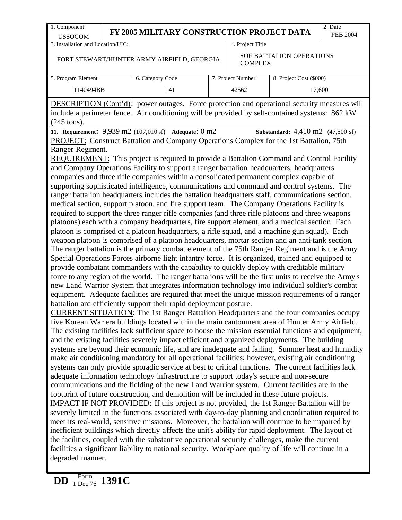| 1. Component<br><b>USSOCOM</b>                                                                                                                                                                                         |  | FY 2005 MILITARY CONSTRUCTION PROJECT DATA                                                                                                                                                             |  |                   |                          | 2. Date<br><b>FEB 2004</b> |  |
|------------------------------------------------------------------------------------------------------------------------------------------------------------------------------------------------------------------------|--|--------------------------------------------------------------------------------------------------------------------------------------------------------------------------------------------------------|--|-------------------|--------------------------|----------------------------|--|
| 3. Installation and Location/UIC:                                                                                                                                                                                      |  |                                                                                                                                                                                                        |  | 4. Project Title  |                          |                            |  |
|                                                                                                                                                                                                                        |  | FORT STEWART/HUNTER ARMY AIRFIELD, GEORGIA                                                                                                                                                             |  | <b>COMPLEX</b>    | SOF BATTALION OPERATIONS |                            |  |
| 5. Program Element                                                                                                                                                                                                     |  | 6. Category Code                                                                                                                                                                                       |  | 7. Project Number | 8. Project Cost (\$000)  |                            |  |
| 1140494BB                                                                                                                                                                                                              |  | 141                                                                                                                                                                                                    |  | 42562             |                          | 17,600                     |  |
| <b>DESCRIPTION</b> (Cont'd): power outages. Force protection and operational security measures will<br>include a perimeter fence. Air conditioning will be provided by self-contained systems: 862 kW<br>$(245$ tons). |  |                                                                                                                                                                                                        |  |                   |                          |                            |  |
| 11. Requirement: 9,939 m2 (107,010 sf) Adequate: 0 m2<br><b>Substandard:</b> $4,410 \text{ m2}$ (47,500 sf)<br>PROJECT: Construct Battalion and Company Operations Complex for the 1st Battalion, 75th                 |  |                                                                                                                                                                                                        |  |                   |                          |                            |  |
| Ranger Regiment.                                                                                                                                                                                                       |  |                                                                                                                                                                                                        |  |                   |                          |                            |  |
|                                                                                                                                                                                                                        |  | <b>REQUIREMENT:</b> This project is required to provide a Battalion Command and Control Facility                                                                                                       |  |                   |                          |                            |  |
|                                                                                                                                                                                                                        |  | and Company Operations Facility to support a ranger battalion headquarters, headquarters                                                                                                               |  |                   |                          |                            |  |
|                                                                                                                                                                                                                        |  | companies and three rifle companies within a consolidated permanent complex capable of                                                                                                                 |  |                   |                          |                            |  |
|                                                                                                                                                                                                                        |  | supporting sophisticated intelligence, communications and command and control systems. The                                                                                                             |  |                   |                          |                            |  |
|                                                                                                                                                                                                                        |  | ranger battalion headquarters includes the battalion headquarters staff, communications section,                                                                                                       |  |                   |                          |                            |  |
| medical section, support platoon, and fire support team. The Company Operations Facility is<br>required to support the three ranger rifle companies (and three rifle platoons and three weapons                        |  |                                                                                                                                                                                                        |  |                   |                          |                            |  |
| platoons) each with a company headquarters, fire support element, and a medical section. Each                                                                                                                          |  |                                                                                                                                                                                                        |  |                   |                          |                            |  |
|                                                                                                                                                                                                                        |  | platoon is comprised of a platoon headquarters, a rifle squad, and a machine gun squad). Each                                                                                                          |  |                   |                          |                            |  |
|                                                                                                                                                                                                                        |  | weapon platoon is comprised of a platoon headquarters, mortar section and an anti-tank section.                                                                                                        |  |                   |                          |                            |  |
|                                                                                                                                                                                                                        |  | The ranger battalion is the primary combat element of the 75th Ranger Regiment and is the Army                                                                                                         |  |                   |                          |                            |  |
|                                                                                                                                                                                                                        |  | Special Operations Forces airborne light infantry force. It is organized, trained and equipped to<br>provide combatant commanders with the capability to quickly deploy with creditable military       |  |                   |                          |                            |  |
|                                                                                                                                                                                                                        |  | force to any region of the world. The ranger battalions will be the first units to receive the Army's                                                                                                  |  |                   |                          |                            |  |
|                                                                                                                                                                                                                        |  | new Land Warrior System that integrates information technology into individual soldier's combat                                                                                                        |  |                   |                          |                            |  |
|                                                                                                                                                                                                                        |  | equipment. Adequate facilities are required that meet the unique mission requirements of a ranger                                                                                                      |  |                   |                          |                            |  |
|                                                                                                                                                                                                                        |  | battalion and efficiently support their rapid deployment posture.                                                                                                                                      |  |                   |                          |                            |  |
|                                                                                                                                                                                                                        |  | <b>CURRENT SITUATION:</b> The 1st Ranger Battalion Headquarters and the four companies occupy                                                                                                          |  |                   |                          |                            |  |
|                                                                                                                                                                                                                        |  | five Korean War era buildings located within the main cantonment area of Hunter Army Airfield.                                                                                                         |  |                   |                          |                            |  |
|                                                                                                                                                                                                                        |  | The existing facilities lack sufficient space to house the mission essential functions and equipment,<br>and the existing facilities severely impact efficient and organized deployments. The building |  |                   |                          |                            |  |
|                                                                                                                                                                                                                        |  | systems are beyond their economic life, and are inadequate and failing. Summer heat and humidity                                                                                                       |  |                   |                          |                            |  |
|                                                                                                                                                                                                                        |  | make air conditioning mandatory for all operational facilities; however, existing air conditioning                                                                                                     |  |                   |                          |                            |  |
|                                                                                                                                                                                                                        |  | systems can only provide sporadic service at best to critical functions. The current facilities lack                                                                                                   |  |                   |                          |                            |  |
|                                                                                                                                                                                                                        |  | adequate information technology infrastructure to support today's secure and non-secure                                                                                                                |  |                   |                          |                            |  |
|                                                                                                                                                                                                                        |  | communications and the fielding of the new Land Warrior system. Current facilities are in the                                                                                                          |  |                   |                          |                            |  |
|                                                                                                                                                                                                                        |  | footprint of future construction, and demolition will be included in these future projects.                                                                                                            |  |                   |                          |                            |  |
|                                                                                                                                                                                                                        |  | <b>IMPACT IF NOT PROVIDED:</b> If this project is not provided, the 1st Ranger Battalion will be<br>severely limited in the functions associated with day-to-day planning and coordination required to |  |                   |                          |                            |  |
|                                                                                                                                                                                                                        |  | meet its real-world, sensitive missions. Moreover, the battalion will continue to be impaired by                                                                                                       |  |                   |                          |                            |  |
|                                                                                                                                                                                                                        |  | inefficient buildings which directly affects the unit's ability for rapid deployment. The layout of                                                                                                    |  |                   |                          |                            |  |
|                                                                                                                                                                                                                        |  | the facilities, coupled with the substantive operational security challenges, make the current                                                                                                         |  |                   |                          |                            |  |
|                                                                                                                                                                                                                        |  | facilities a significant liability to national security. Workplace quality of life will continue in a                                                                                                  |  |                   |                          |                            |  |
| degraded manner.                                                                                                                                                                                                       |  |                                                                                                                                                                                                        |  |                   |                          |                            |  |
|                                                                                                                                                                                                                        |  |                                                                                                                                                                                                        |  |                   |                          |                            |  |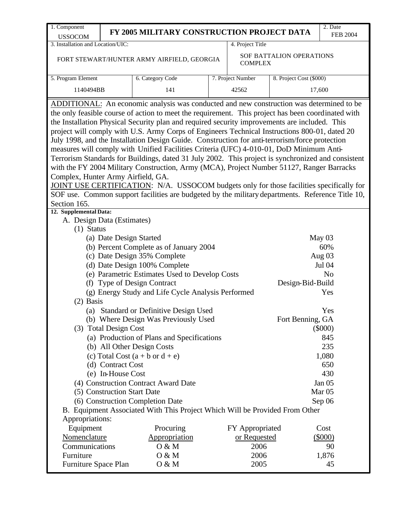| 1. Component                                                                                                                              |                                                                                                                           | FY 2005 MILITARY CONSTRUCTION PROJECT DATA                                                                                                                                                                                                                                                                                                                                                                                                                                                                                                                                                                                                                                                                                                                                                                                                                                                                                                                                                                                                                                                                                                                                                                                                                                                                                                                                                                                                                                                                                                  |                   |                                      | 2. Date                                                                                                                                                        |  |  |
|-------------------------------------------------------------------------------------------------------------------------------------------|---------------------------------------------------------------------------------------------------------------------------|---------------------------------------------------------------------------------------------------------------------------------------------------------------------------------------------------------------------------------------------------------------------------------------------------------------------------------------------------------------------------------------------------------------------------------------------------------------------------------------------------------------------------------------------------------------------------------------------------------------------------------------------------------------------------------------------------------------------------------------------------------------------------------------------------------------------------------------------------------------------------------------------------------------------------------------------------------------------------------------------------------------------------------------------------------------------------------------------------------------------------------------------------------------------------------------------------------------------------------------------------------------------------------------------------------------------------------------------------------------------------------------------------------------------------------------------------------------------------------------------------------------------------------------------|-------------------|--------------------------------------|----------------------------------------------------------------------------------------------------------------------------------------------------------------|--|--|
| <b>USSOCOM</b>                                                                                                                            |                                                                                                                           |                                                                                                                                                                                                                                                                                                                                                                                                                                                                                                                                                                                                                                                                                                                                                                                                                                                                                                                                                                                                                                                                                                                                                                                                                                                                                                                                                                                                                                                                                                                                             |                   |                                      | <b>FEB 2004</b>                                                                                                                                                |  |  |
| 3. Installation and Location/UIC:                                                                                                         |                                                                                                                           |                                                                                                                                                                                                                                                                                                                                                                                                                                                                                                                                                                                                                                                                                                                                                                                                                                                                                                                                                                                                                                                                                                                                                                                                                                                                                                                                                                                                                                                                                                                                             | 4. Project Title  |                                      |                                                                                                                                                                |  |  |
|                                                                                                                                           |                                                                                                                           | FORT STEWART/HUNTER ARMY AIRFIELD, GEORGIA                                                                                                                                                                                                                                                                                                                                                                                                                                                                                                                                                                                                                                                                                                                                                                                                                                                                                                                                                                                                                                                                                                                                                                                                                                                                                                                                                                                                                                                                                                  | <b>COMPLEX</b>    | SOF BATTALION OPERATIONS             |                                                                                                                                                                |  |  |
| 5. Program Element                                                                                                                        |                                                                                                                           | 6. Category Code                                                                                                                                                                                                                                                                                                                                                                                                                                                                                                                                                                                                                                                                                                                                                                                                                                                                                                                                                                                                                                                                                                                                                                                                                                                                                                                                                                                                                                                                                                                            | 7. Project Number | 8. Project Cost (\$000)              |                                                                                                                                                                |  |  |
| 1140494BB                                                                                                                                 |                                                                                                                           | 141                                                                                                                                                                                                                                                                                                                                                                                                                                                                                                                                                                                                                                                                                                                                                                                                                                                                                                                                                                                                                                                                                                                                                                                                                                                                                                                                                                                                                                                                                                                                         | 42562<br>17,600   |                                      |                                                                                                                                                                |  |  |
| Complex, Hunter Army Airfield, GA.<br>Section 165.<br>12. Supplemental Data:<br>A. Design Data (Estimates)<br>$(1)$ Status<br>$(2)$ Basis | (a) Date Design Started<br>(3) Total Design Cost<br>(d) Contract Cost<br>(e) In-House Cost<br>(5) Construction Start Date | ADDITIONAL: An economic analysis was conducted and new construction was determined to be<br>the only feasible course of action to meet the requirement. This project has been coordinated with<br>the Installation Physical Security plan and required security improvements are included. This<br>project will comply with U.S. Army Corps of Engineers Technical Instructions 800-01, dated 20<br>July 1998, and the Installation Design Guide. Construction for anti-terrorism/force protection<br>measures will comply with Unified Facilities Criteria (UFC) 4-010-01, DoD Minimum Anti-<br>Terrorism Standards for Buildings, dated 31 July 2002. This project is synchronized and consistent<br>with the FY 2004 Military Construction, Army (MCA), Project Number 51127, Ranger Barracks<br>JOINT USE CERTIFICATION: N/A. USSOCOM budgets only for those facilities specifically for<br>SOF use. Common support facilities are budgeted by the military departments. Reference Title 10,<br>(b) Percent Complete as of January 2004<br>(c) Date Design 35% Complete<br>(d) Date Design 100% Complete<br>(e) Parametric Estimates Used to Develop Costs<br>(f) Type of Design Contract<br>(g) Energy Study and Life Cycle Analysis Performed<br>(a) Standard or Definitive Design Used<br>(b) Where Design Was Previously Used<br>(a) Production of Plans and Specifications<br>(b) All Other Design Costs<br>(c) Total Cost $(a + b \text{ or } d + e)$<br>(4) Construction Contract Award Date<br>(6) Construction Completion Date |                   | Design-Bid-Build<br>Fort Benning, GA | May 03<br>60%<br>Aug $03$<br>Jul 04<br>N <sub>o</sub><br>Yes<br>Yes<br>$(\$000)$<br>845<br>235<br>1,080<br>650<br>430<br>Jan 05<br>Mar <sub>05</sub><br>Sep 06 |  |  |
|                                                                                                                                           |                                                                                                                           | B. Equipment Associated With This Project Which Will be Provided From Other                                                                                                                                                                                                                                                                                                                                                                                                                                                                                                                                                                                                                                                                                                                                                                                                                                                                                                                                                                                                                                                                                                                                                                                                                                                                                                                                                                                                                                                                 |                   |                                      |                                                                                                                                                                |  |  |
| Appropriations:                                                                                                                           |                                                                                                                           |                                                                                                                                                                                                                                                                                                                                                                                                                                                                                                                                                                                                                                                                                                                                                                                                                                                                                                                                                                                                                                                                                                                                                                                                                                                                                                                                                                                                                                                                                                                                             |                   |                                      |                                                                                                                                                                |  |  |
| Equipment                                                                                                                                 |                                                                                                                           | Procuring                                                                                                                                                                                                                                                                                                                                                                                                                                                                                                                                                                                                                                                                                                                                                                                                                                                                                                                                                                                                                                                                                                                                                                                                                                                                                                                                                                                                                                                                                                                                   | FY Appropriated   |                                      | Cost                                                                                                                                                           |  |  |
| Nomenclature                                                                                                                              |                                                                                                                           | Appropriation                                                                                                                                                                                                                                                                                                                                                                                                                                                                                                                                                                                                                                                                                                                                                                                                                                                                                                                                                                                                                                                                                                                                                                                                                                                                                                                                                                                                                                                                                                                               | or Requested      |                                      | $(\$000)$                                                                                                                                                      |  |  |
| Communications                                                                                                                            |                                                                                                                           | 0 & M                                                                                                                                                                                                                                                                                                                                                                                                                                                                                                                                                                                                                                                                                                                                                                                                                                                                                                                                                                                                                                                                                                                                                                                                                                                                                                                                                                                                                                                                                                                                       | 2006              |                                      | 90                                                                                                                                                             |  |  |
| Furniture                                                                                                                                 |                                                                                                                           | O & M                                                                                                                                                                                                                                                                                                                                                                                                                                                                                                                                                                                                                                                                                                                                                                                                                                                                                                                                                                                                                                                                                                                                                                                                                                                                                                                                                                                                                                                                                                                                       | 2006              |                                      | 1,876                                                                                                                                                          |  |  |
| Furniture Space Plan                                                                                                                      |                                                                                                                           | O & M                                                                                                                                                                                                                                                                                                                                                                                                                                                                                                                                                                                                                                                                                                                                                                                                                                                                                                                                                                                                                                                                                                                                                                                                                                                                                                                                                                                                                                                                                                                                       | 2005              |                                      | 45                                                                                                                                                             |  |  |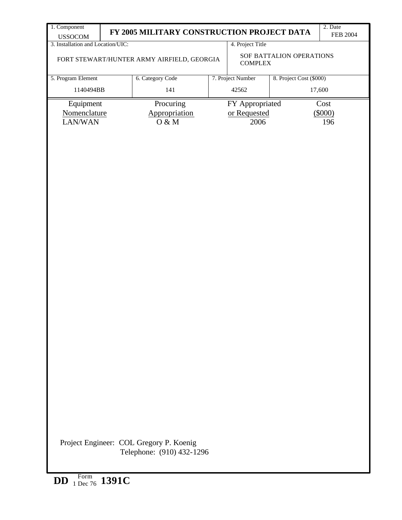| 1. Component                                        | FY 2005 MILITARY CONSTRUCTION PROJECT DATA                                               |              |                         | 2. Date<br><b>FEB 2004</b> |  |  |  |
|-----------------------------------------------------|------------------------------------------------------------------------------------------|--------------|-------------------------|----------------------------|--|--|--|
| <b>USSOCOM</b><br>3. Installation and Location/UIC: | 4. Project Title                                                                         |              |                         |                            |  |  |  |
|                                                     | SOF BATTALION OPERATIONS<br>FORT STEWART/HUNTER ARMY AIRFIELD, GEORGIA<br><b>COMPLEX</b> |              |                         |                            |  |  |  |
| 5. Program Element                                  | 8. Project Cost (\$000)<br>6. Category Code<br>7. Project Number                         |              |                         |                            |  |  |  |
| 1140494BB                                           | 141                                                                                      | 42562        |                         | 17,600                     |  |  |  |
| Equipment                                           | Procuring                                                                                |              | FY Appropriated<br>Cost |                            |  |  |  |
| Nomenclature                                        | Appropriation                                                                            | or Requested |                         | (\$000)                    |  |  |  |
| LAN/WAN                                             | $O \& M$                                                                                 | 2006         |                         | 196                        |  |  |  |
|                                                     | Project Engineer: COL Gregory P. Koenig<br>Telephone: (910) 432-1296                     |              |                         |                            |  |  |  |
| DD $_1$ Form 1391C                                  |                                                                                          |              |                         |                            |  |  |  |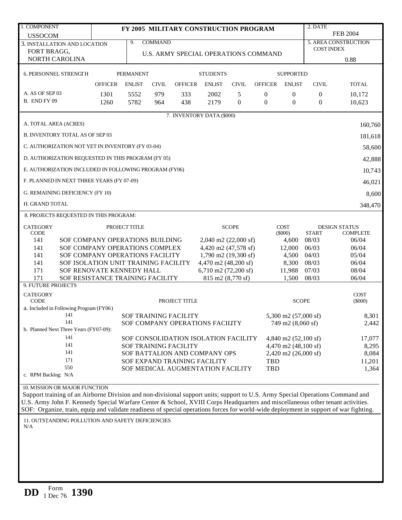| 1. COMPONENT                                                                                                                                                                                                                                                            |                |                  |                |                              | FY 2005 MILITARY CONSTRUCTION PROGRAM |                |                                      |                                | 2. DATE           |                                         |
|-------------------------------------------------------------------------------------------------------------------------------------------------------------------------------------------------------------------------------------------------------------------------|----------------|------------------|----------------|------------------------------|---------------------------------------|----------------|--------------------------------------|--------------------------------|-------------------|-----------------------------------------|
| <b>USSOCOM</b>                                                                                                                                                                                                                                                          |                |                  |                |                              |                                       |                |                                      |                                |                   | <b>FEB 2004</b>                         |
| 3. INSTALLATION AND LOCATION                                                                                                                                                                                                                                            |                | 9.               | <b>COMMAND</b> |                              |                                       |                |                                      |                                |                   | 5. AREA CONSTRUCTION                    |
| FORT BRAGG,                                                                                                                                                                                                                                                             |                |                  |                |                              |                                       |                | U.S. ARMY SPECIAL OPERATIONS COMMAND |                                | <b>COST INDEX</b> |                                         |
| NORTH CAROLINA                                                                                                                                                                                                                                                          |                |                  |                |                              |                                       |                |                                      |                                |                   | 0.88                                    |
| 6. PERSONNEL STRENGTH                                                                                                                                                                                                                                                   |                | <b>PERMANENT</b> |                |                              | <b>STUDENTS</b>                       |                |                                      | <b>SUPPORTED</b>               |                   |                                         |
|                                                                                                                                                                                                                                                                         | <b>OFFICER</b> | <b>ENLIST</b>    | <b>CIVIL</b>   | <b>OFFICER</b>               | <b>ENLIST</b>                         | <b>CIVIL</b>   | <b>OFFICER</b>                       | <b>ENLIST</b>                  | <b>CIVIL</b>      | <b>TOTAL</b>                            |
| A. AS OF SEP 03                                                                                                                                                                                                                                                         | 1301           | 5552             | 979            | 333                          | 2002                                  | 5              | $\boldsymbol{0}$                     | $\mathbf{0}$                   | 0                 | 10,172                                  |
| <b>B. END FY 09</b>                                                                                                                                                                                                                                                     | 1260           | 5782             | 964            | 438                          | 2179                                  | $\overline{0}$ | $\theta$                             | $\theta$                       | $\mathbf{0}$      | 10,623                                  |
|                                                                                                                                                                                                                                                                         |                |                  |                |                              | 7. INVENTORY DATA (\$000)             |                |                                      |                                |                   |                                         |
| A. TOTAL AREA (ACRES)                                                                                                                                                                                                                                                   |                |                  |                |                              |                                       |                |                                      |                                |                   | 160,760                                 |
| <b>B. INVENTORY TOTAL AS OF SEP 03</b>                                                                                                                                                                                                                                  |                |                  |                |                              |                                       |                |                                      |                                |                   | 181,618                                 |
| C. AUTHORIZATION NOT YET IN INVENTORY (FY 03-04)                                                                                                                                                                                                                        |                |                  |                |                              |                                       |                |                                      |                                |                   | 58,600                                  |
| D. AUTHORIZATION REQUESTED IN THIS PROGRAM (FY 05)                                                                                                                                                                                                                      |                |                  |                |                              |                                       |                |                                      |                                |                   | 42,888                                  |
| E. AUTHORIZATION INCLUDED IN FOLLOWING PROGRAM (FY06)                                                                                                                                                                                                                   |                |                  |                |                              |                                       |                |                                      |                                |                   | 10,743                                  |
| F. PLANNED IN NEXT THREE YEARS (FY 07-09)                                                                                                                                                                                                                               |                |                  |                |                              |                                       |                |                                      |                                |                   | 46,021                                  |
| G. REMAINING DEFICIENCY (FY 10)                                                                                                                                                                                                                                         |                |                  |                |                              |                                       |                |                                      |                                |                   | 8,600                                   |
| H. GRAND TOTAL                                                                                                                                                                                                                                                          |                |                  |                |                              |                                       |                |                                      |                                |                   | 348,470                                 |
| 8. PROJECTS REQUESTED IN THIS PROGRAM:                                                                                                                                                                                                                                  |                |                  |                |                              |                                       |                |                                      |                                |                   |                                         |
| <b>CATEGORY</b><br><b>CODE</b>                                                                                                                                                                                                                                          |                | PROJECT TITLE    |                |                              |                                       | <b>SCOPE</b>   |                                      | <b>COST</b><br>(5000)          | <b>START</b>      | <b>DESIGN STATUS</b><br><b>COMPLETE</b> |
| 141<br>SOF COMPANY OPERATIONS BUILDING                                                                                                                                                                                                                                  |                |                  |                |                              | $2,040$ m2 (22,000 sf)                |                |                                      | 4,600                          | 08/03             | 06/04                                   |
| 141<br>SOF COMPANY OPERATIONS COMPLEX                                                                                                                                                                                                                                   |                |                  |                |                              | 4,420 m2 (47,578 sf)                  |                |                                      | 12,000                         | 06/03             | 06/04                                   |
| 141<br>SOF COMPANY OPERATIONS FACILITY                                                                                                                                                                                                                                  |                |                  |                |                              | 1,790 m2 (19,300 sf)                  |                |                                      | 4,500                          | 04/03             | 05/04                                   |
| 141<br>SOF ISOLATION UNIT TRAINING FACILITY                                                                                                                                                                                                                             |                |                  |                |                              | 4,470 m2 (48,200 sf)                  |                |                                      | 8,300                          | 08/03             | 06/04                                   |
| 171<br>SOF RENOVATE KENNEDY HALL                                                                                                                                                                                                                                        |                |                  |                |                              | 6,710 m2 $(72,200 \text{ sf})$        |                |                                      | 11,988                         | 07/03             | 08/04                                   |
| 171<br>SOF RESISTANCE TRAINING FACILITY<br>9. FUTURE PROJECTS                                                                                                                                                                                                           |                |                  |                |                              | 815 m2 (8,770 sf)                     |                |                                      | 1,500                          | 08/03             | 06/04                                   |
| <b>CATEGORY</b>                                                                                                                                                                                                                                                         |                |                  |                |                              |                                       |                |                                      |                                |                   | <b>COST</b>                             |
| <b>CODE</b>                                                                                                                                                                                                                                                             |                |                  |                | PROJECT TITLE                |                                       |                |                                      | <b>SCOPE</b>                   |                   | $(\$000)$                               |
| a. Included in Following Program (FY06)                                                                                                                                                                                                                                 |                |                  |                |                              |                                       |                |                                      |                                |                   |                                         |
| 141<br>141                                                                                                                                                                                                                                                              |                |                  |                | <b>SOF TRAINING FACILITY</b> |                                       |                |                                      | 5,300 m2 (57,000 sf)           |                   | 8,301                                   |
| b. Planned Next Three Years (FY07-09):                                                                                                                                                                                                                                  |                |                  |                |                              | SOF COMPANY OPERATIONS FACILITY       |                |                                      | 749 m2 (8,060 sf)              |                   | 2,442                                   |
| 141                                                                                                                                                                                                                                                                     |                |                  |                |                              | SOF CONSOLIDATION ISOLATION FACILITY  |                |                                      | 4,840 m2 $(52,100 \text{ sf})$ |                   | 17,077                                  |
| 141                                                                                                                                                                                                                                                                     |                |                  |                | <b>SOF TRAINING FACILITY</b> |                                       |                |                                      | 4,470 m2 (48,100 sf)           |                   | 8,295                                   |
| 141                                                                                                                                                                                                                                                                     |                |                  |                |                              | SOF BATTALION AND COMPANY OPS         |                |                                      | 2,420 m2 (26,000 sf)           |                   | 8,084                                   |
| 171                                                                                                                                                                                                                                                                     |                |                  |                |                              | SOF EXPAND TRAINING FACILITY          |                | <b>TBD</b>                           |                                |                   | 11,201                                  |
| 550<br>c. RPM Backlog: N/A                                                                                                                                                                                                                                              |                |                  |                |                              | SOF MEDICAL AUGMENTATION FACILITY     |                | TBD                                  |                                |                   | 1,364                                   |
|                                                                                                                                                                                                                                                                         |                |                  |                |                              |                                       |                |                                      |                                |                   |                                         |
| 10. MISSION OR MAJOR FUNCTION                                                                                                                                                                                                                                           |                |                  |                |                              |                                       |                |                                      |                                |                   |                                         |
| Support training of an Airborne Division and non-divisional support units; support to U.S. Army Special Operations Command and                                                                                                                                          |                |                  |                |                              |                                       |                |                                      |                                |                   |                                         |
| U.S. Army John F. Kennedy Special Warfare Center & School, XVIII Corps Headquarters and miscellaneous other tenant activities.<br>SOF: Organize, train, equip and validate readiness of special operations forces for world-wide deployment in support of war fighting. |                |                  |                |                              |                                       |                |                                      |                                |                   |                                         |
|                                                                                                                                                                                                                                                                         |                |                  |                |                              |                                       |                |                                      |                                |                   |                                         |
| 11. OUTSTANDING POLLUTION AND SAFETY DEFICIENCIES<br>N/A                                                                                                                                                                                                                |                |                  |                |                              |                                       |                |                                      |                                |                   |                                         |
|                                                                                                                                                                                                                                                                         |                |                  |                |                              |                                       |                |                                      |                                |                   |                                         |
|                                                                                                                                                                                                                                                                         |                |                  |                |                              |                                       |                |                                      |                                |                   |                                         |
|                                                                                                                                                                                                                                                                         |                |                  |                |                              |                                       |                |                                      |                                |                   |                                         |
|                                                                                                                                                                                                                                                                         |                |                  |                |                              |                                       |                |                                      |                                |                   |                                         |
|                                                                                                                                                                                                                                                                         |                |                  |                |                              |                                       |                |                                      |                                |                   |                                         |
|                                                                                                                                                                                                                                                                         |                |                  |                |                              |                                       |                |                                      |                                |                   |                                         |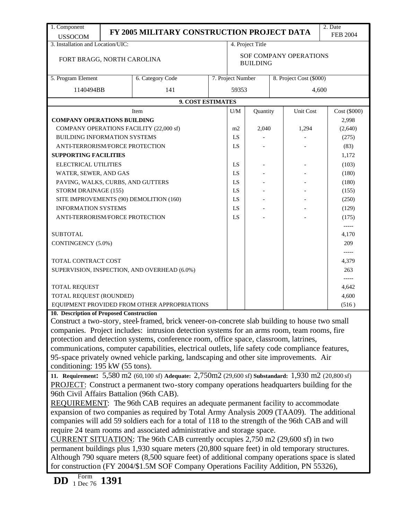| 1. Component                                                |  |                                                                                                       |  |                                           |                  |  |                         | 2. Date         |  |
|-------------------------------------------------------------|--|-------------------------------------------------------------------------------------------------------|--|-------------------------------------------|------------------|--|-------------------------|-----------------|--|
| <b>USSOCOM</b>                                              |  | FY 2005 MILITARY CONSTRUCTION PROJECT DATA                                                            |  |                                           |                  |  |                         | <b>FEB 2004</b> |  |
| 3. Installation and Location/UIC:                           |  |                                                                                                       |  |                                           | 4. Project Title |  |                         |                 |  |
| FORT BRAGG, NORTH CAROLINA                                  |  |                                                                                                       |  | SOF COMPANY OPERATIONS<br><b>BUILDING</b> |                  |  |                         |                 |  |
| 5. Program Element                                          |  | 6. Category Code                                                                                      |  | 7. Project Number                         |                  |  | 8. Project Cost (\$000) |                 |  |
| 1140494BB                                                   |  | 141                                                                                                   |  | 59353                                     |                  |  |                         | 4,600           |  |
|                                                             |  | 9. COST ESTIMATES                                                                                     |  |                                           |                  |  |                         |                 |  |
|                                                             |  | Item                                                                                                  |  | U/M                                       | Quantity         |  | Unit Cost               | Cost (\$000)    |  |
| <b>COMPANY OPERATIONS BUILDING</b>                          |  |                                                                                                       |  |                                           |                  |  |                         | 2,998           |  |
|                                                             |  | COMPANY OPERATIONS FACILITY (22,000 sf)                                                               |  | m2                                        | 2,040            |  | 1,294                   | (2,640)         |  |
| <b>BUILDING INFORMATION SYSTEMS</b>                         |  |                                                                                                       |  | LS                                        |                  |  |                         | (275)           |  |
| ANTI-TERRORISM/FORCE PROTECTION                             |  |                                                                                                       |  | LS                                        |                  |  |                         | (83)            |  |
| <b>SUPPORTING FACILITIES</b>                                |  |                                                                                                       |  |                                           |                  |  |                         | 1,172           |  |
| <b>ELECTRICAL UTILITIES</b>                                 |  |                                                                                                       |  | LS                                        |                  |  |                         | (103)           |  |
| WATER, SEWER, AND GAS                                       |  |                                                                                                       |  | LS                                        |                  |  |                         | (180)           |  |
| PAVING, WALKS, CURBS, AND GUTTERS                           |  |                                                                                                       |  | LS                                        |                  |  |                         | (180)           |  |
| STORM DRAINAGE (155)                                        |  |                                                                                                       |  | LS                                        |                  |  |                         | (155)           |  |
|                                                             |  | SITE IMPROVEMENTS (90) DEMOLITION (160)                                                               |  | LS                                        |                  |  |                         | (250)           |  |
| <b>INFORMATION SYSTEMS</b>                                  |  |                                                                                                       |  | LS                                        |                  |  |                         | (129)           |  |
| ANTI-TERRORISM/FORCE PROTECTION                             |  |                                                                                                       |  | LS                                        |                  |  |                         | (175)           |  |
|                                                             |  |                                                                                                       |  |                                           |                  |  |                         | -----           |  |
| <b>SUBTOTAL</b>                                             |  |                                                                                                       |  |                                           |                  |  |                         | 4,170           |  |
| CONTINGENCY (5.0%)                                          |  |                                                                                                       |  |                                           |                  |  |                         | 209             |  |
|                                                             |  |                                                                                                       |  |                                           |                  |  |                         |                 |  |
| TOTAL CONTRACT COST                                         |  |                                                                                                       |  |                                           |                  |  |                         | 4,379           |  |
|                                                             |  | SUPERVISION, INSPECTION, AND OVERHEAD (6.0%)                                                          |  |                                           |                  |  |                         | 263             |  |
|                                                             |  |                                                                                                       |  |                                           |                  |  |                         | -----           |  |
| <b>TOTAL REQUEST</b>                                        |  |                                                                                                       |  |                                           |                  |  |                         | 4.642           |  |
| TOTAL REQUEST (ROUNDED)                                     |  |                                                                                                       |  |                                           |                  |  |                         | 4,600           |  |
|                                                             |  | EQUIPMENT PROVIDED FROM OTHER APPROPRIATIONS                                                          |  |                                           |                  |  |                         | (516)           |  |
| 10. Description of Proposed Construction                    |  |                                                                                                       |  |                                           |                  |  |                         |                 |  |
|                                                             |  | Construct a two-story, steel-framed, brick veneer-on-concrete slab building to house two small        |  |                                           |                  |  |                         |                 |  |
|                                                             |  | companies. Project includes: intrusion detection systems for an arms room, team rooms, fire           |  |                                           |                  |  |                         |                 |  |
|                                                             |  | protection and detection systems, conference room, office space, classroom, latrines,                 |  |                                           |                  |  |                         |                 |  |
|                                                             |  | communications, computer capabilities, electrical outlets, life safety code compliance features,      |  |                                           |                  |  |                         |                 |  |
|                                                             |  | 95-space privately owned vehicle parking, landscaping and other site improvements. Air                |  |                                           |                  |  |                         |                 |  |
| conditioning: 195 kW (55 tons).                             |  |                                                                                                       |  |                                           |                  |  |                         |                 |  |
|                                                             |  | 11. Requirement: 5,580 m2 (60,100 sf) Adequate: 2,750m2 (29,600 sf) Substandard: 1,930 m2 (20,800 sf) |  |                                           |                  |  |                         |                 |  |
|                                                             |  | PROJECT: Construct a permanent two-story company operations headquarters building for the             |  |                                           |                  |  |                         |                 |  |
| 96th Civil Affairs Battalion (96th CAB).                    |  |                                                                                                       |  |                                           |                  |  |                         |                 |  |
|                                                             |  | REQUIREMENT: The 96th CAB requires an adequate permanent facility to accommodate                      |  |                                           |                  |  |                         |                 |  |
|                                                             |  | expansion of two companies as required by Total Army Analysis 2009 (TAA09). The additional            |  |                                           |                  |  |                         |                 |  |
|                                                             |  | companies will add 59 soldiers each for a total of 118 to the strength of the 96th CAB and will       |  |                                           |                  |  |                         |                 |  |
|                                                             |  | require 24 team rooms and associated administrative and storage space.                                |  |                                           |                  |  |                         |                 |  |
|                                                             |  | CURRENT SITUATION: The 96th CAB currently occupies $2,750$ m $2$ (29,600 sf) in two                   |  |                                           |                  |  |                         |                 |  |
|                                                             |  | permanent buildings plus 1,930 square meters (20,800 square feet) in old temporary structures.        |  |                                           |                  |  |                         |                 |  |
|                                                             |  | Although 790 square meters (8,500 square feet) of additional company operations space is slated       |  |                                           |                  |  |                         |                 |  |
|                                                             |  | for construction (FY 2004/\$1.5M SOF Company Operations Facility Addition, PN 55326),                 |  |                                           |                  |  |                         |                 |  |
|                                                             |  |                                                                                                       |  |                                           |                  |  |                         |                 |  |
| Form<br>$\frac{100}{{1 \text{ Dec } 76}}$ 1391<br><b>DD</b> |  |                                                                                                       |  |                                           |                  |  |                         |                 |  |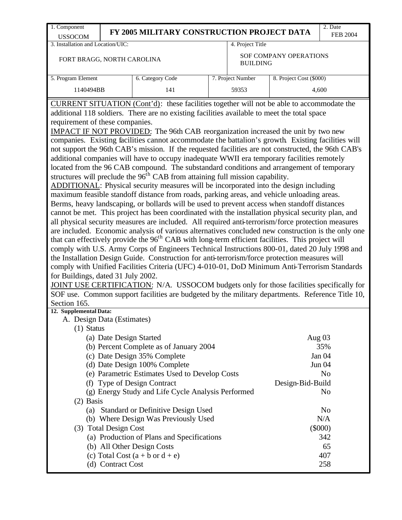| 1. Component<br><b>USSOCOM</b>                                                                                                                                                                                                                                                                                                                                                                                                                                                                                                                                                                                                                                                                                                                                                                                                                                                                                                                                                                       | FY 2005 MILITARY CONSTRUCTION PROJECT DATA |                  |  |                   |                         | 2. Date<br><b>FEB 2004</b> |
|------------------------------------------------------------------------------------------------------------------------------------------------------------------------------------------------------------------------------------------------------------------------------------------------------------------------------------------------------------------------------------------------------------------------------------------------------------------------------------------------------------------------------------------------------------------------------------------------------------------------------------------------------------------------------------------------------------------------------------------------------------------------------------------------------------------------------------------------------------------------------------------------------------------------------------------------------------------------------------------------------|--------------------------------------------|------------------|--|-------------------|-------------------------|----------------------------|
| 3. Installation and Location/UIC:<br>4. Project Title                                                                                                                                                                                                                                                                                                                                                                                                                                                                                                                                                                                                                                                                                                                                                                                                                                                                                                                                                |                                            |                  |  |                   |                         |                            |
| SOF COMPANY OPERATIONS<br>FORT BRAGG, NORTH CAROLINA<br><b>BUILDING</b>                                                                                                                                                                                                                                                                                                                                                                                                                                                                                                                                                                                                                                                                                                                                                                                                                                                                                                                              |                                            |                  |  |                   |                         |                            |
| 5. Program Element                                                                                                                                                                                                                                                                                                                                                                                                                                                                                                                                                                                                                                                                                                                                                                                                                                                                                                                                                                                   |                                            | 6. Category Code |  | 7. Project Number | 8. Project Cost (\$000) |                            |
| 1140494BB                                                                                                                                                                                                                                                                                                                                                                                                                                                                                                                                                                                                                                                                                                                                                                                                                                                                                                                                                                                            |                                            | 141              |  | 59353             |                         | 4,600                      |
| not support the 96th CAB's mission. If the requested facilities are not constructed, the 96th CAB's<br>additional companies will have to occupy inadequate WWII era temporary facilities remotely<br>located from the 96 CAB compound. The substandard conditions and arrangement of temporary<br>structures will preclude the 96 <sup>th</sup> CAB from attaining full mission capability.<br>ADDITIONAL: Physical security measures will be incorporated into the design including<br>maximum feasible standoff distance from roads, parking areas, and vehicle unloading areas.<br>Berms, heavy landscaping, or bollards will be used to prevent access when standoff distances<br>cannot be met. This project has been coordinated with the installation physical security plan, and<br>all physical security measures are included. All required anti-terrorism/force protection measures<br>are included. Economic analysis of various alternatives concluded new construction is the only one |                                            |                  |  |                   |                         |                            |
| that can effectively provide the 96 <sup>th</sup> CAB with long-term efficient facilities. This project will<br>comply with U.S. Army Corps of Engineers Technical Instructions 800-01, dated 20 July 1998 and<br>the Installation Design Guide. Construction for anti-terrorism/force protection measures will<br>comply with Unified Facilities Criteria (UFC) 4-010-01, DoD Minimum Anti-Terrorism Standards<br>for Buildings, dated 31 July 2002.                                                                                                                                                                                                                                                                                                                                                                                                                                                                                                                                                |                                            |                  |  |                   |                         |                            |

JOINT USE CERTIFICATION: N/A. USSOCOM budgets only for those facilities specifically for SOF use. Common support facilities are budgeted by the military departments. Reference Title 10, Section 165.

## **12. Supplemental Data:**

| A. Design Data (Estimates)                         |                  |  |
|----------------------------------------------------|------------------|--|
| $(1)$ Status                                       |                  |  |
| (a) Date Design Started                            | Aug $03$         |  |
| (b) Percent Complete as of January 2004            | 35%              |  |
| (c) Date Design 35% Complete                       | Jan 04           |  |
| (d) Date Design 100% Complete                      | <b>Jun 04</b>    |  |
| (e) Parametric Estimates Used to Develop Costs     | N <sub>o</sub>   |  |
| <b>Type of Design Contract</b><br>(f)              | Design-Bid-Build |  |
| (g) Energy Study and Life Cycle Analysis Performed | N <sub>0</sub>   |  |
| $(2)$ Basis                                        |                  |  |
| (a) Standard or Definitive Design Used             | N <sub>0</sub>   |  |
| (b) Where Design Was Previously Used               | N/A              |  |
| (3) Total Design Cost                              | (\$000)          |  |
| (a) Production of Plans and Specifications         | 342              |  |
| (b) All Other Design Costs                         | 65               |  |
| (c) Total Cost $(a + b \text{ or } d + e)$         | 407              |  |
| <b>Contract Cost</b>                               | 258              |  |
|                                                    |                  |  |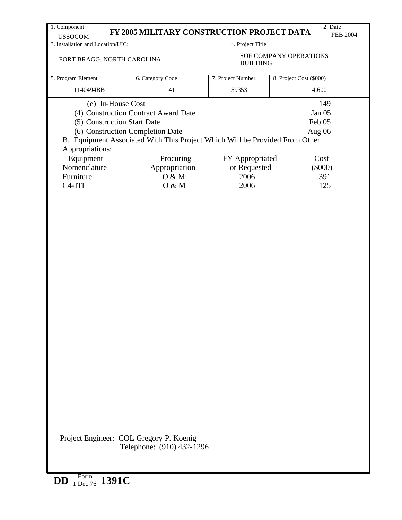| 1. Component                                        |                                                | FY 2005 MILITARY CONSTRUCTION PROJECT DATA                                                                      |  |                   |                               | 2. Date<br><b>FEB 2004</b> |  |  |
|-----------------------------------------------------|------------------------------------------------|-----------------------------------------------------------------------------------------------------------------|--|-------------------|-------------------------------|----------------------------|--|--|
| <b>USSOCOM</b><br>3. Installation and Location/UIC: |                                                |                                                                                                                 |  | 4. Project Title  |                               |                            |  |  |
| FORT BRAGG, NORTH CAROLINA                          |                                                |                                                                                                                 |  | <b>BUILDING</b>   | <b>SOF COMPANY OPERATIONS</b> |                            |  |  |
| 5. Program Element                                  |                                                | 6. Category Code                                                                                                |  | 7. Project Number | 8. Project Cost (\$000)       |                            |  |  |
| 1140494BB                                           |                                                | 141                                                                                                             |  | 59353<br>4,600    |                               |                            |  |  |
|                                                     | (e) In-House Cost                              |                                                                                                                 |  |                   |                               | 149                        |  |  |
|                                                     | (4) Construction Contract Award Date<br>Jan 05 |                                                                                                                 |  |                   |                               |                            |  |  |
| (5) Construction Start Date                         |                                                |                                                                                                                 |  |                   | Feb 05                        |                            |  |  |
| Appropriations:                                     |                                                | (6) Construction Completion Date<br>B. Equipment Associated With This Project Which Will be Provided From Other |  |                   |                               | Aug 06                     |  |  |
| Equipment                                           |                                                | Procuring                                                                                                       |  | FY Appropriated   |                               | Cost                       |  |  |
| Nomenclature                                        |                                                | Appropriation                                                                                                   |  | or Requested      |                               | $(\$000)$                  |  |  |
| Furniture                                           |                                                | 0 & M                                                                                                           |  | 2006              |                               | 391                        |  |  |
| $C4-ITI$                                            |                                                | O & M                                                                                                           |  | 2006              |                               | 125                        |  |  |
|                                                     |                                                |                                                                                                                 |  |                   |                               |                            |  |  |
|                                                     |                                                | Project Engineer: COL Gregory P. Koenig<br>Telephone: (910) 432-1296                                            |  |                   |                               |                            |  |  |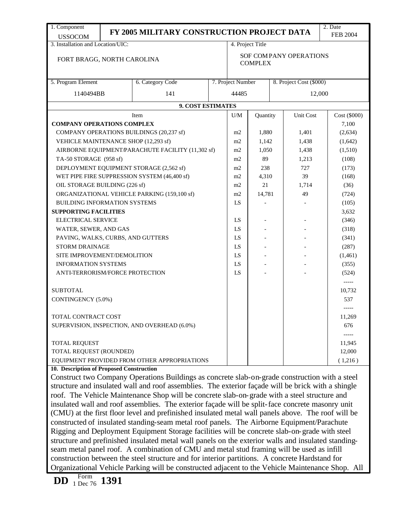| 1. Component                                                                                                                                                                                     |                                                                                                                                                                                                                                                                                                      | FY 2005 MILITARY CONSTRUCTION PROJECT DATA                                                       |  |                                          |                  |  |                         | 2. Date          |
|--------------------------------------------------------------------------------------------------------------------------------------------------------------------------------------------------|------------------------------------------------------------------------------------------------------------------------------------------------------------------------------------------------------------------------------------------------------------------------------------------------------|--------------------------------------------------------------------------------------------------|--|------------------------------------------|------------------|--|-------------------------|------------------|
| <b>USSOCOM</b>                                                                                                                                                                                   |                                                                                                                                                                                                                                                                                                      |                                                                                                  |  |                                          |                  |  |                         | <b>FEB 2004</b>  |
| 3. Installation and Location/UIC:                                                                                                                                                                |                                                                                                                                                                                                                                                                                                      |                                                                                                  |  |                                          | 4. Project Title |  |                         |                  |
| FORT BRAGG, NORTH CAROLINA                                                                                                                                                                       |                                                                                                                                                                                                                                                                                                      |                                                                                                  |  | SOF COMPANY OPERATIONS<br><b>COMPLEX</b> |                  |  |                         |                  |
| 5. Program Element                                                                                                                                                                               |                                                                                                                                                                                                                                                                                                      | 6. Category Code                                                                                 |  | 7. Project Number                        |                  |  | 8. Project Cost (\$000) |                  |
| 1140494BB                                                                                                                                                                                        |                                                                                                                                                                                                                                                                                                      | 141                                                                                              |  | 44485                                    |                  |  | 12,000                  |                  |
|                                                                                                                                                                                                  | 9. COST ESTIMATES                                                                                                                                                                                                                                                                                    |                                                                                                  |  |                                          |                  |  |                         |                  |
|                                                                                                                                                                                                  |                                                                                                                                                                                                                                                                                                      |                                                                                                  |  |                                          |                  |  |                         |                  |
|                                                                                                                                                                                                  |                                                                                                                                                                                                                                                                                                      | Item                                                                                             |  | U/M                                      | Quantity         |  | Unit Cost               | Cost (6000)      |
| <b>COMPANY OPERATIONS COMPLEX</b>                                                                                                                                                                |                                                                                                                                                                                                                                                                                                      | COMPANY OPERATIONS BUILDINGS (20,237 sf)                                                         |  |                                          | 1,880            |  |                         | 7,100<br>(2,634) |
|                                                                                                                                                                                                  |                                                                                                                                                                                                                                                                                                      |                                                                                                  |  | m <sub>2</sub>                           |                  |  | 1,401                   |                  |
| VEHICLE MAINTENANCE SHOP (12,293 sf)                                                                                                                                                             |                                                                                                                                                                                                                                                                                                      |                                                                                                  |  | m2                                       | 1,142            |  | 1,438                   | (1,642)          |
|                                                                                                                                                                                                  |                                                                                                                                                                                                                                                                                                      | AIRBORNE EQUIPMENT/PARACHUTE FACILITY (11,302 sf)                                                |  | m2                                       | 1,050            |  | 1,438                   | (1,510)          |
| TA-50 STORAGE (958 sf)                                                                                                                                                                           |                                                                                                                                                                                                                                                                                                      |                                                                                                  |  | m2                                       | 89               |  | 1,213                   | (108)            |
|                                                                                                                                                                                                  |                                                                                                                                                                                                                                                                                                      | DEPLOYMENT EQUIPMENT STORAGE (2,562 sf)                                                          |  | m2                                       | 238              |  | 727                     | (173)            |
|                                                                                                                                                                                                  |                                                                                                                                                                                                                                                                                                      | WET PIPE FIRE SUPPRESSION SYSTEM (46,400 sf)                                                     |  | m2                                       | 4,310            |  | 39                      | (168)            |
| OIL STORAGE BUILDING (226 sf)                                                                                                                                                                    |                                                                                                                                                                                                                                                                                                      |                                                                                                  |  | m2                                       | 21               |  | 1,714                   | (36)             |
|                                                                                                                                                                                                  |                                                                                                                                                                                                                                                                                                      | ORGANIZATIONAL VEHICLE PARKING (159,100 sf)                                                      |  | m2                                       | 14,781           |  | 49                      | (724)            |
| <b>BUILDING INFORMATION SYSTEMS</b>                                                                                                                                                              |                                                                                                                                                                                                                                                                                                      |                                                                                                  |  | LS                                       |                  |  |                         | (105)            |
| <b>SUPPORTING FACILITIES</b>                                                                                                                                                                     |                                                                                                                                                                                                                                                                                                      |                                                                                                  |  |                                          |                  |  |                         | 3,632            |
| <b>ELECTRICAL SERVICE</b>                                                                                                                                                                        |                                                                                                                                                                                                                                                                                                      |                                                                                                  |  | LS                                       |                  |  |                         | (346)            |
| WATER, SEWER, AND GAS                                                                                                                                                                            |                                                                                                                                                                                                                                                                                                      |                                                                                                  |  | LS                                       |                  |  |                         | (318)            |
| PAVING, WALKS, CURBS, AND GUTTERS                                                                                                                                                                |                                                                                                                                                                                                                                                                                                      |                                                                                                  |  | LS                                       |                  |  |                         | (341)            |
| <b>STORM DRAINAGE</b>                                                                                                                                                                            |                                                                                                                                                                                                                                                                                                      |                                                                                                  |  | LS                                       |                  |  |                         | (287)            |
| SITE IMPROVEMENT/DEMOLITION                                                                                                                                                                      |                                                                                                                                                                                                                                                                                                      |                                                                                                  |  | LS                                       |                  |  |                         | (1,461)          |
| <b>INFORMATION SYSTEMS</b>                                                                                                                                                                       |                                                                                                                                                                                                                                                                                                      |                                                                                                  |  | LS                                       |                  |  |                         | (355)            |
| ANTI-TERRORISM/FORCE PROTECTION                                                                                                                                                                  |                                                                                                                                                                                                                                                                                                      |                                                                                                  |  | LS                                       |                  |  |                         | (524)            |
|                                                                                                                                                                                                  |                                                                                                                                                                                                                                                                                                      |                                                                                                  |  |                                          |                  |  |                         | $-----$          |
| <b>SUBTOTAL</b>                                                                                                                                                                                  |                                                                                                                                                                                                                                                                                                      |                                                                                                  |  |                                          |                  |  |                         | 10,732           |
| CONTINGENCY (5.0%)                                                                                                                                                                               |                                                                                                                                                                                                                                                                                                      |                                                                                                  |  |                                          |                  |  |                         | 537              |
|                                                                                                                                                                                                  |                                                                                                                                                                                                                                                                                                      |                                                                                                  |  |                                          |                  |  |                         |                  |
| <b>TOTAL CONTRACT COST</b>                                                                                                                                                                       |                                                                                                                                                                                                                                                                                                      |                                                                                                  |  |                                          |                  |  |                         | 11,269           |
|                                                                                                                                                                                                  |                                                                                                                                                                                                                                                                                                      | SUPERVISION, INSPECTION, AND OVERHEAD (6.0%)                                                     |  |                                          |                  |  |                         | 676              |
|                                                                                                                                                                                                  |                                                                                                                                                                                                                                                                                                      |                                                                                                  |  |                                          |                  |  |                         | -----            |
| <b>TOTAL REQUEST</b>                                                                                                                                                                             |                                                                                                                                                                                                                                                                                                      |                                                                                                  |  |                                          |                  |  |                         | 11,945           |
| TOTAL REQUEST (ROUNDED)                                                                                                                                                                          |                                                                                                                                                                                                                                                                                                      |                                                                                                  |  |                                          |                  |  |                         | 12,000           |
|                                                                                                                                                                                                  |                                                                                                                                                                                                                                                                                                      | EQUIPMENT PROVIDED FROM OTHER APPROPRIATIONS                                                     |  |                                          |                  |  |                         | (1,216)          |
| 10. Description of Proposed Construction                                                                                                                                                         |                                                                                                                                                                                                                                                                                                      |                                                                                                  |  |                                          |                  |  |                         |                  |
|                                                                                                                                                                                                  | Construct two Company Operations Buildings as concrete slab-on-grade construction with a steel<br>structure and insulated wall and roof assemblies. The exterior façade will be brick with a shingle<br>roof. The Vehicle Maintenance Shop will be concrete slab-on-grade with a steel structure and |                                                                                                  |  |                                          |                  |  |                         |                  |
|                                                                                                                                                                                                  |                                                                                                                                                                                                                                                                                                      | insulated wall and roof assemblies. The exterior façade will be split-face concrete masonry unit |  |                                          |                  |  |                         |                  |
|                                                                                                                                                                                                  |                                                                                                                                                                                                                                                                                                      |                                                                                                  |  |                                          |                  |  |                         |                  |
| (CMU) at the first floor level and prefinished insulated metal wall panels above. The roof will be<br>constructed of insulated standing seam metal roof panels. The Airborne Equipment/Parachute |                                                                                                                                                                                                                                                                                                      |                                                                                                  |  |                                          |                  |  |                         |                  |

constructed of insulated standing-seam metal roof panels. The Airborne Equipment/Parachute Rigging and Deployment Equipment Storage facilities will be concrete slab-on-grade with steel structure and prefinished insulated metal wall panels on the exterior walls and insulated standingseam metal panel roof. A combination of CMU and metal stud framing will be used as infill construction between the steel structure and for interior partitions. A concrete Hardstand for Organizational Vehicle Parking will be constructed adjacent to the Vehicle Maintenance Shop. All

**DD** Form 1 Dec 76 **1391**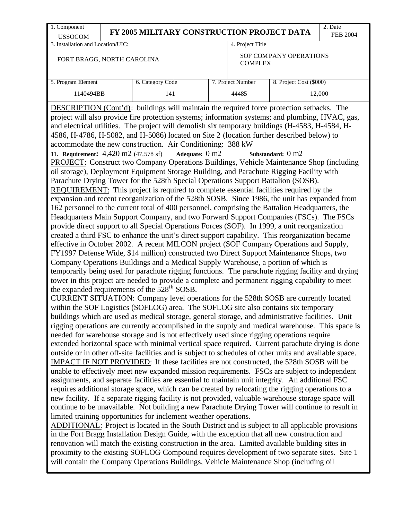will contain the Company Operations Buildings, Vehicle Maintenance Shop (including oil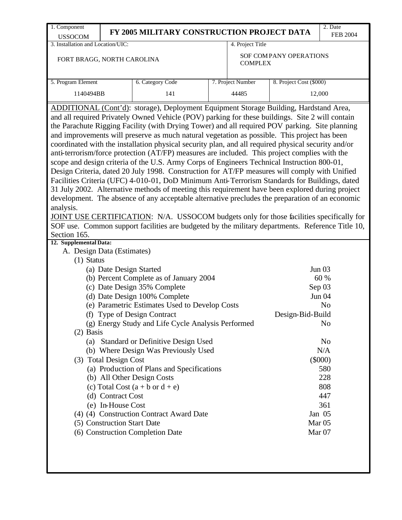| 1. Component                                                                                                                                                                                                                                                                                                                                                                                                                                                                                                                                                                                                                                                                                                                                                                                                                                                                                                                                                                                                                                                                                                                                                                                                                                                                                                                                                                                                                              |                                                    |                   |                         | 2. Date          |  |  |  |
|-------------------------------------------------------------------------------------------------------------------------------------------------------------------------------------------------------------------------------------------------------------------------------------------------------------------------------------------------------------------------------------------------------------------------------------------------------------------------------------------------------------------------------------------------------------------------------------------------------------------------------------------------------------------------------------------------------------------------------------------------------------------------------------------------------------------------------------------------------------------------------------------------------------------------------------------------------------------------------------------------------------------------------------------------------------------------------------------------------------------------------------------------------------------------------------------------------------------------------------------------------------------------------------------------------------------------------------------------------------------------------------------------------------------------------------------|----------------------------------------------------|-------------------|-------------------------|------------------|--|--|--|
| <b>USSOCOM</b>                                                                                                                                                                                                                                                                                                                                                                                                                                                                                                                                                                                                                                                                                                                                                                                                                                                                                                                                                                                                                                                                                                                                                                                                                                                                                                                                                                                                                            | FY 2005 MILITARY CONSTRUCTION PROJECT DATA         |                   |                         | <b>FEB 2004</b>  |  |  |  |
| 3. Installation and Location/UIC:                                                                                                                                                                                                                                                                                                                                                                                                                                                                                                                                                                                                                                                                                                                                                                                                                                                                                                                                                                                                                                                                                                                                                                                                                                                                                                                                                                                                         |                                                    | 4. Project Title  |                         |                  |  |  |  |
| FORT BRAGG, NORTH CAROLINA                                                                                                                                                                                                                                                                                                                                                                                                                                                                                                                                                                                                                                                                                                                                                                                                                                                                                                                                                                                                                                                                                                                                                                                                                                                                                                                                                                                                                |                                                    | <b>COMPLEX</b>    | SOF COMPANY OPERATIONS  |                  |  |  |  |
| 5. Program Element                                                                                                                                                                                                                                                                                                                                                                                                                                                                                                                                                                                                                                                                                                                                                                                                                                                                                                                                                                                                                                                                                                                                                                                                                                                                                                                                                                                                                        | 6. Category Code                                   | 7. Project Number | 8. Project Cost (\$000) |                  |  |  |  |
| 1140494BB                                                                                                                                                                                                                                                                                                                                                                                                                                                                                                                                                                                                                                                                                                                                                                                                                                                                                                                                                                                                                                                                                                                                                                                                                                                                                                                                                                                                                                 | 141                                                | 44485             |                         |                  |  |  |  |
|                                                                                                                                                                                                                                                                                                                                                                                                                                                                                                                                                                                                                                                                                                                                                                                                                                                                                                                                                                                                                                                                                                                                                                                                                                                                                                                                                                                                                                           |                                                    |                   | 12,000                  |                  |  |  |  |
| ADDITIONAL (Cont'd): storage), Deployment Equipment Storage Building, Hardstand Area,<br>and all required Privately Owned Vehicle (POV) parking for these buildings. Site 2 will contain<br>the Parachute Rigging Facility (with Drying Tower) and all required POV parking. Site planning<br>and improvements will preserve as much natural vegetation as possible. This project has been<br>coordinated with the installation physical security plan, and all required physical security and/or<br>anti-terrorism/force protection (AT/FP) measures are included. This project complies with the<br>scope and design criteria of the U.S. Army Corps of Engineers Technical Instruction 800-01,<br>Design Criteria, dated 20 July 1998. Construction for AT/FP measures will comply with Unified<br>Facilities Criteria (UFC) 4-010-01, DoD Minimum Anti-Terrorism Standards for Buildings, dated<br>31 July 2002. Alternative methods of meeting this requirement have been explored during project<br>development. The absence of any acceptable alternative precludes the preparation of an economic<br>analysis.<br>JOINT USE CERTIFICATION: N/A. USSOCOM budgets only for those facilities specifically for<br>SOF use. Common support facilities are budgeted by the military departments. Reference Title 10,<br>Section 165.<br>12. Supplemental Data:<br>A. Design Data (Estimates)<br>$(1)$ Status<br>(a) Date Design Started | (b) Percent Complete as of January 2004            |                   |                         | Jun $03$<br>60 % |  |  |  |
|                                                                                                                                                                                                                                                                                                                                                                                                                                                                                                                                                                                                                                                                                                                                                                                                                                                                                                                                                                                                                                                                                                                                                                                                                                                                                                                                                                                                                                           | (c) Date Design 35% Complete                       |                   |                         | Sep 03           |  |  |  |
|                                                                                                                                                                                                                                                                                                                                                                                                                                                                                                                                                                                                                                                                                                                                                                                                                                                                                                                                                                                                                                                                                                                                                                                                                                                                                                                                                                                                                                           | (d) Date Design 100% Complete                      |                   |                         | Jun 04           |  |  |  |
|                                                                                                                                                                                                                                                                                                                                                                                                                                                                                                                                                                                                                                                                                                                                                                                                                                                                                                                                                                                                                                                                                                                                                                                                                                                                                                                                                                                                                                           | (e) Parametric Estimates Used to Develop Costs     |                   |                         | N <sub>o</sub>   |  |  |  |
| (f) Type of Design Contract                                                                                                                                                                                                                                                                                                                                                                                                                                                                                                                                                                                                                                                                                                                                                                                                                                                                                                                                                                                                                                                                                                                                                                                                                                                                                                                                                                                                               | (g) Energy Study and Life Cycle Analysis Performed |                   | Design-Bid-Build        | No               |  |  |  |
| $(2)$ Basis                                                                                                                                                                                                                                                                                                                                                                                                                                                                                                                                                                                                                                                                                                                                                                                                                                                                                                                                                                                                                                                                                                                                                                                                                                                                                                                                                                                                                               |                                                    |                   |                         |                  |  |  |  |
|                                                                                                                                                                                                                                                                                                                                                                                                                                                                                                                                                                                                                                                                                                                                                                                                                                                                                                                                                                                                                                                                                                                                                                                                                                                                                                                                                                                                                                           | (a) Standard or Definitive Design Used             |                   |                         | N <sub>o</sub>   |  |  |  |
|                                                                                                                                                                                                                                                                                                                                                                                                                                                                                                                                                                                                                                                                                                                                                                                                                                                                                                                                                                                                                                                                                                                                                                                                                                                                                                                                                                                                                                           | (b) Where Design Was Previously Used               |                   |                         | N/A              |  |  |  |
| (3) Total Design Cost                                                                                                                                                                                                                                                                                                                                                                                                                                                                                                                                                                                                                                                                                                                                                                                                                                                                                                                                                                                                                                                                                                                                                                                                                                                                                                                                                                                                                     |                                                    |                   |                         | $(\$000)$        |  |  |  |
|                                                                                                                                                                                                                                                                                                                                                                                                                                                                                                                                                                                                                                                                                                                                                                                                                                                                                                                                                                                                                                                                                                                                                                                                                                                                                                                                                                                                                                           | (a) Production of Plans and Specifications         |                   |                         | 580              |  |  |  |
| (b) All Other Design Costs                                                                                                                                                                                                                                                                                                                                                                                                                                                                                                                                                                                                                                                                                                                                                                                                                                                                                                                                                                                                                                                                                                                                                                                                                                                                                                                                                                                                                |                                                    |                   |                         | 228              |  |  |  |
|                                                                                                                                                                                                                                                                                                                                                                                                                                                                                                                                                                                                                                                                                                                                                                                                                                                                                                                                                                                                                                                                                                                                                                                                                                                                                                                                                                                                                                           | (c) Total Cost $(a + b \text{ or } d + e)$         |                   |                         | 808              |  |  |  |
| (d) Contract Cost                                                                                                                                                                                                                                                                                                                                                                                                                                                                                                                                                                                                                                                                                                                                                                                                                                                                                                                                                                                                                                                                                                                                                                                                                                                                                                                                                                                                                         |                                                    |                   |                         | 447              |  |  |  |
| (e) In-House Cost                                                                                                                                                                                                                                                                                                                                                                                                                                                                                                                                                                                                                                                                                                                                                                                                                                                                                                                                                                                                                                                                                                                                                                                                                                                                                                                                                                                                                         |                                                    |                   |                         | 361              |  |  |  |
|                                                                                                                                                                                                                                                                                                                                                                                                                                                                                                                                                                                                                                                                                                                                                                                                                                                                                                                                                                                                                                                                                                                                                                                                                                                                                                                                                                                                                                           | (4) (4) Construction Contract Award Date           |                   |                         | Jan 05           |  |  |  |
| (5) Construction Start Date                                                                                                                                                                                                                                                                                                                                                                                                                                                                                                                                                                                                                                                                                                                                                                                                                                                                                                                                                                                                                                                                                                                                                                                                                                                                                                                                                                                                               |                                                    |                   |                         | Mar $05$         |  |  |  |
| (6) Construction Completion Date                                                                                                                                                                                                                                                                                                                                                                                                                                                                                                                                                                                                                                                                                                                                                                                                                                                                                                                                                                                                                                                                                                                                                                                                                                                                                                                                                                                                          |                                                    |                   |                         | Mar 07           |  |  |  |
|                                                                                                                                                                                                                                                                                                                                                                                                                                                                                                                                                                                                                                                                                                                                                                                                                                                                                                                                                                                                                                                                                                                                                                                                                                                                                                                                                                                                                                           |                                                    |                   |                         |                  |  |  |  |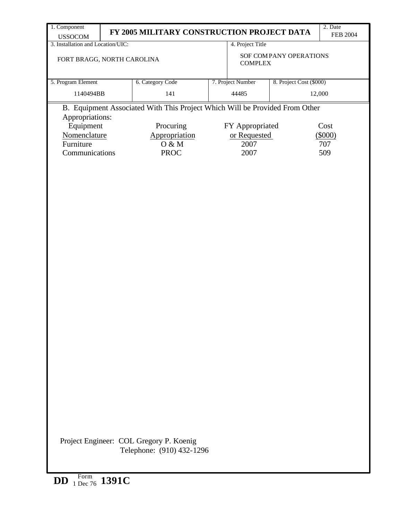| 1. Component                                                                                                                                | 2. Date                                                                |                                                               |                   |                         |           |  |  |  |
|---------------------------------------------------------------------------------------------------------------------------------------------|------------------------------------------------------------------------|---------------------------------------------------------------|-------------------|-------------------------|-----------|--|--|--|
| <b>USSOCOM</b>                                                                                                                              |                                                                        | FY 2005 MILITARY CONSTRUCTION PROJECT DATA<br><b>FEB 2004</b> |                   |                         |           |  |  |  |
| 3. Installation and Location/UIC:                                                                                                           |                                                                        |                                                               | 4. Project Title  |                         |           |  |  |  |
|                                                                                                                                             | SOF COMPANY OPERATIONS<br>FORT BRAGG, NORTH CAROLINA<br><b>COMPLEX</b> |                                                               |                   |                         |           |  |  |  |
| 5. Program Element                                                                                                                          |                                                                        | 6. Category Code                                              | 7. Project Number | 8. Project Cost (\$000) |           |  |  |  |
| 1140494BB                                                                                                                                   |                                                                        | 141                                                           | 44485             | 12,000                  |           |  |  |  |
| B. Equipment Associated With This Project Which Will be Provided From Other<br>Appropriations:<br>Equipment<br>Procuring<br>FY Appropriated |                                                                        |                                                               |                   |                         | Cost      |  |  |  |
| Nomenclature                                                                                                                                |                                                                        | Appropriation                                                 | or Requested      |                         | $(\$000)$ |  |  |  |
| Furniture                                                                                                                                   |                                                                        | O & M                                                         | 2007              |                         | 707       |  |  |  |
|                                                                                                                                             |                                                                        |                                                               |                   |                         |           |  |  |  |
| Communications                                                                                                                              |                                                                        | <b>PROC</b>                                                   | 2007              |                         | 509       |  |  |  |
|                                                                                                                                             |                                                                        | Project Engineer: COL Gregory P. Koenig                       |                   |                         |           |  |  |  |
|                                                                                                                                             |                                                                        | Telephone: (910) 432-1296                                     |                   |                         |           |  |  |  |

**DD** Form 1 Dec 76 **1391C**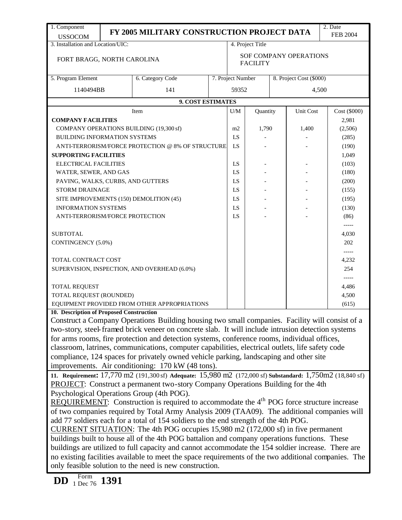| 1. Component                                                                                                                                                                                        |                                                                                                                                                                                      |                                                                                                           |  |                               |                                              |  |           | 2. Date         |  |
|-----------------------------------------------------------------------------------------------------------------------------------------------------------------------------------------------------|--------------------------------------------------------------------------------------------------------------------------------------------------------------------------------------|-----------------------------------------------------------------------------------------------------------|--|-------------------------------|----------------------------------------------|--|-----------|-----------------|--|
| <b>USSOCOM</b>                                                                                                                                                                                      |                                                                                                                                                                                      | FY 2005 MILITARY CONSTRUCTION PROJECT DATA                                                                |  |                               |                                              |  |           | <b>FEB 2004</b> |  |
| 3. Installation and Location/UIC:                                                                                                                                                                   |                                                                                                                                                                                      |                                                                                                           |  | 4. Project Title              |                                              |  |           |                 |  |
| FORT BRAGG, NORTH CAROLINA                                                                                                                                                                          |                                                                                                                                                                                      |                                                                                                           |  | <b>SOF COMPANY OPERATIONS</b> |                                              |  |           |                 |  |
|                                                                                                                                                                                                     |                                                                                                                                                                                      |                                                                                                           |  | <b>FACILITY</b>               |                                              |  |           |                 |  |
| 5. Program Element                                                                                                                                                                                  |                                                                                                                                                                                      | 6. Category Code                                                                                          |  |                               | 7. Project Number<br>8. Project Cost (\$000) |  |           |                 |  |
| 1140494BB                                                                                                                                                                                           |                                                                                                                                                                                      | 141                                                                                                       |  | 59352                         |                                              |  | 4,500     |                 |  |
|                                                                                                                                                                                                     |                                                                                                                                                                                      | 9. COST ESTIMATES                                                                                         |  |                               |                                              |  |           |                 |  |
|                                                                                                                                                                                                     |                                                                                                                                                                                      | Item                                                                                                      |  | U/M                           | Quantity                                     |  | Unit Cost | Cost (\$000)    |  |
| <b>COMPANY FACILITIES</b>                                                                                                                                                                           |                                                                                                                                                                                      |                                                                                                           |  |                               |                                              |  |           | 2,981           |  |
|                                                                                                                                                                                                     |                                                                                                                                                                                      | COMPANY OPERATIONS BUILDING (19,300 sf)                                                                   |  | m2                            | 1,790                                        |  | 1,400     | (2,506)         |  |
| <b>BUILDING INFORMATION SYSTEMS</b>                                                                                                                                                                 |                                                                                                                                                                                      |                                                                                                           |  |                               |                                              |  |           | (285)           |  |
|                                                                                                                                                                                                     |                                                                                                                                                                                      | ANTI-TERRORISM/FORCE PROTECTION @ 8% OF STRUCTURE                                                         |  | LS                            |                                              |  |           | (190)           |  |
| <b>SUPPORTING FACILITIES</b>                                                                                                                                                                        |                                                                                                                                                                                      |                                                                                                           |  |                               |                                              |  |           | 1,049           |  |
| <b>ELECTRICAL FACILITIES</b>                                                                                                                                                                        |                                                                                                                                                                                      |                                                                                                           |  | LS                            |                                              |  |           | (103)           |  |
| WATER, SEWER, AND GAS                                                                                                                                                                               |                                                                                                                                                                                      |                                                                                                           |  | LS                            |                                              |  |           | (180)           |  |
| PAVING, WALKS, CURBS, AND GUTTERS                                                                                                                                                                   |                                                                                                                                                                                      |                                                                                                           |  | LS                            |                                              |  |           | (200)           |  |
| STORM DRAINAGE                                                                                                                                                                                      |                                                                                                                                                                                      |                                                                                                           |  | LS                            |                                              |  |           | (155)           |  |
|                                                                                                                                                                                                     |                                                                                                                                                                                      | SITE IMPROVEMENTS (150) DEMOLITION (45)                                                                   |  | LS                            |                                              |  |           | (195)           |  |
| <b>INFORMATION SYSTEMS</b>                                                                                                                                                                          |                                                                                                                                                                                      |                                                                                                           |  | LS                            |                                              |  |           | (130)           |  |
| ANTI-TERRORISM/FORCE PROTECTION                                                                                                                                                                     |                                                                                                                                                                                      |                                                                                                           |  | LS                            |                                              |  |           | (86)            |  |
|                                                                                                                                                                                                     |                                                                                                                                                                                      |                                                                                                           |  |                               |                                              |  |           | $--- -$         |  |
| <b>SUBTOTAL</b>                                                                                                                                                                                     |                                                                                                                                                                                      |                                                                                                           |  |                               |                                              |  |           | 4,030           |  |
| CONTINGENCY (5.0%)                                                                                                                                                                                  |                                                                                                                                                                                      |                                                                                                           |  |                               |                                              |  |           | 202             |  |
|                                                                                                                                                                                                     |                                                                                                                                                                                      |                                                                                                           |  |                               |                                              |  |           | -----           |  |
| TOTAL CONTRACT COST                                                                                                                                                                                 |                                                                                                                                                                                      |                                                                                                           |  |                               |                                              |  |           | 4,232           |  |
|                                                                                                                                                                                                     |                                                                                                                                                                                      | SUPERVISION, INSPECTION, AND OVERHEAD (6.0%)                                                              |  |                               |                                              |  |           | 254             |  |
|                                                                                                                                                                                                     |                                                                                                                                                                                      |                                                                                                           |  |                               |                                              |  |           | -----           |  |
| <b>TOTAL REQUEST</b>                                                                                                                                                                                |                                                                                                                                                                                      |                                                                                                           |  |                               |                                              |  |           | 4,486           |  |
| TOTAL REQUEST (ROUNDED)                                                                                                                                                                             |                                                                                                                                                                                      |                                                                                                           |  |                               |                                              |  |           | 4,500           |  |
|                                                                                                                                                                                                     |                                                                                                                                                                                      | EQUIPMENT PROVIDED FROM OTHER APPROPRIATIONS                                                              |  |                               |                                              |  |           | (615)           |  |
| 10. Description of Proposed Construction                                                                                                                                                            |                                                                                                                                                                                      |                                                                                                           |  |                               |                                              |  |           |                 |  |
|                                                                                                                                                                                                     |                                                                                                                                                                                      | Construct a Company Operations Building housing two small companies. Facility will consist of a           |  |                               |                                              |  |           |                 |  |
|                                                                                                                                                                                                     |                                                                                                                                                                                      | two-story, steel-framed brick veneer on concrete slab. It will include intrusion detection systems        |  |                               |                                              |  |           |                 |  |
|                                                                                                                                                                                                     |                                                                                                                                                                                      | for arms rooms, fire protection and detection systems, conference rooms, individual offices,              |  |                               |                                              |  |           |                 |  |
|                                                                                                                                                                                                     |                                                                                                                                                                                      | classroom, latrines, communications, computer capabilities, electrical outlets, life safety code          |  |                               |                                              |  |           |                 |  |
|                                                                                                                                                                                                     |                                                                                                                                                                                      | compliance, 124 spaces for privately owned vehicle parking, landscaping and other site                    |  |                               |                                              |  |           |                 |  |
|                                                                                                                                                                                                     |                                                                                                                                                                                      | improvements. Air conditioning: 170 kW (48 tons).                                                         |  |                               |                                              |  |           |                 |  |
|                                                                                                                                                                                                     |                                                                                                                                                                                      | 11. Requirement: 17,770 m2 (191,300 sf) Adequate: 15,980 m2 (172,000 sf) Substandard: 1,750m2 (18,840 sf) |  |                               |                                              |  |           |                 |  |
|                                                                                                                                                                                                     |                                                                                                                                                                                      | <b>PROJECT:</b> Construct a permanent two-story Company Operations Building for the 4th                   |  |                               |                                              |  |           |                 |  |
|                                                                                                                                                                                                     |                                                                                                                                                                                      | Psychological Operations Group (4th POG).                                                                 |  |                               |                                              |  |           |                 |  |
|                                                                                                                                                                                                     |                                                                                                                                                                                      | REQUIREMENT: Construction is required to accommodate the 4 <sup>th</sup> POG force structure increase     |  |                               |                                              |  |           |                 |  |
|                                                                                                                                                                                                     |                                                                                                                                                                                      |                                                                                                           |  |                               |                                              |  |           |                 |  |
|                                                                                                                                                                                                     | of two companies required by Total Army Analysis 2009 (TAA09). The additional companies will<br>add 77 soldiers each for a total of 154 soldiers to the end strength of the 4th POG. |                                                                                                           |  |                               |                                              |  |           |                 |  |
|                                                                                                                                                                                                     | CURRENT SITUATION: The 4th POG occupies 15,980 m2 (172,000 sf) in five permanent                                                                                                     |                                                                                                           |  |                               |                                              |  |           |                 |  |
|                                                                                                                                                                                                     |                                                                                                                                                                                      |                                                                                                           |  |                               |                                              |  |           |                 |  |
| buildings built to house all of the 4th POG battalion and company operations functions. These<br>buildings are utilized to full capacity and cannot accommodate the 154 soldier increase. There are |                                                                                                                                                                                      |                                                                                                           |  |                               |                                              |  |           |                 |  |
|                                                                                                                                                                                                     | no existing facilities available to meet the space requirements of the two additional companies. The                                                                                 |                                                                                                           |  |                               |                                              |  |           |                 |  |
|                                                                                                                                                                                                     |                                                                                                                                                                                      | only feasible solution to the need is new construction.                                                   |  |                               |                                              |  |           |                 |  |
| Form                                                                                                                                                                                                |                                                                                                                                                                                      |                                                                                                           |  |                               |                                              |  |           |                 |  |

**DD** Form 1 Dec 76 **1391**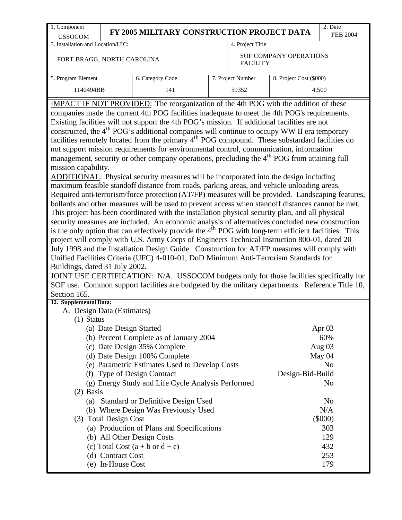| 1. Component                                                                                                                                                                                                          |                                                                                 |                                                                                                                                                                                                            |  |                   |                         | 2. Date         |  |  |  |
|-----------------------------------------------------------------------------------------------------------------------------------------------------------------------------------------------------------------------|---------------------------------------------------------------------------------|------------------------------------------------------------------------------------------------------------------------------------------------------------------------------------------------------------|--|-------------------|-------------------------|-----------------|--|--|--|
| <b>USSOCOM</b>                                                                                                                                                                                                        |                                                                                 | FY 2005 MILITARY CONSTRUCTION PROJECT DATA                                                                                                                                                                 |  |                   |                         | <b>FEB 2004</b> |  |  |  |
| 3. Installation and Location/UIC:                                                                                                                                                                                     |                                                                                 |                                                                                                                                                                                                            |  | 4. Project Title  |                         |                 |  |  |  |
| FORT BRAGG, NORTH CAROLINA                                                                                                                                                                                            |                                                                                 |                                                                                                                                                                                                            |  | <b>FACILITY</b>   | SOF COMPANY OPERATIONS  |                 |  |  |  |
| 5. Program Element                                                                                                                                                                                                    |                                                                                 | 6. Category Code                                                                                                                                                                                           |  | 7. Project Number | 8. Project Cost (\$000) |                 |  |  |  |
| 1140494BB                                                                                                                                                                                                             |                                                                                 | 141                                                                                                                                                                                                        |  | 59352             |                         | 4,500           |  |  |  |
|                                                                                                                                                                                                                       |                                                                                 | <b>IMPACT IF NOT PROVIDED:</b> The reorganization of the 4th POG with the addition of these                                                                                                                |  |                   |                         |                 |  |  |  |
|                                                                                                                                                                                                                       |                                                                                 | companies made the current 4th POG facilities inadequate to meet the 4th POG's requirements.                                                                                                               |  |                   |                         |                 |  |  |  |
|                                                                                                                                                                                                                       |                                                                                 | Existing facilities will not support the 4th POG's mission. If additional facilities are not                                                                                                               |  |                   |                         |                 |  |  |  |
| constructed, the 4 <sup>th</sup> POG's additional companies will continue to occupy WW II era temporary<br>facilities remotely located from the primary 4 <sup>th</sup> POG compound. These substandard facilities do |                                                                                 |                                                                                                                                                                                                            |  |                   |                         |                 |  |  |  |
|                                                                                                                                                                                                                       |                                                                                 |                                                                                                                                                                                                            |  |                   |                         |                 |  |  |  |
|                                                                                                                                                                                                                       |                                                                                 | not support mission requirements for environmental control, communication, information                                                                                                                     |  |                   |                         |                 |  |  |  |
|                                                                                                                                                                                                                       |                                                                                 | management, security or other company operations, precluding the 4 <sup>th</sup> POG from attaining full                                                                                                   |  |                   |                         |                 |  |  |  |
| mission capability.                                                                                                                                                                                                   |                                                                                 |                                                                                                                                                                                                            |  |                   |                         |                 |  |  |  |
|                                                                                                                                                                                                                       |                                                                                 | ADDITIONAL: Physical security measures will be incorporated into the design including                                                                                                                      |  |                   |                         |                 |  |  |  |
|                                                                                                                                                                                                                       |                                                                                 | maximum feasible standoff distance from roads, parking areas, and vehicle unloading areas.                                                                                                                 |  |                   |                         |                 |  |  |  |
|                                                                                                                                                                                                                       |                                                                                 | Required anti-terrorism/force protection (AT/FP) measures will be provided. Landscaping features,                                                                                                          |  |                   |                         |                 |  |  |  |
|                                                                                                                                                                                                                       |                                                                                 | bollards and other measures will be used to prevent access when standoff distances cannot be met.                                                                                                          |  |                   |                         |                 |  |  |  |
|                                                                                                                                                                                                                       |                                                                                 | This project has been coordinated with the installation physical security plan, and all physical                                                                                                           |  |                   |                         |                 |  |  |  |
|                                                                                                                                                                                                                       |                                                                                 | security measures are included. An economic analysis of alternatives concluded new construction<br>is the only option that can effectively provide the $4th$ POG with long-term efficient facilities. This |  |                   |                         |                 |  |  |  |
|                                                                                                                                                                                                                       |                                                                                 | project will comply with U.S. Army Corps of Engineers Technical Instruction 800-01, dated 20                                                                                                               |  |                   |                         |                 |  |  |  |
|                                                                                                                                                                                                                       |                                                                                 | July 1998 and the Installation Design Guide. Construction for AT/FP measures will comply with                                                                                                              |  |                   |                         |                 |  |  |  |
|                                                                                                                                                                                                                       |                                                                                 | Unified Facilities Criteria (UFC) 4-010-01, DoD Minimum Anti-Terrorism Standards for                                                                                                                       |  |                   |                         |                 |  |  |  |
| Buildings, dated 31 July 2002.                                                                                                                                                                                        |                                                                                 |                                                                                                                                                                                                            |  |                   |                         |                 |  |  |  |
|                                                                                                                                                                                                                       |                                                                                 | JOINT USE CERTIFICATION: N/A. USSOCOM budgets only for those facilities specifically for                                                                                                                   |  |                   |                         |                 |  |  |  |
|                                                                                                                                                                                                                       |                                                                                 | SOF use. Common support facilities are budgeted by the military departments. Reference Title 10,                                                                                                           |  |                   |                         |                 |  |  |  |
| Section 165.                                                                                                                                                                                                          |                                                                                 |                                                                                                                                                                                                            |  |                   |                         |                 |  |  |  |
| 12. Supplemental Data:                                                                                                                                                                                                |                                                                                 |                                                                                                                                                                                                            |  |                   |                         |                 |  |  |  |
| A. Design Data (Estimates)                                                                                                                                                                                            |                                                                                 |                                                                                                                                                                                                            |  |                   |                         |                 |  |  |  |
| (1) Status                                                                                                                                                                                                            |                                                                                 |                                                                                                                                                                                                            |  |                   |                         |                 |  |  |  |
|                                                                                                                                                                                                                       | (a) Date Design Started                                                         |                                                                                                                                                                                                            |  |                   |                         | Apr $03$        |  |  |  |
|                                                                                                                                                                                                                       |                                                                                 | (b) Percent Complete as of January 2004                                                                                                                                                                    |  |                   |                         | 60%             |  |  |  |
|                                                                                                                                                                                                                       |                                                                                 | (c) Date Design 35% Complete                                                                                                                                                                               |  |                   |                         | Aug $03$        |  |  |  |
|                                                                                                                                                                                                                       |                                                                                 | (d) Date Design 100% Complete                                                                                                                                                                              |  |                   |                         | May 04          |  |  |  |
|                                                                                                                                                                                                                       |                                                                                 | (e) Parametric Estimates Used to Develop Costs                                                                                                                                                             |  |                   |                         | N <sub>o</sub>  |  |  |  |
| (f)                                                                                                                                                                                                                   |                                                                                 | <b>Type of Design Contract</b>                                                                                                                                                                             |  |                   | Design-Bid-Build        |                 |  |  |  |
|                                                                                                                                                                                                                       |                                                                                 | (g) Energy Study and Life Cycle Analysis Performed                                                                                                                                                         |  |                   |                         | N <sub>o</sub>  |  |  |  |
| $(2)$ Basis                                                                                                                                                                                                           |                                                                                 |                                                                                                                                                                                                            |  |                   |                         |                 |  |  |  |
| (a) Standard or Definitive Design Used<br>N <sub>0</sub>                                                                                                                                                              |                                                                                 |                                                                                                                                                                                                            |  |                   |                         |                 |  |  |  |
| (b) Where Design Was Previously Used<br>N/A                                                                                                                                                                           |                                                                                 |                                                                                                                                                                                                            |  |                   |                         |                 |  |  |  |
| $(\$000)$<br>(3) Total Design Cost                                                                                                                                                                                    |                                                                                 |                                                                                                                                                                                                            |  |                   |                         |                 |  |  |  |
| (a) Production of Plans and Specifications<br>303                                                                                                                                                                     |                                                                                 |                                                                                                                                                                                                            |  |                   |                         |                 |  |  |  |
|                                                                                                                                                                                                                       | (b) All Other Design Costs<br>129<br>(c) Total Cost $(a + b \text{ or } d + e)$ |                                                                                                                                                                                                            |  |                   |                         |                 |  |  |  |
|                                                                                                                                                                                                                       | (d) Contract Cost                                                               |                                                                                                                                                                                                            |  |                   |                         | 432<br>253      |  |  |  |
|                                                                                                                                                                                                                       | (e) In-House Cost                                                               |                                                                                                                                                                                                            |  |                   |                         | 179             |  |  |  |
|                                                                                                                                                                                                                       |                                                                                 |                                                                                                                                                                                                            |  |                   |                         |                 |  |  |  |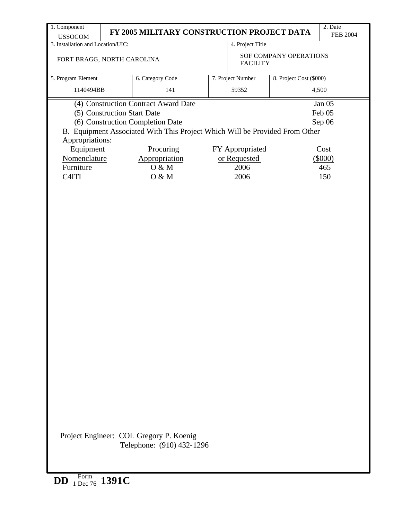| 1. Component<br><b>USSOCOM</b>                                                                 |                                               | FY 2005 MILITARY CONSTRUCTION PROJECT DATA |  |                   |                         | 2. Date<br><b>FEB 2004</b> |  |  |  |
|------------------------------------------------------------------------------------------------|-----------------------------------------------|--------------------------------------------|--|-------------------|-------------------------|----------------------------|--|--|--|
| 3. Installation and Location/UIC:                                                              |                                               |                                            |  | 4. Project Title  |                         |                            |  |  |  |
| FORT BRAGG, NORTH CAROLINA                                                                     |                                               |                                            |  | <b>FACILITY</b>   | SOF COMPANY OPERATIONS  |                            |  |  |  |
| 5. Program Element                                                                             |                                               | 6. Category Code                           |  | 7. Project Number | 8. Project Cost (\$000) |                            |  |  |  |
| 1140494BB                                                                                      |                                               | 141                                        |  | 59352             |                         | 4,500                      |  |  |  |
|                                                                                                |                                               | (4) Construction Contract Award Date       |  |                   |                         | Jan $05$                   |  |  |  |
|                                                                                                | (5) Construction Start Date                   |                                            |  |                   |                         | Feb 05                     |  |  |  |
|                                                                                                |                                               | (6) Construction Completion Date           |  |                   |                         | Sep 06                     |  |  |  |
| B. Equipment Associated With This Project Which Will be Provided From Other<br>Appropriations: |                                               |                                            |  |                   |                         |                            |  |  |  |
| Equipment                                                                                      |                                               | Procuring                                  |  | FY Appropriated   |                         | Cost                       |  |  |  |
|                                                                                                | Nomenclature<br>Appropriation<br>or Requested |                                            |  |                   |                         | $(\$000)$                  |  |  |  |
| Furniture                                                                                      |                                               | O & M                                      |  | 2006              |                         | 465                        |  |  |  |
| C4ITI                                                                                          |                                               | O & M                                      |  | 2006              |                         | 150                        |  |  |  |
|                                                                                                |                                               |                                            |  |                   |                         |                            |  |  |  |
|                                                                                                |                                               |                                            |  |                   |                         |                            |  |  |  |
|                                                                                                |                                               |                                            |  |                   |                         |                            |  |  |  |
|                                                                                                |                                               |                                            |  |                   |                         |                            |  |  |  |
|                                                                                                |                                               |                                            |  |                   |                         |                            |  |  |  |
|                                                                                                |                                               |                                            |  |                   |                         |                            |  |  |  |
|                                                                                                |                                               |                                            |  |                   |                         |                            |  |  |  |
|                                                                                                |                                               |                                            |  |                   |                         |                            |  |  |  |
|                                                                                                |                                               |                                            |  |                   |                         |                            |  |  |  |
|                                                                                                |                                               |                                            |  |                   |                         |                            |  |  |  |
|                                                                                                |                                               |                                            |  |                   |                         |                            |  |  |  |
|                                                                                                |                                               |                                            |  |                   |                         |                            |  |  |  |
|                                                                                                |                                               |                                            |  |                   |                         |                            |  |  |  |
|                                                                                                |                                               |                                            |  |                   |                         |                            |  |  |  |
|                                                                                                |                                               |                                            |  |                   |                         |                            |  |  |  |
|                                                                                                |                                               |                                            |  |                   |                         |                            |  |  |  |
|                                                                                                |                                               |                                            |  |                   |                         |                            |  |  |  |
|                                                                                                |                                               |                                            |  |                   |                         |                            |  |  |  |
|                                                                                                |                                               |                                            |  |                   |                         |                            |  |  |  |
|                                                                                                |                                               |                                            |  |                   |                         |                            |  |  |  |
|                                                                                                |                                               |                                            |  |                   |                         |                            |  |  |  |
|                                                                                                |                                               |                                            |  |                   |                         |                            |  |  |  |
|                                                                                                |                                               |                                            |  |                   |                         |                            |  |  |  |
|                                                                                                |                                               |                                            |  |                   |                         |                            |  |  |  |
|                                                                                                |                                               | Project Engineer: COL Gregory P. Koenig    |  |                   |                         |                            |  |  |  |
|                                                                                                |                                               | Telephone: (910) 432-1296                  |  |                   |                         |                            |  |  |  |
|                                                                                                |                                               |                                            |  |                   |                         |                            |  |  |  |
|                                                                                                |                                               |                                            |  |                   |                         |                            |  |  |  |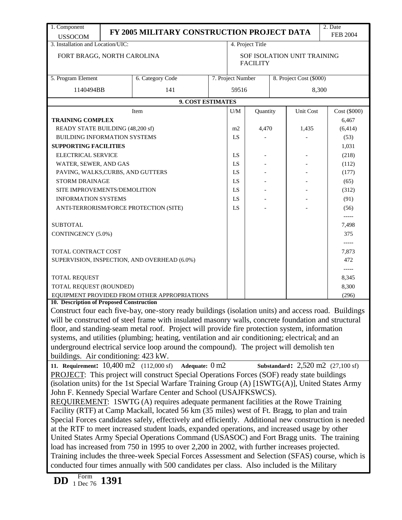| 1. Component                                                                                                                                                                                          |                                                                                                  | FY 2005 MILITARY CONSTRUCTION PROJECT DATA                                                           |  |                                              |                  |           |                             | 2. Date                                              |  |
|-------------------------------------------------------------------------------------------------------------------------------------------------------------------------------------------------------|--------------------------------------------------------------------------------------------------|------------------------------------------------------------------------------------------------------|--|----------------------------------------------|------------------|-----------|-----------------------------|------------------------------------------------------|--|
| <b>USSOCOM</b>                                                                                                                                                                                        |                                                                                                  |                                                                                                      |  |                                              |                  |           |                             | <b>FEB 2004</b>                                      |  |
| 3. Installation and Location/UIC:                                                                                                                                                                     |                                                                                                  |                                                                                                      |  |                                              | 4. Project Title |           |                             |                                                      |  |
| FORT BRAGG, NORTH CAROLINA                                                                                                                                                                            |                                                                                                  |                                                                                                      |  |                                              |                  |           | SOF ISOLATION UNIT TRAINING |                                                      |  |
|                                                                                                                                                                                                       |                                                                                                  |                                                                                                      |  | <b>FACILITY</b>                              |                  |           |                             |                                                      |  |
| 5. Program Element                                                                                                                                                                                    |                                                                                                  | 6. Category Code                                                                                     |  | 7. Project Number<br>8. Project Cost (\$000) |                  |           |                             |                                                      |  |
| 1140494BB                                                                                                                                                                                             |                                                                                                  | 141                                                                                                  |  | 59516                                        |                  |           |                             | 8,300                                                |  |
|                                                                                                                                                                                                       |                                                                                                  | 9. COST ESTIMATES                                                                                    |  |                                              |                  |           |                             |                                                      |  |
|                                                                                                                                                                                                       |                                                                                                  | Item                                                                                                 |  | Quantity<br>U/M                              |                  | Unit Cost |                             | Cost (\$000)                                         |  |
| <b>TRAINING COMPLEX</b>                                                                                                                                                                               |                                                                                                  |                                                                                                      |  |                                              |                  |           |                             | 6,467                                                |  |
| READY STATE BUILDING (48,200 sf)                                                                                                                                                                      |                                                                                                  |                                                                                                      |  | m2                                           | 4,470            |           | 1,435                       | (6, 414)                                             |  |
| <b>BUILDING INFORMATION SYSTEMS</b>                                                                                                                                                                   |                                                                                                  |                                                                                                      |  | LS                                           |                  |           |                             | (53)                                                 |  |
| <b>SUPPORTING FACILITIES</b>                                                                                                                                                                          |                                                                                                  |                                                                                                      |  |                                              |                  | 1,031     |                             |                                                      |  |
| ELECTRICAL SERVICE                                                                                                                                                                                    |                                                                                                  |                                                                                                      |  | LS                                           |                  |           |                             | (218)                                                |  |
| WATER, SEWER, AND GAS                                                                                                                                                                                 |                                                                                                  |                                                                                                      |  | LS                                           |                  |           |                             | (112)                                                |  |
| PAVING, WALKS, CURBS, AND GUTTERS                                                                                                                                                                     |                                                                                                  |                                                                                                      |  | LS                                           |                  |           |                             | (177)                                                |  |
| <b>STORM DRAINAGE</b>                                                                                                                                                                                 |                                                                                                  |                                                                                                      |  | LS                                           |                  |           |                             | (65)                                                 |  |
| SITE IMPROVEMENTS/DEMOLITION                                                                                                                                                                          |                                                                                                  |                                                                                                      |  | LS                                           |                  |           |                             | (312)                                                |  |
| <b>INFORMATION SYSTEMS</b>                                                                                                                                                                            |                                                                                                  |                                                                                                      |  | LS                                           |                  |           |                             | (91)                                                 |  |
|                                                                                                                                                                                                       |                                                                                                  |                                                                                                      |  | LS                                           |                  |           |                             |                                                      |  |
|                                                                                                                                                                                                       |                                                                                                  | ANTI-TERRORISM/FORCE PROTECTION (SITE)                                                               |  |                                              |                  |           |                             | (56)<br>-----                                        |  |
| <b>SUBTOTAL</b>                                                                                                                                                                                       |                                                                                                  |                                                                                                      |  |                                              |                  |           |                             | 7,498                                                |  |
| CONTINGENCY (5.0%)                                                                                                                                                                                    |                                                                                                  |                                                                                                      |  |                                              |                  |           |                             | 375                                                  |  |
|                                                                                                                                                                                                       |                                                                                                  |                                                                                                      |  |                                              |                  |           |                             | -----                                                |  |
| <b>TOTAL CONTRACT COST</b>                                                                                                                                                                            |                                                                                                  |                                                                                                      |  |                                              |                  |           |                             | 7,873                                                |  |
|                                                                                                                                                                                                       |                                                                                                  | SUPERVISION, INSPECTION, AND OVERHEAD (6.0%)                                                         |  |                                              |                  |           |                             | 472                                                  |  |
|                                                                                                                                                                                                       |                                                                                                  |                                                                                                      |  |                                              |                  |           |                             | -----                                                |  |
| TOTAL REQUEST                                                                                                                                                                                         |                                                                                                  |                                                                                                      |  |                                              |                  |           |                             | 8,345                                                |  |
| TOTAL REQUEST (ROUNDED)                                                                                                                                                                               |                                                                                                  |                                                                                                      |  |                                              |                  |           |                             | 8,300                                                |  |
|                                                                                                                                                                                                       |                                                                                                  | EQUIPMENT PROVIDED FROM OTHER APPROPRIATIONS                                                         |  |                                              |                  |           |                             | (296)                                                |  |
| 10. Description of Proposed Construction                                                                                                                                                              |                                                                                                  |                                                                                                      |  |                                              |                  |           |                             |                                                      |  |
|                                                                                                                                                                                                       |                                                                                                  | Construct four each five-bay, one-story ready buildings (isolation units) and access road. Buildings |  |                                              |                  |           |                             |                                                      |  |
|                                                                                                                                                                                                       |                                                                                                  | will be constructed of steel frame with insulated masonry walls, concrete foundation and structural  |  |                                              |                  |           |                             |                                                      |  |
|                                                                                                                                                                                                       |                                                                                                  | floor, and standing-seam metal roof. Project will provide fire protection system, information        |  |                                              |                  |           |                             |                                                      |  |
|                                                                                                                                                                                                       |                                                                                                  | systems, and utilities (plumbing; heating, ventilation and air conditioning; electrical; and an      |  |                                              |                  |           |                             |                                                      |  |
|                                                                                                                                                                                                       |                                                                                                  | underground electrical service loop around the compound). The project will demolish ten              |  |                                              |                  |           |                             |                                                      |  |
| buildings. Air conditioning: 423 kW.                                                                                                                                                                  |                                                                                                  |                                                                                                      |  |                                              |                  |           |                             |                                                      |  |
| 11. Requirement: $10,400 \text{ m}2$ (112,000 sf)                                                                                                                                                     |                                                                                                  | Adequate: 0 m2                                                                                       |  |                                              |                  |           |                             | <b>Substandard:</b> $2,520$ m2 $(27,100 \text{ sf})$ |  |
|                                                                                                                                                                                                       |                                                                                                  | PROJECT: This project will construct Special Operations Forces (SOF) ready state buildings           |  |                                              |                  |           |                             |                                                      |  |
|                                                                                                                                                                                                       |                                                                                                  | (isolation units) for the 1st Special Warfare Training Group (A) [1SWTG(A)], United States Army      |  |                                              |                  |           |                             |                                                      |  |
|                                                                                                                                                                                                       |                                                                                                  | John F. Kennedy Special Warfare Center and School (USAJFKSWCS).                                      |  |                                              |                  |           |                             |                                                      |  |
|                                                                                                                                                                                                       |                                                                                                  | REQUIREMENT: 1SWTG (A) requires adequate permanent facilities at the Rowe Training                   |  |                                              |                  |           |                             |                                                      |  |
|                                                                                                                                                                                                       |                                                                                                  |                                                                                                      |  |                                              |                  |           |                             |                                                      |  |
| Facility (RTF) at Camp Mackall, located 56 km (35 miles) west of Ft. Bragg, to plan and train<br>Special Forces candidates safely, effectively and efficiently. Additional new construction is needed |                                                                                                  |                                                                                                      |  |                                              |                  |           |                             |                                                      |  |
|                                                                                                                                                                                                       | at the RTF to meet increased student loads, expanded operations, and increased usage by other    |                                                                                                      |  |                                              |                  |           |                             |                                                      |  |
| United States Army Special Operations Command (USASOC) and Fort Bragg units. The training                                                                                                             |                                                                                                  |                                                                                                      |  |                                              |                  |           |                             |                                                      |  |
| load has increased from 750 in 1995 to over 2,200 in 2002, with further increases projected.                                                                                                          |                                                                                                  |                                                                                                      |  |                                              |                  |           |                             |                                                      |  |
|                                                                                                                                                                                                       | Training includes the three-week Special Forces Assessment and Selection (SFAS) course, which is |                                                                                                      |  |                                              |                  |           |                             |                                                      |  |
| conducted four times annually with 500 candidates per class. Also included is the Military                                                                                                            |                                                                                                  |                                                                                                      |  |                                              |                  |           |                             |                                                      |  |
|                                                                                                                                                                                                       |                                                                                                  |                                                                                                      |  |                                              |                  |           |                             |                                                      |  |
| Form<br>$1 \text{ m}$ 1391<br>DD                                                                                                                                                                      |                                                                                                  |                                                                                                      |  |                                              |                  |           |                             |                                                      |  |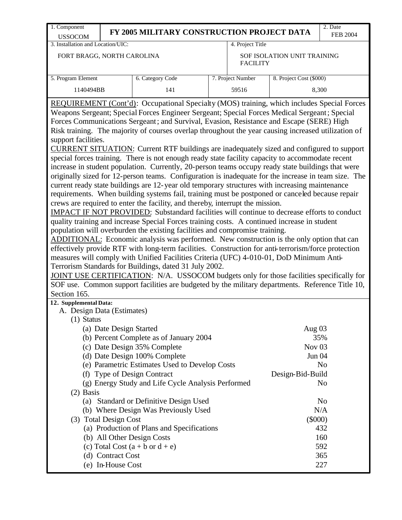| 1. Component                                                                                                                                                                                                                                                                                                                                                                                                                                                                                                                                                                                                                                                                                                                                                                                                                                                                                                                                                                                                                                                                                                                                                                                                                                                                                                                                                                                                                                                                                                                                                                                                                                                                                                                                                                                                                                                                                                                                                                    |                                                   | FY 2005 MILITARY CONSTRUCTION PROJECT DATA                                           |  |                   |                             | 2. Date<br><b>FEB 2004</b> |  |  |  |
|---------------------------------------------------------------------------------------------------------------------------------------------------------------------------------------------------------------------------------------------------------------------------------------------------------------------------------------------------------------------------------------------------------------------------------------------------------------------------------------------------------------------------------------------------------------------------------------------------------------------------------------------------------------------------------------------------------------------------------------------------------------------------------------------------------------------------------------------------------------------------------------------------------------------------------------------------------------------------------------------------------------------------------------------------------------------------------------------------------------------------------------------------------------------------------------------------------------------------------------------------------------------------------------------------------------------------------------------------------------------------------------------------------------------------------------------------------------------------------------------------------------------------------------------------------------------------------------------------------------------------------------------------------------------------------------------------------------------------------------------------------------------------------------------------------------------------------------------------------------------------------------------------------------------------------------------------------------------------------|---------------------------------------------------|--------------------------------------------------------------------------------------|--|-------------------|-----------------------------|----------------------------|--|--|--|
| <b>USSOCOM</b><br>3. Installation and Location/UIC:                                                                                                                                                                                                                                                                                                                                                                                                                                                                                                                                                                                                                                                                                                                                                                                                                                                                                                                                                                                                                                                                                                                                                                                                                                                                                                                                                                                                                                                                                                                                                                                                                                                                                                                                                                                                                                                                                                                             |                                                   |                                                                                      |  | 4. Project Title  |                             |                            |  |  |  |
| FORT BRAGG, NORTH CAROLINA                                                                                                                                                                                                                                                                                                                                                                                                                                                                                                                                                                                                                                                                                                                                                                                                                                                                                                                                                                                                                                                                                                                                                                                                                                                                                                                                                                                                                                                                                                                                                                                                                                                                                                                                                                                                                                                                                                                                                      |                                                   |                                                                                      |  | <b>FACILITY</b>   | SOF ISOLATION UNIT TRAINING |                            |  |  |  |
| 5. Program Element                                                                                                                                                                                                                                                                                                                                                                                                                                                                                                                                                                                                                                                                                                                                                                                                                                                                                                                                                                                                                                                                                                                                                                                                                                                                                                                                                                                                                                                                                                                                                                                                                                                                                                                                                                                                                                                                                                                                                              |                                                   | 6. Category Code                                                                     |  | 7. Project Number | 8. Project Cost (\$000)     |                            |  |  |  |
| 1140494BB                                                                                                                                                                                                                                                                                                                                                                                                                                                                                                                                                                                                                                                                                                                                                                                                                                                                                                                                                                                                                                                                                                                                                                                                                                                                                                                                                                                                                                                                                                                                                                                                                                                                                                                                                                                                                                                                                                                                                                       |                                                   | 141                                                                                  |  | 59516             |                             | 8,300                      |  |  |  |
| REQUIREMENT (Cont'd): Occupational Specialty (MOS) training, which includes Special Forces<br>Weapons Sergeant; Special Forces Engineer Sergeant; Special Forces Medical Sergeant; Special<br>Forces Communications Sergeant; and Survival, Evasion, Resistance and Escape (SERE) High<br>Risk training. The majority of courses overlap throughout the year causing increased utilization of<br>support facilities.<br>CURRENT SITUATION: Current RTF buildings are inadequately sized and configured to support<br>special forces training. There is not enough ready state facility capacity to accommodate recent<br>increase in student population. Currently, 20-person teams occupy ready state buildings that were<br>originally sized for 12-person teams. Configuration is inadequate for the increase in team size. The<br>current ready state buildings are 12-year old temporary structures with increasing maintenance<br>requirements. When building systems fail, training must be postponed or canceled because repair<br>crews are required to enter the facility, and thereby, interrupt the mission.<br>IMPACT IF NOT PROVIDED: Substandard facilities will continue to decrease efforts to conduct<br>quality training and increase Special Forces training costs. A continued increase in student<br>population will overburden the existing facilities and compromise training.<br>ADDITIONAL: Economic analysis was performed. New construction is the only option that can<br>effectively provide RTF with long-term facilities. Construction for anti-terrorism/force protection<br>measures will comply with Unified Facilities Criteria (UFC) 4-010-01, DoD Minimum Anti-<br>Terrorism Standards for Buildings, dated 31 July 2002.<br>JOINT USE CERTIFICATION: N/A. USSOCOM budgets only for those facilities specifically for<br>SOF use. Common support facilities are budgeted by the military departments. Reference Title 10,<br>Section 165. |                                                   |                                                                                      |  |                   |                             |                            |  |  |  |
| 12. Supplemental Data:<br>A. Design Data (Estimates)                                                                                                                                                                                                                                                                                                                                                                                                                                                                                                                                                                                                                                                                                                                                                                                                                                                                                                                                                                                                                                                                                                                                                                                                                                                                                                                                                                                                                                                                                                                                                                                                                                                                                                                                                                                                                                                                                                                            |                                                   |                                                                                      |  |                   |                             |                            |  |  |  |
| $(1)$ Status                                                                                                                                                                                                                                                                                                                                                                                                                                                                                                                                                                                                                                                                                                                                                                                                                                                                                                                                                                                                                                                                                                                                                                                                                                                                                                                                                                                                                                                                                                                                                                                                                                                                                                                                                                                                                                                                                                                                                                    |                                                   |                                                                                      |  |                   |                             |                            |  |  |  |
|                                                                                                                                                                                                                                                                                                                                                                                                                                                                                                                                                                                                                                                                                                                                                                                                                                                                                                                                                                                                                                                                                                                                                                                                                                                                                                                                                                                                                                                                                                                                                                                                                                                                                                                                                                                                                                                                                                                                                                                 | (a) Date Design Started                           |                                                                                      |  |                   | Aug 03                      |                            |  |  |  |
|                                                                                                                                                                                                                                                                                                                                                                                                                                                                                                                                                                                                                                                                                                                                                                                                                                                                                                                                                                                                                                                                                                                                                                                                                                                                                                                                                                                                                                                                                                                                                                                                                                                                                                                                                                                                                                                                                                                                                                                 |                                                   | (b) Percent Complete as of January 2004                                              |  |                   |                             | 35%                        |  |  |  |
|                                                                                                                                                                                                                                                                                                                                                                                                                                                                                                                                                                                                                                                                                                                                                                                                                                                                                                                                                                                                                                                                                                                                                                                                                                                                                                                                                                                                                                                                                                                                                                                                                                                                                                                                                                                                                                                                                                                                                                                 |                                                   | (c) Date Design 35% Complete                                                         |  |                   | Nov $03$                    |                            |  |  |  |
|                                                                                                                                                                                                                                                                                                                                                                                                                                                                                                                                                                                                                                                                                                                                                                                                                                                                                                                                                                                                                                                                                                                                                                                                                                                                                                                                                                                                                                                                                                                                                                                                                                                                                                                                                                                                                                                                                                                                                                                 |                                                   | (d) Date Design 100% Complete                                                        |  |                   | Jun 04                      |                            |  |  |  |
|                                                                                                                                                                                                                                                                                                                                                                                                                                                                                                                                                                                                                                                                                                                                                                                                                                                                                                                                                                                                                                                                                                                                                                                                                                                                                                                                                                                                                                                                                                                                                                                                                                                                                                                                                                                                                                                                                                                                                                                 |                                                   | (e) Parametric Estimates Used to Develop Costs                                       |  |                   |                             | N <sub>o</sub>             |  |  |  |
| (f)                                                                                                                                                                                                                                                                                                                                                                                                                                                                                                                                                                                                                                                                                                                                                                                                                                                                                                                                                                                                                                                                                                                                                                                                                                                                                                                                                                                                                                                                                                                                                                                                                                                                                                                                                                                                                                                                                                                                                                             |                                                   | <b>Type of Design Contract</b><br>(g) Energy Study and Life Cycle Analysis Performed |  |                   | Design-Bid-Build            | N <sub>o</sub>             |  |  |  |
| $(2)$ Basis                                                                                                                                                                                                                                                                                                                                                                                                                                                                                                                                                                                                                                                                                                                                                                                                                                                                                                                                                                                                                                                                                                                                                                                                                                                                                                                                                                                                                                                                                                                                                                                                                                                                                                                                                                                                                                                                                                                                                                     |                                                   |                                                                                      |  |                   |                             |                            |  |  |  |
|                                                                                                                                                                                                                                                                                                                                                                                                                                                                                                                                                                                                                                                                                                                                                                                                                                                                                                                                                                                                                                                                                                                                                                                                                                                                                                                                                                                                                                                                                                                                                                                                                                                                                                                                                                                                                                                                                                                                                                                 |                                                   |                                                                                      |  |                   |                             | N <sub>o</sub>             |  |  |  |
| (a) Standard or Definitive Design Used<br>N/A<br>(b) Where Design Was Previously Used                                                                                                                                                                                                                                                                                                                                                                                                                                                                                                                                                                                                                                                                                                                                                                                                                                                                                                                                                                                                                                                                                                                                                                                                                                                                                                                                                                                                                                                                                                                                                                                                                                                                                                                                                                                                                                                                                           |                                                   |                                                                                      |  |                   |                             |                            |  |  |  |
| $(\$000)$<br>(3) Total Design Cost                                                                                                                                                                                                                                                                                                                                                                                                                                                                                                                                                                                                                                                                                                                                                                                                                                                                                                                                                                                                                                                                                                                                                                                                                                                                                                                                                                                                                                                                                                                                                                                                                                                                                                                                                                                                                                                                                                                                              |                                                   |                                                                                      |  |                   |                             |                            |  |  |  |
|                                                                                                                                                                                                                                                                                                                                                                                                                                                                                                                                                                                                                                                                                                                                                                                                                                                                                                                                                                                                                                                                                                                                                                                                                                                                                                                                                                                                                                                                                                                                                                                                                                                                                                                                                                                                                                                                                                                                                                                 | (a) Production of Plans and Specifications<br>432 |                                                                                      |  |                   |                             |                            |  |  |  |
|                                                                                                                                                                                                                                                                                                                                                                                                                                                                                                                                                                                                                                                                                                                                                                                                                                                                                                                                                                                                                                                                                                                                                                                                                                                                                                                                                                                                                                                                                                                                                                                                                                                                                                                                                                                                                                                                                                                                                                                 |                                                   | (b) All Other Design Costs                                                           |  |                   |                             | 160                        |  |  |  |
|                                                                                                                                                                                                                                                                                                                                                                                                                                                                                                                                                                                                                                                                                                                                                                                                                                                                                                                                                                                                                                                                                                                                                                                                                                                                                                                                                                                                                                                                                                                                                                                                                                                                                                                                                                                                                                                                                                                                                                                 |                                                   | (c) Total Cost $(a + b \text{ or } d + e)$                                           |  |                   |                             | 592                        |  |  |  |
|                                                                                                                                                                                                                                                                                                                                                                                                                                                                                                                                                                                                                                                                                                                                                                                                                                                                                                                                                                                                                                                                                                                                                                                                                                                                                                                                                                                                                                                                                                                                                                                                                                                                                                                                                                                                                                                                                                                                                                                 | (d) Contract Cost                                 |                                                                                      |  |                   |                             | 365                        |  |  |  |
|                                                                                                                                                                                                                                                                                                                                                                                                                                                                                                                                                                                                                                                                                                                                                                                                                                                                                                                                                                                                                                                                                                                                                                                                                                                                                                                                                                                                                                                                                                                                                                                                                                                                                                                                                                                                                                                                                                                                                                                 | (e) In-House Cost                                 |                                                                                      |  |                   |                             | 227                        |  |  |  |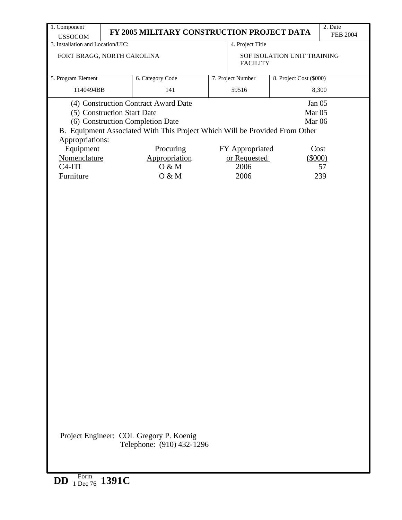| 1. Component<br><b>USSOCOM</b>                 | FY 2005 MILITARY CONSTRUCTION PROJECT DATA                                                                                                              |                   |                                                  | 2. Date<br><b>FEB 2004</b> |
|------------------------------------------------|---------------------------------------------------------------------------------------------------------------------------------------------------------|-------------------|--------------------------------------------------|----------------------------|
| 3. Installation and Location/UIC:              |                                                                                                                                                         | 4. Project Title  |                                                  |                            |
| FORT BRAGG, NORTH CAROLINA                     |                                                                                                                                                         | <b>FACILITY</b>   | SOF ISOLATION UNIT TRAINING                      |                            |
| 5. Program Element                             | 6. Category Code                                                                                                                                        | 7. Project Number | 8. Project Cost (\$000)                          |                            |
| 1140494BB                                      | 141                                                                                                                                                     | 59516             |                                                  | 8,300                      |
| (5) Construction Start Date<br>Appropriations: | (4) Construction Contract Award Date<br>(6) Construction Completion Date<br>B. Equipment Associated With This Project Which Will be Provided From Other |                   | Jan 05<br>Mar <sub>05</sub><br>Mar <sub>06</sub> |                            |
| Equipment                                      | Procuring                                                                                                                                               | FY Appropriated   | Cost                                             |                            |
| Nomenclature                                   | Appropriation                                                                                                                                           | or Requested      | $(\$000)$                                        |                            |
| $C4-ITI$                                       | O & M                                                                                                                                                   | 2006              |                                                  | 57                         |
| Furniture                                      | O & M                                                                                                                                                   | 2006              |                                                  | 239                        |
|                                                |                                                                                                                                                         |                   |                                                  |                            |
|                                                | Project Engineer: COL Gregory P. Koenig<br>Telephone: (910) 432-1296                                                                                    |                   |                                                  |                            |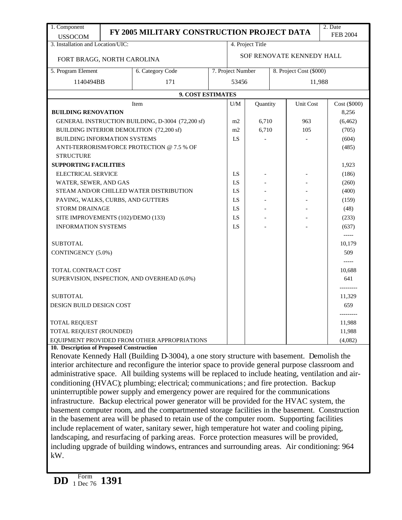| 1. Component                                                                                   |                                                                                               |                                                                                                      |  |                   |                  |  |                           | 2. Date              |  |
|------------------------------------------------------------------------------------------------|-----------------------------------------------------------------------------------------------|------------------------------------------------------------------------------------------------------|--|-------------------|------------------|--|---------------------------|----------------------|--|
| <b>USSOCOM</b>                                                                                 |                                                                                               | FY 2005 MILITARY CONSTRUCTION PROJECT DATA                                                           |  |                   |                  |  |                           | <b>FEB 2004</b>      |  |
| 3. Installation and Location/UIC:                                                              |                                                                                               |                                                                                                      |  |                   | 4. Project Title |  |                           |                      |  |
| FORT BRAGG, NORTH CAROLINA                                                                     |                                                                                               |                                                                                                      |  |                   |                  |  | SOF RENOVATE KENNEDY HALL |                      |  |
| 5. Program Element                                                                             |                                                                                               | 6. Category Code                                                                                     |  | 7. Project Number |                  |  | 8. Project Cost (\$000)   |                      |  |
| 1140494BB                                                                                      |                                                                                               | 171                                                                                                  |  | 53456<br>11,988   |                  |  |                           |                      |  |
|                                                                                                |                                                                                               | 9. COST ESTIMATES                                                                                    |  |                   |                  |  |                           |                      |  |
|                                                                                                |                                                                                               | Item                                                                                                 |  | U/M               | Quantity         |  | Unit Cost                 | Cost (\$000)         |  |
| <b>BUILDING RENOVATION</b>                                                                     |                                                                                               |                                                                                                      |  |                   |                  |  |                           | 8,256                |  |
|                                                                                                |                                                                                               | GENERAL INSTRUCTION BUILDING, D-3004 (72,200 sf)                                                     |  | m2                | 6,710            |  | 963                       | (6, 462)             |  |
| BUILDING INTERIOR DEMOLITION (72,200 sf)                                                       | m2                                                                                            | 6,710                                                                                                |  | 105               | (705)            |  |                           |                      |  |
| BUILDING INFORMATION SYSTEMS                                                                   |                                                                                               |                                                                                                      |  | LS                |                  |  |                           | (604)                |  |
|                                                                                                |                                                                                               | ANTI-TERRORISM/FORCE PROTECTION @ 7.5 % OF                                                           |  |                   |                  |  |                           | (485)                |  |
| <b>STRUCTURE</b>                                                                               |                                                                                               |                                                                                                      |  |                   |                  |  |                           |                      |  |
| <b>SUPPORTING FACILITIES</b>                                                                   |                                                                                               |                                                                                                      |  |                   |                  |  |                           | 1,923                |  |
| ELECTRICAL SERVICE                                                                             |                                                                                               |                                                                                                      |  | LS                |                  |  |                           | (186)                |  |
| WATER, SEWER, AND GAS                                                                          |                                                                                               |                                                                                                      |  | LS                |                  |  |                           | (260)                |  |
|                                                                                                |                                                                                               | STEAM AND/OR CHILLED WATER DISTRIBUTION                                                              |  | LS                |                  |  |                           | (400)                |  |
| PAVING, WALKS, CURBS, AND GUTTERS                                                              |                                                                                               |                                                                                                      |  | LS                |                  |  |                           | (159)                |  |
| <b>STORM DRAINAGE</b>                                                                          |                                                                                               |                                                                                                      |  | LS                |                  |  |                           | (48)                 |  |
| SITE IMPROVEMENTS (102)/DEMO (133)                                                             |                                                                                               |                                                                                                      |  | LS                |                  |  |                           | (233)                |  |
| <b>INFORMATION SYSTEMS</b>                                                                     |                                                                                               |                                                                                                      |  | LS                |                  |  |                           | (637)                |  |
|                                                                                                |                                                                                               |                                                                                                      |  |                   |                  |  |                           | -----                |  |
| <b>SUBTOTAL</b>                                                                                |                                                                                               |                                                                                                      |  |                   |                  |  |                           | 10,179               |  |
| CONTINGENCY (5.0%)                                                                             |                                                                                               |                                                                                                      |  |                   |                  |  |                           | 509                  |  |
|                                                                                                |                                                                                               |                                                                                                      |  |                   |                  |  |                           |                      |  |
| TOTAL CONTRACT COST                                                                            |                                                                                               |                                                                                                      |  |                   |                  |  |                           | 10,688               |  |
|                                                                                                |                                                                                               | SUPERVISION, INSPECTION, AND OVERHEAD (6.0%)                                                         |  |                   |                  |  |                           | 641                  |  |
| <b>SUBTOTAL</b>                                                                                |                                                                                               |                                                                                                      |  |                   |                  |  |                           | ----------<br>11,329 |  |
| DESIGN BUILD DESIGN COST                                                                       |                                                                                               |                                                                                                      |  |                   |                  |  |                           | 659                  |  |
|                                                                                                |                                                                                               |                                                                                                      |  |                   |                  |  |                           |                      |  |
| <b>TOTAL REQUEST</b>                                                                           |                                                                                               |                                                                                                      |  |                   |                  |  |                           | 11,988               |  |
| TOTAL REQUEST (ROUNDED)                                                                        |                                                                                               |                                                                                                      |  |                   |                  |  |                           | 11,988               |  |
|                                                                                                |                                                                                               | EQUIPMENT PROVIDED FROM OTHER APPROPRIATIONS                                                         |  |                   |                  |  |                           | (4,082)              |  |
| 10. Description of Proposed Construction                                                       |                                                                                               |                                                                                                      |  |                   |                  |  |                           |                      |  |
|                                                                                                |                                                                                               | Renovate Kennedy Hall (Building D-3004), a one story structure with basement. Demolish the           |  |                   |                  |  |                           |                      |  |
|                                                                                                |                                                                                               | interior architecture and reconfigure the interior space to provide general purpose classroom and    |  |                   |                  |  |                           |                      |  |
|                                                                                                |                                                                                               | administrative space. All building systems will be replaced to include heating, ventilation and air- |  |                   |                  |  |                           |                      |  |
|                                                                                                |                                                                                               | conditioning (HVAC); plumbing; electrical; communications; and fire protection. Backup               |  |                   |                  |  |                           |                      |  |
|                                                                                                |                                                                                               | uninterruptible power supply and emergency power are required for the communications                 |  |                   |                  |  |                           |                      |  |
|                                                                                                |                                                                                               | infrastructure. Backup electrical power generator will be provided for the HVAC system, the          |  |                   |                  |  |                           |                      |  |
| basement computer room, and the compartmented storage facilities in the basement. Construction |                                                                                               |                                                                                                      |  |                   |                  |  |                           |                      |  |
|                                                                                                | in the basement area will be phased to retain use of the computer room. Supporting facilities |                                                                                                      |  |                   |                  |  |                           |                      |  |
|                                                                                                | include replacement of water, sanitary sewer, high temperature hot water and cooling piping,  |                                                                                                      |  |                   |                  |  |                           |                      |  |
|                                                                                                |                                                                                               | landscaping, and resurfacing of parking areas. Force protection measures will be provided,           |  |                   |                  |  |                           |                      |  |
|                                                                                                |                                                                                               | including upgrade of building windows, entrances and surrounding areas. Air conditioning: 964        |  |                   |                  |  |                           |                      |  |
| kW.                                                                                            |                                                                                               |                                                                                                      |  |                   |                  |  |                           |                      |  |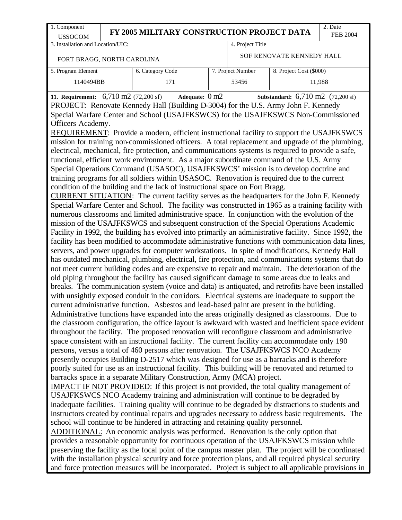| 1. Component<br><b>USSOCOM</b>                                                                                                                                                                                                                                                                          | FY 2005 MILITARY CONSTRUCTION PROJECT DATA |                  |  |  |                           |                         |  |  |
|---------------------------------------------------------------------------------------------------------------------------------------------------------------------------------------------------------------------------------------------------------------------------------------------------------|--------------------------------------------|------------------|--|--|---------------------------|-------------------------|--|--|
| 3. Installation and Location/UIC:                                                                                                                                                                                                                                                                       |                                            |                  |  |  | 4. Project Title          |                         |  |  |
| FORT BRAGG, NORTH CAROLINA                                                                                                                                                                                                                                                                              |                                            |                  |  |  | SOF RENOVATE KENNEDY HALL |                         |  |  |
| 5. Program Element                                                                                                                                                                                                                                                                                      |                                            | 6. Category Code |  |  | 7. Project Number         | 8. Project Cost (\$000) |  |  |
| 1140494BB                                                                                                                                                                                                                                                                                               |                                            | 171              |  |  | 53456                     | 11,988                  |  |  |
| 11. Requirement: $6,710 \text{ m}$ 2 (72,200 sf)<br>Adequate: $0 \text{ m2}$<br>Substandard: $6,710 \text{ m2}$ (72,200 sf)<br>PROJECT: Renovate Kennedy Hall (Building D-3004) for the U.S. Army John F. Kennedy<br>Special Warfare Center and School (USAJFKSWCS) for the USAJFKSWCS Non-Commissioned |                                            |                  |  |  |                           |                         |  |  |

Officers Academy.

REQUIREMENT: Provide a modern, efficient instructional facility to support the USAJFKSWCS mission for training non-commissioned officers. A total replacement and upgrade of the plumbing, electrical, mechanical, fire protection, and communications systems is required to provide a safe, functional, efficient work environment. As a major subordinate command of the U.S. Army Special Operations Command (USASOC), USAJFKSWCS' mission is to develop doctrine and training programs for all soldiers within USASOC. Renovation is required due to the current condition of the building and the lack of instructional space on Fort Bragg.

CURRENT SITUATION: The current facility serves as the headquarters for the John F. Kennedy Special Warfare Center and School. The facility was constructed in 1965 as a training facility with numerous classrooms and limited administrative space. In conjunction with the evolution of the mission of the USAJFKSWCS and subsequent construction of the Special Operations Academic Facility in 1992, the building ha s evolved into primarily an administrative facility. Since 1992, the facility has been modified to accommodate administrative functions with communication data lines, servers, and power upgrades for computer workstations. In spite of modifications, Kennedy Hall has outdated mechanical, plumbing, electrical, fire protection, and communications systems that do not meet current building codes and are expensive to repair and maintain. The deterioration of the old piping throughout the facility has caused significant damage to some areas due to leaks and breaks. The communication system (voice and data) is antiquated, and retrofits have been installed with unsightly exposed conduit in the corridors. Electrical systems are inadequate to support the current administrative function. Asbestos and lead-based paint are present in the building. Administrative functions have expanded into the areas originally designed as classrooms. Due to the classroom configuration, the office layout is awkward with wasted and inefficient space evident throughout the facility. The proposed renovation will reconfigure classroom and administrative space consistent with an instructional facility. The current facility can accommodate only 190 persons, versus a total of 460 persons after renovation. The USAJFKSWCS NCO Academy presently occupies Building D-2517 which was designed for use as a barracks and is therefore poorly suited for use as an instructional facility. This building will be renovated and returned to barracks space in a separate Military Construction, Army (MCA) project.

IMPACT IF NOT PROVIDED: If this project is not provided, the total quality management of USAJFKSWCS NCO Academy training and administration will continue to be degraded by inadequate facilities. Training quality will continue to be degraded by distractions to students and instructors created by continual repairs and upgrades necessary to address basic requirements. The school will continue to be hindered in attracting and retaining quality personnel.

ADDITIONAL: An economic analysis was performed. Renovation is the only option that provides a reasonable opportunity for continuous operation of the USAJFKSWCS mission while preserving the facility as the focal point of the campus master plan. The project will be coordinated with the installation physical security and force protection plans, and all required physical security and force protection measures will be incorporated. Project is subject to all applicable provisions in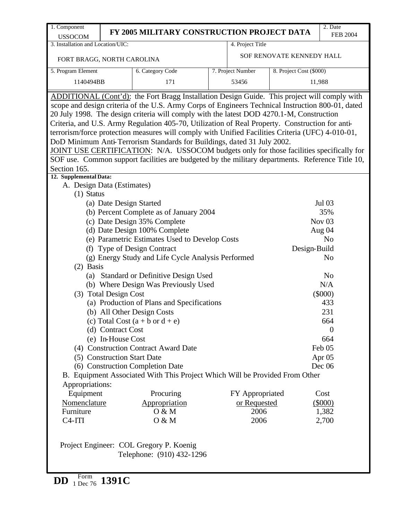| 1. Component                                                                             | 2. Date<br>FY 2005 MILITARY CONSTRUCTION PROJECT DATA                                             |  |                   |                           |                 |  |  |  |  |
|------------------------------------------------------------------------------------------|---------------------------------------------------------------------------------------------------|--|-------------------|---------------------------|-----------------|--|--|--|--|
| <b>USSOCOM</b>                                                                           |                                                                                                   |  |                   |                           | <b>FEB 2004</b> |  |  |  |  |
| 3. Installation and Location/UIC:                                                        |                                                                                                   |  | 4. Project Title  |                           |                 |  |  |  |  |
| FORT BRAGG, NORTH CAROLINA                                                               |                                                                                                   |  |                   | SOF RENOVATE KENNEDY HALL |                 |  |  |  |  |
| 5. Program Element                                                                       | 6. Category Code                                                                                  |  | 7. Project Number | 8. Project Cost (\$000)   |                 |  |  |  |  |
| 1140494BB                                                                                | 171                                                                                               |  | 53456             |                           | 11,988          |  |  |  |  |
|                                                                                          | ADDITIONAL (Cont'd): the Fort Bragg Installation Design Guide. This project will comply with      |  |                   |                           |                 |  |  |  |  |
|                                                                                          | scope and design criteria of the U.S. Army Corps of Engineers Technical Instruction 800-01, dated |  |                   |                           |                 |  |  |  |  |
|                                                                                          | 20 July 1998. The design criteria will comply with the latest DOD 4270.1-M, Construction          |  |                   |                           |                 |  |  |  |  |
|                                                                                          | Criteria, and U.S. Army Regulation 405-70, Utilization of Real Property. Construction for anti-   |  |                   |                           |                 |  |  |  |  |
|                                                                                          | terrorism/force protection measures will comply with Unified Facilities Criteria (UFC) 4-010-01,  |  |                   |                           |                 |  |  |  |  |
|                                                                                          | DoD Minimum Anti-Terrorism Standards for Buildings, dated 31 July 2002.                           |  |                   |                           |                 |  |  |  |  |
| JOINT USE CERTIFICATION: N/A. USSOCOM budgets only for those facilities specifically for |                                                                                                   |  |                   |                           |                 |  |  |  |  |
|                                                                                          | SOF use. Common support facilities are budgeted by the military departments. Reference Title 10,  |  |                   |                           |                 |  |  |  |  |
| Section 165.                                                                             |                                                                                                   |  |                   |                           |                 |  |  |  |  |
| 12. Supplemental Data:                                                                   |                                                                                                   |  |                   |                           |                 |  |  |  |  |
| A. Design Data (Estimates)                                                               |                                                                                                   |  |                   |                           |                 |  |  |  |  |
| $(1)$ Status                                                                             |                                                                                                   |  |                   |                           |                 |  |  |  |  |
| (a) Date Design Started                                                                  |                                                                                                   |  |                   |                           | Jul 03          |  |  |  |  |
|                                                                                          | (b) Percent Complete as of January 2004                                                           |  |                   |                           | 35%             |  |  |  |  |
|                                                                                          | (c) Date Design 35% Complete                                                                      |  |                   |                           | Nov $03$        |  |  |  |  |
|                                                                                          | (d) Date Design 100% Complete                                                                     |  |                   |                           | Aug 04          |  |  |  |  |
|                                                                                          | (e) Parametric Estimates Used to Develop Costs                                                    |  |                   |                           | N <sub>o</sub>  |  |  |  |  |
|                                                                                          | (f) Type of Design Contract                                                                       |  |                   | Design-Build              |                 |  |  |  |  |
| $(2)$ Basis                                                                              | (g) Energy Study and Life Cycle Analysis Performed                                                |  |                   |                           | N <sub>0</sub>  |  |  |  |  |
|                                                                                          | (a) Standard or Definitive Design Used                                                            |  |                   |                           | N <sub>o</sub>  |  |  |  |  |
|                                                                                          | (b) Where Design Was Previously Used                                                              |  |                   |                           | N/A             |  |  |  |  |
| (3) Total Design Cost                                                                    |                                                                                                   |  |                   |                           | $(\$000)$       |  |  |  |  |
|                                                                                          | (a) Production of Plans and Specifications                                                        |  |                   |                           | 433             |  |  |  |  |
|                                                                                          | (b) All Other Design Costs                                                                        |  |                   |                           | 231             |  |  |  |  |
|                                                                                          | (c) Total Cost $(a + b \text{ or } d + e)$                                                        |  |                   |                           | 664             |  |  |  |  |
| (d) Contract Cost                                                                        |                                                                                                   |  |                   |                           | $\theta$        |  |  |  |  |
| (e) In-House Cost                                                                        |                                                                                                   |  |                   |                           | 664             |  |  |  |  |
|                                                                                          | (4) Construction Contract Award Date                                                              |  |                   |                           | Feb 05          |  |  |  |  |
| (5) Construction Start Date                                                              |                                                                                                   |  |                   |                           | Apr 05          |  |  |  |  |
|                                                                                          | (6) Construction Completion Date                                                                  |  |                   |                           | Dec $06$        |  |  |  |  |
|                                                                                          | B. Equipment Associated With This Project Which Will be Provided From Other                       |  |                   |                           |                 |  |  |  |  |
| Appropriations:                                                                          |                                                                                                   |  |                   |                           |                 |  |  |  |  |
| Equipment                                                                                | Procuring                                                                                         |  | FY Appropriated   |                           | Cost            |  |  |  |  |
| Nomenclature                                                                             | Appropriation                                                                                     |  | or Requested      |                           | $(\$000)$       |  |  |  |  |
| Furniture                                                                                | 0 & M                                                                                             |  | 2006              |                           | 1,382           |  |  |  |  |
| $C4-ITI$                                                                                 | O & M                                                                                             |  | 2006              |                           | 2,700           |  |  |  |  |
|                                                                                          |                                                                                                   |  |                   |                           |                 |  |  |  |  |
|                                                                                          |                                                                                                   |  |                   |                           |                 |  |  |  |  |
|                                                                                          | Project Engineer: COL Gregory P. Koenig                                                           |  |                   |                           |                 |  |  |  |  |
|                                                                                          | Telephone: (910) 432-1296                                                                         |  |                   |                           |                 |  |  |  |  |
|                                                                                          |                                                                                                   |  |                   |                           |                 |  |  |  |  |

**DD** Form 1 Dec 76 **1391C**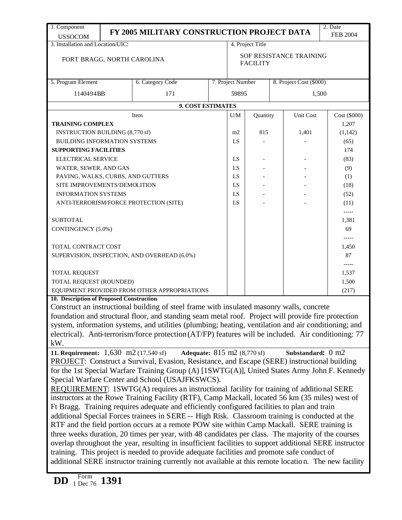| 1. Component                             |                                                                                                                                                                                                               | FY 2005 MILITARY CONSTRUCTION PROJECT DATA                                                             |                   |                                            |  |                         | 2. Date         |  |  |
|------------------------------------------|---------------------------------------------------------------------------------------------------------------------------------------------------------------------------------------------------------------|--------------------------------------------------------------------------------------------------------|-------------------|--------------------------------------------|--|-------------------------|-----------------|--|--|
| <b>USSOCOM</b>                           |                                                                                                                                                                                                               |                                                                                                        |                   |                                            |  |                         | <b>FEB 2004</b> |  |  |
| 3. Installation and Location/UIC:        |                                                                                                                                                                                                               |                                                                                                        |                   | 4. Project Title                           |  |                         |                 |  |  |
| FORT BRAGG, NORTH CAROLINA               |                                                                                                                                                                                                               |                                                                                                        |                   | SOF RESISTANCE TRAINING<br><b>FACILITY</b> |  |                         |                 |  |  |
| 5. Program Element                       |                                                                                                                                                                                                               | 6. Category Code                                                                                       | 7. Project Number |                                            |  | 8. Project Cost (\$000) |                 |  |  |
| 1140494BB                                |                                                                                                                                                                                                               | 171                                                                                                    | 59895             |                                            |  | 1,500                   |                 |  |  |
|                                          |                                                                                                                                                                                                               | 9. COST ESTIMATES                                                                                      |                   |                                            |  |                         |                 |  |  |
|                                          |                                                                                                                                                                                                               | Item                                                                                                   | U/M               | Quantity                                   |  | Unit Cost               | Cost (\$000)    |  |  |
| <b>TRAINING COMPLEX</b>                  |                                                                                                                                                                                                               |                                                                                                        |                   |                                            |  |                         | 1,207           |  |  |
| <b>INSTRUCTION BUILDING (8,770 sf)</b>   |                                                                                                                                                                                                               |                                                                                                        | m2                | 815                                        |  | 1,401                   | (1, 142)        |  |  |
|                                          | <b>BUILDING INFORMATION SYSTEMS</b>                                                                                                                                                                           |                                                                                                        |                   |                                            |  |                         | (65)            |  |  |
| <b>SUPPORTING FACILITIES</b>             |                                                                                                                                                                                                               |                                                                                                        |                   |                                            |  |                         | 174             |  |  |
| ELECTRICAL SERVICE                       |                                                                                                                                                                                                               |                                                                                                        | LS                |                                            |  |                         | (83)            |  |  |
| WATER, SEWER, AND GAS                    |                                                                                                                                                                                                               |                                                                                                        | LS                |                                            |  |                         | (9)             |  |  |
| PAVING, WALKS, CURBS, AND GUTTERS        |                                                                                                                                                                                                               |                                                                                                        | LS                |                                            |  |                         | (1)             |  |  |
| SITE IMPROVEMENTS/DEMOLITION             |                                                                                                                                                                                                               |                                                                                                        | LS                |                                            |  |                         | (18)            |  |  |
| <b>INFORMATION SYSTEMS</b>               |                                                                                                                                                                                                               |                                                                                                        | LS                |                                            |  |                         | (52)            |  |  |
|                                          |                                                                                                                                                                                                               | ANTI-TERRORISM/FORCE PROTECTION (SITE)                                                                 | LS                |                                            |  |                         | (11)            |  |  |
|                                          |                                                                                                                                                                                                               |                                                                                                        |                   |                                            |  |                         | -----           |  |  |
| <b>SUBTOTAL</b>                          |                                                                                                                                                                                                               |                                                                                                        |                   |                                            |  |                         | 1,381           |  |  |
| CONTINGENCY (5.0%)                       |                                                                                                                                                                                                               |                                                                                                        |                   |                                            |  |                         | 69              |  |  |
|                                          |                                                                                                                                                                                                               |                                                                                                        |                   |                                            |  |                         | -----           |  |  |
| TOTAL CONTRACT COST                      |                                                                                                                                                                                                               |                                                                                                        |                   |                                            |  |                         | 1,450           |  |  |
|                                          |                                                                                                                                                                                                               | SUPERVISION, INSPECTION, AND OVERHEAD (6.0%)                                                           |                   |                                            |  |                         | 87              |  |  |
|                                          |                                                                                                                                                                                                               |                                                                                                        |                   |                                            |  |                         | $-----$         |  |  |
| <b>TOTAL REQUEST</b>                     |                                                                                                                                                                                                               |                                                                                                        |                   |                                            |  |                         | 1,537           |  |  |
| TOTAL REQUEST (ROUNDED)                  |                                                                                                                                                                                                               |                                                                                                        |                   |                                            |  |                         | 1,500           |  |  |
|                                          |                                                                                                                                                                                                               | EQUIPMENT PROVIDED FROM OTHER APPROPRIATIONS                                                           |                   |                                            |  |                         | (217)           |  |  |
| 10. Description of Proposed Construction |                                                                                                                                                                                                               |                                                                                                        |                   |                                            |  |                         |                 |  |  |
|                                          |                                                                                                                                                                                                               | Construct an instructional building of steel frame with insulated masonry walls, concrete              |                   |                                            |  |                         |                 |  |  |
|                                          |                                                                                                                                                                                                               | foundation and structural floor, and standing seam metal roof. Project will provide fire protection    |                   |                                            |  |                         |                 |  |  |
|                                          |                                                                                                                                                                                                               | system, information systems, and utilities (plumbing; heating, ventilation and air conditioning; and   |                   |                                            |  |                         |                 |  |  |
|                                          |                                                                                                                                                                                                               | electrical). Anti-terrorism/force protection $(AT/FP)$ features will be included. Air conditioning: 77 |                   |                                            |  |                         |                 |  |  |
| kW.                                      |                                                                                                                                                                                                               |                                                                                                        |                   |                                            |  |                         |                 |  |  |
|                                          |                                                                                                                                                                                                               | 11. Requirement: 1,630 m2 (17,540 sf) Adequate: 815 m2 (8,770 sf)                                      |                   |                                            |  | Substandard: 0 m2       |                 |  |  |
|                                          |                                                                                                                                                                                                               | <b>PROJECT:</b> Construct a Survival, Evasion, Resistance, and Escape (SERE) instructional building    |                   |                                            |  |                         |                 |  |  |
|                                          |                                                                                                                                                                                                               | for the 1st Special Warfare Training Group (A) [1SWTG(A)], United States Army John F. Kennedy          |                   |                                            |  |                         |                 |  |  |
|                                          |                                                                                                                                                                                                               | Special Warfare Center and School (USAJFKSWCS).                                                        |                   |                                            |  |                         |                 |  |  |
|                                          |                                                                                                                                                                                                               | REQUIREMENT: 1SWTG(A) requires an instructional facility for training of additional SERE               |                   |                                            |  |                         |                 |  |  |
|                                          |                                                                                                                                                                                                               | instructors at the Rowe Training Facility (RTF), Camp Mackall, located 56 km (35 miles) west of        |                   |                                            |  |                         |                 |  |  |
|                                          |                                                                                                                                                                                                               | Ft Bragg. Training requires adequate and efficiently configured facilities to plan and train           |                   |                                            |  |                         |                 |  |  |
|                                          |                                                                                                                                                                                                               |                                                                                                        |                   |                                            |  |                         |                 |  |  |
|                                          | additional Special Forces trainees in SERE -- High Risk. Classroom training is conducted at the<br>RTF and the field portion occurs at a remote POW site within Camp Mackall. SERE training is                |                                                                                                        |                   |                                            |  |                         |                 |  |  |
|                                          |                                                                                                                                                                                                               |                                                                                                        |                   |                                            |  |                         |                 |  |  |
|                                          | three weeks duration, 20 times per year, with 48 candidates per class. The majority of the courses<br>overlap throughout the year, resulting in insufficient facilities to support additional SERE instructor |                                                                                                        |                   |                                            |  |                         |                 |  |  |
|                                          |                                                                                                                                                                                                               | training. This project is needed to provide adequate facilities and promote safe conduct of            |                   |                                            |  |                         |                 |  |  |
|                                          |                                                                                                                                                                                                               |                                                                                                        |                   |                                            |  |                         |                 |  |  |
|                                          | additional SERE instructor training currently not available at this remote location. The new facility                                                                                                         |                                                                                                        |                   |                                            |  |                         |                 |  |  |
| Form                                     |                                                                                                                                                                                                               |                                                                                                        |                   |                                            |  |                         |                 |  |  |
| <b>DD</b><br>$1\,\mathrm{Dec}\,76$ 1391  |                                                                                                                                                                                                               |                                                                                                        |                   |                                            |  |                         |                 |  |  |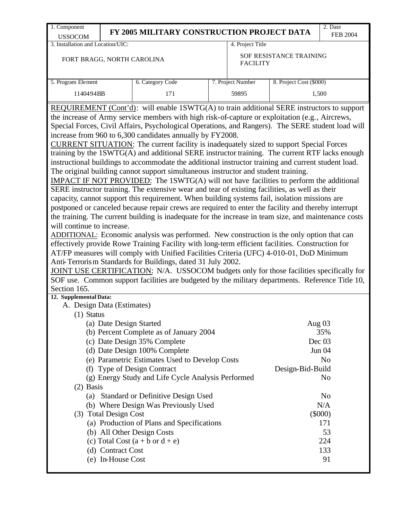| 1. Component                                                                                                                                                                                                                                                                                                                                                                                                                                                                                                                                                                                                                                                                                                                                                                                                                                                                                                                                                                                                                                                                                                                                                                                                                                                                                                                                                                                                                                                                                                                                                                                                                                                                                                                                                                                                                                                                     |                                    | FY 2005 MILITARY CONSTRUCTION PROJECT DATA         |  |                   |                         | 2. Date         |  |  |  |  |
|----------------------------------------------------------------------------------------------------------------------------------------------------------------------------------------------------------------------------------------------------------------------------------------------------------------------------------------------------------------------------------------------------------------------------------------------------------------------------------------------------------------------------------------------------------------------------------------------------------------------------------------------------------------------------------------------------------------------------------------------------------------------------------------------------------------------------------------------------------------------------------------------------------------------------------------------------------------------------------------------------------------------------------------------------------------------------------------------------------------------------------------------------------------------------------------------------------------------------------------------------------------------------------------------------------------------------------------------------------------------------------------------------------------------------------------------------------------------------------------------------------------------------------------------------------------------------------------------------------------------------------------------------------------------------------------------------------------------------------------------------------------------------------------------------------------------------------------------------------------------------------|------------------------------------|----------------------------------------------------|--|-------------------|-------------------------|-----------------|--|--|--|--|
| <b>USSOCOM</b>                                                                                                                                                                                                                                                                                                                                                                                                                                                                                                                                                                                                                                                                                                                                                                                                                                                                                                                                                                                                                                                                                                                                                                                                                                                                                                                                                                                                                                                                                                                                                                                                                                                                                                                                                                                                                                                                   |                                    |                                                    |  |                   |                         | <b>FEB 2004</b> |  |  |  |  |
| 3. Installation and Location/UIC:                                                                                                                                                                                                                                                                                                                                                                                                                                                                                                                                                                                                                                                                                                                                                                                                                                                                                                                                                                                                                                                                                                                                                                                                                                                                                                                                                                                                                                                                                                                                                                                                                                                                                                                                                                                                                                                |                                    |                                                    |  | 4. Project Title  |                         |                 |  |  |  |  |
| FORT BRAGG, NORTH CAROLINA                                                                                                                                                                                                                                                                                                                                                                                                                                                                                                                                                                                                                                                                                                                                                                                                                                                                                                                                                                                                                                                                                                                                                                                                                                                                                                                                                                                                                                                                                                                                                                                                                                                                                                                                                                                                                                                       |                                    |                                                    |  | <b>FACILITY</b>   | SOF RESISTANCE TRAINING |                 |  |  |  |  |
| 5. Program Element                                                                                                                                                                                                                                                                                                                                                                                                                                                                                                                                                                                                                                                                                                                                                                                                                                                                                                                                                                                                                                                                                                                                                                                                                                                                                                                                                                                                                                                                                                                                                                                                                                                                                                                                                                                                                                                               |                                    | 6. Category Code                                   |  | 7. Project Number | 8. Project Cost (\$000) |                 |  |  |  |  |
| 1140494BB                                                                                                                                                                                                                                                                                                                                                                                                                                                                                                                                                                                                                                                                                                                                                                                                                                                                                                                                                                                                                                                                                                                                                                                                                                                                                                                                                                                                                                                                                                                                                                                                                                                                                                                                                                                                                                                                        |                                    | 171                                                |  | 59895             |                         | 1,500           |  |  |  |  |
|                                                                                                                                                                                                                                                                                                                                                                                                                                                                                                                                                                                                                                                                                                                                                                                                                                                                                                                                                                                                                                                                                                                                                                                                                                                                                                                                                                                                                                                                                                                                                                                                                                                                                                                                                                                                                                                                                  |                                    |                                                    |  |                   |                         |                 |  |  |  |  |
| REQUIREMENT (Cont'd): will enable 1SWTG(A) to train additional SERE instructors to support<br>the increase of Army service members with high risk-of-capture or exploitation (e.g., Aircrews,<br>Special Forces, Civil Affairs, Psychological Operations, and Rangers). The SERE student load will<br>increase from 960 to 6,300 candidates annually by FY2008.<br>CURRENT SITUATION: The current facility is inadequately sized to support Special Forces<br>training by the 1SWTG(A) and additional SERE instructor training. The current RTF lacks enough<br>instructional buildings to accommodate the additional instructor training and current student load.<br>The original building cannot support simultaneous instructor and student training.<br>IMPACT IF NOT PROVIDED: The 1SWTG(A) will not have facilities to perform the additional<br>SERE instructor training. The extensive wear and tear of existing facilities, as well as their<br>capacity, cannot support this requirement. When building systems fail, isolation missions are<br>postponed or canceled because repair crews are required to enter the facility and thereby interrupt<br>the training. The current building is inadequate for the increase in team size, and maintenance costs<br>will continue to increase.<br>ADDITIONAL: Economic analysis was performed. New construction is the only option that can<br>effectively provide Rowe Training Facility with long-term efficient facilities. Construction for<br>AT/FP measures will comply with Unified Facilities Criteria (UFC) 4-010-01, DoD Minimum<br>Anti-Terrorism Standards for Buildings, dated 31 July 2002.<br>JOINT USE CERTIFICATION: N/A. USSOCOM budgets only for those facilities specifically for<br>SOF use. Common support facilities are budgeted by the military departments. Reference Title 10,<br>Section 165. |                                    |                                                    |  |                   |                         |                 |  |  |  |  |
| 12. Supplemental Data:<br>A. Design Data (Estimates)                                                                                                                                                                                                                                                                                                                                                                                                                                                                                                                                                                                                                                                                                                                                                                                                                                                                                                                                                                                                                                                                                                                                                                                                                                                                                                                                                                                                                                                                                                                                                                                                                                                                                                                                                                                                                             |                                    |                                                    |  |                   |                         |                 |  |  |  |  |
| $(1)$ Status                                                                                                                                                                                                                                                                                                                                                                                                                                                                                                                                                                                                                                                                                                                                                                                                                                                                                                                                                                                                                                                                                                                                                                                                                                                                                                                                                                                                                                                                                                                                                                                                                                                                                                                                                                                                                                                                     |                                    |                                                    |  |                   |                         |                 |  |  |  |  |
|                                                                                                                                                                                                                                                                                                                                                                                                                                                                                                                                                                                                                                                                                                                                                                                                                                                                                                                                                                                                                                                                                                                                                                                                                                                                                                                                                                                                                                                                                                                                                                                                                                                                                                                                                                                                                                                                                  | (a) Date Design Started            |                                                    |  |                   |                         | Aug $03$        |  |  |  |  |
|                                                                                                                                                                                                                                                                                                                                                                                                                                                                                                                                                                                                                                                                                                                                                                                                                                                                                                                                                                                                                                                                                                                                                                                                                                                                                                                                                                                                                                                                                                                                                                                                                                                                                                                                                                                                                                                                                  |                                    | (b) Percent Complete as of January 2004            |  |                   |                         | 35%             |  |  |  |  |
|                                                                                                                                                                                                                                                                                                                                                                                                                                                                                                                                                                                                                                                                                                                                                                                                                                                                                                                                                                                                                                                                                                                                                                                                                                                                                                                                                                                                                                                                                                                                                                                                                                                                                                                                                                                                                                                                                  |                                    | (c) Date Design 35% Complete                       |  |                   |                         | Dec $03$        |  |  |  |  |
|                                                                                                                                                                                                                                                                                                                                                                                                                                                                                                                                                                                                                                                                                                                                                                                                                                                                                                                                                                                                                                                                                                                                                                                                                                                                                                                                                                                                                                                                                                                                                                                                                                                                                                                                                                                                                                                                                  |                                    | (d) Date Design 100% Complete                      |  |                   |                         | <b>Jun 04</b>   |  |  |  |  |
|                                                                                                                                                                                                                                                                                                                                                                                                                                                                                                                                                                                                                                                                                                                                                                                                                                                                                                                                                                                                                                                                                                                                                                                                                                                                                                                                                                                                                                                                                                                                                                                                                                                                                                                                                                                                                                                                                  |                                    | (e) Parametric Estimates Used to Develop Costs     |  |                   |                         | No              |  |  |  |  |
| (f)                                                                                                                                                                                                                                                                                                                                                                                                                                                                                                                                                                                                                                                                                                                                                                                                                                                                                                                                                                                                                                                                                                                                                                                                                                                                                                                                                                                                                                                                                                                                                                                                                                                                                                                                                                                                                                                                              |                                    | <b>Type of Design Contract</b>                     |  |                   | Design-Bid-Build        |                 |  |  |  |  |
|                                                                                                                                                                                                                                                                                                                                                                                                                                                                                                                                                                                                                                                                                                                                                                                                                                                                                                                                                                                                                                                                                                                                                                                                                                                                                                                                                                                                                                                                                                                                                                                                                                                                                                                                                                                                                                                                                  |                                    | (g) Energy Study and Life Cycle Analysis Performed |  |                   |                         | No              |  |  |  |  |
| $(2)$ Basis                                                                                                                                                                                                                                                                                                                                                                                                                                                                                                                                                                                                                                                                                                                                                                                                                                                                                                                                                                                                                                                                                                                                                                                                                                                                                                                                                                                                                                                                                                                                                                                                                                                                                                                                                                                                                                                                      |                                    |                                                    |  |                   |                         |                 |  |  |  |  |
| (a)                                                                                                                                                                                                                                                                                                                                                                                                                                                                                                                                                                                                                                                                                                                                                                                                                                                                                                                                                                                                                                                                                                                                                                                                                                                                                                                                                                                                                                                                                                                                                                                                                                                                                                                                                                                                                                                                              |                                    | <b>Standard or Definitive Design Used</b>          |  |                   |                         | N <sub>o</sub>  |  |  |  |  |
| N/A<br>(b) Where Design Was Previously Used                                                                                                                                                                                                                                                                                                                                                                                                                                                                                                                                                                                                                                                                                                                                                                                                                                                                                                                                                                                                                                                                                                                                                                                                                                                                                                                                                                                                                                                                                                                                                                                                                                                                                                                                                                                                                                      |                                    |                                                    |  |                   |                         |                 |  |  |  |  |
|                                                                                                                                                                                                                                                                                                                                                                                                                                                                                                                                                                                                                                                                                                                                                                                                                                                                                                                                                                                                                                                                                                                                                                                                                                                                                                                                                                                                                                                                                                                                                                                                                                                                                                                                                                                                                                                                                  | $(\$000)$<br>(3) Total Design Cost |                                                    |  |                   |                         |                 |  |  |  |  |
| (a) Production of Plans and Specifications<br>171                                                                                                                                                                                                                                                                                                                                                                                                                                                                                                                                                                                                                                                                                                                                                                                                                                                                                                                                                                                                                                                                                                                                                                                                                                                                                                                                                                                                                                                                                                                                                                                                                                                                                                                                                                                                                                |                                    |                                                    |  |                   |                         |                 |  |  |  |  |
|                                                                                                                                                                                                                                                                                                                                                                                                                                                                                                                                                                                                                                                                                                                                                                                                                                                                                                                                                                                                                                                                                                                                                                                                                                                                                                                                                                                                                                                                                                                                                                                                                                                                                                                                                                                                                                                                                  | 53<br>(b) All Other Design Costs   |                                                    |  |                   |                         |                 |  |  |  |  |
|                                                                                                                                                                                                                                                                                                                                                                                                                                                                                                                                                                                                                                                                                                                                                                                                                                                                                                                                                                                                                                                                                                                                                                                                                                                                                                                                                                                                                                                                                                                                                                                                                                                                                                                                                                                                                                                                                  |                                    | (c) Total Cost $(a + b \text{ or } d + e)$         |  |                   |                         | 224             |  |  |  |  |
|                                                                                                                                                                                                                                                                                                                                                                                                                                                                                                                                                                                                                                                                                                                                                                                                                                                                                                                                                                                                                                                                                                                                                                                                                                                                                                                                                                                                                                                                                                                                                                                                                                                                                                                                                                                                                                                                                  | (d) Contract Cost                  |                                                    |  |                   |                         | 133             |  |  |  |  |
|                                                                                                                                                                                                                                                                                                                                                                                                                                                                                                                                                                                                                                                                                                                                                                                                                                                                                                                                                                                                                                                                                                                                                                                                                                                                                                                                                                                                                                                                                                                                                                                                                                                                                                                                                                                                                                                                                  | (e) In-House Cost                  |                                                    |  |                   |                         | 91              |  |  |  |  |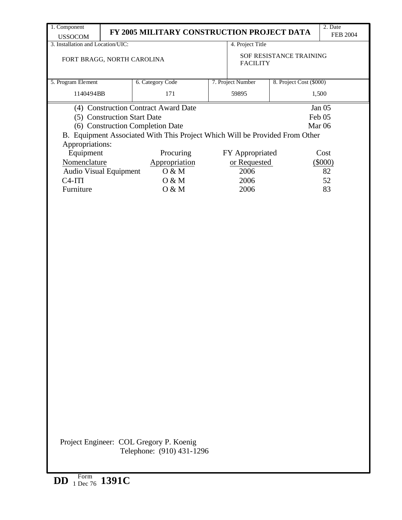| 1. Component                                                                                   |  |                                                                      |                                            |                   |                         | 2. Date           |  |  |
|------------------------------------------------------------------------------------------------|--|----------------------------------------------------------------------|--------------------------------------------|-------------------|-------------------------|-------------------|--|--|
| <b>USSOCOM</b>                                                                                 |  | FY 2005 MILITARY CONSTRUCTION PROJECT DATA                           |                                            |                   |                         | <b>FEB 2004</b>   |  |  |
| 3. Installation and Location/UIC:                                                              |  |                                                                      |                                            | 4. Project Title  |                         |                   |  |  |
| FORT BRAGG, NORTH CAROLINA                                                                     |  |                                                                      | SOF RESISTANCE TRAINING<br><b>FACILITY</b> |                   |                         |                   |  |  |
| 5. Program Element                                                                             |  | 6. Category Code                                                     |                                            | 7. Project Number | 8. Project Cost (\$000) |                   |  |  |
| 1140494BB                                                                                      |  | 171                                                                  |                                            | 59895             |                         | 1,500             |  |  |
|                                                                                                |  |                                                                      |                                            |                   |                         |                   |  |  |
|                                                                                                |  | (4) Construction Contract Award Date                                 |                                            |                   |                         | Jan 05            |  |  |
| (5) Construction Start Date                                                                    |  |                                                                      |                                            |                   |                         | Feb 05            |  |  |
|                                                                                                |  | (6) Construction Completion Date                                     |                                            |                   |                         | Mar <sub>06</sub> |  |  |
| B. Equipment Associated With This Project Which Will be Provided From Other<br>Appropriations: |  |                                                                      |                                            |                   |                         |                   |  |  |
| Equipment                                                                                      |  | Procuring                                                            |                                            | FY Appropriated   |                         | Cost              |  |  |
| Nomenclature                                                                                   |  | Appropriation                                                        |                                            | or Requested      |                         | (5000)            |  |  |
| Audio Visual Equipment                                                                         |  | O & M                                                                |                                            | 2006              |                         | 82                |  |  |
| $C4-ITI$                                                                                       |  | O & M                                                                |                                            | 2006              |                         | 52                |  |  |
| Furniture                                                                                      |  | O & M                                                                |                                            | 2006              |                         | 83                |  |  |
|                                                                                                |  |                                                                      |                                            |                   |                         |                   |  |  |
|                                                                                                |  |                                                                      |                                            |                   |                         |                   |  |  |
|                                                                                                |  | Project Engineer: COL Gregory P. Koenig<br>Telephone: (910) 431-1296 |                                            |                   |                         |                   |  |  |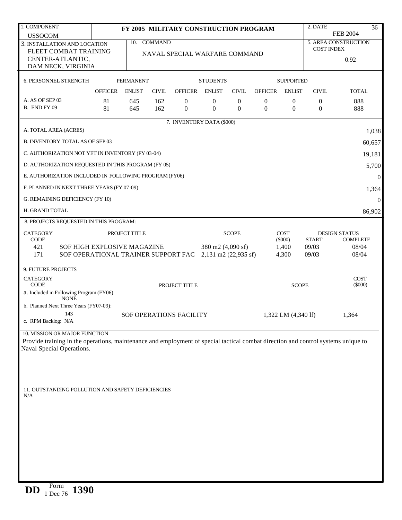| 1. COMPONENT                                                                                                                                                   | FY 2005 MILITARY CONSTRUCTION PROGRAM                  |                  |              |                  |                      |                  |                |                     | 2. DATE                                   | 36                   |
|----------------------------------------------------------------------------------------------------------------------------------------------------------------|--------------------------------------------------------|------------------|--------------|------------------|----------------------|------------------|----------------|---------------------|-------------------------------------------|----------------------|
| <b>USSOCOM</b>                                                                                                                                                 |                                                        |                  |              |                  |                      |                  |                |                     |                                           | <b>FEB 2004</b>      |
| 3. INSTALLATION AND LOCATION                                                                                                                                   | 10. COMMAND                                            |                  |              |                  |                      |                  |                |                     | 5. AREA CONSTRUCTION<br><b>COST INDEX</b> |                      |
|                                                                                                                                                                | FLEET COMBAT TRAINING<br>NAVAL SPECIAL WARFARE COMMAND |                  |              |                  |                      |                  |                |                     |                                           |                      |
| CENTER-ATLANTIC,                                                                                                                                               | DAM NECK, VIRGINIA                                     |                  |              |                  |                      |                  |                |                     |                                           | 0.92                 |
|                                                                                                                                                                |                                                        |                  |              |                  |                      |                  |                |                     |                                           |                      |
| 6. PERSONNEL STRENGTH                                                                                                                                          |                                                        | <b>PERMANENT</b> |              |                  | <b>STUDENTS</b>      |                  |                | <b>SUPPORTED</b>    |                                           |                      |
|                                                                                                                                                                | <b>OFFICER</b>                                         | <b>ENLIST</b>    | <b>CIVIL</b> | <b>OFFICER</b>   | <b>ENLIST</b>        | <b>CIVIL</b>     | <b>OFFICER</b> | <b>ENLIST</b>       | <b>CIVIL</b>                              | <b>TOTAL</b>         |
| A. AS OF SEP 03                                                                                                                                                | 81                                                     | 645              | 162          | $\boldsymbol{0}$ | $\mathbf{0}$         | $\boldsymbol{0}$ | $\mathbf{0}$   | $\boldsymbol{0}$    | $\boldsymbol{0}$                          | 888                  |
| B. END FY 09                                                                                                                                                   | 81                                                     | 645              | 162          | $\boldsymbol{0}$ | $\mathbf{0}$         | $\overline{0}$   | $\mathbf{0}$   | $\mathbf{0}$        | $\overline{0}$                            | 888                  |
| 7. INVENTORY DATA (\$000)                                                                                                                                      |                                                        |                  |              |                  |                      |                  |                |                     |                                           |                      |
| A. TOTAL AREA (ACRES)<br>1,038                                                                                                                                 |                                                        |                  |              |                  |                      |                  |                |                     |                                           |                      |
| <b>B. INVENTORY TOTAL AS OF SEP 03</b>                                                                                                                         |                                                        |                  |              |                  |                      |                  |                |                     |                                           | 60,657               |
|                                                                                                                                                                |                                                        |                  |              |                  |                      |                  |                |                     |                                           |                      |
| C. AUTHORIZATION NOT YET IN INVENTORY (FY 03-04)                                                                                                               |                                                        |                  |              |                  |                      |                  |                |                     |                                           | 19,181               |
| D. AUTHORIZATION REQUESTED IN THIS PROGRAM (FY 05)                                                                                                             |                                                        |                  |              |                  |                      |                  |                |                     |                                           | 5,700                |
| E. AUTHORIZATION INCLUDED IN FOLLOWING PROGRAM (FY06)                                                                                                          |                                                        |                  |              |                  |                      |                  |                |                     |                                           | $\overline{0}$       |
| F. PLANNED IN NEXT THREE YEARS (FY 07-09)                                                                                                                      |                                                        |                  |              |                  |                      |                  |                |                     |                                           | 1,364                |
| G. REMAINING DEFICIENCY (FY 10)                                                                                                                                |                                                        |                  |              |                  |                      |                  |                |                     |                                           | $\Omega$             |
| H. GRAND TOTAL                                                                                                                                                 |                                                        |                  |              |                  |                      |                  |                |                     |                                           | 86,902               |
| 8. PROJECTS REQUESTED IN THIS PROGRAM:                                                                                                                         |                                                        |                  |              |                  |                      |                  |                |                     |                                           |                      |
| <b>CATEGORY</b><br>PROJECT TITLE<br><b>SCOPE</b>                                                                                                               |                                                        |                  |              |                  |                      |                  |                | <b>COST</b>         |                                           | <b>DESIGN STATUS</b> |
| <b>CODE</b>                                                                                                                                                    |                                                        |                  |              |                  |                      |                  |                | $(\$000)$           | <b>START</b>                              | <b>COMPLETE</b>      |
| 421<br>SOF HIGH EXPLOSIVE MAGAZINE                                                                                                                             |                                                        |                  |              |                  | 380 m2 (4,090 sf)    |                  |                | 1,400               | 09/03                                     | 08/04                |
| 171<br>SOF OPERATIONAL TRAINER SUPPORT FAC                                                                                                                     |                                                        |                  |              |                  | 2,131 m2 (22,935 sf) |                  |                | 4,300               | 09/03                                     | 08/04                |
| 9. FUTURE PROJECTS                                                                                                                                             |                                                        |                  |              |                  |                      |                  |                |                     |                                           |                      |
| <b>CATEGORY</b>                                                                                                                                                |                                                        |                  |              |                  |                      |                  |                |                     |                                           | <b>COST</b>          |
| <b>CODE</b><br>PROJECT TITLE<br>a. Included in Following Program (FY06)                                                                                        |                                                        |                  |              |                  |                      |                  |                | <b>SCOPE</b>        | $(\$000)$                                 |                      |
| <b>NONE</b>                                                                                                                                                    |                                                        |                  |              |                  |                      |                  |                |                     |                                           |                      |
| b. Planned Next Three Years (FY07-09):                                                                                                                         |                                                        |                  |              |                  |                      |                  |                |                     |                                           |                      |
| 143<br>SOF OPERATIONS FACILITY<br>c. RPM Backlog: N/A                                                                                                          |                                                        |                  |              |                  |                      |                  |                | 1,322 LM (4,340 lf) | 1,364                                     |                      |
|                                                                                                                                                                |                                                        |                  |              |                  |                      |                  |                |                     |                                           |                      |
| 10. MISSION OR MAJOR FUNCTION                                                                                                                                  |                                                        |                  |              |                  |                      |                  |                |                     |                                           |                      |
| Provide training in the operations, maintenance and employment of special tactical combat direction and control systems unique to<br>Naval Special Operations. |                                                        |                  |              |                  |                      |                  |                |                     |                                           |                      |
|                                                                                                                                                                |                                                        |                  |              |                  |                      |                  |                |                     |                                           |                      |
|                                                                                                                                                                |                                                        |                  |              |                  |                      |                  |                |                     |                                           |                      |
|                                                                                                                                                                |                                                        |                  |              |                  |                      |                  |                |                     |                                           |                      |
|                                                                                                                                                                |                                                        |                  |              |                  |                      |                  |                |                     |                                           |                      |
| 11. OUTSTANDING POLLUTION AND SAFETY DEFICIENCIES<br>N/A                                                                                                       |                                                        |                  |              |                  |                      |                  |                |                     |                                           |                      |
|                                                                                                                                                                |                                                        |                  |              |                  |                      |                  |                |                     |                                           |                      |
|                                                                                                                                                                |                                                        |                  |              |                  |                      |                  |                |                     |                                           |                      |
|                                                                                                                                                                |                                                        |                  |              |                  |                      |                  |                |                     |                                           |                      |
|                                                                                                                                                                |                                                        |                  |              |                  |                      |                  |                |                     |                                           |                      |
|                                                                                                                                                                |                                                        |                  |              |                  |                      |                  |                |                     |                                           |                      |
|                                                                                                                                                                |                                                        |                  |              |                  |                      |                  |                |                     |                                           |                      |
|                                                                                                                                                                |                                                        |                  |              |                  |                      |                  |                |                     |                                           |                      |
|                                                                                                                                                                |                                                        |                  |              |                  |                      |                  |                |                     |                                           |                      |
|                                                                                                                                                                |                                                        |                  |              |                  |                      |                  |                |                     |                                           |                      |
| Form<br>1200                                                                                                                                                   |                                                        |                  |              |                  |                      |                  |                |                     |                                           |                      |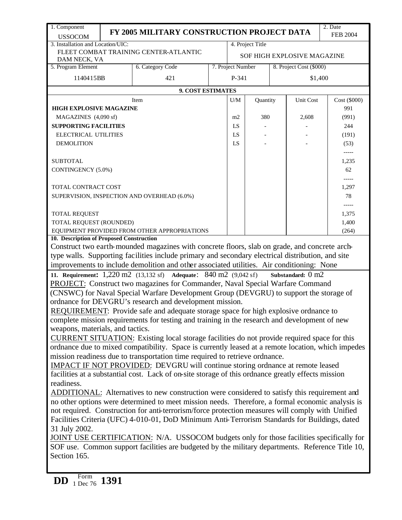| 1. Component                                                                                                     |                                                      |                                                                                                                                                                                                   |  |                   |          |           |                             | 2. Date         |  |
|------------------------------------------------------------------------------------------------------------------|------------------------------------------------------|---------------------------------------------------------------------------------------------------------------------------------------------------------------------------------------------------|--|-------------------|----------|-----------|-----------------------------|-----------------|--|
| <b>USSOCOM</b>                                                                                                   |                                                      | FY 2005 MILITARY CONSTRUCTION PROJECT DATA                                                                                                                                                        |  |                   |          |           |                             | <b>FEB 2004</b> |  |
| 3. Installation and Location/UIC:                                                                                |                                                      |                                                                                                                                                                                                   |  | 4. Project Title  |          |           |                             |                 |  |
| DAM NECK, VA                                                                                                     |                                                      | FLEET COMBAT TRAINING CENTER-ATLANTIC                                                                                                                                                             |  |                   |          |           | SOF HIGH EXPLOSIVE MAGAZINE |                 |  |
| 5. Program Element                                                                                               |                                                      | 6. Category Code                                                                                                                                                                                  |  | 7. Project Number |          |           | 8. Project Cost (\$000)     |                 |  |
| 1140415BB                                                                                                        |                                                      | 421                                                                                                                                                                                               |  | P-341             |          |           |                             | \$1,400         |  |
|                                                                                                                  |                                                      |                                                                                                                                                                                                   |  |                   |          |           |                             |                 |  |
|                                                                                                                  |                                                      | <b>9. COST ESTIMATES</b>                                                                                                                                                                          |  |                   |          |           |                             |                 |  |
|                                                                                                                  |                                                      | Item                                                                                                                                                                                              |  | U/M               | Quantity | Unit Cost |                             | Cost (\$000)    |  |
| <b>HIGH EXPLOSIVE MAGAZINE</b>                                                                                   |                                                      |                                                                                                                                                                                                   |  |                   |          |           |                             | 991             |  |
| MAGAZINES (4,090 sf)                                                                                             |                                                      |                                                                                                                                                                                                   |  | 380<br>m2<br>LS   |          |           | 2,608                       | (991)<br>244    |  |
|                                                                                                                  | <b>SUPPORTING FACILITIES</b><br>ELECTRICAL UTILITIES |                                                                                                                                                                                                   |  |                   |          |           |                             | (191)           |  |
| <b>DEMOLITION</b>                                                                                                |                                                      |                                                                                                                                                                                                   |  | LS<br>LS          |          |           |                             | (53)            |  |
|                                                                                                                  |                                                      |                                                                                                                                                                                                   |  |                   |          |           |                             |                 |  |
| <b>SUBTOTAL</b>                                                                                                  |                                                      |                                                                                                                                                                                                   |  |                   |          |           |                             | 1,235           |  |
| CONTINGENCY (5.0%)                                                                                               |                                                      |                                                                                                                                                                                                   |  |                   |          |           |                             | 62              |  |
|                                                                                                                  |                                                      |                                                                                                                                                                                                   |  |                   |          |           |                             | $-----$         |  |
| TOTAL CONTRACT COST                                                                                              |                                                      |                                                                                                                                                                                                   |  |                   |          |           |                             | 1,297           |  |
|                                                                                                                  |                                                      | SUPERVISION, INSPECTION AND OVERHEAD (6.0%)                                                                                                                                                       |  |                   |          |           |                             | 78              |  |
|                                                                                                                  |                                                      |                                                                                                                                                                                                   |  |                   |          |           |                             |                 |  |
| TOTAL REQUEST                                                                                                    |                                                      |                                                                                                                                                                                                   |  |                   |          |           |                             | 1,375           |  |
| TOTAL REQUEST (ROUNDED)                                                                                          |                                                      |                                                                                                                                                                                                   |  |                   |          |           |                             | 1,400           |  |
|                                                                                                                  |                                                      | EQUIPMENT PROVIDED FROM OTHER APPROPRIATIONS                                                                                                                                                      |  |                   |          |           |                             | (264)           |  |
| 10. Description of Proposed Construction                                                                         |                                                      |                                                                                                                                                                                                   |  |                   |          |           |                             |                 |  |
|                                                                                                                  |                                                      | Construct two earth-mounded magazines with concrete floors, slab on grade, and concrete arch-                                                                                                     |  |                   |          |           |                             |                 |  |
|                                                                                                                  |                                                      | type walls. Supporting facilities include primary and secondary electrical distribution, and site                                                                                                 |  |                   |          |           |                             |                 |  |
|                                                                                                                  |                                                      | improvements to include demolition and other associated utilities. Air conditioning: None                                                                                                         |  |                   |          |           |                             |                 |  |
|                                                                                                                  |                                                      | 11. Requirement: 1,220 m2 (13,132 sf) Adequate: 840 m2 (9,042 sf)                                                                                                                                 |  |                   |          |           | Substandard: 0 m2           |                 |  |
|                                                                                                                  |                                                      | PROJECT: Construct two magazines for Commander, Naval Special Warfare Command                                                                                                                     |  |                   |          |           |                             |                 |  |
|                                                                                                                  |                                                      | (CNSWC) for Naval Special Warfare Development Group (DEVGRU) to support the storage of                                                                                                            |  |                   |          |           |                             |                 |  |
|                                                                                                                  |                                                      | ordnance for DEVGRU's research and development mission.                                                                                                                                           |  |                   |          |           |                             |                 |  |
|                                                                                                                  |                                                      | REQUIREMENT: Provide safe and adequate storage space for high explosive ordnance to                                                                                                               |  |                   |          |           |                             |                 |  |
| weapons, materials, and tactics.                                                                                 |                                                      | complete mission requirements for testing and training in the research and development of new                                                                                                     |  |                   |          |           |                             |                 |  |
|                                                                                                                  |                                                      |                                                                                                                                                                                                   |  |                   |          |           |                             |                 |  |
|                                                                                                                  |                                                      | CURRENT SITUATION: Existing local storage facilities do not provide required space for this<br>ordnance due to mixed compatibility. Space is currently leased at a remote location, which impedes |  |                   |          |           |                             |                 |  |
|                                                                                                                  |                                                      | mission readiness due to transportation time required to retrieve ordnance.                                                                                                                       |  |                   |          |           |                             |                 |  |
|                                                                                                                  |                                                      | <b>IMPACT IF NOT PROVIDED:</b> DEVGRU will continue storing ordnance at remote leased                                                                                                             |  |                   |          |           |                             |                 |  |
|                                                                                                                  |                                                      | facilities at a substantial cost. Lack of on-site storage of this ordnance greatly effects mission                                                                                                |  |                   |          |           |                             |                 |  |
| readiness.                                                                                                       |                                                      |                                                                                                                                                                                                   |  |                   |          |           |                             |                 |  |
|                                                                                                                  |                                                      | ADDITIONAL: Alternatives to new construction were considered to satisfy this requirement and                                                                                                      |  |                   |          |           |                             |                 |  |
|                                                                                                                  |                                                      | no other options were determined to meet mission needs. Therefore, a formal economic analysis is                                                                                                  |  |                   |          |           |                             |                 |  |
|                                                                                                                  |                                                      | not required. Construction for anti-terrorism/force protection measures will comply with Unified                                                                                                  |  |                   |          |           |                             |                 |  |
|                                                                                                                  |                                                      | Facilities Criteria (UFC) 4-010-01, DoD Minimum Anti-Terrorism Standards for Buildings, dated                                                                                                     |  |                   |          |           |                             |                 |  |
| 31 July 2002.                                                                                                    |                                                      |                                                                                                                                                                                                   |  |                   |          |           |                             |                 |  |
|                                                                                                                  |                                                      | JOINT USE CERTIFICATION: N/A. USSOCOM budgets only for those facilities specifically for                                                                                                          |  |                   |          |           |                             |                 |  |
|                                                                                                                  |                                                      |                                                                                                                                                                                                   |  |                   |          |           |                             |                 |  |
| SOF use. Common support facilities are budgeted by the military departments. Reference Title 10,<br>Section 165. |                                                      |                                                                                                                                                                                                   |  |                   |          |           |                             |                 |  |
|                                                                                                                  |                                                      |                                                                                                                                                                                                   |  |                   |          |           |                             |                 |  |
| Form                                                                                                             |                                                      |                                                                                                                                                                                                   |  |                   |          |           |                             |                 |  |
| <b>DD</b><br>$1 \text{ Dec } 76$ 1391                                                                            |                                                      |                                                                                                                                                                                                   |  |                   |          |           |                             |                 |  |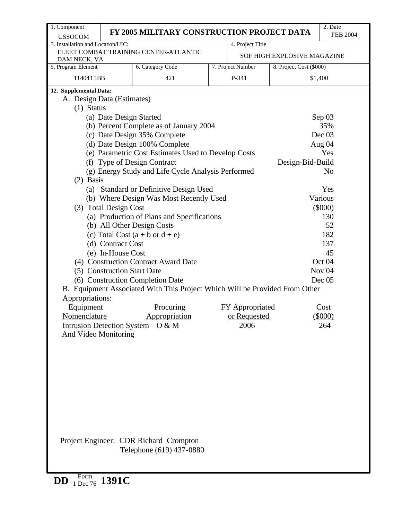| 1. Component                                   | 2. Date<br>FY 2005 MILITARY CONSTRUCTION PROJECT DATA |                                                                             |  |                   |                             |                   |  |  |  |  |  |
|------------------------------------------------|-------------------------------------------------------|-----------------------------------------------------------------------------|--|-------------------|-----------------------------|-------------------|--|--|--|--|--|
| <b>USSOCOM</b>                                 |                                                       |                                                                             |  |                   |                             | <b>FEB 2004</b>   |  |  |  |  |  |
| 3. Installation and Location/UIC:              |                                                       | FLEET COMBAT TRAINING CENTER-ATLANTIC                                       |  | 4. Project Title  |                             |                   |  |  |  |  |  |
| DAM NECK, VA                                   |                                                       |                                                                             |  |                   | SOF HIGH EXPLOSIVE MAGAZINE |                   |  |  |  |  |  |
| 5. Program Element                             |                                                       | 6. Category Code                                                            |  | 7. Project Number | 8. Project Cost (\$000)     |                   |  |  |  |  |  |
| 1140415BB                                      |                                                       | 421                                                                         |  | P-341             |                             | \$1,400           |  |  |  |  |  |
| 12. Supplemental Data:                         |                                                       |                                                                             |  |                   |                             |                   |  |  |  |  |  |
| A. Design Data (Estimates)                     |                                                       |                                                                             |  |                   |                             |                   |  |  |  |  |  |
| $(1)$ Status                                   |                                                       |                                                                             |  |                   |                             |                   |  |  |  |  |  |
|                                                | (a) Date Design Started                               |                                                                             |  |                   |                             | Sep 03            |  |  |  |  |  |
| (b) Percent Complete as of January 2004<br>35% |                                                       |                                                                             |  |                   |                             |                   |  |  |  |  |  |
|                                                |                                                       | (c) Date Design 35% Complete                                                |  |                   |                             | Dec 03            |  |  |  |  |  |
|                                                |                                                       | (d) Date Design 100% Complete                                               |  |                   |                             | Aug 04            |  |  |  |  |  |
|                                                |                                                       | (e) Parametric Cost Estimates Used to Develop Costs                         |  |                   |                             | Yes               |  |  |  |  |  |
|                                                |                                                       | (f) Type of Design Contract                                                 |  |                   | Design-Bid-Build            |                   |  |  |  |  |  |
|                                                |                                                       | (g) Energy Study and Life Cycle Analysis Performed                          |  |                   |                             | No                |  |  |  |  |  |
| $(2)$ Basis                                    |                                                       | (a) Standard or Definitive Design Used                                      |  |                   |                             | Yes               |  |  |  |  |  |
|                                                |                                                       | (b) Where Design Was Most Recently Used                                     |  |                   |                             | Various           |  |  |  |  |  |
|                                                | (3) Total Design Cost                                 |                                                                             |  |                   |                             | $(\$000)$         |  |  |  |  |  |
|                                                |                                                       | (a) Production of Plans and Specifications                                  |  |                   |                             | 130               |  |  |  |  |  |
|                                                |                                                       | (b) All Other Design Costs                                                  |  |                   |                             | 52                |  |  |  |  |  |
|                                                |                                                       | (c) Total Cost $(a + b \text{ or } d + e)$                                  |  |                   |                             | 182               |  |  |  |  |  |
|                                                | (d) Contract Cost                                     |                                                                             |  |                   |                             | 137               |  |  |  |  |  |
|                                                | (e) In-House Cost                                     |                                                                             |  |                   |                             | 45                |  |  |  |  |  |
|                                                |                                                       | (4) Construction Contract Award Date                                        |  |                   |                             | Oct 04            |  |  |  |  |  |
|                                                | (5) Construction Start Date                           |                                                                             |  |                   |                             | Nov <sub>04</sub> |  |  |  |  |  |
|                                                |                                                       | (6) Construction Completion Date                                            |  |                   |                             | Dec 05            |  |  |  |  |  |
|                                                |                                                       | B. Equipment Associated With This Project Which Will be Provided From Other |  |                   |                             |                   |  |  |  |  |  |
| Appropriations:                                |                                                       |                                                                             |  |                   |                             |                   |  |  |  |  |  |
| Equipment                                      |                                                       | Procuring                                                                   |  | FY Appropriated   |                             | Cost              |  |  |  |  |  |
| Nomenclature                                   |                                                       | Appropriation                                                               |  | or Requested      |                             | (\$000)           |  |  |  |  |  |
| <b>Intrusion Detection System</b>              |                                                       | O & M                                                                       |  | 2006              |                             | 264               |  |  |  |  |  |
| And Video Monitoring                           |                                                       |                                                                             |  |                   |                             |                   |  |  |  |  |  |
|                                                |                                                       |                                                                             |  |                   |                             |                   |  |  |  |  |  |
|                                                |                                                       |                                                                             |  |                   |                             |                   |  |  |  |  |  |
|                                                |                                                       |                                                                             |  |                   |                             |                   |  |  |  |  |  |
|                                                |                                                       |                                                                             |  |                   |                             |                   |  |  |  |  |  |
|                                                |                                                       |                                                                             |  |                   |                             |                   |  |  |  |  |  |
|                                                |                                                       |                                                                             |  |                   |                             |                   |  |  |  |  |  |
|                                                |                                                       |                                                                             |  |                   |                             |                   |  |  |  |  |  |
|                                                |                                                       |                                                                             |  |                   |                             |                   |  |  |  |  |  |
|                                                |                                                       |                                                                             |  |                   |                             |                   |  |  |  |  |  |
|                                                |                                                       |                                                                             |  |                   |                             |                   |  |  |  |  |  |
|                                                |                                                       | Project Engineer: CDR Richard Crompton                                      |  |                   |                             |                   |  |  |  |  |  |
|                                                |                                                       | Telephone (619) 437-0880                                                    |  |                   |                             |                   |  |  |  |  |  |
|                                                |                                                       |                                                                             |  |                   |                             |                   |  |  |  |  |  |
|                                                |                                                       |                                                                             |  |                   |                             |                   |  |  |  |  |  |

**DD** Form 1 Dec 76 **1391C**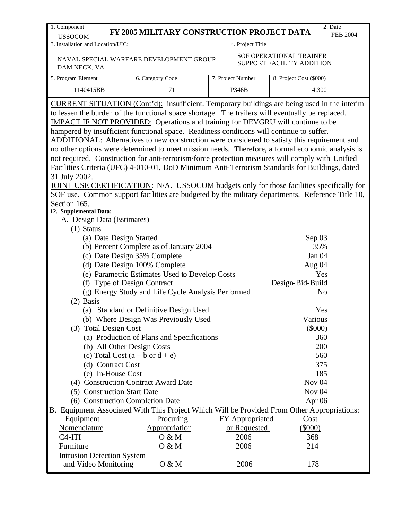| 1. Component                                                                             |                             |                                                                                                    |  |                   |                                                      | 2. Date         |  |  |  |  |
|------------------------------------------------------------------------------------------|-----------------------------|----------------------------------------------------------------------------------------------------|--|-------------------|------------------------------------------------------|-----------------|--|--|--|--|
| <b>USSOCOM</b>                                                                           |                             | FY 2005 MILITARY CONSTRUCTION PROJECT DATA                                                         |  |                   |                                                      | <b>FEB 2004</b> |  |  |  |  |
| 3. Installation and Location/UIC:                                                        |                             |                                                                                                    |  | 4. Project Title  |                                                      |                 |  |  |  |  |
|                                                                                          |                             | NAVAL SPECIAL WARFARE DEVELOPMENT GROUP                                                            |  |                   | SOF OPERATIONAL TRAINER<br>SUPPORT FACILITY ADDITION |                 |  |  |  |  |
| DAM NECK, VA                                                                             |                             |                                                                                                    |  |                   |                                                      |                 |  |  |  |  |
| 5. Program Element                                                                       |                             | 6. Category Code                                                                                   |  | 7. Project Number | 8. Project Cost (\$000)                              |                 |  |  |  |  |
| 1140415BB                                                                                |                             | 171                                                                                                |  | P346B             |                                                      | 4,300           |  |  |  |  |
|                                                                                          |                             | <b>CURRENT SITUATION</b> (Cont'd): insufficient. Temporary buildings are being used in the interim |  |                   |                                                      |                 |  |  |  |  |
|                                                                                          |                             | to lessen the burden of the functional space shortage. The trailers will eventually be replaced.   |  |                   |                                                      |                 |  |  |  |  |
|                                                                                          |                             | <b>IMPACT IF NOT PROVIDED:</b> Operations and training for DEVGRU will continue to be              |  |                   |                                                      |                 |  |  |  |  |
| hampered by insufficient functional space. Readiness conditions will continue to suffer. |                             |                                                                                                    |  |                   |                                                      |                 |  |  |  |  |
|                                                                                          |                             | ADDITIONAL: Alternatives to new construction were considered to satisfy this requirement and       |  |                   |                                                      |                 |  |  |  |  |
|                                                                                          |                             | no other options were determined to meet mission needs. Therefore, a formal economic analysis is   |  |                   |                                                      |                 |  |  |  |  |
|                                                                                          |                             | not required. Construction for anti-terrorism/force protection measures will comply with Unified   |  |                   |                                                      |                 |  |  |  |  |
|                                                                                          |                             | Facilities Criteria (UFC) 4-010-01, DoD Minimum Anti-Terrorism Standards for Buildings, dated      |  |                   |                                                      |                 |  |  |  |  |
| 31 July 2002.                                                                            |                             |                                                                                                    |  |                   |                                                      |                 |  |  |  |  |
|                                                                                          |                             | JOINT USE CERTIFICATION: N/A. USSOCOM budgets only for those facilities specifically for           |  |                   |                                                      |                 |  |  |  |  |
|                                                                                          |                             | SOF use. Common support facilities are budgeted by the military departments. Reference Title 10,   |  |                   |                                                      |                 |  |  |  |  |
| Section 165.                                                                             |                             |                                                                                                    |  |                   |                                                      |                 |  |  |  |  |
| 12. Supplemental Data:<br>A. Design Data (Estimates)                                     |                             |                                                                                                    |  |                   |                                                      |                 |  |  |  |  |
| $(1)$ Status                                                                             |                             |                                                                                                    |  |                   |                                                      |                 |  |  |  |  |
|                                                                                          | (a) Date Design Started     |                                                                                                    |  |                   | Sep 03                                               |                 |  |  |  |  |
|                                                                                          |                             | (b) Percent Complete as of January 2004                                                            |  |                   |                                                      | 35%             |  |  |  |  |
|                                                                                          |                             |                                                                                                    |  |                   | Jan 04                                               |                 |  |  |  |  |
|                                                                                          |                             | (c) Date Design 35% Complete<br>(d) Date Design 100% Complete                                      |  |                   |                                                      |                 |  |  |  |  |
|                                                                                          |                             |                                                                                                    |  |                   | Aug 04                                               | Yes             |  |  |  |  |
|                                                                                          |                             | (e) Parametric Estimates Used to Develop Costs<br>(f) Type of Design Contract                      |  |                   | Design-Bid-Build                                     |                 |  |  |  |  |
|                                                                                          |                             | (g) Energy Study and Life Cycle Analysis Performed                                                 |  |                   |                                                      | N <sub>o</sub>  |  |  |  |  |
| $(2)$ Basis                                                                              |                             |                                                                                                    |  |                   |                                                      |                 |  |  |  |  |
|                                                                                          |                             | (a) Standard or Definitive Design Used                                                             |  |                   |                                                      | Yes             |  |  |  |  |
|                                                                                          |                             | (b) Where Design Was Previously Used                                                               |  |                   | Various                                              |                 |  |  |  |  |
|                                                                                          | (3) Total Design Cost       |                                                                                                    |  |                   | $(\$000)$                                            |                 |  |  |  |  |
|                                                                                          |                             | (a) Production of Plans and Specifications                                                         |  |                   |                                                      | 360             |  |  |  |  |
|                                                                                          |                             | (b) All Other Design Costs                                                                         |  |                   |                                                      | 200             |  |  |  |  |
|                                                                                          |                             | (c) Total Cost $(a + b \text{ or } d + e)$                                                         |  |                   |                                                      | 560             |  |  |  |  |
|                                                                                          | (d) Contract Cost           |                                                                                                    |  |                   |                                                      | 375             |  |  |  |  |
|                                                                                          | (e) In-House Cost           |                                                                                                    |  |                   |                                                      | 185             |  |  |  |  |
|                                                                                          |                             | (4) Construction Contract Award Date                                                               |  |                   | Nov <sub>04</sub>                                    |                 |  |  |  |  |
|                                                                                          | (5) Construction Start Date |                                                                                                    |  |                   | Nov $04$                                             |                 |  |  |  |  |
|                                                                                          |                             | (6) Construction Completion Date                                                                   |  |                   | Apr 06                                               |                 |  |  |  |  |
|                                                                                          |                             | B. Equipment Associated With This Project Which Will be Provided From Other Appropriations:        |  |                   |                                                      |                 |  |  |  |  |
| Equipment                                                                                |                             | Procuring                                                                                          |  | FY Appropriated   | Cost                                                 |                 |  |  |  |  |
| Nomenclature                                                                             |                             | Appropriation                                                                                      |  | or Requested      | $(\$000)$                                            |                 |  |  |  |  |
| $C4-ITI$                                                                                 |                             | O & M                                                                                              |  | 2006              | 368                                                  |                 |  |  |  |  |
| Furniture                                                                                |                             | O & M                                                                                              |  | 2006              | 214                                                  |                 |  |  |  |  |
| <b>Intrusion Detection System</b>                                                        |                             |                                                                                                    |  |                   |                                                      |                 |  |  |  |  |
| and Video Monitoring                                                                     |                             | 0 & M                                                                                              |  | 2006              | 178                                                  |                 |  |  |  |  |
|                                                                                          |                             |                                                                                                    |  |                   |                                                      |                 |  |  |  |  |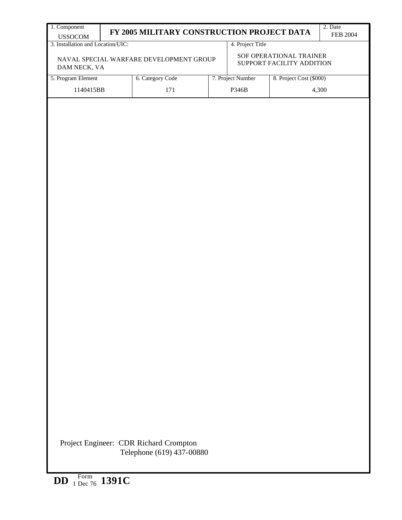| <b>USSOCOM</b><br>3. Installation and Location/UIC:<br>DAM NECK, VA<br>5. Program Element<br>1140415BB |  | FY 2005 MILITARY CONSTRUCTION PROJECT DATA<br>6. Category Code<br>171 |  | 4. Project Title  |                                                                                                                            | <b>FEB 2004</b> |  |  |  |  |  |  |  |
|--------------------------------------------------------------------------------------------------------|--|-----------------------------------------------------------------------|--|-------------------|----------------------------------------------------------------------------------------------------------------------------|-----------------|--|--|--|--|--|--|--|
|                                                                                                        |  |                                                                       |  |                   |                                                                                                                            |                 |  |  |  |  |  |  |  |
|                                                                                                        |  |                                                                       |  |                   | SOF OPERATIONAL TRAINER<br>NAVAL SPECIAL WARFARE DEVELOPMENT GROUP<br>SUPPORT FACILITY ADDITION<br>8. Project Cost (\$000) |                 |  |  |  |  |  |  |  |
|                                                                                                        |  |                                                                       |  | 7. Project Number |                                                                                                                            |                 |  |  |  |  |  |  |  |
|                                                                                                        |  | 4,300<br>P346B                                                        |  |                   |                                                                                                                            |                 |  |  |  |  |  |  |  |
|                                                                                                        |  |                                                                       |  |                   |                                                                                                                            |                 |  |  |  |  |  |  |  |
| Form                                                                                                   |  | Project Engineer: CDR Richard Crompton<br>Telephone (619) 437-00880   |  |                   |                                                                                                                            |                 |  |  |  |  |  |  |  |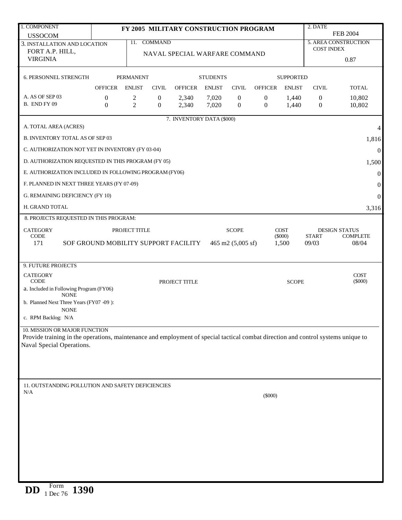| 1. COMPONENT                                                                                                                                                       |                                    |                     |                                      | FY 2005 MILITARY CONSTRUCTION PROGRAM |                 |                                  |                                  |                    | 2. DATE                          |                          |
|--------------------------------------------------------------------------------------------------------------------------------------------------------------------|------------------------------------|---------------------|--------------------------------------|---------------------------------------|-----------------|----------------------------------|----------------------------------|--------------------|----------------------------------|--------------------------|
| <b>USSOCOM</b>                                                                                                                                                     |                                    |                     |                                      |                                       |                 |                                  |                                  |                    |                                  | <b>FEB 2004</b>          |
| 3. INSTALLATION AND LOCATION                                                                                                                                       |                                    | 11.                 | <b>COMMAND</b>                       |                                       |                 |                                  |                                  |                    | <b>COST INDEX</b>                | 5. AREA CONSTRUCTION     |
| FORT A.P. HILL,                                                                                                                                                    |                                    |                     |                                      | NAVAL SPECIAL WARFARE COMMAND         |                 |                                  |                                  |                    |                                  |                          |
| <b>VIRGINIA</b>                                                                                                                                                    |                                    |                     |                                      |                                       |                 |                                  |                                  |                    |                                  | 0.87                     |
| <b>6. PERSONNEL STRENGTH</b>                                                                                                                                       |                                    | <b>PERMANENT</b>    |                                      |                                       | <b>STUDENTS</b> |                                  |                                  | <b>SUPPORTED</b>   |                                  |                          |
|                                                                                                                                                                    | <b>OFFICER</b>                     | <b>ENLIST</b>       | <b>CIVIL</b>                         | <b>OFFICER</b>                        | <b>ENLIST</b>   | <b>CIVIL</b>                     | <b>OFFICER</b>                   | <b>ENLIST</b>      | <b>CIVIL</b>                     | <b>TOTAL</b>             |
| A. AS OF SEP 03                                                                                                                                                    |                                    |                     |                                      |                                       |                 |                                  |                                  |                    |                                  |                          |
| B. END FY 09                                                                                                                                                       | $\boldsymbol{0}$<br>$\overline{0}$ | 2<br>$\overline{c}$ | $\boldsymbol{0}$<br>$\boldsymbol{0}$ | 2,340<br>2,340                        | 7,020<br>7,020  | $\mathbf{0}$<br>$\boldsymbol{0}$ | $\boldsymbol{0}$<br>$\mathbf{0}$ | 1,440<br>1,440     | $\overline{0}$<br>$\overline{0}$ | 10,802<br>10,802         |
|                                                                                                                                                                    |                                    |                     |                                      |                                       |                 |                                  |                                  |                    |                                  |                          |
| A. TOTAL AREA (ACRES)                                                                                                                                              |                                    |                     |                                      | 7. INVENTORY DATA (\$000)             |                 |                                  |                                  |                    |                                  | 4                        |
| B. INVENTORY TOTAL AS OF SEP 03                                                                                                                                    |                                    |                     |                                      |                                       |                 |                                  |                                  |                    |                                  |                          |
|                                                                                                                                                                    |                                    |                     |                                      |                                       |                 |                                  |                                  |                    |                                  | 1,816                    |
| C. AUTHORIZATION NOT YET IN INVENTORY (FY 03-04)                                                                                                                   |                                    |                     |                                      |                                       |                 |                                  |                                  |                    |                                  | $\boldsymbol{0}$         |
| D. AUTHORIZATION REQUESTED IN THIS PROGRAM (FY 05)<br>1,500                                                                                                        |                                    |                     |                                      |                                       |                 |                                  |                                  |                    |                                  |                          |
| E. AUTHORIZATION INCLUDED IN FOLLOWING PROGRAM (FY06)<br>$\boldsymbol{0}$                                                                                          |                                    |                     |                                      |                                       |                 |                                  |                                  |                    |                                  |                          |
| F. PLANNED IN NEXT THREE YEARS (FY 07-09)                                                                                                                          |                                    |                     |                                      |                                       |                 |                                  |                                  |                    |                                  | $\boldsymbol{0}$         |
| G. REMAINING DEFICIENCY (FY 10)                                                                                                                                    |                                    |                     |                                      |                                       |                 |                                  |                                  |                    |                                  | $\boldsymbol{0}$         |
| H. GRAND TOTAL                                                                                                                                                     |                                    |                     |                                      |                                       |                 |                                  |                                  |                    |                                  | 3,316                    |
| 8. PROJECTS REQUESTED IN THIS PROGRAM:                                                                                                                             |                                    |                     |                                      |                                       |                 |                                  |                                  |                    |                                  |                          |
| <b>CATEGORY</b>                                                                                                                                                    |                                    | PROJECT TITLE       |                                      |                                       |                 | <b>SCOPE</b>                     |                                  | <b>COST</b>        |                                  | <b>DESIGN STATUS</b>     |
| <b>CODE</b><br>171                                                                                                                                                 |                                    |                     |                                      | SOF GROUND MOBILITY SUPPORT FACILITY  |                 | 465 m2 $(5,005 \text{ sf})$      |                                  | $(\$000)$<br>1,500 | <b>START</b><br>09/03            | <b>COMPLETE</b><br>08/04 |
|                                                                                                                                                                    |                                    |                     |                                      |                                       |                 |                                  |                                  |                    |                                  |                          |
| 9. FUTURE PROJECTS                                                                                                                                                 |                                    |                     |                                      |                                       |                 |                                  |                                  |                    |                                  |                          |
| <b>CATEGORY</b>                                                                                                                                                    |                                    |                     |                                      |                                       |                 |                                  |                                  |                    |                                  | <b>COST</b>              |
| <b>CODE</b>                                                                                                                                                        |                                    |                     |                                      | PROJECT TITLE                         |                 |                                  |                                  | <b>SCOPE</b>       |                                  | $(\$000)$                |
| a. Included in Following Program (FY06)<br><b>NONE</b>                                                                                                             |                                    |                     |                                      |                                       |                 |                                  |                                  |                    |                                  |                          |
| b. Planned Next Three Years (FY07 -09):                                                                                                                            |                                    |                     |                                      |                                       |                 |                                  |                                  |                    |                                  |                          |
| <b>NONE</b><br>c. RPM Backlog: N/A                                                                                                                                 |                                    |                     |                                      |                                       |                 |                                  |                                  |                    |                                  |                          |
|                                                                                                                                                                    |                                    |                     |                                      |                                       |                 |                                  |                                  |                    |                                  |                          |
| 10. MISSION OR MAJOR FUNCTION<br>Provide training in the operations, maintenance and employment of special tactical combat direction and control systems unique to |                                    |                     |                                      |                                       |                 |                                  |                                  |                    |                                  |                          |
| Naval Special Operations.                                                                                                                                          |                                    |                     |                                      |                                       |                 |                                  |                                  |                    |                                  |                          |
|                                                                                                                                                                    |                                    |                     |                                      |                                       |                 |                                  |                                  |                    |                                  |                          |
|                                                                                                                                                                    |                                    |                     |                                      |                                       |                 |                                  |                                  |                    |                                  |                          |
|                                                                                                                                                                    |                                    |                     |                                      |                                       |                 |                                  |                                  |                    |                                  |                          |
| 11. OUTSTANDING POLLUTION AND SAFETY DEFICIENCIES                                                                                                                  |                                    |                     |                                      |                                       |                 |                                  |                                  |                    |                                  |                          |
| N/A                                                                                                                                                                |                                    |                     |                                      |                                       |                 |                                  | $(\$000)$                        |                    |                                  |                          |
|                                                                                                                                                                    |                                    |                     |                                      |                                       |                 |                                  |                                  |                    |                                  |                          |
|                                                                                                                                                                    |                                    |                     |                                      |                                       |                 |                                  |                                  |                    |                                  |                          |
|                                                                                                                                                                    |                                    |                     |                                      |                                       |                 |                                  |                                  |                    |                                  |                          |
|                                                                                                                                                                    |                                    |                     |                                      |                                       |                 |                                  |                                  |                    |                                  |                          |
|                                                                                                                                                                    |                                    |                     |                                      |                                       |                 |                                  |                                  |                    |                                  |                          |
|                                                                                                                                                                    |                                    |                     |                                      |                                       |                 |                                  |                                  |                    |                                  |                          |
|                                                                                                                                                                    |                                    |                     |                                      |                                       |                 |                                  |                                  |                    |                                  |                          |
|                                                                                                                                                                    |                                    |                     |                                      |                                       |                 |                                  |                                  |                    |                                  |                          |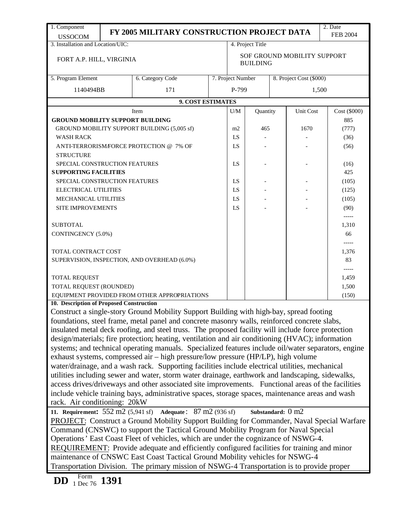| 1. Component                                        |                                                                                                                                                                                   | FY 2005 MILITARY CONSTRUCTION PROJECT DATA                                                          |  |                                                |                   |  |           | 2. Date<br><b>FEB 2004</b> |  |
|-----------------------------------------------------|-----------------------------------------------------------------------------------------------------------------------------------------------------------------------------------|-----------------------------------------------------------------------------------------------------|--|------------------------------------------------|-------------------|--|-----------|----------------------------|--|
| <b>USSOCOM</b><br>3. Installation and Location/UIC: |                                                                                                                                                                                   |                                                                                                     |  |                                                | 4. Project Title  |  |           |                            |  |
| FORT A.P. HILL, VIRGINIA                            |                                                                                                                                                                                   |                                                                                                     |  | SOF GROUND MOBILITY SUPPORT<br><b>BUILDING</b> |                   |  |           |                            |  |
| 5. Program Element                                  |                                                                                                                                                                                   | 6. Category Code                                                                                    |  | 7. Project Number<br>8. Project Cost (\$000)   |                   |  |           |                            |  |
| 1140494BB                                           |                                                                                                                                                                                   | 171                                                                                                 |  | P-799                                          |                   |  |           | 1,500                      |  |
|                                                     |                                                                                                                                                                                   | 9. COST ESTIMATES                                                                                   |  |                                                |                   |  |           |                            |  |
|                                                     |                                                                                                                                                                                   | Item                                                                                                |  | U/M                                            | Quantity          |  | Unit Cost | Cost (\$000)               |  |
| <b>GROUND MOBILITY SUPPORT BUILDING</b>             |                                                                                                                                                                                   |                                                                                                     |  |                                                |                   |  |           | 885                        |  |
|                                                     |                                                                                                                                                                                   | GROUND MOBILITY SUPPORT BUILDING (5,005 sf)                                                         |  | m2                                             | 465               |  | 1670      | (777)                      |  |
| <b>WASH RACK</b>                                    |                                                                                                                                                                                   |                                                                                                     |  |                                                |                   |  |           | (36)                       |  |
|                                                     |                                                                                                                                                                                   | ANTI-TERRORISM/FORCE PROTECTION @ 7% OF                                                             |  | LS                                             |                   |  |           | (56)                       |  |
| <b>STRUCTURE</b>                                    |                                                                                                                                                                                   |                                                                                                     |  |                                                |                   |  |           |                            |  |
| SPECIAL CONSTRUCTION FEATURES                       |                                                                                                                                                                                   |                                                                                                     |  | LS                                             |                   |  |           | (16)                       |  |
| <b>SUPPORTING FACILITIES</b>                        |                                                                                                                                                                                   |                                                                                                     |  |                                                |                   |  |           | 425                        |  |
| SPECIAL CONSTRUCTION FEATURES                       |                                                                                                                                                                                   |                                                                                                     |  | LS                                             |                   |  |           | (105)                      |  |
| ELECTRICAL UTILITIES                                |                                                                                                                                                                                   |                                                                                                     |  | LS                                             |                   |  |           | (125)                      |  |
| MECHANICAL UTILITIES                                |                                                                                                                                                                                   |                                                                                                     |  | LS                                             |                   |  |           | (105)                      |  |
| SITE IMPROVEMENTS                                   |                                                                                                                                                                                   |                                                                                                     |  | LS                                             |                   |  |           | (90)                       |  |
|                                                     |                                                                                                                                                                                   |                                                                                                     |  |                                                |                   |  |           | $--- -$                    |  |
| <b>SUBTOTAL</b>                                     |                                                                                                                                                                                   |                                                                                                     |  |                                                |                   |  |           | 1,310                      |  |
| CONTINGENCY (5.0%)                                  |                                                                                                                                                                                   |                                                                                                     |  |                                                |                   |  |           | 66                         |  |
|                                                     |                                                                                                                                                                                   |                                                                                                     |  |                                                |                   |  |           |                            |  |
| TOTAL CONTRACT COST                                 |                                                                                                                                                                                   |                                                                                                     |  |                                                |                   |  |           | 1,376                      |  |
|                                                     |                                                                                                                                                                                   | SUPERVISION, INSPECTION, AND OVERHEAD (6.0%)                                                        |  |                                                |                   |  |           | 83                         |  |
|                                                     |                                                                                                                                                                                   |                                                                                                     |  |                                                |                   |  |           | -----                      |  |
| <b>TOTAL REQUEST</b>                                |                                                                                                                                                                                   |                                                                                                     |  |                                                |                   |  |           | 1,459                      |  |
| TOTAL REQUEST (ROUNDED)                             |                                                                                                                                                                                   |                                                                                                     |  |                                                |                   |  |           | 1,500                      |  |
|                                                     |                                                                                                                                                                                   | EQUIPMENT PROVIDED FROM OTHER APPROPRIATIONS                                                        |  |                                                |                   |  |           | (150)                      |  |
| 10. Description of Proposed Construction            |                                                                                                                                                                                   |                                                                                                     |  |                                                |                   |  |           |                            |  |
|                                                     |                                                                                                                                                                                   | Construct a single-story Ground Mobility Support Building with high-bay, spread footing             |  |                                                |                   |  |           |                            |  |
|                                                     |                                                                                                                                                                                   | foundations, steel frame, metal panel and concrete masonry walls, reinforced concrete slabs,        |  |                                                |                   |  |           |                            |  |
|                                                     |                                                                                                                                                                                   | insulated metal deck roofing, and steel truss. The proposed facility will include force protection  |  |                                                |                   |  |           |                            |  |
|                                                     |                                                                                                                                                                                   | design/materials; fire protection; heating, ventilation and air conditioning (HVAC); information    |  |                                                |                   |  |           |                            |  |
|                                                     |                                                                                                                                                                                   | systems; and technical operating manuals. Specialized features include oil/water separators, engine |  |                                                |                   |  |           |                            |  |
|                                                     |                                                                                                                                                                                   | exhaust systems, compressed air – high pressure/low pressure (HP/LP), high volume                   |  |                                                |                   |  |           |                            |  |
|                                                     |                                                                                                                                                                                   | water/drainage, and a wash rack. Supporting facilities include electrical utilities, mechanical     |  |                                                |                   |  |           |                            |  |
|                                                     |                                                                                                                                                                                   | utilities including sewer and water, storm water drainage, earthwork and landscaping, sidewalks,    |  |                                                |                   |  |           |                            |  |
|                                                     |                                                                                                                                                                                   | access drives/driveways and other associated site improvements. Functional areas of the facilities  |  |                                                |                   |  |           |                            |  |
|                                                     |                                                                                                                                                                                   | include vehicle training bays, administrative spaces, storage spaces, maintenance areas and wash    |  |                                                |                   |  |           |                            |  |
| rack. Air conditioning: 20kW                        |                                                                                                                                                                                   |                                                                                                     |  |                                                |                   |  |           |                            |  |
| 11. Requirement: 552 m2 (5,941 sf)                  |                                                                                                                                                                                   | <b>Adequate:</b> $87 \text{ m}2 (936 \text{ sf})$                                                   |  |                                                | Substandard: 0 m2 |  |           |                            |  |
|                                                     |                                                                                                                                                                                   | PROJECT: Construct a Ground Mobility Support Building for Commander, Naval Special Warfare          |  |                                                |                   |  |           |                            |  |
|                                                     |                                                                                                                                                                                   | Command (CNSWC) to support the Tactical Ground Mobility Program for Naval Special                   |  |                                                |                   |  |           |                            |  |
|                                                     |                                                                                                                                                                                   |                                                                                                     |  |                                                |                   |  |           |                            |  |
|                                                     | Operations' East Coast Fleet of vehicles, which are under the cognizance of NSWG-4.<br>REQUIREMENT: Provide adequate and efficiently configured facilities for training and minor |                                                                                                     |  |                                                |                   |  |           |                            |  |
|                                                     |                                                                                                                                                                                   | maintenance of CNSWC East Coast Tactical Ground Mobility vehicles for NSWG-4                        |  |                                                |                   |  |           |                            |  |
|                                                     |                                                                                                                                                                                   | Transportation Division. The primary mission of NSWG-4 Transportation is to provide proper          |  |                                                |                   |  |           |                            |  |
|                                                     |                                                                                                                                                                                   |                                                                                                     |  |                                                |                   |  |           |                            |  |
| Form<br><b>DD</b><br>$1 \text{ m}$ 1391             |                                                                                                                                                                                   |                                                                                                     |  |                                                |                   |  |           |                            |  |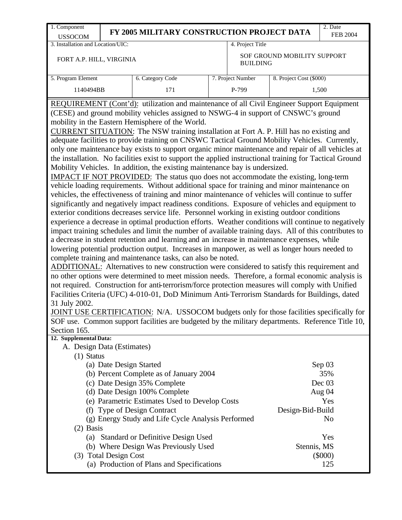| 1. Component                                                                                                                                                                                         |                                                    |                                                       |                   |                             | 2. Date         |  |  |  |  |  |
|------------------------------------------------------------------------------------------------------------------------------------------------------------------------------------------------------|----------------------------------------------------|-------------------------------------------------------|-------------------|-----------------------------|-----------------|--|--|--|--|--|
| <b>USSOCOM</b>                                                                                                                                                                                       | FY 2005 MILITARY CONSTRUCTION PROJECT DATA         |                                                       |                   |                             | <b>FEB 2004</b> |  |  |  |  |  |
| 3. Installation and Location/UIC:                                                                                                                                                                    |                                                    |                                                       | 4. Project Title  |                             |                 |  |  |  |  |  |
| FORT A.P. HILL, VIRGINIA                                                                                                                                                                             |                                                    |                                                       | <b>BUILDING</b>   | SOF GROUND MOBILITY SUPPORT |                 |  |  |  |  |  |
| 5. Program Element                                                                                                                                                                                   | 6. Category Code                                   |                                                       | 7. Project Number | 8. Project Cost (\$000)     |                 |  |  |  |  |  |
| 1140494BB                                                                                                                                                                                            | 171                                                |                                                       | P-799             |                             | 1,500           |  |  |  |  |  |
| REQUIREMENT (Cont'd): utilization and maintenance of all Civil Engineer Support Equipment                                                                                                            |                                                    |                                                       |                   |                             |                 |  |  |  |  |  |
| (CESE) and ground mobility vehicles assigned to NSWG-4 in support of CNSWC's ground                                                                                                                  |                                                    |                                                       |                   |                             |                 |  |  |  |  |  |
| mobility in the Eastern Hemisphere of the World.                                                                                                                                                     |                                                    |                                                       |                   |                             |                 |  |  |  |  |  |
| CURRENT SITUATION: The NSW training installation at Fort A. P. Hill has no existing and                                                                                                              |                                                    |                                                       |                   |                             |                 |  |  |  |  |  |
| adequate facilities to provide training on CNSWC Tactical Ground Mobility Vehicles. Currently,                                                                                                       |                                                    |                                                       |                   |                             |                 |  |  |  |  |  |
| only one maintenance bay exists to support organic minor maintenance and repair of all vehicles at                                                                                                   |                                                    |                                                       |                   |                             |                 |  |  |  |  |  |
| the installation. No facilities exist to support the applied instructional training for Tactical Ground                                                                                              |                                                    |                                                       |                   |                             |                 |  |  |  |  |  |
| Mobility Vehicles. In addition, the existing maintenance bay is undersized.                                                                                                                          |                                                    |                                                       |                   |                             |                 |  |  |  |  |  |
| IMPACT IF NOT PROVIDED: The status quo does not accommodate the existing, long-term<br>vehicle loading requirements. Without additional space for training and minor maintenance on                  |                                                    |                                                       |                   |                             |                 |  |  |  |  |  |
|                                                                                                                                                                                                      |                                                    |                                                       |                   |                             |                 |  |  |  |  |  |
| vehicles, the effectiveness of training and minor maintenance of vehicles will continue to suffer<br>significantly and negatively impact readiness conditions. Exposure of vehicles and equipment to |                                                    |                                                       |                   |                             |                 |  |  |  |  |  |
| exterior conditions decreases service life. Personnel working in existing outdoor conditions                                                                                                         |                                                    |                                                       |                   |                             |                 |  |  |  |  |  |
| experience a decrease in optimal production efforts. Weather conditions will continue to negatively                                                                                                  |                                                    |                                                       |                   |                             |                 |  |  |  |  |  |
| impact training schedules and limit the number of available training days. All of this contributes to                                                                                                |                                                    |                                                       |                   |                             |                 |  |  |  |  |  |
| a decrease in student retention and learning and an increase in maintenance expenses, while                                                                                                          |                                                    |                                                       |                   |                             |                 |  |  |  |  |  |
| lowering potential production output. Increases in manpower, as well as longer hours needed to                                                                                                       |                                                    |                                                       |                   |                             |                 |  |  |  |  |  |
| complete training and maintenance tasks, can also be noted.                                                                                                                                          |                                                    |                                                       |                   |                             |                 |  |  |  |  |  |
| ADDITIONAL: Alternatives to new construction were considered to satisfy this requirement and                                                                                                         |                                                    |                                                       |                   |                             |                 |  |  |  |  |  |
| no other options were determined to meet mission needs. Therefore, a formal economic analysis is                                                                                                     |                                                    |                                                       |                   |                             |                 |  |  |  |  |  |
| not required. Construction for anti-terrorism/force protection measures will comply with Unified                                                                                                     |                                                    |                                                       |                   |                             |                 |  |  |  |  |  |
| Facilities Criteria (UFC) 4-010-01, DoD Minimum Anti-Terrorism Standards for Buildings, dated                                                                                                        |                                                    |                                                       |                   |                             |                 |  |  |  |  |  |
| 31 July 2002.<br>JOINT USE CERTIFICATION: N/A. USSOCOM budgets only for those facilities specifically for                                                                                            |                                                    |                                                       |                   |                             |                 |  |  |  |  |  |
| SOF use. Common support facilities are budgeted by the military departments. Reference Title 10,                                                                                                     |                                                    |                                                       |                   |                             |                 |  |  |  |  |  |
| Section 165.                                                                                                                                                                                         |                                                    |                                                       |                   |                             |                 |  |  |  |  |  |
| 12. Supplemental Data:                                                                                                                                                                               |                                                    |                                                       |                   |                             |                 |  |  |  |  |  |
| A. Design Data (Estimates)                                                                                                                                                                           |                                                    |                                                       |                   |                             |                 |  |  |  |  |  |
| $(1)$ Status                                                                                                                                                                                         |                                                    |                                                       |                   |                             |                 |  |  |  |  |  |
| (a) Date Design Started                                                                                                                                                                              |                                                    |                                                       |                   |                             | Sep 03          |  |  |  |  |  |
|                                                                                                                                                                                                      | (b) Percent Complete as of January 2004            |                                                       |                   |                             | 35%             |  |  |  |  |  |
|                                                                                                                                                                                                      | (c) Date Design 35% Complete                       |                                                       |                   |                             | Dec 03          |  |  |  |  |  |
|                                                                                                                                                                                                      | (d) Date Design 100% Complete                      |                                                       |                   | Aug 04                      |                 |  |  |  |  |  |
|                                                                                                                                                                                                      |                                                    | (e) Parametric Estimates Used to Develop Costs<br>Yes |                   |                             |                 |  |  |  |  |  |
| (f) Type of Design Contract<br>Design-Bid-Build                                                                                                                                                      |                                                    |                                                       |                   |                             |                 |  |  |  |  |  |
|                                                                                                                                                                                                      |                                                    |                                                       |                   |                             |                 |  |  |  |  |  |
|                                                                                                                                                                                                      | (g) Energy Study and Life Cycle Analysis Performed |                                                       |                   |                             | N <sub>0</sub>  |  |  |  |  |  |
| $(2)$ Basis                                                                                                                                                                                          |                                                    |                                                       |                   |                             |                 |  |  |  |  |  |
|                                                                                                                                                                                                      | (a) Standard or Definitive Design Used             |                                                       |                   |                             | Yes             |  |  |  |  |  |
| (3) Total Design Cost                                                                                                                                                                                | (b) Where Design Was Previously Used               |                                                       |                   | Stennis, MS                 | $(\$000)$       |  |  |  |  |  |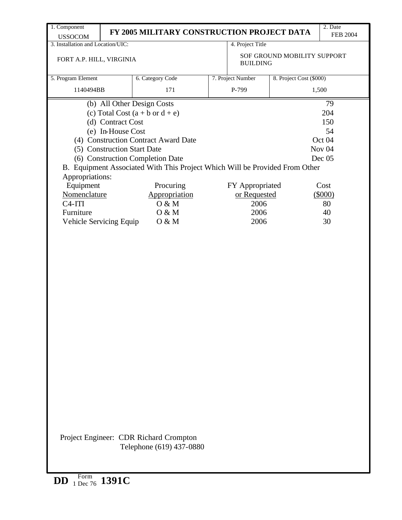| 1. Component                      |                                  | FY 2005 MILITARY CONSTRUCTION PROJECT DATA                                  |     |                   |                             | 2. Date         |  |  |  |
|-----------------------------------|----------------------------------|-----------------------------------------------------------------------------|-----|-------------------|-----------------------------|-----------------|--|--|--|
| <b>USSOCOM</b>                    |                                  |                                                                             |     |                   |                             | <b>FEB 2004</b> |  |  |  |
| 3. Installation and Location/UIC: |                                  |                                                                             |     | 4. Project Title  |                             |                 |  |  |  |
| FORT A.P. HILL, VIRGINIA          |                                  |                                                                             |     | <b>BUILDING</b>   | SOF GROUND MOBILITY SUPPORT |                 |  |  |  |
| 5. Program Element                |                                  | 6. Category Code                                                            |     | 7. Project Number | 8. Project Cost (\$000)     |                 |  |  |  |
| 1140494BB                         |                                  | 171                                                                         |     | P-799             |                             | 1,500           |  |  |  |
|                                   |                                  |                                                                             |     |                   |                             |                 |  |  |  |
|                                   |                                  | (b) All Other Design Costs                                                  |     |                   |                             | 79<br>204       |  |  |  |
|                                   | (d) Contract Cost                | (c) Total Cost $(a + b \text{ or } d + e)$                                  | 150 |                   |                             |                 |  |  |  |
|                                   | (e) In-House Cost                |                                                                             | 54  |                   |                             |                 |  |  |  |
|                                   |                                  | (4) Construction Contract Award Date                                        |     |                   |                             | Oct 04          |  |  |  |
|                                   | (5) Construction Start Date      |                                                                             |     |                   | Nov <sub>04</sub>           |                 |  |  |  |
|                                   |                                  | (6) Construction Completion Date                                            |     |                   |                             | Dec 05          |  |  |  |
|                                   |                                  | B. Equipment Associated With This Project Which Will be Provided From Other |     |                   |                             |                 |  |  |  |
| Appropriations:                   |                                  |                                                                             |     |                   |                             |                 |  |  |  |
| Equipment                         |                                  | Procuring                                                                   |     | FY Appropriated   |                             | Cost            |  |  |  |
|                                   | Nomenclature<br>Appropriation    |                                                                             |     |                   | or Requested                | (5000)          |  |  |  |
| $C4-ITI$                          |                                  | O & M                                                                       |     | 2006              | 80                          |                 |  |  |  |
| Furniture                         |                                  | O & M                                                                       |     | 2006<br>2006      | 40                          |                 |  |  |  |
|                                   | Vehicle Servicing Equip<br>O & M |                                                                             |     |                   |                             | 30              |  |  |  |
|                                   |                                  |                                                                             |     |                   |                             |                 |  |  |  |
|                                   |                                  | Project Engineer: CDR Richard Crompton<br>Telephone (619) 437-0880          |     |                   |                             |                 |  |  |  |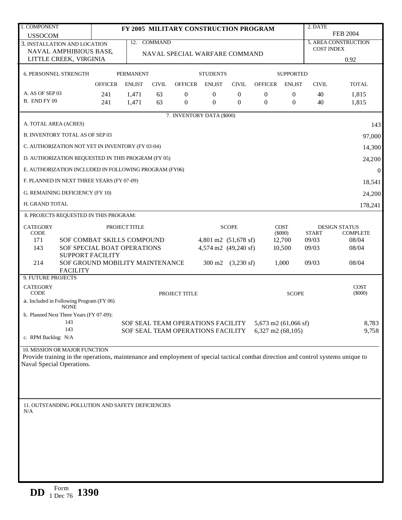| 1. COMPONENT                                                                                                                      |                | 2. DATE<br>FY 2005 MILITARY CONSTRUCTION PROGRAM    |              |                                   |                  |                                           |                      |                  |                   |                             |  |
|-----------------------------------------------------------------------------------------------------------------------------------|----------------|-----------------------------------------------------|--------------|-----------------------------------|------------------|-------------------------------------------|----------------------|------------------|-------------------|-----------------------------|--|
| <b>USSOCOM</b>                                                                                                                    |                |                                                     |              |                                   |                  |                                           |                      |                  |                   | <b>FEB 2004</b>             |  |
| 3. INSTALLATION AND LOCATION                                                                                                      |                |                                                     | 12. COMMAND  |                                   |                  |                                           |                      |                  | <b>COST INDEX</b> | <b>5. AREA CONSTRUCTION</b> |  |
| NAVAL AMPHIBIOUS BASE<br>LITTLE CREEK, VIRGINIA                                                                                   |                |                                                     |              | NAVAL SPECIAL WARFARE COMMAND     |                  |                                           |                      |                  |                   | 0.92                        |  |
| <b>6. PERSONNEL STRENGTH</b>                                                                                                      |                | <b>PERMANENT</b>                                    |              |                                   | <b>STUDENTS</b>  |                                           |                      | <b>SUPPORTED</b> |                   |                             |  |
|                                                                                                                                   | <b>OFFICER</b> | <b>ENLIST</b>                                       | <b>CIVIL</b> | <b>OFFICER</b>                    | <b>ENLIST</b>    | <b>CIVIL</b>                              | <b>OFFICER</b>       | <b>ENLIST</b>    | <b>CIVIL</b>      | <b>TOTAL</b>                |  |
| A. AS OF SEP 03                                                                                                                   | 241            | 1,471                                               | 63           | $\overline{0}$                    | $\overline{0}$   | $\theta$                                  | $\theta$             | $\theta$         | 40                | 1,815                       |  |
| B. END FY 09                                                                                                                      | 241            | 1,471                                               | 63           | $\overline{0}$                    | $\boldsymbol{0}$ | $\theta$                                  | $\theta$             | $\mathbf{0}$     | 40                | 1,815                       |  |
|                                                                                                                                   |                |                                                     |              | 7. INVENTORY DATA (\$000)         |                  |                                           |                      |                  |                   |                             |  |
| A. TOTAL AREA (ACRES)                                                                                                             |                |                                                     |              |                                   |                  |                                           |                      |                  |                   | 143                         |  |
| <b>B. INVENTORY TOTAL AS OF SEP 03</b>                                                                                            |                |                                                     |              |                                   |                  |                                           |                      |                  |                   | 97,000                      |  |
| C. AUTHORIZATION NOT YET IN INVENTORY (FY 03-04)                                                                                  |                |                                                     |              |                                   |                  |                                           |                      |                  |                   | 14,300                      |  |
| D. AUTHORIZATION REQUESTED IN THIS PROGRAM (FY 05)<br>24,200                                                                      |                |                                                     |              |                                   |                  |                                           |                      |                  |                   |                             |  |
| E. AUTHORIZATION INCLUDED IN FOLLOWING PROGRAM (FY06)                                                                             |                |                                                     |              |                                   |                  |                                           |                      |                  |                   | $\boldsymbol{0}$            |  |
| F. PLANNED IN NEXT THREE YEARS (FY 07-09)                                                                                         |                |                                                     |              |                                   |                  |                                           |                      |                  |                   | 18,541                      |  |
| G. REMAINING DEFICIENCY (FY 10)                                                                                                   |                |                                                     |              |                                   |                  |                                           |                      |                  |                   | 24,200                      |  |
| H. GRAND TOTAL                                                                                                                    |                |                                                     |              |                                   |                  |                                           |                      |                  |                   | 178,241                     |  |
| 8. PROJECTS REQUESTED IN THIS PROGRAM:                                                                                            |                |                                                     |              |                                   |                  |                                           |                      |                  |                   |                             |  |
| <b>CATEGORY</b>                                                                                                                   |                | <b>COST</b><br>PROJECT TITLE<br><b>SCOPE</b>        |              |                                   |                  |                                           |                      |                  |                   | <b>DESIGN STATUS</b>        |  |
| <b>CODE</b>                                                                                                                       |                | SOF COMBAT SKILLS COMPOUND                          |              |                                   |                  |                                           |                      | $(\$000)$        | <b>START</b>      | <b>COMPLETE</b>             |  |
| 171<br>143                                                                                                                        |                |                                                     |              |                                   |                  | 4,801 m2 (51,678 sf)                      |                      | 12,700<br>10,500 | 09/03<br>09/03    | 08/04<br>08/04              |  |
| <b>SUPPORT FACILITY</b>                                                                                                           |                | 4,574 m2 (49,240 sf)<br>SOF SPECIAL BOAT OPERATIONS |              |                                   |                  |                                           |                      |                  |                   |                             |  |
| 214<br>SOF GROUND MOBILITY MAINTENANCE<br><b>FACILITY</b>                                                                         |                |                                                     |              |                                   |                  | $300 \text{ m}2 \quad (3,230 \text{ sf})$ |                      | 1,000            | 09/03             | 08/04                       |  |
| 9. FUTURE PROJECTS                                                                                                                |                |                                                     |              |                                   |                  |                                           |                      |                  |                   |                             |  |
| <b>CATEGORY</b><br><b>CODE</b>                                                                                                    |                |                                                     |              | PROJECT TITLE                     |                  |                                           |                      | <b>SCOPE</b>     |                   | <b>COST</b><br>$(\$000)$    |  |
| a. Included in Following Program (FY 06)<br><b>NONE</b>                                                                           |                |                                                     |              |                                   |                  |                                           |                      |                  |                   |                             |  |
| b. Planned Next Three Years (FY 07-09):                                                                                           |                |                                                     |              |                                   |                  |                                           |                      |                  |                   |                             |  |
| 143                                                                                                                               |                |                                                     |              | SOF SEAL TEAM OPERATIONS FACILITY |                  |                                           | 5,673 m2 (61,066 sf) |                  |                   | 8,783                       |  |
| 143<br>c. RPM Backlog: N/A                                                                                                        |                |                                                     |              | SOF SEAL TEAM OPERATIONS FACILITY |                  |                                           | 6,327 m2 $(68,105)$  |                  |                   | 9,758                       |  |
| 10. MISSION OR MAJOR FUNCTION                                                                                                     |                |                                                     |              |                                   |                  |                                           |                      |                  |                   |                             |  |
| Provide training in the operations, maintenance and employment of special tactical combat direction and control systems unique to |                |                                                     |              |                                   |                  |                                           |                      |                  |                   |                             |  |
| Naval Special Operations.                                                                                                         |                |                                                     |              |                                   |                  |                                           |                      |                  |                   |                             |  |
|                                                                                                                                   |                |                                                     |              |                                   |                  |                                           |                      |                  |                   |                             |  |
|                                                                                                                                   |                |                                                     |              |                                   |                  |                                           |                      |                  |                   |                             |  |
|                                                                                                                                   |                |                                                     |              |                                   |                  |                                           |                      |                  |                   |                             |  |
| 11. OUTSTANDING POLLUTION AND SAFETY DEFICIENCIES<br>N/A                                                                          |                |                                                     |              |                                   |                  |                                           |                      |                  |                   |                             |  |
|                                                                                                                                   |                |                                                     |              |                                   |                  |                                           |                      |                  |                   |                             |  |
|                                                                                                                                   |                |                                                     |              |                                   |                  |                                           |                      |                  |                   |                             |  |
|                                                                                                                                   |                |                                                     |              |                                   |                  |                                           |                      |                  |                   |                             |  |
|                                                                                                                                   |                |                                                     |              |                                   |                  |                                           |                      |                  |                   |                             |  |
|                                                                                                                                   |                |                                                     |              |                                   |                  |                                           |                      |                  |                   |                             |  |
|                                                                                                                                   |                |                                                     |              |                                   |                  |                                           |                      |                  |                   |                             |  |
|                                                                                                                                   |                |                                                     |              |                                   |                  |                                           |                      |                  |                   |                             |  |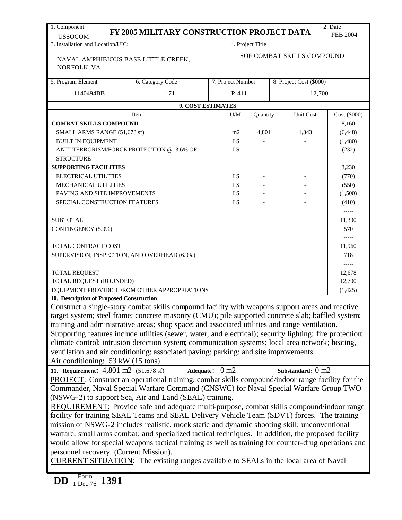| 1. Component                                  | 2. Date<br>FY 2005 MILITARY CONSTRUCTION PROJECT DATA                                                     |  |                                              |                  |  |                   |                 |  |  |  |
|-----------------------------------------------|-----------------------------------------------------------------------------------------------------------|--|----------------------------------------------|------------------|--|-------------------|-----------------|--|--|--|
| <b>USSOCOM</b>                                |                                                                                                           |  |                                              |                  |  |                   | <b>FEB 2004</b> |  |  |  |
| 3. Installation and Location/UIC:             |                                                                                                           |  |                                              | 4. Project Title |  |                   |                 |  |  |  |
| NORFOLK, VA                                   | NAVAL AMPHIBIOUS BASE LITTLE CREEK,                                                                       |  | SOF COMBAT SKILLS COMPOUND                   |                  |  |                   |                 |  |  |  |
| 5. Program Element                            | 6. Category Code                                                                                          |  | 7. Project Number<br>8. Project Cost (\$000) |                  |  |                   |                 |  |  |  |
| 1140494BB                                     | 171                                                                                                       |  | P-411                                        |                  |  | 12,700            |                 |  |  |  |
|                                               | 9. COST ESTIMATES                                                                                         |  |                                              |                  |  |                   |                 |  |  |  |
|                                               | Item                                                                                                      |  | U/M                                          | Quantity         |  | Unit Cost         | Cost (6000)     |  |  |  |
| <b>COMBAT SKILLS COMPOUND</b>                 |                                                                                                           |  |                                              |                  |  |                   | 8,160           |  |  |  |
| SMALL ARMS RANGE (51,678 sf)                  |                                                                                                           |  | m2                                           | 4,801            |  | 1,343             | (6, 448)        |  |  |  |
| <b>BUILT IN EQUIPMENT</b>                     |                                                                                                           |  | LS                                           |                  |  |                   | (1,480)         |  |  |  |
|                                               | ANTI-TERRORISM/FORCE PROTECTION @ 3.6% OF                                                                 |  | LS                                           |                  |  |                   | (232)           |  |  |  |
| <b>STRUCTURE</b>                              |                                                                                                           |  |                                              |                  |  |                   |                 |  |  |  |
| <b>SUPPORTING FACILITIES</b>                  |                                                                                                           |  |                                              |                  |  |                   | 3,230           |  |  |  |
| <b>ELECTRICAL UTILITIES</b>                   |                                                                                                           |  | LS                                           |                  |  |                   | (770)           |  |  |  |
| MECHANICAL UTILITIES                          |                                                                                                           |  | LS                                           |                  |  |                   | (550)           |  |  |  |
| PAVING AND SITE IMPROVEMENTS                  |                                                                                                           |  | LS                                           |                  |  |                   | (1,500)         |  |  |  |
| SPECIAL CONSTRUCTION FEATURES                 |                                                                                                           |  | LS                                           |                  |  |                   | (410)           |  |  |  |
|                                               |                                                                                                           |  |                                              |                  |  |                   | -----           |  |  |  |
| <b>SUBTOTAL</b>                               |                                                                                                           |  |                                              |                  |  |                   | 11,390<br>570   |  |  |  |
| CONTINGENCY (5.0%)                            |                                                                                                           |  |                                              |                  |  |                   |                 |  |  |  |
| TOTAL CONTRACT COST                           |                                                                                                           |  |                                              |                  |  |                   | 11,960          |  |  |  |
|                                               | SUPERVISION, INSPECTION, AND OVERHEAD (6.0%)                                                              |  |                                              |                  |  |                   | 718             |  |  |  |
|                                               |                                                                                                           |  |                                              |                  |  |                   | -----           |  |  |  |
| <b>TOTAL REQUEST</b>                          |                                                                                                           |  |                                              |                  |  |                   | 12,678          |  |  |  |
| TOTAL REQUEST (ROUNDED)                       |                                                                                                           |  |                                              |                  |  |                   | 12,700          |  |  |  |
|                                               | EQUIPMENT PROVIDED FROM OTHER APPROPRIATIONS                                                              |  |                                              |                  |  |                   | (1, 425)        |  |  |  |
| 10. Description of Proposed Construction      |                                                                                                           |  |                                              |                  |  |                   |                 |  |  |  |
|                                               | Construct a single-story combat skills compound facility with weapons support areas and reactive          |  |                                              |                  |  |                   |                 |  |  |  |
|                                               | target system; steel frame; concrete masonry (CMU); pile supported concrete slab; baffled system;         |  |                                              |                  |  |                   |                 |  |  |  |
|                                               | training and administrative areas; shop space; and associated utilities and range ventilation.            |  |                                              |                  |  |                   |                 |  |  |  |
|                                               | Supporting features include utilities (sewer, water, and electrical); security lighting; fire protection; |  |                                              |                  |  |                   |                 |  |  |  |
|                                               | climate control; intrusion detection system; communication systems; local area network; heating,          |  |                                              |                  |  |                   |                 |  |  |  |
|                                               | ventilation and air conditioning; associated paving; parking; and site improvements.                      |  |                                              |                  |  |                   |                 |  |  |  |
| Air conditioning: 53 kW (15 tons)             |                                                                                                           |  |                                              |                  |  |                   |                 |  |  |  |
| 11. Requirement: 4,801 m2 (51,678 sf)         | Adequate: 0 m2                                                                                            |  |                                              |                  |  | Substandard: 0 m2 |                 |  |  |  |
|                                               | PROJECT: Construct an operational training, combat skills compound/indoor range facility for the          |  |                                              |                  |  |                   |                 |  |  |  |
|                                               | Commander, Naval Special Warfare Command (CNSWC) for Naval Special Warfare Group TWO                      |  |                                              |                  |  |                   |                 |  |  |  |
|                                               | (NSWG-2) to support Sea, Air and Land (SEAL) training.                                                    |  |                                              |                  |  |                   |                 |  |  |  |
|                                               | REQUIREMENT: Provide safe and adequate multi-purpose, combat skills compound/indoor range                 |  |                                              |                  |  |                   |                 |  |  |  |
|                                               | facility for training SEAL Teams and SEAL Delivery Vehicle Team (SDVT) forces. The training               |  |                                              |                  |  |                   |                 |  |  |  |
|                                               | mission of NSWG-2 includes realistic, mock static and dynamic shooting skill; unconventional              |  |                                              |                  |  |                   |                 |  |  |  |
|                                               | warfare; small arms combat; and specialized tactical techniques. In addition, the proposed facility       |  |                                              |                  |  |                   |                 |  |  |  |
|                                               | would allow for special weapons tactical training as well as training for counter-drug operations and     |  |                                              |                  |  |                   |                 |  |  |  |
| personnel recovery. (Current Mission).        |                                                                                                           |  |                                              |                  |  |                   |                 |  |  |  |
|                                               | CURRENT SITUATION: The existing ranges available to SEALs in the local area of Naval                      |  |                                              |                  |  |                   |                 |  |  |  |
|                                               |                                                                                                           |  |                                              |                  |  |                   |                 |  |  |  |
| Form<br><b>DD</b><br>$1 \text{ Dec } 76$ 1391 |                                                                                                           |  |                                              |                  |  |                   |                 |  |  |  |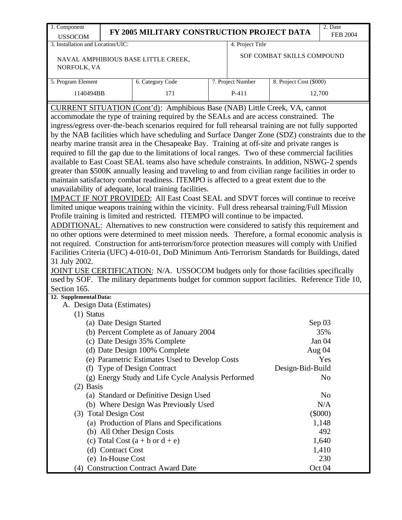| 1. Component                                                                                                                                                                                   |                                                                                                  | FY 2005 MILITARY CONSTRUCTION PROJECT DATA                                                           |  |                   |                            | 2. Date         |  |  |  |  |
|------------------------------------------------------------------------------------------------------------------------------------------------------------------------------------------------|--------------------------------------------------------------------------------------------------|------------------------------------------------------------------------------------------------------|--|-------------------|----------------------------|-----------------|--|--|--|--|
| <b>USSOCOM</b>                                                                                                                                                                                 |                                                                                                  |                                                                                                      |  |                   |                            | <b>FEB 2004</b> |  |  |  |  |
| 3. Installation and Location/UIC:                                                                                                                                                              |                                                                                                  |                                                                                                      |  | 4. Project Title  |                            |                 |  |  |  |  |
|                                                                                                                                                                                                |                                                                                                  | NAVAL AMPHIBIOUS BASE LITTLE CREEK,                                                                  |  |                   | SOF COMBAT SKILLS COMPOUND |                 |  |  |  |  |
| NORFOLK, VA                                                                                                                                                                                    |                                                                                                  |                                                                                                      |  |                   |                            |                 |  |  |  |  |
|                                                                                                                                                                                                |                                                                                                  |                                                                                                      |  |                   |                            |                 |  |  |  |  |
| 5. Program Element                                                                                                                                                                             |                                                                                                  | 6. Category Code                                                                                     |  | 7. Project Number | 8. Project Cost (\$000)    |                 |  |  |  |  |
| 1140494BB                                                                                                                                                                                      |                                                                                                  | 171                                                                                                  |  | $P-411$           |                            | 12,700          |  |  |  |  |
|                                                                                                                                                                                                |                                                                                                  | CURRENT SITUATION (Cont'd): Amphibious Base (NAB) Little Creek, VA, cannot                           |  |                   |                            |                 |  |  |  |  |
|                                                                                                                                                                                                |                                                                                                  |                                                                                                      |  |                   |                            |                 |  |  |  |  |
| accommodate the type of training required by the SEALs and are access constrained. The<br>ingress/egress over-the-beach scenarios required for full rehearsal training are not fully supported |                                                                                                  |                                                                                                      |  |                   |                            |                 |  |  |  |  |
|                                                                                                                                                                                                |                                                                                                  | by the NAB facilities which have scheduling and Surface Danger Zone (SDZ) constraints due to the     |  |                   |                            |                 |  |  |  |  |
|                                                                                                                                                                                                |                                                                                                  | nearby marine transit area in the Chesapeake Bay. Training at off-site and private ranges is         |  |                   |                            |                 |  |  |  |  |
|                                                                                                                                                                                                |                                                                                                  | required to fill the gap due to the limitations of local ranges. Two of these commercial facilities  |  |                   |                            |                 |  |  |  |  |
|                                                                                                                                                                                                |                                                                                                  | available to East Coast SEAL teams also have schedule constraints. In addition, NSWG-2 spends        |  |                   |                            |                 |  |  |  |  |
|                                                                                                                                                                                                |                                                                                                  | greater than \$500K annually leasing and traveling to and from civilian range facilities in order to |  |                   |                            |                 |  |  |  |  |
|                                                                                                                                                                                                |                                                                                                  | maintain satisfactory combat readiness. ITEMPO is affected to a great extent due to the              |  |                   |                            |                 |  |  |  |  |
|                                                                                                                                                                                                |                                                                                                  | unavailability of adequate, local training facilities.                                               |  |                   |                            |                 |  |  |  |  |
| IMPACT IF NOT PROVIDED: All East Coast SEAL and SDVT forces will continue to receive                                                                                                           |                                                                                                  |                                                                                                      |  |                   |                            |                 |  |  |  |  |
| limited unique weapons training within the vicinity. Full dress rehearsal training/Full Mission                                                                                                |                                                                                                  |                                                                                                      |  |                   |                            |                 |  |  |  |  |
| Profile training is limited and restricted. ITEMPO will continue to be impacted.                                                                                                               |                                                                                                  |                                                                                                      |  |                   |                            |                 |  |  |  |  |
| ADDITIONAL: Alternatives to new construction were considered to satisfy this requirement and                                                                                                   |                                                                                                  |                                                                                                      |  |                   |                            |                 |  |  |  |  |
|                                                                                                                                                                                                | no other options were determined to meet mission needs. Therefore, a formal economic analysis is |                                                                                                      |  |                   |                            |                 |  |  |  |  |
|                                                                                                                                                                                                |                                                                                                  | not required. Construction for anti-terrorism/force protection measures will comply with Unified     |  |                   |                            |                 |  |  |  |  |
|                                                                                                                                                                                                |                                                                                                  | Facilities Criteria (UFC) 4-010-01, DoD Minimum Anti-Terrorism Standards for Buildings, dated        |  |                   |                            |                 |  |  |  |  |
| 31 July 2002.                                                                                                                                                                                  |                                                                                                  |                                                                                                      |  |                   |                            |                 |  |  |  |  |
|                                                                                                                                                                                                |                                                                                                  | JOINT USE CERTIFICATION: N/A. USSOCOM budgets only for those facilities specifically                 |  |                   |                            |                 |  |  |  |  |
|                                                                                                                                                                                                |                                                                                                  | used by SOF. The military departments budget for common support facilities. Reference Title 10,      |  |                   |                            |                 |  |  |  |  |
| Section 165.                                                                                                                                                                                   |                                                                                                  |                                                                                                      |  |                   |                            |                 |  |  |  |  |
| 12. Supplemental Data:                                                                                                                                                                         |                                                                                                  |                                                                                                      |  |                   |                            |                 |  |  |  |  |
| A. Design Data (Estimates)                                                                                                                                                                     |                                                                                                  |                                                                                                      |  |                   |                            |                 |  |  |  |  |
| $(1)$ Status                                                                                                                                                                                   |                                                                                                  |                                                                                                      |  |                   |                            |                 |  |  |  |  |
|                                                                                                                                                                                                | (a) Date Design Started                                                                          |                                                                                                      |  |                   |                            | Sep 03          |  |  |  |  |
|                                                                                                                                                                                                |                                                                                                  | (b) Percent Complete as of January 2004                                                              |  |                   |                            | 35%             |  |  |  |  |
|                                                                                                                                                                                                |                                                                                                  | (c) Date Design 35% Complete                                                                         |  |                   |                            | Jan 04          |  |  |  |  |
|                                                                                                                                                                                                |                                                                                                  | (d) Date Design 100% Complete                                                                        |  |                   |                            | Aug 04          |  |  |  |  |
|                                                                                                                                                                                                |                                                                                                  | (e) Parametric Estimates Used to Develop Costs                                                       |  |                   |                            | Yes             |  |  |  |  |
|                                                                                                                                                                                                |                                                                                                  | (f) Type of Design Contract                                                                          |  |                   | Design-Bid-Build           |                 |  |  |  |  |
|                                                                                                                                                                                                |                                                                                                  | (g) Energy Study and Life Cycle Analysis Performed                                                   |  |                   |                            | N <sub>o</sub>  |  |  |  |  |
| $(2)$ Basis                                                                                                                                                                                    |                                                                                                  |                                                                                                      |  |                   |                            |                 |  |  |  |  |
|                                                                                                                                                                                                |                                                                                                  | (a) Standard or Definitive Design Used                                                               |  |                   |                            | N <sub>o</sub>  |  |  |  |  |
| N/A<br>(b) Where Design Was Previously Used                                                                                                                                                    |                                                                                                  |                                                                                                      |  |                   |                            |                 |  |  |  |  |
|                                                                                                                                                                                                | (3) Total Design Cost                                                                            |                                                                                                      |  |                   |                            | $(\$000)$       |  |  |  |  |
| (a) Production of Plans and Specifications<br>1,148                                                                                                                                            |                                                                                                  |                                                                                                      |  |                   |                            |                 |  |  |  |  |
| (b) All Other Design Costs<br>492                                                                                                                                                              |                                                                                                  |                                                                                                      |  |                   |                            |                 |  |  |  |  |
|                                                                                                                                                                                                |                                                                                                  | (c) Total Cost $(a + b \text{ or } d + e)$                                                           |  |                   |                            | 1,640           |  |  |  |  |
|                                                                                                                                                                                                | (d) Contract Cost                                                                                |                                                                                                      |  |                   |                            | 1,410           |  |  |  |  |
|                                                                                                                                                                                                | (e) In-House Cost                                                                                |                                                                                                      |  |                   |                            | 230             |  |  |  |  |
|                                                                                                                                                                                                |                                                                                                  | (4) Construction Contract Award Date                                                                 |  |                   |                            | Oct 04          |  |  |  |  |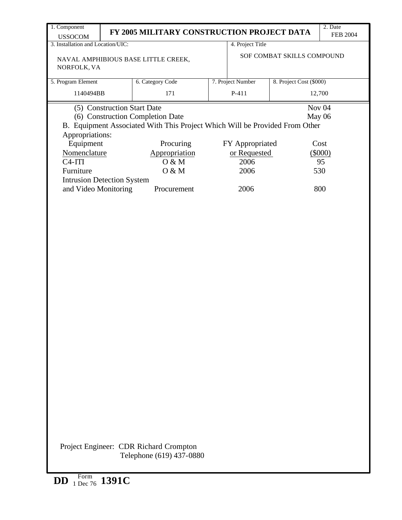| 1. Component<br><b>USSOCOM</b>    |                                                   | FY 2005 MILITARY CONSTRUCTION PROJECT DATA                                                                      |  |                   |                            | 2. Date<br><b>FEB 2004</b> |
|-----------------------------------|---------------------------------------------------|-----------------------------------------------------------------------------------------------------------------|--|-------------------|----------------------------|----------------------------|
| 3. Installation and Location/UIC: |                                                   |                                                                                                                 |  | 4. Project Title  |                            |                            |
| NORFOLK, VA                       |                                                   | NAVAL AMPHIBIOUS BASE LITTLE CREEK,                                                                             |  |                   | SOF COMBAT SKILLS COMPOUND |                            |
| 5. Program Element                |                                                   | 6. Category Code                                                                                                |  | 7. Project Number | 8. Project Cost (\$000)    |                            |
| 1140494BB                         |                                                   | 171                                                                                                             |  | $P-411$           |                            | 12,700                     |
| Appropriations:                   | (5) Construction Start Date                       | (6) Construction Completion Date<br>B. Equipment Associated With This Project Which Will be Provided From Other |  |                   | May 06                     | Nov <sub>04</sub>          |
|                                   | Equipment<br>Procuring<br>Cost<br>FY Appropriated |                                                                                                                 |  |                   |                            |                            |
| Nomenclature                      |                                                   | Appropriation                                                                                                   |  | or Requested      |                            | (\$000)                    |
| $C4-ITI$                          |                                                   | O & M                                                                                                           |  | 2006              |                            | 95                         |
| Furniture                         |                                                   | O & M                                                                                                           |  | 2006              |                            | 530                        |
| <b>Intrusion Detection System</b> |                                                   |                                                                                                                 |  |                   |                            |                            |
| and Video Monitoring              |                                                   | Procurement                                                                                                     |  | 2006              |                            | 800                        |
|                                   |                                                   | Project Engineer: CDR Richard Crompton                                                                          |  |                   |                            |                            |
|                                   |                                                   | Telephone (619) 437-0880                                                                                        |  |                   |                            |                            |
| <b>DD</b>                         | Form 1391C                                        |                                                                                                                 |  |                   |                            |                            |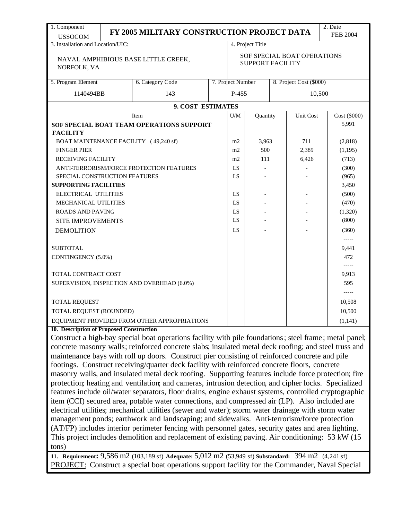| 1. Component                                                                                               |  | FY 2005 MILITARY CONSTRUCTION PROJECT DATA                                                                                                                                                           |     |                                                        |                  |                     |                         | 2. Date         |
|------------------------------------------------------------------------------------------------------------|--|------------------------------------------------------------------------------------------------------------------------------------------------------------------------------------------------------|-----|--------------------------------------------------------|------------------|---------------------|-------------------------|-----------------|
| <b>USSOCOM</b>                                                                                             |  |                                                                                                                                                                                                      |     |                                                        |                  |                     |                         | <b>FEB 2004</b> |
| 3. Installation and Location/UIC:                                                                          |  |                                                                                                                                                                                                      |     |                                                        | 4. Project Title |                     |                         |                 |
| NORFOLK, VA                                                                                                |  | NAVAL AMPHIBIOUS BASE LITTLE CREEK,                                                                                                                                                                  |     | SOF SPECIAL BOAT OPERATIONS<br><b>SUPPORT FACILITY</b> |                  |                     |                         |                 |
| 5. Program Element                                                                                         |  | 6. Category Code                                                                                                                                                                                     |     | 7. Project Number                                      |                  |                     | 8. Project Cost (\$000) |                 |
|                                                                                                            |  |                                                                                                                                                                                                      |     |                                                        |                  |                     |                         |                 |
| 1140494BB                                                                                                  |  | 143                                                                                                                                                                                                  |     | P-455                                                  |                  |                     | 10,500                  |                 |
|                                                                                                            |  | 9. COST ESTIMATES                                                                                                                                                                                    |     |                                                        |                  |                     |                         |                 |
|                                                                                                            |  | Item                                                                                                                                                                                                 |     | U/M                                                    | Quantity         |                     | Unit Cost               | Cost (\$000)    |
|                                                                                                            |  | SOF SPECIAL BOAT TEAM OPERATIONS SUPPORT                                                                                                                                                             |     |                                                        |                  |                     |                         | 5,991           |
| <b>FACILITY</b>                                                                                            |  |                                                                                                                                                                                                      |     |                                                        | 3,963            |                     | 711                     |                 |
| BOAT MAINTENANCE FACILITY (49,240 sf)<br><b>FINGER PIER</b>                                                |  | m2<br>m2                                                                                                                                                                                             | 500 |                                                        | 2,389            | (2,818)<br>(1, 195) |                         |                 |
|                                                                                                            |  |                                                                                                                                                                                                      |     |                                                        |                  |                     |                         |                 |
| <b>RECEIVING FACILITY</b><br>111<br>m2<br>6,426<br>(713)<br>ANTI-TERRORISM/FORCE PROTECTION FEATURES<br>LS |  |                                                                                                                                                                                                      |     |                                                        |                  |                     | (300)                   |                 |
| SPECIAL CONSTRUCTION FEATURES                                                                              |  |                                                                                                                                                                                                      |     | LS                                                     |                  |                     |                         | (965)           |
| <b>SUPPORTING FACILITIES</b><br>3,450                                                                      |  |                                                                                                                                                                                                      |     |                                                        |                  |                     |                         |                 |
| ELECTRICAL UTILITIES                                                                                       |  | LS                                                                                                                                                                                                   |     |                                                        |                  | (500)               |                         |                 |
| MECHANICAL UTILITIES                                                                                       |  |                                                                                                                                                                                                      |     | LS                                                     |                  |                     |                         | (470)           |
| <b>ROADS AND PAVING</b>                                                                                    |  |                                                                                                                                                                                                      |     | LS                                                     |                  |                     |                         | (1,320)         |
| <b>SITE IMPROVEMENTS</b>                                                                                   |  |                                                                                                                                                                                                      |     | LS                                                     |                  |                     |                         | (800)           |
| <b>DEMOLITION</b>                                                                                          |  | LS                                                                                                                                                                                                   |     |                                                        |                  | (360)               |                         |                 |
| $-----1$                                                                                                   |  |                                                                                                                                                                                                      |     |                                                        |                  |                     |                         |                 |
| <b>SUBTOTAL</b><br>9,441                                                                                   |  |                                                                                                                                                                                                      |     |                                                        |                  |                     |                         |                 |
| CONTINGENCY (5.0%)<br>472                                                                                  |  |                                                                                                                                                                                                      |     |                                                        |                  |                     |                         |                 |
| $-----$                                                                                                    |  |                                                                                                                                                                                                      |     |                                                        |                  |                     |                         |                 |
| TOTAL CONTRACT COST                                                                                        |  |                                                                                                                                                                                                      |     |                                                        |                  |                     |                         | 9,913           |
|                                                                                                            |  | SUPERVISION, INSPECTION AND OVERHEAD (6.0%)                                                                                                                                                          |     |                                                        |                  |                     |                         | 595             |
|                                                                                                            |  |                                                                                                                                                                                                      |     |                                                        |                  |                     |                         | $-----$         |
| <b>TOTAL REQUEST</b>                                                                                       |  |                                                                                                                                                                                                      |     |                                                        |                  |                     |                         | 10,508          |
| TOTAL REQUEST (ROUNDED)                                                                                    |  |                                                                                                                                                                                                      |     |                                                        |                  |                     |                         | 10,500          |
|                                                                                                            |  | EQUIPMENT PROVIDED FROM OTHER APPROPRIATIONS                                                                                                                                                         |     |                                                        |                  |                     |                         | (1,141)         |
| 10. Description of Proposed Construction                                                                   |  |                                                                                                                                                                                                      |     |                                                        |                  |                     |                         |                 |
|                                                                                                            |  | Construct a high-bay special boat operations facility with pile foundations; steel frame; metal panel;                                                                                               |     |                                                        |                  |                     |                         |                 |
|                                                                                                            |  | concrete masonry walls; reinforced concrete slabs; insulated metal deck roofing; and steel truss and                                                                                                 |     |                                                        |                  |                     |                         |                 |
|                                                                                                            |  | maintenance bays with roll up doors. Construct pier consisting of reinforced concrete and pile                                                                                                       |     |                                                        |                  |                     |                         |                 |
|                                                                                                            |  | footings. Construct receiving/quarter deck facility with reinforced concrete floors, concrete<br>masonry walls, and insulated metal deck roofing. Supporting features include force protection; fire |     |                                                        |                  |                     |                         |                 |
|                                                                                                            |  | protection; heating and ventilation; and cameras, intrusion detection, and cipher locks. Specialized                                                                                                 |     |                                                        |                  |                     |                         |                 |
|                                                                                                            |  | features include oil/water separators, floor drains, engine exhaust systems, controlled cryptographic                                                                                                |     |                                                        |                  |                     |                         |                 |
|                                                                                                            |  | item (CCI) secured area, potable water connections, and compressed air (LP). Also included are                                                                                                       |     |                                                        |                  |                     |                         |                 |
|                                                                                                            |  | electrical utilities; mechanical utilities (sewer and water); storm water drainage with storm water                                                                                                  |     |                                                        |                  |                     |                         |                 |
|                                                                                                            |  | management ponds; earthwork and landscaping; and sidewalks. Anti-terrorism/force protection                                                                                                          |     |                                                        |                  |                     |                         |                 |
|                                                                                                            |  | (AT/FP) includes interior perimeter fencing with personnel gates, security gates and area lighting.                                                                                                  |     |                                                        |                  |                     |                         |                 |
|                                                                                                            |  | This project includes demolition and replacement of existing paving. Air conditioning: 53 kW (15                                                                                                     |     |                                                        |                  |                     |                         |                 |
| tons)                                                                                                      |  |                                                                                                                                                                                                      |     |                                                        |                  |                     |                         |                 |

**11. Requirement:** 9,586 m2 (103,189 sf) **Adequate:** 5,012 m2 (53,949 sf) **Substandard:** 394 m2 (4,241 sf) PROJECT: Construct a special boat operations support facility for the Commander, Naval Special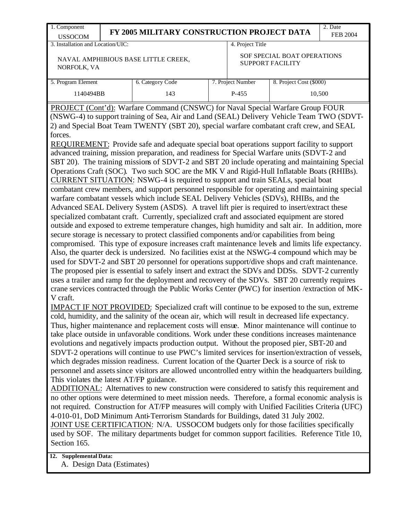| 1. Component<br><b>USSOCOM</b>                                                                              | FY 2005 MILITARY CONSTRUCTION PROJECT DATA                                                                                                                                                                                                                                                                                                                                                                                                                                                                                                                                                                                                                                                                                                                                                                                                                                                                                                                                                                                                                                                                                                                                                                                                                                                                                                                                                    |                  |                                                        | 2. Date<br><b>FEB 2004</b> |  |  |  |
|-------------------------------------------------------------------------------------------------------------|-----------------------------------------------------------------------------------------------------------------------------------------------------------------------------------------------------------------------------------------------------------------------------------------------------------------------------------------------------------------------------------------------------------------------------------------------------------------------------------------------------------------------------------------------------------------------------------------------------------------------------------------------------------------------------------------------------------------------------------------------------------------------------------------------------------------------------------------------------------------------------------------------------------------------------------------------------------------------------------------------------------------------------------------------------------------------------------------------------------------------------------------------------------------------------------------------------------------------------------------------------------------------------------------------------------------------------------------------------------------------------------------------|------------------|--------------------------------------------------------|----------------------------|--|--|--|
| 3. Installation and Location/UIC:                                                                           |                                                                                                                                                                                                                                                                                                                                                                                                                                                                                                                                                                                                                                                                                                                                                                                                                                                                                                                                                                                                                                                                                                                                                                                                                                                                                                                                                                                               | 4. Project Title |                                                        |                            |  |  |  |
| NORFOLK, VA                                                                                                 | NAVAL AMPHIBIOUS BASE LITTLE CREEK,                                                                                                                                                                                                                                                                                                                                                                                                                                                                                                                                                                                                                                                                                                                                                                                                                                                                                                                                                                                                                                                                                                                                                                                                                                                                                                                                                           |                  | SOF SPECIAL BOAT OPERATIONS<br><b>SUPPORT FACILITY</b> |                            |  |  |  |
| 5. Program Element<br>7. Project Number<br>6. Category Code<br>8. Project Cost (\$000)                      |                                                                                                                                                                                                                                                                                                                                                                                                                                                                                                                                                                                                                                                                                                                                                                                                                                                                                                                                                                                                                                                                                                                                                                                                                                                                                                                                                                                               |                  |                                                        |                            |  |  |  |
| 1140494BB                                                                                                   | 143                                                                                                                                                                                                                                                                                                                                                                                                                                                                                                                                                                                                                                                                                                                                                                                                                                                                                                                                                                                                                                                                                                                                                                                                                                                                                                                                                                                           | $P-455$          |                                                        | 10,500                     |  |  |  |
|                                                                                                             | Operations Craft (SOC). Two such SOC are the MK V and Rigid-Hull Inflatable Boats (RHIBs).<br>CURRENT SITUATION: NSWG-4 is required to support and train SEALs, special boat<br>combatant crew members, and support personnel responsible for operating and maintaining special<br>warfare combatant vessels which include SEAL Delivery Vehicles (SDVs), RHIBs, and the<br>Advanced SEAL Delivery System (ASDS). A travel lift pier is required to insert/extract these<br>specialized combatant craft. Currently, specialized craft and associated equipment are stored<br>outside and exposed to extreme temperature changes, high humidity and salt air. In addition, more<br>secure storage is necessary to protect classified components and/or capabilities from being<br>compromised. This type of exposure increases craft maintenance levels and limits life expectancy.<br>Also, the quarter deck is undersized. No facilities exist at the NSWG-4 compound which may be<br>used for SDVT-2 and SBT 20 personnel for operations support/dive shops and craft maintenance.<br>The proposed pier is essential to safely insert and extract the SDVs and DDSs. SDVT-2 currently<br>uses a trailer and ramp for the deployment and recovery of the SDVs. SBT 20 currently requires<br>crane services contracted through the Public Works Center (PWC) for insertion /extraction of MK- |                  |                                                        |                            |  |  |  |
| V craft.<br>take place outside in unfavorable conditions. Work under these conditions increases maintenance | <b>IMPACT IF NOT PROVIDED:</b> Specialized craft will continue to be exposed to the sun, extreme<br>cold, humidity, and the salinity of the ocean air, which will result in decreased life expectancy.<br>Thus, higher maintenance and replacement costs will ensue. Minor maintenance will continue to                                                                                                                                                                                                                                                                                                                                                                                                                                                                                                                                                                                                                                                                                                                                                                                                                                                                                                                                                                                                                                                                                       |                  |                                                        |                            |  |  |  |

personnel and assets since visitors are allowed uncontrolled entry within the headquarters building. This violates the latest AT/FP guidance.

ADDITIONAL: Alternatives to new construction were considered to satisfy this requirement and no other options were determined to meet mission needs. Therefore, a formal economic analysis is not required. Construction for AT/FP measures will comply with Unified Facilities Criteria (UFC) 4-010-01, DoD Minimum Anti-Terrorism Standards for Buildings, dated 31 July 2002.

JOINT USE CERTIFICATION: N/A. USSOCOM budgets only for those facilities specifically used by SOF. The military departments budget for common support facilities. Reference Title 10, Section 165.

## **12. Supplemental Data:**

A. Design Data (Estimates)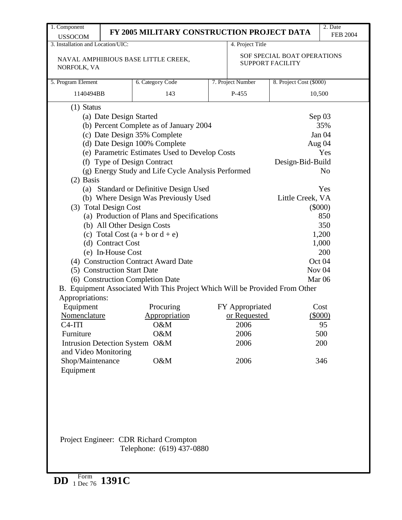| FY 2005 MILITARY CONSTRUCTION PROJECT DATA<br><b>USSOCOM</b><br>3. Installation and Location/UIC:<br>4. Project Title<br>SOF SPECIAL BOAT OPERATIONS<br>NAVAL AMPHIBIOUS BASE LITTLE CREEK,<br><b>SUPPORT FACILITY</b><br>NORFOLK, VA<br>5. Program Element<br>6. Category Code<br>7. Project Number<br>8. Project Cost (\$000)<br>1140494BB<br>P-455<br>143<br>10,500<br>$(1)$ Status<br>(a) Date Design Started<br>Sep 03<br>35%<br>(b) Percent Complete as of January 2004<br>(c) Date Design 35% Complete<br>Jan 04<br>(d) Date Design 100% Complete<br>Aug 04<br>(e) Parametric Estimates Used to Develop Costs<br>Yes<br>(f) Type of Design Contract<br>Design-Bid-Build<br>(g) Energy Study and Life Cycle Analysis Performed<br>N <sub>0</sub><br>$(2)$ Basis<br>(a) Standard or Definitive Design Used<br>Yes<br>(b) Where Design Was Previously Used<br>Little Creek, VA<br>(3) Total Design Cost<br>$(\$000)$<br>(a) Production of Plans and Specifications<br>850<br>(b) All Other Design Costs<br>350<br>(c) Total Cost $(a + b \text{ or } d + e)$<br>1,200<br>(d) Contract Cost<br>1,000<br>(e) In-House Cost<br>200<br>(4) Construction Contract Award Date<br>Oct 04<br>(5) Construction Start Date<br>Nov <sub>04</sub><br>(6) Construction Completion Date<br>Mar <sub>06</sub><br>B. Equipment Associated With This Project Which Will be Provided From Other<br>Appropriations:<br>Equipment<br>Procuring<br>FY Appropriated<br>Cost<br>$(\$000)$<br>Nomenclature<br>Appropriation<br>or Requested<br>O&M<br>2006<br>$C4-ITI$<br>95<br>Furniture<br>O&M<br>2006<br>500<br><b>Intrusion Detection System</b><br>O&M<br>2006<br>200 |  |  |  | 2. Date         |
|--------------------------------------------------------------------------------------------------------------------------------------------------------------------------------------------------------------------------------------------------------------------------------------------------------------------------------------------------------------------------------------------------------------------------------------------------------------------------------------------------------------------------------------------------------------------------------------------------------------------------------------------------------------------------------------------------------------------------------------------------------------------------------------------------------------------------------------------------------------------------------------------------------------------------------------------------------------------------------------------------------------------------------------------------------------------------------------------------------------------------------------------------------------------------------------------------------------------------------------------------------------------------------------------------------------------------------------------------------------------------------------------------------------------------------------------------------------------------------------------------------------------------------------------------------------------------------------------------------------------------------------------------------|--|--|--|-----------------|
|                                                                                                                                                                                                                                                                                                                                                                                                                                                                                                                                                                                                                                                                                                                                                                                                                                                                                                                                                                                                                                                                                                                                                                                                                                                                                                                                                                                                                                                                                                                                                                                                                                                        |  |  |  | <b>FEB 2004</b> |
|                                                                                                                                                                                                                                                                                                                                                                                                                                                                                                                                                                                                                                                                                                                                                                                                                                                                                                                                                                                                                                                                                                                                                                                                                                                                                                                                                                                                                                                                                                                                                                                                                                                        |  |  |  |                 |
|                                                                                                                                                                                                                                                                                                                                                                                                                                                                                                                                                                                                                                                                                                                                                                                                                                                                                                                                                                                                                                                                                                                                                                                                                                                                                                                                                                                                                                                                                                                                                                                                                                                        |  |  |  |                 |
|                                                                                                                                                                                                                                                                                                                                                                                                                                                                                                                                                                                                                                                                                                                                                                                                                                                                                                                                                                                                                                                                                                                                                                                                                                                                                                                                                                                                                                                                                                                                                                                                                                                        |  |  |  |                 |
|                                                                                                                                                                                                                                                                                                                                                                                                                                                                                                                                                                                                                                                                                                                                                                                                                                                                                                                                                                                                                                                                                                                                                                                                                                                                                                                                                                                                                                                                                                                                                                                                                                                        |  |  |  |                 |
|                                                                                                                                                                                                                                                                                                                                                                                                                                                                                                                                                                                                                                                                                                                                                                                                                                                                                                                                                                                                                                                                                                                                                                                                                                                                                                                                                                                                                                                                                                                                                                                                                                                        |  |  |  |                 |
|                                                                                                                                                                                                                                                                                                                                                                                                                                                                                                                                                                                                                                                                                                                                                                                                                                                                                                                                                                                                                                                                                                                                                                                                                                                                                                                                                                                                                                                                                                                                                                                                                                                        |  |  |  |                 |
|                                                                                                                                                                                                                                                                                                                                                                                                                                                                                                                                                                                                                                                                                                                                                                                                                                                                                                                                                                                                                                                                                                                                                                                                                                                                                                                                                                                                                                                                                                                                                                                                                                                        |  |  |  |                 |
|                                                                                                                                                                                                                                                                                                                                                                                                                                                                                                                                                                                                                                                                                                                                                                                                                                                                                                                                                                                                                                                                                                                                                                                                                                                                                                                                                                                                                                                                                                                                                                                                                                                        |  |  |  |                 |
|                                                                                                                                                                                                                                                                                                                                                                                                                                                                                                                                                                                                                                                                                                                                                                                                                                                                                                                                                                                                                                                                                                                                                                                                                                                                                                                                                                                                                                                                                                                                                                                                                                                        |  |  |  |                 |
|                                                                                                                                                                                                                                                                                                                                                                                                                                                                                                                                                                                                                                                                                                                                                                                                                                                                                                                                                                                                                                                                                                                                                                                                                                                                                                                                                                                                                                                                                                                                                                                                                                                        |  |  |  |                 |
|                                                                                                                                                                                                                                                                                                                                                                                                                                                                                                                                                                                                                                                                                                                                                                                                                                                                                                                                                                                                                                                                                                                                                                                                                                                                                                                                                                                                                                                                                                                                                                                                                                                        |  |  |  |                 |
|                                                                                                                                                                                                                                                                                                                                                                                                                                                                                                                                                                                                                                                                                                                                                                                                                                                                                                                                                                                                                                                                                                                                                                                                                                                                                                                                                                                                                                                                                                                                                                                                                                                        |  |  |  |                 |
|                                                                                                                                                                                                                                                                                                                                                                                                                                                                                                                                                                                                                                                                                                                                                                                                                                                                                                                                                                                                                                                                                                                                                                                                                                                                                                                                                                                                                                                                                                                                                                                                                                                        |  |  |  |                 |
|                                                                                                                                                                                                                                                                                                                                                                                                                                                                                                                                                                                                                                                                                                                                                                                                                                                                                                                                                                                                                                                                                                                                                                                                                                                                                                                                                                                                                                                                                                                                                                                                                                                        |  |  |  |                 |
|                                                                                                                                                                                                                                                                                                                                                                                                                                                                                                                                                                                                                                                                                                                                                                                                                                                                                                                                                                                                                                                                                                                                                                                                                                                                                                                                                                                                                                                                                                                                                                                                                                                        |  |  |  |                 |
|                                                                                                                                                                                                                                                                                                                                                                                                                                                                                                                                                                                                                                                                                                                                                                                                                                                                                                                                                                                                                                                                                                                                                                                                                                                                                                                                                                                                                                                                                                                                                                                                                                                        |  |  |  |                 |
|                                                                                                                                                                                                                                                                                                                                                                                                                                                                                                                                                                                                                                                                                                                                                                                                                                                                                                                                                                                                                                                                                                                                                                                                                                                                                                                                                                                                                                                                                                                                                                                                                                                        |  |  |  |                 |
|                                                                                                                                                                                                                                                                                                                                                                                                                                                                                                                                                                                                                                                                                                                                                                                                                                                                                                                                                                                                                                                                                                                                                                                                                                                                                                                                                                                                                                                                                                                                                                                                                                                        |  |  |  |                 |
|                                                                                                                                                                                                                                                                                                                                                                                                                                                                                                                                                                                                                                                                                                                                                                                                                                                                                                                                                                                                                                                                                                                                                                                                                                                                                                                                                                                                                                                                                                                                                                                                                                                        |  |  |  |                 |
|                                                                                                                                                                                                                                                                                                                                                                                                                                                                                                                                                                                                                                                                                                                                                                                                                                                                                                                                                                                                                                                                                                                                                                                                                                                                                                                                                                                                                                                                                                                                                                                                                                                        |  |  |  |                 |
|                                                                                                                                                                                                                                                                                                                                                                                                                                                                                                                                                                                                                                                                                                                                                                                                                                                                                                                                                                                                                                                                                                                                                                                                                                                                                                                                                                                                                                                                                                                                                                                                                                                        |  |  |  |                 |
|                                                                                                                                                                                                                                                                                                                                                                                                                                                                                                                                                                                                                                                                                                                                                                                                                                                                                                                                                                                                                                                                                                                                                                                                                                                                                                                                                                                                                                                                                                                                                                                                                                                        |  |  |  |                 |
|                                                                                                                                                                                                                                                                                                                                                                                                                                                                                                                                                                                                                                                                                                                                                                                                                                                                                                                                                                                                                                                                                                                                                                                                                                                                                                                                                                                                                                                                                                                                                                                                                                                        |  |  |  |                 |
|                                                                                                                                                                                                                                                                                                                                                                                                                                                                                                                                                                                                                                                                                                                                                                                                                                                                                                                                                                                                                                                                                                                                                                                                                                                                                                                                                                                                                                                                                                                                                                                                                                                        |  |  |  |                 |
|                                                                                                                                                                                                                                                                                                                                                                                                                                                                                                                                                                                                                                                                                                                                                                                                                                                                                                                                                                                                                                                                                                                                                                                                                                                                                                                                                                                                                                                                                                                                                                                                                                                        |  |  |  |                 |
|                                                                                                                                                                                                                                                                                                                                                                                                                                                                                                                                                                                                                                                                                                                                                                                                                                                                                                                                                                                                                                                                                                                                                                                                                                                                                                                                                                                                                                                                                                                                                                                                                                                        |  |  |  |                 |
|                                                                                                                                                                                                                                                                                                                                                                                                                                                                                                                                                                                                                                                                                                                                                                                                                                                                                                                                                                                                                                                                                                                                                                                                                                                                                                                                                                                                                                                                                                                                                                                                                                                        |  |  |  |                 |
|                                                                                                                                                                                                                                                                                                                                                                                                                                                                                                                                                                                                                                                                                                                                                                                                                                                                                                                                                                                                                                                                                                                                                                                                                                                                                                                                                                                                                                                                                                                                                                                                                                                        |  |  |  |                 |
|                                                                                                                                                                                                                                                                                                                                                                                                                                                                                                                                                                                                                                                                                                                                                                                                                                                                                                                                                                                                                                                                                                                                                                                                                                                                                                                                                                                                                                                                                                                                                                                                                                                        |  |  |  |                 |
|                                                                                                                                                                                                                                                                                                                                                                                                                                                                                                                                                                                                                                                                                                                                                                                                                                                                                                                                                                                                                                                                                                                                                                                                                                                                                                                                                                                                                                                                                                                                                                                                                                                        |  |  |  |                 |
|                                                                                                                                                                                                                                                                                                                                                                                                                                                                                                                                                                                                                                                                                                                                                                                                                                                                                                                                                                                                                                                                                                                                                                                                                                                                                                                                                                                                                                                                                                                                                                                                                                                        |  |  |  |                 |
|                                                                                                                                                                                                                                                                                                                                                                                                                                                                                                                                                                                                                                                                                                                                                                                                                                                                                                                                                                                                                                                                                                                                                                                                                                                                                                                                                                                                                                                                                                                                                                                                                                                        |  |  |  |                 |
|                                                                                                                                                                                                                                                                                                                                                                                                                                                                                                                                                                                                                                                                                                                                                                                                                                                                                                                                                                                                                                                                                                                                                                                                                                                                                                                                                                                                                                                                                                                                                                                                                                                        |  |  |  |                 |
| and Video Monitoring                                                                                                                                                                                                                                                                                                                                                                                                                                                                                                                                                                                                                                                                                                                                                                                                                                                                                                                                                                                                                                                                                                                                                                                                                                                                                                                                                                                                                                                                                                                                                                                                                                   |  |  |  |                 |
| O&M<br>Shop/Maintenance<br>2006<br>346                                                                                                                                                                                                                                                                                                                                                                                                                                                                                                                                                                                                                                                                                                                                                                                                                                                                                                                                                                                                                                                                                                                                                                                                                                                                                                                                                                                                                                                                                                                                                                                                                 |  |  |  |                 |
| Equipment                                                                                                                                                                                                                                                                                                                                                                                                                                                                                                                                                                                                                                                                                                                                                                                                                                                                                                                                                                                                                                                                                                                                                                                                                                                                                                                                                                                                                                                                                                                                                                                                                                              |  |  |  |                 |

**DD** Form 1 Dec 76 **1391C**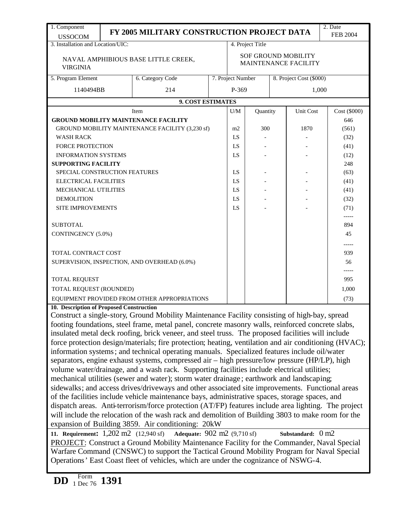| 1. Component<br><b>USSOCOM</b>                              |  | FY 2005 MILITARY CONSTRUCTION PROJECT DATA                                                            |  |                                                    |                  |      |                         | 2. Date<br><b>FEB 2004</b> |
|-------------------------------------------------------------|--|-------------------------------------------------------------------------------------------------------|--|----------------------------------------------------|------------------|------|-------------------------|----------------------------|
| 3. Installation and Location/UIC:                           |  |                                                                                                       |  |                                                    | 4. Project Title |      |                         |                            |
| <b>VIRGINIA</b>                                             |  | NAVAL AMPHIBIOUS BASE LITTLE CREEK,                                                                   |  | <b>SOF GROUND MOBILITY</b><br>MAINTENANCE FACILITY |                  |      |                         |                            |
| 5. Program Element                                          |  | 6. Category Code                                                                                      |  | 7. Project Number                                  |                  |      | 8. Project Cost (\$000) |                            |
| 1140494BB                                                   |  | 214                                                                                                   |  | P-369                                              |                  |      | 1,000                   |                            |
|                                                             |  | 9. COST ESTIMATES                                                                                     |  |                                                    |                  |      |                         |                            |
|                                                             |  | Item                                                                                                  |  | U/M                                                | Quantity         |      | <b>Unit Cost</b>        | Cost (\$000)               |
|                                                             |  | <b>GROUND MOBILITY MAINTENANCE FACILITY</b>                                                           |  |                                                    |                  |      |                         | 646                        |
|                                                             |  | GROUND MOBILITY MAINTENANCE FACILITY (3,230 sf)                                                       |  | m2                                                 | 300              |      | 1870                    | (561)                      |
| <b>WASH RACK</b>                                            |  |                                                                                                       |  | LS                                                 |                  |      |                         | (32)                       |
| <b>FORCE PROTECTION</b>                                     |  |                                                                                                       |  | LS                                                 |                  |      |                         | (41)                       |
| <b>INFORMATION SYSTEMS</b>                                  |  |                                                                                                       |  | LS                                                 |                  |      |                         | (12)                       |
| <b>SUPPORTING FACILITY</b><br>248                           |  |                                                                                                       |  |                                                    |                  |      |                         |                            |
| SPECIAL CONSTRUCTION FEATURES<br>LS                         |  |                                                                                                       |  |                                                    |                  |      |                         | (63)                       |
| <b>ELECTRICAL FACILITIES</b>                                |  | LS                                                                                                    |  |                                                    |                  | (41) |                         |                            |
| MECHANICAL UTILITIES                                        |  | LS                                                                                                    |  |                                                    |                  | (41) |                         |                            |
| <b>DEMOLITION</b>                                           |  | LS                                                                                                    |  |                                                    |                  | (32) |                         |                            |
| <b>SITE IMPROVEMENTS</b>                                    |  |                                                                                                       |  | LS                                                 |                  |      |                         | (71)<br>-----              |
| <b>SUBTOTAL</b>                                             |  |                                                                                                       |  |                                                    |                  |      |                         | 894                        |
| CONTINGENCY (5.0%)<br>45                                    |  |                                                                                                       |  |                                                    |                  |      |                         |                            |
| -----<br>TOTAL CONTRACT COST<br>939                         |  |                                                                                                       |  |                                                    |                  |      |                         |                            |
|                                                             |  |                                                                                                       |  |                                                    |                  |      |                         |                            |
| SUPERVISION, INSPECTION, AND OVERHEAD (6.0%)<br>56<br>----- |  |                                                                                                       |  |                                                    |                  |      |                         |                            |
| TOTAL REQUEST<br>995                                        |  |                                                                                                       |  |                                                    |                  |      |                         |                            |
| TOTAL REQUEST (ROUNDED)<br>1,000                            |  |                                                                                                       |  |                                                    |                  |      |                         |                            |
|                                                             |  | EQUIPMENT PROVIDED FROM OTHER APPROPRIATIONS                                                          |  |                                                    |                  |      |                         | (73)                       |
| 10. Description of Proposed Construction                    |  |                                                                                                       |  |                                                    |                  |      |                         |                            |
|                                                             |  | Construct a single-story, Ground Mobility Maintenance Facility consisting of high-bay, spread         |  |                                                    |                  |      |                         |                            |
|                                                             |  | footing foundations, steel frame, metal panel, concrete masonry walls, reinforced concrete slabs,     |  |                                                    |                  |      |                         |                            |
|                                                             |  | insulated metal deck roofing, brick veneer, and steel truss. The proposed facilities will include     |  |                                                    |                  |      |                         |                            |
|                                                             |  | force protection design/materials; fire protection; heating, ventilation and air conditioning (HVAC); |  |                                                    |                  |      |                         |                            |
|                                                             |  | information systems; and technical operating manuals. Specialized features include oil/water          |  |                                                    |                  |      |                         |                            |
|                                                             |  | separators, engine exhaust systems, compressed air – high pressure/low pressure (HP/LP), high         |  |                                                    |                  |      |                         |                            |
|                                                             |  | volume water/drainage, and a wash rack. Supporting facilities include electrical utilities;           |  |                                                    |                  |      |                         |                            |
|                                                             |  | mechanical utilities (sewer and water); storm water drainage; earthwork and landscaping;              |  |                                                    |                  |      |                         |                            |
|                                                             |  | sidewalks; and access drives/driveways and other associated site improvements. Functional areas       |  |                                                    |                  |      |                         |                            |
|                                                             |  | of the facilities include vehicle maintenance bays, administrative spaces, storage spaces, and        |  |                                                    |                  |      |                         |                            |
|                                                             |  | dispatch areas. Anti-terrorism/force protection (AT/FP) features include area lighting. The project   |  |                                                    |                  |      |                         |                            |
|                                                             |  | will include the relocation of the wash rack and demolition of Building 3803 to make room for the     |  |                                                    |                  |      |                         |                            |
|                                                             |  | expansion of Building 3859. Air conditioning: 20kW                                                    |  |                                                    |                  |      |                         |                            |
|                                                             |  | 11. Requirement: 1,202 m2 (12,940 sf) Adequate: 902 m2 (9,710 sf)                                     |  |                                                    |                  |      | Substandard: 0 m2       |                            |
|                                                             |  | PROJECT: Construct a Ground Mobility Maintenance Facility for the Commander, Naval Special            |  |                                                    |                  |      |                         |                            |
|                                                             |  | Warfare Command (CNSWC) to support the Tactical Ground Mobility Program for Naval Special             |  |                                                    |                  |      |                         |                            |
|                                                             |  | Operations' East Coast fleet of vehicles, which are under the cognizance of NSWG-4.                   |  |                                                    |                  |      |                         |                            |
|                                                             |  |                                                                                                       |  |                                                    |                  |      |                         |                            |
| Form<br>$1 \text{ Dec } 76$ 1391<br><b>DD</b>               |  |                                                                                                       |  |                                                    |                  |      |                         |                            |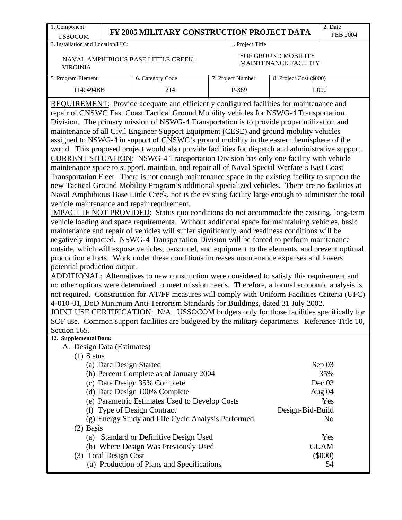| 1. Component                                                                                                                                                                                                                                                                                                                                                                                                                                                                                                                                                                                                                                                                                                                                                                                                                                                                                                                                                                                                                                                                                                                                                                                                                                                                                                                                                                                                                                                                                                                                                                                                                                                                                                                                                                                                                                                                                                                                                                                                                                                                                                                                                                                                                                                                                     |                         |                                                |  |                   |                                                    | 2. Date         |  |  |  |
|--------------------------------------------------------------------------------------------------------------------------------------------------------------------------------------------------------------------------------------------------------------------------------------------------------------------------------------------------------------------------------------------------------------------------------------------------------------------------------------------------------------------------------------------------------------------------------------------------------------------------------------------------------------------------------------------------------------------------------------------------------------------------------------------------------------------------------------------------------------------------------------------------------------------------------------------------------------------------------------------------------------------------------------------------------------------------------------------------------------------------------------------------------------------------------------------------------------------------------------------------------------------------------------------------------------------------------------------------------------------------------------------------------------------------------------------------------------------------------------------------------------------------------------------------------------------------------------------------------------------------------------------------------------------------------------------------------------------------------------------------------------------------------------------------------------------------------------------------------------------------------------------------------------------------------------------------------------------------------------------------------------------------------------------------------------------------------------------------------------------------------------------------------------------------------------------------------------------------------------------------------------------------------------------------|-------------------------|------------------------------------------------|--|-------------------|----------------------------------------------------|-----------------|--|--|--|
| <b>USSOCOM</b>                                                                                                                                                                                                                                                                                                                                                                                                                                                                                                                                                                                                                                                                                                                                                                                                                                                                                                                                                                                                                                                                                                                                                                                                                                                                                                                                                                                                                                                                                                                                                                                                                                                                                                                                                                                                                                                                                                                                                                                                                                                                                                                                                                                                                                                                                   |                         | FY 2005 MILITARY CONSTRUCTION PROJECT DATA     |  |                   |                                                    | <b>FEB 2004</b> |  |  |  |
| 3. Installation and Location/UIC:                                                                                                                                                                                                                                                                                                                                                                                                                                                                                                                                                                                                                                                                                                                                                                                                                                                                                                                                                                                                                                                                                                                                                                                                                                                                                                                                                                                                                                                                                                                                                                                                                                                                                                                                                                                                                                                                                                                                                                                                                                                                                                                                                                                                                                                                |                         |                                                |  | 4. Project Title  |                                                    |                 |  |  |  |
| <b>VIRGINIA</b>                                                                                                                                                                                                                                                                                                                                                                                                                                                                                                                                                                                                                                                                                                                                                                                                                                                                                                                                                                                                                                                                                                                                                                                                                                                                                                                                                                                                                                                                                                                                                                                                                                                                                                                                                                                                                                                                                                                                                                                                                                                                                                                                                                                                                                                                                  |                         | NAVAL AMPHIBIOUS BASE LITTLE CREEK,            |  |                   | <b>SOF GROUND MOBILITY</b><br>MAINTENANCE FACILITY |                 |  |  |  |
| 5. Program Element                                                                                                                                                                                                                                                                                                                                                                                                                                                                                                                                                                                                                                                                                                                                                                                                                                                                                                                                                                                                                                                                                                                                                                                                                                                                                                                                                                                                                                                                                                                                                                                                                                                                                                                                                                                                                                                                                                                                                                                                                                                                                                                                                                                                                                                                               |                         | 6. Category Code                               |  | 7. Project Number | 8. Project Cost (\$000)                            |                 |  |  |  |
| 1140494BB                                                                                                                                                                                                                                                                                                                                                                                                                                                                                                                                                                                                                                                                                                                                                                                                                                                                                                                                                                                                                                                                                                                                                                                                                                                                                                                                                                                                                                                                                                                                                                                                                                                                                                                                                                                                                                                                                                                                                                                                                                                                                                                                                                                                                                                                                        |                         | 214                                            |  | P-369             |                                                    | 1,000           |  |  |  |
| repair of CNSWC East Coast Tactical Ground Mobility vehicles for NSWG-4 Transportation<br>Division. The primary mission of NSWG-4 Transportation is to provide proper utilization and<br>maintenance of all Civil Engineer Support Equipment (CESE) and ground mobility vehicles<br>assigned to NSWG-4 in support of CNSWC's ground mobility in the eastern hemisphere of the<br>world. This proposed project would also provide facilities for dispatch and administrative support.<br>CURRENT SITUATION: NSWG-4 Transportation Division has only one facility with vehicle<br>maintenance space to support, maintain, and repair all of Naval Special Warfare's East Coast<br>Transportation Fleet. There is not enough maintenance space in the existing facility to support the<br>new Tactical Ground Mobility Program's additional specialized vehicles. There are no facilities at<br>Naval Amphibious Base Little Creek, nor is the existing facility large enough to administer the total<br>vehicle maintenance and repair requirement.<br>IMPACT IF NOT PROVIDED: Status quo conditions do not accommodate the existing, long-term<br>vehicle loading and space requirements. Without additional space for maintaining vehicles, basic<br>maintenance and repair of vehicles will suffer significantly, and readiness conditions will be<br>negatively impacted. NSWG-4 Transportation Division will be forced to perform maintenance<br>outside, which will expose vehicles, personnel, and equipment to the elements, and prevent optimal<br>production efforts. Work under these conditions increases maintenance expenses and lowers<br>potential production output.<br>ADDITIONAL: Alternatives to new construction were considered to satisfy this requirement and<br>no other options were determined to meet mission needs. Therefore, a formal economic analysis is<br>not required. Construction for AT/FP measures will comply with Uniform Facilities Criteria (UFC)<br>4-010-01, DoD Minimum Anti-Terrorism Standards for Buildings, dated 31 July 2002.<br>JOINT USE CERTIFICATION: N/A. USSOCOM budgets only for those facilities specifically for<br>SOF use. Common support facilities are budgeted by the military departments. Reference Title 10,<br>Section 165. |                         |                                                |  |                   |                                                    |                 |  |  |  |
| 12. Supplemental Data:<br>A. Design Data (Estimates)                                                                                                                                                                                                                                                                                                                                                                                                                                                                                                                                                                                                                                                                                                                                                                                                                                                                                                                                                                                                                                                                                                                                                                                                                                                                                                                                                                                                                                                                                                                                                                                                                                                                                                                                                                                                                                                                                                                                                                                                                                                                                                                                                                                                                                             |                         |                                                |  |                   |                                                    |                 |  |  |  |
| $(1)$ Status                                                                                                                                                                                                                                                                                                                                                                                                                                                                                                                                                                                                                                                                                                                                                                                                                                                                                                                                                                                                                                                                                                                                                                                                                                                                                                                                                                                                                                                                                                                                                                                                                                                                                                                                                                                                                                                                                                                                                                                                                                                                                                                                                                                                                                                                                     |                         |                                                |  |                   |                                                    |                 |  |  |  |
|                                                                                                                                                                                                                                                                                                                                                                                                                                                                                                                                                                                                                                                                                                                                                                                                                                                                                                                                                                                                                                                                                                                                                                                                                                                                                                                                                                                                                                                                                                                                                                                                                                                                                                                                                                                                                                                                                                                                                                                                                                                                                                                                                                                                                                                                                                  | (a) Date Design Started |                                                |  |                   |                                                    | Sep 03          |  |  |  |
|                                                                                                                                                                                                                                                                                                                                                                                                                                                                                                                                                                                                                                                                                                                                                                                                                                                                                                                                                                                                                                                                                                                                                                                                                                                                                                                                                                                                                                                                                                                                                                                                                                                                                                                                                                                                                                                                                                                                                                                                                                                                                                                                                                                                                                                                                                  |                         | (b) Percent Complete as of January 2004        |  |                   |                                                    | 35%             |  |  |  |
|                                                                                                                                                                                                                                                                                                                                                                                                                                                                                                                                                                                                                                                                                                                                                                                                                                                                                                                                                                                                                                                                                                                                                                                                                                                                                                                                                                                                                                                                                                                                                                                                                                                                                                                                                                                                                                                                                                                                                                                                                                                                                                                                                                                                                                                                                                  |                         | (c) Date Design 35% Complete                   |  |                   |                                                    | Dec 03          |  |  |  |
|                                                                                                                                                                                                                                                                                                                                                                                                                                                                                                                                                                                                                                                                                                                                                                                                                                                                                                                                                                                                                                                                                                                                                                                                                                                                                                                                                                                                                                                                                                                                                                                                                                                                                                                                                                                                                                                                                                                                                                                                                                                                                                                                                                                                                                                                                                  |                         | (d) Date Design 100% Complete                  |  |                   |                                                    | Aug 04          |  |  |  |
|                                                                                                                                                                                                                                                                                                                                                                                                                                                                                                                                                                                                                                                                                                                                                                                                                                                                                                                                                                                                                                                                                                                                                                                                                                                                                                                                                                                                                                                                                                                                                                                                                                                                                                                                                                                                                                                                                                                                                                                                                                                                                                                                                                                                                                                                                                  |                         | (e) Parametric Estimates Used to Develop Costs |  |                   |                                                    | Yes             |  |  |  |
|                                                                                                                                                                                                                                                                                                                                                                                                                                                                                                                                                                                                                                                                                                                                                                                                                                                                                                                                                                                                                                                                                                                                                                                                                                                                                                                                                                                                                                                                                                                                                                                                                                                                                                                                                                                                                                                                                                                                                                                                                                                                                                                                                                                                                                                                                                  |                         | (f) Type of Design Contract                    |  |                   | Design-Bid-Build                                   |                 |  |  |  |
| (g) Energy Study and Life Cycle Analysis Performed<br>N <sub>0</sub>                                                                                                                                                                                                                                                                                                                                                                                                                                                                                                                                                                                                                                                                                                                                                                                                                                                                                                                                                                                                                                                                                                                                                                                                                                                                                                                                                                                                                                                                                                                                                                                                                                                                                                                                                                                                                                                                                                                                                                                                                                                                                                                                                                                                                             |                         |                                                |  |                   |                                                    |                 |  |  |  |
| $(2)$ Basis                                                                                                                                                                                                                                                                                                                                                                                                                                                                                                                                                                                                                                                                                                                                                                                                                                                                                                                                                                                                                                                                                                                                                                                                                                                                                                                                                                                                                                                                                                                                                                                                                                                                                                                                                                                                                                                                                                                                                                                                                                                                                                                                                                                                                                                                                      |                         |                                                |  |                   |                                                    |                 |  |  |  |
|                                                                                                                                                                                                                                                                                                                                                                                                                                                                                                                                                                                                                                                                                                                                                                                                                                                                                                                                                                                                                                                                                                                                                                                                                                                                                                                                                                                                                                                                                                                                                                                                                                                                                                                                                                                                                                                                                                                                                                                                                                                                                                                                                                                                                                                                                                  |                         | (a) Standard or Definitive Design Used         |  |                   |                                                    | Yes             |  |  |  |
|                                                                                                                                                                                                                                                                                                                                                                                                                                                                                                                                                                                                                                                                                                                                                                                                                                                                                                                                                                                                                                                                                                                                                                                                                                                                                                                                                                                                                                                                                                                                                                                                                                                                                                                                                                                                                                                                                                                                                                                                                                                                                                                                                                                                                                                                                                  |                         | (b) Where Design Was Previously Used           |  |                   |                                                    | <b>GUAM</b>     |  |  |  |
|                                                                                                                                                                                                                                                                                                                                                                                                                                                                                                                                                                                                                                                                                                                                                                                                                                                                                                                                                                                                                                                                                                                                                                                                                                                                                                                                                                                                                                                                                                                                                                                                                                                                                                                                                                                                                                                                                                                                                                                                                                                                                                                                                                                                                                                                                                  | (3) Total Design Cost   |                                                |  |                   |                                                    | $(\$000)$       |  |  |  |
|                                                                                                                                                                                                                                                                                                                                                                                                                                                                                                                                                                                                                                                                                                                                                                                                                                                                                                                                                                                                                                                                                                                                                                                                                                                                                                                                                                                                                                                                                                                                                                                                                                                                                                                                                                                                                                                                                                                                                                                                                                                                                                                                                                                                                                                                                                  |                         | (a) Production of Plans and Specifications     |  |                   |                                                    | 54              |  |  |  |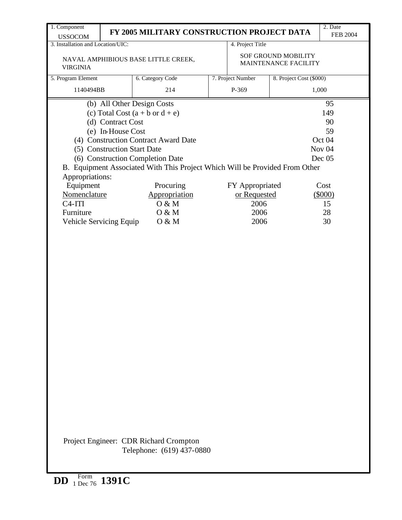| 1. Component                                                                                     |                                                                       | FY 2005 MILITARY CONSTRUCTION PROJECT DATA                                                                                                                                                                                                                                                   |                                                         |                                                    | 2. Date<br><b>FEB 2004</b>                                                                            |
|--------------------------------------------------------------------------------------------------|-----------------------------------------------------------------------|----------------------------------------------------------------------------------------------------------------------------------------------------------------------------------------------------------------------------------------------------------------------------------------------|---------------------------------------------------------|----------------------------------------------------|-------------------------------------------------------------------------------------------------------|
| <b>USSOCOM</b><br>3. Installation and Location/UIC:                                              |                                                                       |                                                                                                                                                                                                                                                                                              | 4. Project Title                                        |                                                    |                                                                                                       |
| <b>VIRGINIA</b>                                                                                  |                                                                       | NAVAL AMPHIBIOUS BASE LITTLE CREEK,                                                                                                                                                                                                                                                          |                                                         | <b>SOF GROUND MOBILITY</b><br>MAINTENANCE FACILITY |                                                                                                       |
| 5. Program Element                                                                               |                                                                       | 6. Category Code                                                                                                                                                                                                                                                                             | 7. Project Number                                       | 8. Project Cost (\$000)                            |                                                                                                       |
| 1140494BB                                                                                        |                                                                       | 214                                                                                                                                                                                                                                                                                          | P-369                                                   |                                                    | 1,000                                                                                                 |
| Appropriations:<br>Equipment<br>Nomenclature<br>$C4-ITI$<br>Furniture<br>Vehicle Servicing Equip | (d) Contract Cost<br>(e) In-House Cost<br>(5) Construction Start Date | (b) All Other Design Costs<br>(c) Total Cost $(a + b \text{ or } d + e)$<br>(4) Construction Contract Award Date<br>(6) Construction Completion Date<br>B. Equipment Associated With This Project Which Will be Provided From Other<br>Procuring<br>Appropriation<br>O & M<br>O & M<br>O & M | FY Appropriated<br>or Requested<br>2006<br>2006<br>2006 |                                                    | 95<br>149<br>90<br>59<br>Oct 04<br>Nov <sub>04</sub><br>Dec 05<br>Cost<br>$(\$000)$<br>15<br>28<br>30 |
|                                                                                                  |                                                                       | Project Engineer: CDR Richard Crompton<br>Telephone: (619) 437-0880                                                                                                                                                                                                                          |                                                         |                                                    |                                                                                                       |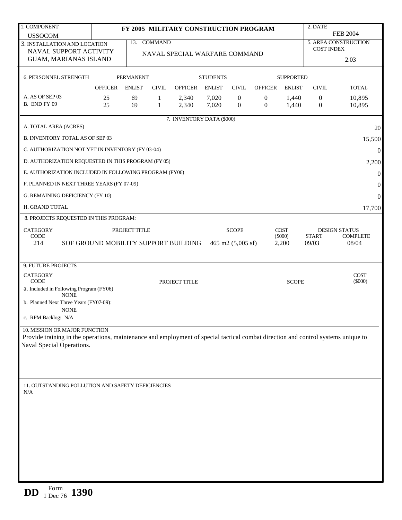| 1. COMPONENT                                                                                                                                                   |                                      |                  |              | FY 2005 MILITARY CONSTRUCTION PROGRAM |                 |                             |                  |                          | 2. DATE           |                                         |
|----------------------------------------------------------------------------------------------------------------------------------------------------------------|--------------------------------------|------------------|--------------|---------------------------------------|-----------------|-----------------------------|------------------|--------------------------|-------------------|-----------------------------------------|
| <b>USSOCOM</b>                                                                                                                                                 |                                      |                  |              |                                       |                 |                             |                  |                          |                   | <b>FEB 2004</b>                         |
| 3. INSTALLATION AND LOCATION                                                                                                                                   |                                      |                  | 13. COMMAND  |                                       |                 |                             |                  |                          | <b>COST INDEX</b> | <b>5. AREA CONSTRUCTION</b>             |
| NAVAL SUPPORT ACTIVITY                                                                                                                                         |                                      |                  |              | NAVAL SPECIAL WARFARE COMMAND         |                 |                             |                  |                          |                   |                                         |
| GUAM, MARIANAS ISLAND                                                                                                                                          |                                      |                  |              |                                       |                 |                             |                  |                          |                   | 2.03                                    |
| <b>6. PERSONNEL STRENGTH</b>                                                                                                                                   |                                      | <b>PERMANENT</b> |              |                                       | <b>STUDENTS</b> |                             |                  | <b>SUPPORTED</b>         |                   |                                         |
|                                                                                                                                                                | <b>OFFICER</b>                       | <b>ENLIST</b>    | <b>CIVIL</b> | <b>OFFICER</b>                        | <b>ENLIST</b>   | <b>CIVIL</b>                | <b>OFFICER</b>   | <b>ENLIST</b>            | <b>CIVIL</b>      | <b>TOTAL</b>                            |
| A. AS OF SEP 03                                                                                                                                                | 25                                   | 69               | 1            | 2,340                                 | 7,020           | $\boldsymbol{0}$            | $\boldsymbol{0}$ | 1,440                    | $\boldsymbol{0}$  | 10,895                                  |
| <b>B. END FY 09</b>                                                                                                                                            | 25                                   | 69               | $\mathbf{1}$ | 2,340                                 | 7,020           | $\mathbf{0}$                | $\boldsymbol{0}$ | 1,440                    | $\boldsymbol{0}$  | 10,895                                  |
|                                                                                                                                                                |                                      |                  |              | 7. INVENTORY DATA (\$000)             |                 |                             |                  |                          |                   |                                         |
| A. TOTAL AREA (ACRES)<br>B. INVENTORY TOTAL AS OF SEP 03                                                                                                       |                                      |                  |              |                                       |                 |                             |                  |                          |                   | 20<br>15,500                            |
| C. AUTHORIZATION NOT YET IN INVENTORY (FY 03-04)                                                                                                               |                                      |                  |              |                                       |                 |                             |                  |                          |                   | $\mathbf{0}$                            |
| D. AUTHORIZATION REQUESTED IN THIS PROGRAM (FY 05)                                                                                                             |                                      |                  |              |                                       |                 |                             |                  |                          |                   |                                         |
| E. AUTHORIZATION INCLUDED IN FOLLOWING PROGRAM (FY06)                                                                                                          |                                      |                  |              |                                       |                 |                             |                  |                          |                   | 2,200                                   |
|                                                                                                                                                                |                                      |                  |              |                                       |                 |                             |                  |                          |                   | $\boldsymbol{0}$                        |
| F. PLANNED IN NEXT THREE YEARS (FY 07-09)                                                                                                                      |                                      |                  |              |                                       |                 |                             |                  |                          |                   | $\boldsymbol{0}$                        |
| G. REMAINING DEFICIENCY (FY 10)                                                                                                                                |                                      |                  |              |                                       |                 |                             |                  |                          |                   | $\boldsymbol{0}$                        |
| H. GRAND TOTAL                                                                                                                                                 |                                      |                  |              |                                       |                 |                             |                  |                          |                   | 17,700                                  |
| 8. PROJECTS REQUESTED IN THIS PROGRAM:                                                                                                                         |                                      |                  |              |                                       |                 |                             |                  |                          |                   |                                         |
| <b>CATEGORY</b><br><b>CODE</b>                                                                                                                                 |                                      | PROJECT TITLE    |              |                                       |                 | <b>SCOPE</b>                |                  | <b>COST</b><br>$(\$000)$ | <b>START</b>      | <b>DESIGN STATUS</b><br><b>COMPLETE</b> |
| 214                                                                                                                                                            | SOF GROUND MOBILITY SUPPORT BUILDING |                  |              |                                       |                 | 465 m2 $(5,005 \text{ sf})$ |                  | 2,200                    | 09/03             | 08/04                                   |
|                                                                                                                                                                |                                      |                  |              |                                       |                 |                             |                  |                          |                   |                                         |
| 9. FUTURE PROJECTS                                                                                                                                             |                                      |                  |              |                                       |                 |                             |                  |                          |                   |                                         |
| <b>CATEGORY</b>                                                                                                                                                |                                      |                  |              |                                       |                 |                             |                  |                          |                   | <b>COST</b>                             |
| <b>CODE</b><br>a. Included in Following Program (FY06)                                                                                                         |                                      |                  |              | PROJECT TITLE                         |                 |                             |                  | <b>SCOPE</b>             |                   | $(\$000)$                               |
| <b>NONE</b>                                                                                                                                                    |                                      |                  |              |                                       |                 |                             |                  |                          |                   |                                         |
| b. Planned Next Three Years (FY07-09):<br><b>NONE</b>                                                                                                          |                                      |                  |              |                                       |                 |                             |                  |                          |                   |                                         |
| c. RPM Backlog: N/A                                                                                                                                            |                                      |                  |              |                                       |                 |                             |                  |                          |                   |                                         |
| 10. MISSION OR MAJOR FUNCTION                                                                                                                                  |                                      |                  |              |                                       |                 |                             |                  |                          |                   |                                         |
| Provide training in the operations, maintenance and employment of special tactical combat direction and control systems unique to<br>Naval Special Operations. |                                      |                  |              |                                       |                 |                             |                  |                          |                   |                                         |
|                                                                                                                                                                |                                      |                  |              |                                       |                 |                             |                  |                          |                   |                                         |
|                                                                                                                                                                |                                      |                  |              |                                       |                 |                             |                  |                          |                   |                                         |
|                                                                                                                                                                |                                      |                  |              |                                       |                 |                             |                  |                          |                   |                                         |
| 11. OUTSTANDING POLLUTION AND SAFETY DEFICIENCIES                                                                                                              |                                      |                  |              |                                       |                 |                             |                  |                          |                   |                                         |
| N/A                                                                                                                                                            |                                      |                  |              |                                       |                 |                             |                  |                          |                   |                                         |
|                                                                                                                                                                |                                      |                  |              |                                       |                 |                             |                  |                          |                   |                                         |
|                                                                                                                                                                |                                      |                  |              |                                       |                 |                             |                  |                          |                   |                                         |
|                                                                                                                                                                |                                      |                  |              |                                       |                 |                             |                  |                          |                   |                                         |
|                                                                                                                                                                |                                      |                  |              |                                       |                 |                             |                  |                          |                   |                                         |
|                                                                                                                                                                |                                      |                  |              |                                       |                 |                             |                  |                          |                   |                                         |
|                                                                                                                                                                |                                      |                  |              |                                       |                 |                             |                  |                          |                   |                                         |
|                                                                                                                                                                |                                      |                  |              |                                       |                 |                             |                  |                          |                   |                                         |
|                                                                                                                                                                |                                      |                  |              |                                       |                 |                             |                  |                          |                   |                                         |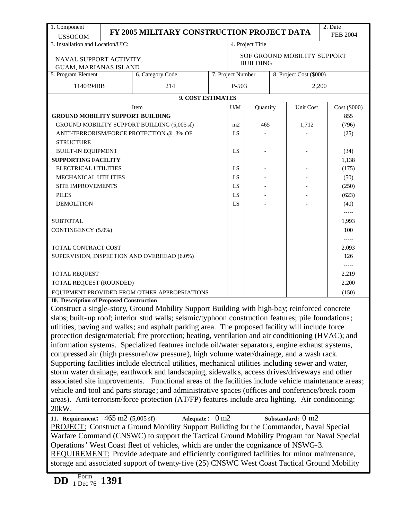| 1. Component                                                                                                                                                                                                                                                                                                                                                                                                                                                                                                                                                                                                                                                                                                                                                                                                                                                                                                                                                                                                                                                                                                                                                                                                                                                                                                                                                                                                                                                                                                                        |  | FY 2005 MILITARY CONSTRUCTION PROJECT DATA                                                                                                                                                        |  |                                              |                  |       |                             | 2. Date         |  |
|-------------------------------------------------------------------------------------------------------------------------------------------------------------------------------------------------------------------------------------------------------------------------------------------------------------------------------------------------------------------------------------------------------------------------------------------------------------------------------------------------------------------------------------------------------------------------------------------------------------------------------------------------------------------------------------------------------------------------------------------------------------------------------------------------------------------------------------------------------------------------------------------------------------------------------------------------------------------------------------------------------------------------------------------------------------------------------------------------------------------------------------------------------------------------------------------------------------------------------------------------------------------------------------------------------------------------------------------------------------------------------------------------------------------------------------------------------------------------------------------------------------------------------------|--|---------------------------------------------------------------------------------------------------------------------------------------------------------------------------------------------------|--|----------------------------------------------|------------------|-------|-----------------------------|-----------------|--|
| <b>USSOCOM</b>                                                                                                                                                                                                                                                                                                                                                                                                                                                                                                                                                                                                                                                                                                                                                                                                                                                                                                                                                                                                                                                                                                                                                                                                                                                                                                                                                                                                                                                                                                                      |  |                                                                                                                                                                                                   |  |                                              |                  |       |                             | <b>FEB 2004</b> |  |
| 3. Installation and Location/UIC:                                                                                                                                                                                                                                                                                                                                                                                                                                                                                                                                                                                                                                                                                                                                                                                                                                                                                                                                                                                                                                                                                                                                                                                                                                                                                                                                                                                                                                                                                                   |  |                                                                                                                                                                                                   |  |                                              | 4. Project Title |       |                             |                 |  |
| NAVAL SUPPORT ACTIVITY,                                                                                                                                                                                                                                                                                                                                                                                                                                                                                                                                                                                                                                                                                                                                                                                                                                                                                                                                                                                                                                                                                                                                                                                                                                                                                                                                                                                                                                                                                                             |  |                                                                                                                                                                                                   |  |                                              |                  |       | SOF GROUND MOBILITY SUPPORT |                 |  |
| <b>GUAM, MARIANAS ISLAND</b>                                                                                                                                                                                                                                                                                                                                                                                                                                                                                                                                                                                                                                                                                                                                                                                                                                                                                                                                                                                                                                                                                                                                                                                                                                                                                                                                                                                                                                                                                                        |  |                                                                                                                                                                                                   |  |                                              | <b>BUILDING</b>  |       |                             |                 |  |
| 5. Program Element                                                                                                                                                                                                                                                                                                                                                                                                                                                                                                                                                                                                                                                                                                                                                                                                                                                                                                                                                                                                                                                                                                                                                                                                                                                                                                                                                                                                                                                                                                                  |  | 6. Category Code                                                                                                                                                                                  |  | 7. Project Number<br>8. Project Cost (\$000) |                  |       |                             |                 |  |
| 1140494BB                                                                                                                                                                                                                                                                                                                                                                                                                                                                                                                                                                                                                                                                                                                                                                                                                                                                                                                                                                                                                                                                                                                                                                                                                                                                                                                                                                                                                                                                                                                           |  | 214                                                                                                                                                                                               |  | $P-503$                                      |                  |       |                             | 2,200           |  |
|                                                                                                                                                                                                                                                                                                                                                                                                                                                                                                                                                                                                                                                                                                                                                                                                                                                                                                                                                                                                                                                                                                                                                                                                                                                                                                                                                                                                                                                                                                                                     |  |                                                                                                                                                                                                   |  |                                              |                  |       |                             |                 |  |
|                                                                                                                                                                                                                                                                                                                                                                                                                                                                                                                                                                                                                                                                                                                                                                                                                                                                                                                                                                                                                                                                                                                                                                                                                                                                                                                                                                                                                                                                                                                                     |  | 9. COST ESTIMATES                                                                                                                                                                                 |  |                                              |                  |       |                             |                 |  |
|                                                                                                                                                                                                                                                                                                                                                                                                                                                                                                                                                                                                                                                                                                                                                                                                                                                                                                                                                                                                                                                                                                                                                                                                                                                                                                                                                                                                                                                                                                                                     |  | Item                                                                                                                                                                                              |  | U/M                                          | Quantity         |       | Unit Cost                   | Cost (\$000)    |  |
| <b>GROUND MOBILITY SUPPORT BUILDING</b>                                                                                                                                                                                                                                                                                                                                                                                                                                                                                                                                                                                                                                                                                                                                                                                                                                                                                                                                                                                                                                                                                                                                                                                                                                                                                                                                                                                                                                                                                             |  |                                                                                                                                                                                                   |  |                                              | 465              |       | 1,712                       | 855             |  |
|                                                                                                                                                                                                                                                                                                                                                                                                                                                                                                                                                                                                                                                                                                                                                                                                                                                                                                                                                                                                                                                                                                                                                                                                                                                                                                                                                                                                                                                                                                                                     |  | GROUND MOBILITY SUPPORT BUILDING (5,005 sf)<br>ANTI-TERRORISM/FORCE PROTECTION @ 3% OF                                                                                                            |  | m2<br>LS                                     |                  |       |                             | (796)           |  |
| <b>STRUCTURE</b>                                                                                                                                                                                                                                                                                                                                                                                                                                                                                                                                                                                                                                                                                                                                                                                                                                                                                                                                                                                                                                                                                                                                                                                                                                                                                                                                                                                                                                                                                                                    |  |                                                                                                                                                                                                   |  |                                              |                  |       |                             | (25)            |  |
| <b>BUILT-IN EQUIPMENT</b>                                                                                                                                                                                                                                                                                                                                                                                                                                                                                                                                                                                                                                                                                                                                                                                                                                                                                                                                                                                                                                                                                                                                                                                                                                                                                                                                                                                                                                                                                                           |  |                                                                                                                                                                                                   |  | LS                                           |                  |       |                             |                 |  |
| <b>SUPPORTING FACILITY</b>                                                                                                                                                                                                                                                                                                                                                                                                                                                                                                                                                                                                                                                                                                                                                                                                                                                                                                                                                                                                                                                                                                                                                                                                                                                                                                                                                                                                                                                                                                          |  |                                                                                                                                                                                                   |  |                                              |                  |       |                             | (34)<br>1,138   |  |
| <b>ELECTRICAL UTILITIES</b>                                                                                                                                                                                                                                                                                                                                                                                                                                                                                                                                                                                                                                                                                                                                                                                                                                                                                                                                                                                                                                                                                                                                                                                                                                                                                                                                                                                                                                                                                                         |  |                                                                                                                                                                                                   |  | <b>LS</b>                                    |                  |       |                             | (175)           |  |
| MECHANICAL UTILITIES                                                                                                                                                                                                                                                                                                                                                                                                                                                                                                                                                                                                                                                                                                                                                                                                                                                                                                                                                                                                                                                                                                                                                                                                                                                                                                                                                                                                                                                                                                                |  |                                                                                                                                                                                                   |  | LS                                           |                  |       |                             | (50)            |  |
| SITE IMPROVEMENTS                                                                                                                                                                                                                                                                                                                                                                                                                                                                                                                                                                                                                                                                                                                                                                                                                                                                                                                                                                                                                                                                                                                                                                                                                                                                                                                                                                                                                                                                                                                   |  |                                                                                                                                                                                                   |  | LS                                           |                  |       |                             | (250)           |  |
| <b>PILES</b>                                                                                                                                                                                                                                                                                                                                                                                                                                                                                                                                                                                                                                                                                                                                                                                                                                                                                                                                                                                                                                                                                                                                                                                                                                                                                                                                                                                                                                                                                                                        |  |                                                                                                                                                                                                   |  | LS                                           |                  |       |                             | (623)           |  |
| <b>DEMOLITION</b>                                                                                                                                                                                                                                                                                                                                                                                                                                                                                                                                                                                                                                                                                                                                                                                                                                                                                                                                                                                                                                                                                                                                                                                                                                                                                                                                                                                                                                                                                                                   |  |                                                                                                                                                                                                   |  | LS                                           |                  |       |                             | (40)            |  |
|                                                                                                                                                                                                                                                                                                                                                                                                                                                                                                                                                                                                                                                                                                                                                                                                                                                                                                                                                                                                                                                                                                                                                                                                                                                                                                                                                                                                                                                                                                                                     |  |                                                                                                                                                                                                   |  |                                              |                  |       |                             | -----           |  |
| <b>SUBTOTAL</b>                                                                                                                                                                                                                                                                                                                                                                                                                                                                                                                                                                                                                                                                                                                                                                                                                                                                                                                                                                                                                                                                                                                                                                                                                                                                                                                                                                                                                                                                                                                     |  |                                                                                                                                                                                                   |  |                                              |                  | 1,993 |                             |                 |  |
| CONTINGENCY (5.0%)                                                                                                                                                                                                                                                                                                                                                                                                                                                                                                                                                                                                                                                                                                                                                                                                                                                                                                                                                                                                                                                                                                                                                                                                                                                                                                                                                                                                                                                                                                                  |  |                                                                                                                                                                                                   |  |                                              |                  |       |                             | 100             |  |
|                                                                                                                                                                                                                                                                                                                                                                                                                                                                                                                                                                                                                                                                                                                                                                                                                                                                                                                                                                                                                                                                                                                                                                                                                                                                                                                                                                                                                                                                                                                                     |  |                                                                                                                                                                                                   |  |                                              |                  | ----- |                             |                 |  |
| TOTAL CONTRACT COST                                                                                                                                                                                                                                                                                                                                                                                                                                                                                                                                                                                                                                                                                                                                                                                                                                                                                                                                                                                                                                                                                                                                                                                                                                                                                                                                                                                                                                                                                                                 |  |                                                                                                                                                                                                   |  |                                              |                  | 2,093 |                             |                 |  |
| SUPERVISION, INSPECTION AND OVERHEAD (6.0%)                                                                                                                                                                                                                                                                                                                                                                                                                                                                                                                                                                                                                                                                                                                                                                                                                                                                                                                                                                                                                                                                                                                                                                                                                                                                                                                                                                                                                                                                                         |  |                                                                                                                                                                                                   |  |                                              |                  | 126   |                             |                 |  |
| $-----$                                                                                                                                                                                                                                                                                                                                                                                                                                                                                                                                                                                                                                                                                                                                                                                                                                                                                                                                                                                                                                                                                                                                                                                                                                                                                                                                                                                                                                                                                                                             |  |                                                                                                                                                                                                   |  |                                              |                  |       |                             |                 |  |
| <b>TOTAL REQUEST</b>                                                                                                                                                                                                                                                                                                                                                                                                                                                                                                                                                                                                                                                                                                                                                                                                                                                                                                                                                                                                                                                                                                                                                                                                                                                                                                                                                                                                                                                                                                                |  |                                                                                                                                                                                                   |  |                                              |                  |       |                             | 2,219           |  |
| TOTAL REQUEST (ROUNDED)                                                                                                                                                                                                                                                                                                                                                                                                                                                                                                                                                                                                                                                                                                                                                                                                                                                                                                                                                                                                                                                                                                                                                                                                                                                                                                                                                                                                                                                                                                             |  |                                                                                                                                                                                                   |  |                                              |                  |       |                             | 2,200           |  |
|                                                                                                                                                                                                                                                                                                                                                                                                                                                                                                                                                                                                                                                                                                                                                                                                                                                                                                                                                                                                                                                                                                                                                                                                                                                                                                                                                                                                                                                                                                                                     |  | EQUIPMENT PROVIDED FROM OTHER APPROPRIATIONS                                                                                                                                                      |  |                                              |                  |       |                             | (150)           |  |
| 10. Description of Proposed Construction                                                                                                                                                                                                                                                                                                                                                                                                                                                                                                                                                                                                                                                                                                                                                                                                                                                                                                                                                                                                                                                                                                                                                                                                                                                                                                                                                                                                                                                                                            |  |                                                                                                                                                                                                   |  |                                              |                  |       |                             |                 |  |
| Construct a single-story, Ground Mobility Support Building with high-bay; reinforced concrete<br>slabs; built-up roof; interior stud walls; seismic/typhoon construction features; pile foundations;<br>utilities, paving and walks; and asphalt parking area. The proposed facility will include force<br>protection design/material; fire protection; heating, ventilation and air conditioning (HVAC); and<br>information systems. Specialized features include oil/water separators, engine exhaust systems,<br>compressed air (high pressure/low pressure), high volume water/drainage, and a wash rack.<br>Supporting facilities include electrical utilities, mechanical utilities including sewer and water,<br>storm water drainage, earthwork and landscaping, sidewalk s, access drives/driveways and other<br>associated site improvements. Functional areas of the facilities include vehicle maintenance areas;<br>vehicle and tool and parts storage; and administrative spaces (offices and conference/break room<br>areas). Anti-terrorism/force protection (AT/FP) features include area lighting. Air conditioning:<br>20kW.<br>11. Requirement: $465 \text{ m}2 (5,005 \text{ sf})$<br>Adequate: 0 m2<br>Substandard: 0 m2<br><b>PROJECT:</b> Construct a Ground Mobility Support Building for the Commander, Naval Special<br>Warfare Command (CNSWC) to support the Tactical Ground Mobility Program for Naval Special<br>Operations' West Coast fleet of vehicles, which are under the cognizance of NSWG-3. |  |                                                                                                                                                                                                   |  |                                              |                  |       |                             |                 |  |
| Form                                                                                                                                                                                                                                                                                                                                                                                                                                                                                                                                                                                                                                                                                                                                                                                                                                                                                                                                                                                                                                                                                                                                                                                                                                                                                                                                                                                                                                                                                                                                |  | <b>REQUIREMENT:</b> Provide adequate and efficiently configured facilities for minor maintenance,<br>storage and associated support of twenty-five (25) CNSWC West Coast Tactical Ground Mobility |  |                                              |                  |       |                             |                 |  |
| DD                                                                                                                                                                                                                                                                                                                                                                                                                                                                                                                                                                                                                                                                                                                                                                                                                                                                                                                                                                                                                                                                                                                                                                                                                                                                                                                                                                                                                                                                                                                                  |  |                                                                                                                                                                                                   |  |                                              |                  |       |                             |                 |  |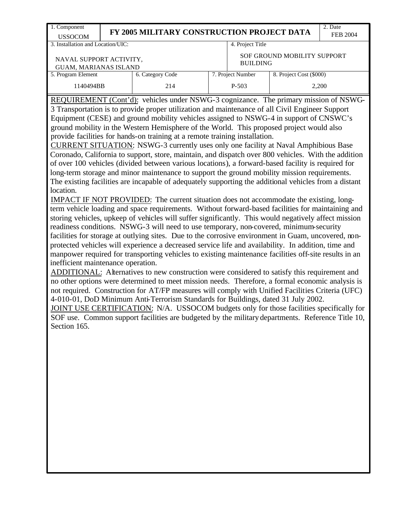| 1. Component<br>JSSOCOM           | FY 2005 MILITARY CONSTRUCTION PROJECT DATA |                  | Date<br><b>FEB 2004</b> |
|-----------------------------------|--------------------------------------------|------------------|-------------------------|
| 3. Installation and Location/UIC: |                                            | 4. Project Title |                         |

 NAVAL SUPPORT ACTIVITY, GUAM, MARIANAS ISLAND

4. Project Title

SOF GROUND MOBILITY SUPPORT BUILDING

| 8. Project Cost (\$000)<br>7. Proiect Number<br>5. Program Element<br>6. Category Code<br>2,200<br>1140494BB<br>P-503<br>214 | <u>OUI wit, inii mar'in yi waa nacha iyo</u> |  |  |
|------------------------------------------------------------------------------------------------------------------------------|----------------------------------------------|--|--|
|                                                                                                                              |                                              |  |  |
|                                                                                                                              |                                              |  |  |

REQUIREMENT (Cont'd): vehicles under NSWG-3 cognizance. The primary mission of NSWG-3 Transportation is to provide proper utilization and maintenance of all Civil Engineer Support Equipment (CESE) and ground mobility vehicles assigned to NSWG-4 in support of CNSWC's ground mobility in the Western Hemisphere of the World. This proposed project would also provide facilities for hands-on training at a remote training installation.

CURRENT SITUATION: NSWG-3 currently uses only one facility at Naval Amphibious Base Coronado, California to support, store, maintain, and dispatch over 800 vehicles. With the addition of over 100 vehicles (divided between various locations), a forward-based facility is required for long-term storage and minor maintenance to support the ground mobility mission requirements. The existing facilities are incapable of adequately supporting the additional vehicles from a distant location.

IMPACT IF NOT PROVIDED: The current situation does not accommodate the existing, longterm vehicle loading and space requirements. Without forward-based facilities for maintaining and storing vehicles, upkeep of vehicles will suffer significantly. This would negatively affect mission readiness conditions. NSWG-3 will need to use temporary, non-covered, minimum-security facilities for storage at outlying sites. Due to the corrosive environment in Guam, uncovered, nonprotected vehicles will experience a decreased service life and availability. In addition, time and manpower required for transporting vehicles to existing maintenance facilities off-site results in an inefficient maintenance operation.

ADDITIONAL: Alternatives to new construction were considered to satisfy this requirement and no other options were determined to meet mission needs. Therefore, a formal economic analysis is not required. Construction for AT/FP measures will comply with Unified Facilities Criteria (UFC) 4-010-01, DoD Minimum Anti-Terrorism Standards for Buildings, dated 31 July 2002.

JOINT USE CERTIFICATION: N/A. USSOCOM budgets only for those facilities specifically for SOF use. Common support facilities are budgeted by the military departments. Reference Title 10, Section 165.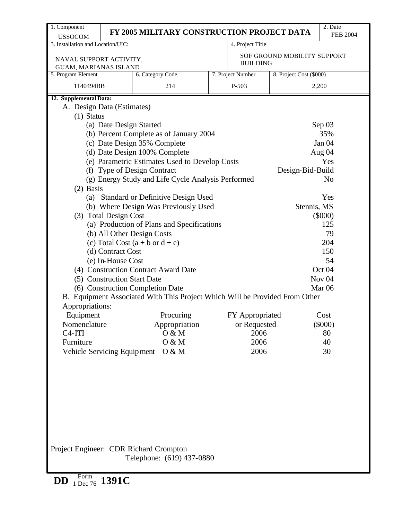| 1. Component                                                                          |                             | FY 2005 MILITARY CONSTRUCTION PROJECT DATA                                                                      |  |                   |                             | 2. Date<br><b>FEB 2004</b> |  |  |
|---------------------------------------------------------------------------------------|-----------------------------|-----------------------------------------------------------------------------------------------------------------|--|-------------------|-----------------------------|----------------------------|--|--|
| <b>USSOCOM</b><br>3. Installation and Location/UIC:                                   |                             |                                                                                                                 |  | 4. Project Title  |                             |                            |  |  |
| NAVAL SUPPORT ACTIVITY,<br><b>GUAM, MARIANAS ISLAND</b>                               |                             |                                                                                                                 |  | <b>BUILDING</b>   | SOF GROUND MOBILITY SUPPORT |                            |  |  |
| 5. Program Element                                                                    |                             | 6. Category Code                                                                                                |  | 7. Project Number | 8. Project Cost (\$000)     |                            |  |  |
| 1140494BB                                                                             |                             | 214                                                                                                             |  | P-503             |                             | 2,200                      |  |  |
| 12. Supplemental Data:                                                                |                             |                                                                                                                 |  |                   |                             |                            |  |  |
| A. Design Data (Estimates)                                                            |                             |                                                                                                                 |  |                   |                             |                            |  |  |
| $(1)$ Status                                                                          |                             |                                                                                                                 |  |                   |                             |                            |  |  |
|                                                                                       | (a) Date Design Started     |                                                                                                                 |  |                   |                             | Sep 03                     |  |  |
|                                                                                       |                             | (b) Percent Complete as of January 2004                                                                         |  |                   |                             | 35%                        |  |  |
|                                                                                       |                             | (c) Date Design 35% Complete                                                                                    |  |                   |                             | Jan 04                     |  |  |
|                                                                                       |                             | (d) Date Design 100% Complete                                                                                   |  |                   |                             | Aug 04                     |  |  |
|                                                                                       |                             | (e) Parametric Estimates Used to Develop Costs                                                                  |  |                   |                             | Yes                        |  |  |
|                                                                                       |                             | (f) Type of Design Contract                                                                                     |  |                   | Design-Bid-Build            |                            |  |  |
|                                                                                       |                             | (g) Energy Study and Life Cycle Analysis Performed                                                              |  |                   |                             | N <sub>o</sub>             |  |  |
| $(2)$ Basis                                                                           |                             |                                                                                                                 |  |                   |                             |                            |  |  |
|                                                                                       |                             | (a) Standard or Definitive Design Used                                                                          |  |                   |                             | Yes                        |  |  |
| (b) Where Design Was Previously Used<br>Stennis, MS<br>(3) Total Design Cost          |                             |                                                                                                                 |  |                   |                             |                            |  |  |
| $(\$000)$<br>125<br>(a) Production of Plans and Specifications                        |                             |                                                                                                                 |  |                   |                             |                            |  |  |
|                                                                                       |                             |                                                                                                                 |  |                   |                             |                            |  |  |
| (b) All Other Design Costs<br>79<br>204<br>(c) Total Cost $(a + b \text{ or } d + e)$ |                             |                                                                                                                 |  |                   |                             |                            |  |  |
|                                                                                       |                             |                                                                                                                 |  |                   |                             | 150                        |  |  |
|                                                                                       | (d) Contract Cost           |                                                                                                                 |  |                   |                             | 54                         |  |  |
|                                                                                       | (e) In-House Cost           | (4) Construction Contract Award Date                                                                            |  |                   |                             | Oct 04                     |  |  |
|                                                                                       |                             |                                                                                                                 |  |                   |                             | Nov <sub>04</sub>          |  |  |
|                                                                                       | (5) Construction Start Date |                                                                                                                 |  |                   |                             | Mar <sub>06</sub>          |  |  |
|                                                                                       |                             | (6) Construction Completion Date<br>B. Equipment Associated With This Project Which Will be Provided From Other |  |                   |                             |                            |  |  |
| Appropriations:                                                                       |                             |                                                                                                                 |  |                   |                             |                            |  |  |
|                                                                                       |                             | Procuring                                                                                                       |  | FY Appropriated   |                             | Cost                       |  |  |
| Equipment<br>Nomenclature                                                             |                             | Appropriation                                                                                                   |  | or Requested      |                             | $(\$000)$                  |  |  |
| $C4-ITI$                                                                              |                             | 0 & M                                                                                                           |  | 2006              |                             | 80                         |  |  |
| Furniture                                                                             |                             | 0 & M                                                                                                           |  | 2006              |                             | 40                         |  |  |
| Vehicle Servicing Equipment                                                           |                             | O & M                                                                                                           |  | 2006              |                             | 30                         |  |  |
|                                                                                       |                             |                                                                                                                 |  |                   |                             |                            |  |  |
|                                                                                       |                             |                                                                                                                 |  |                   |                             |                            |  |  |
|                                                                                       |                             |                                                                                                                 |  |                   |                             |                            |  |  |
|                                                                                       |                             |                                                                                                                 |  |                   |                             |                            |  |  |
|                                                                                       |                             |                                                                                                                 |  |                   |                             |                            |  |  |
|                                                                                       |                             |                                                                                                                 |  |                   |                             |                            |  |  |
|                                                                                       |                             |                                                                                                                 |  |                   |                             |                            |  |  |
|                                                                                       |                             |                                                                                                                 |  |                   |                             |                            |  |  |
|                                                                                       |                             |                                                                                                                 |  |                   |                             |                            |  |  |
|                                                                                       |                             |                                                                                                                 |  |                   |                             |                            |  |  |
|                                                                                       |                             | Project Engineer: CDR Richard Crompton                                                                          |  |                   |                             |                            |  |  |
|                                                                                       |                             | Telephone: (619) 437-0880                                                                                       |  |                   |                             |                            |  |  |
|                                                                                       |                             |                                                                                                                 |  |                   |                             |                            |  |  |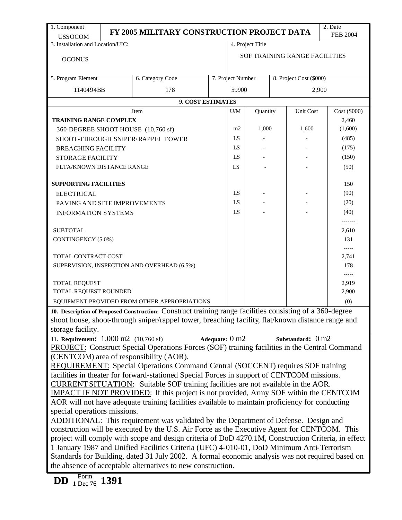| 1. Component                                                                                                                                                    |                                                                                                                                                                                                  | FY 2005 MILITARY CONSTRUCTION PROJECT DATA                                                               |                |                                              |          |       |                               | 2. Date         |  |
|-----------------------------------------------------------------------------------------------------------------------------------------------------------------|--------------------------------------------------------------------------------------------------------------------------------------------------------------------------------------------------|----------------------------------------------------------------------------------------------------------|----------------|----------------------------------------------|----------|-------|-------------------------------|-----------------|--|
| <b>USSOCOM</b>                                                                                                                                                  |                                                                                                                                                                                                  |                                                                                                          |                |                                              |          |       |                               | <b>FEB 2004</b> |  |
| 3. Installation and Location/UIC:                                                                                                                               |                                                                                                                                                                                                  |                                                                                                          |                | 4. Project Title                             |          |       |                               |                 |  |
| <b>OCONUS</b>                                                                                                                                                   |                                                                                                                                                                                                  |                                                                                                          |                |                                              |          |       | SOF TRAINING RANGE FACILITIES |                 |  |
|                                                                                                                                                                 |                                                                                                                                                                                                  |                                                                                                          |                |                                              |          |       |                               |                 |  |
| 5. Program Element                                                                                                                                              |                                                                                                                                                                                                  | 6. Category Code                                                                                         |                | 7. Project Number<br>8. Project Cost (\$000) |          |       |                               |                 |  |
|                                                                                                                                                                 | 1140494BB<br>178                                                                                                                                                                                 |                                                                                                          |                |                                              |          |       |                               | 2,900           |  |
|                                                                                                                                                                 |                                                                                                                                                                                                  | 9. COST ESTIMATES                                                                                        |                | 59900                                        |          |       |                               |                 |  |
|                                                                                                                                                                 |                                                                                                                                                                                                  | Item                                                                                                     |                | U/M                                          | Quantity |       | Unit Cost                     | Cost (\$000)    |  |
| <b>TRAINING RANGE COMPLEX</b>                                                                                                                                   |                                                                                                                                                                                                  |                                                                                                          |                |                                              |          |       |                               | 2,460           |  |
|                                                                                                                                                                 | 360-DEGREE SHOOT HOUSE (10,760 sf)                                                                                                                                                               |                                                                                                          |                |                                              |          |       | 1,600                         | (1,600)         |  |
| SHOOT-THROUGH SNIPER/RAPPEL TOWER                                                                                                                               |                                                                                                                                                                                                  | m2<br>LS                                                                                                 | 1,000          |                                              |          | (485) |                               |                 |  |
| <b>BREACHING FACILITY</b>                                                                                                                                       |                                                                                                                                                                                                  |                                                                                                          |                | LS                                           |          |       |                               | (175)           |  |
| <b>STORAGE FACILITY</b>                                                                                                                                         |                                                                                                                                                                                                  |                                                                                                          |                | LS                                           |          |       |                               | (150)           |  |
| FLTA/KNOWN DISTANCE RANGE                                                                                                                                       |                                                                                                                                                                                                  |                                                                                                          |                | LS                                           |          |       |                               | (50)            |  |
|                                                                                                                                                                 |                                                                                                                                                                                                  |                                                                                                          |                |                                              |          |       |                               |                 |  |
| <b>SUPPORTING FACILITIES</b>                                                                                                                                    |                                                                                                                                                                                                  |                                                                                                          |                |                                              |          |       |                               | 150             |  |
| <b>ELECTRICAL</b>                                                                                                                                               |                                                                                                                                                                                                  |                                                                                                          |                | LS                                           |          |       |                               | (90)            |  |
| PAVING AND SITE IMPROVEMENTS                                                                                                                                    |                                                                                                                                                                                                  |                                                                                                          |                | LS                                           |          |       |                               | (20)            |  |
| <b>INFORMATION SYSTEMS</b>                                                                                                                                      |                                                                                                                                                                                                  |                                                                                                          |                | LS                                           |          |       |                               | (40)            |  |
|                                                                                                                                                                 |                                                                                                                                                                                                  |                                                                                                          |                |                                              |          |       |                               | -------         |  |
| <b>SUBTOTAL</b>                                                                                                                                                 |                                                                                                                                                                                                  |                                                                                                          |                |                                              |          |       |                               | 2,610           |  |
| CONTINGENCY (5.0%)                                                                                                                                              |                                                                                                                                                                                                  |                                                                                                          |                |                                              |          |       |                               | 131             |  |
|                                                                                                                                                                 |                                                                                                                                                                                                  |                                                                                                          |                |                                              |          |       |                               | $--- -$         |  |
| TOTAL CONTRACT COST                                                                                                                                             |                                                                                                                                                                                                  |                                                                                                          |                |                                              |          |       |                               | 2,741           |  |
|                                                                                                                                                                 |                                                                                                                                                                                                  | SUPERVISION, INSPECTION AND OVERHEAD (6.5%)                                                              |                |                                              |          |       |                               | 178             |  |
|                                                                                                                                                                 |                                                                                                                                                                                                  |                                                                                                          |                |                                              |          |       |                               | -----           |  |
| TOTAL REQUEST<br>TOTAL REQUEST ROUNDED                                                                                                                          |                                                                                                                                                                                                  |                                                                                                          |                |                                              |          |       |                               | 2,919<br>2,900  |  |
|                                                                                                                                                                 |                                                                                                                                                                                                  | EQUIPMENT PROVIDED FROM OTHER APPROPRIATIONS                                                             |                |                                              |          |       |                               | (0)             |  |
|                                                                                                                                                                 |                                                                                                                                                                                                  | 10. Description of Proposed Construction: Construct training range facilities consisting of a 360-degree |                |                                              |          |       |                               |                 |  |
|                                                                                                                                                                 |                                                                                                                                                                                                  | shoot house, shoot-through sniper/rappel tower, breaching facility, flat/known distance range and        |                |                                              |          |       |                               |                 |  |
| storage facility.                                                                                                                                               |                                                                                                                                                                                                  |                                                                                                          |                |                                              |          |       |                               |                 |  |
| 11. Requirement: $1,000 \text{ m}2 (10,760 \text{ sf})$                                                                                                         |                                                                                                                                                                                                  |                                                                                                          | Adequate: 0 m2 |                                              |          |       | Substandard: $0 \text{ m2}$   |                 |  |
|                                                                                                                                                                 |                                                                                                                                                                                                  | PROJECT: Construct Special Operations Forces (SOF) training facilities in the Central Command            |                |                                              |          |       |                               |                 |  |
|                                                                                                                                                                 |                                                                                                                                                                                                  | (CENTCOM) area of responsibility (AOR).                                                                  |                |                                              |          |       |                               |                 |  |
|                                                                                                                                                                 |                                                                                                                                                                                                  | <b>REQUIREMENT:</b> Special Operations Command Central (SOCCENT) requires SOF training                   |                |                                              |          |       |                               |                 |  |
|                                                                                                                                                                 |                                                                                                                                                                                                  | facilities in theater for forward-stationed Special Forces in support of CENTCOM missions.               |                |                                              |          |       |                               |                 |  |
|                                                                                                                                                                 |                                                                                                                                                                                                  | CURRENT SITUATION: Suitable SOF training facilities are not available in the AOR.                        |                |                                              |          |       |                               |                 |  |
|                                                                                                                                                                 |                                                                                                                                                                                                  | IMPACT IF NOT PROVIDED: If this project is not provided, Army SOF within the CENTCOM                     |                |                                              |          |       |                               |                 |  |
|                                                                                                                                                                 |                                                                                                                                                                                                  | AOR will not have adequate training facilities available to maintain proficiency for conducting          |                |                                              |          |       |                               |                 |  |
| special operations missions.                                                                                                                                    |                                                                                                                                                                                                  |                                                                                                          |                |                                              |          |       |                               |                 |  |
|                                                                                                                                                                 | ADDITIONAL: This requirement was validated by the Department of Defense. Design and                                                                                                              |                                                                                                          |                |                                              |          |       |                               |                 |  |
|                                                                                                                                                                 | construction will be executed by the U.S. Air Force as the Executive Agent for CENTCOM. This                                                                                                     |                                                                                                          |                |                                              |          |       |                               |                 |  |
|                                                                                                                                                                 | project will comply with scope and design criteria of DoD 4270.1M, Construction Criteria, in effect<br>1 January 1987 and Unified Facilities Criteria (UFC) 4-010-01, DoD Minimum Anti-Terrorism |                                                                                                          |                |                                              |          |       |                               |                 |  |
|                                                                                                                                                                 |                                                                                                                                                                                                  |                                                                                                          |                |                                              |          |       |                               |                 |  |
| Standards for Building, dated 31 July 2002. A formal economic analysis was not required based on<br>the absence of acceptable alternatives to new construction. |                                                                                                                                                                                                  |                                                                                                          |                |                                              |          |       |                               |                 |  |
|                                                                                                                                                                 |                                                                                                                                                                                                  |                                                                                                          |                |                                              |          |       |                               |                 |  |
| Form<br>DD<br>$1 \text{ Dec } 76$ 1391                                                                                                                          |                                                                                                                                                                                                  |                                                                                                          |                |                                              |          |       |                               |                 |  |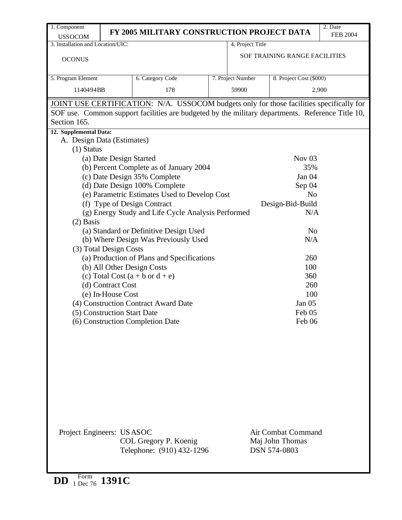| 1. Component<br><b>USSOCOM</b>                       | FY 2005 MILITARY CONSTRUCTION PROJECT DATA                                                       |                   |                               | 2. Date<br><b>FEB 2004</b> |  |  |
|------------------------------------------------------|--------------------------------------------------------------------------------------------------|-------------------|-------------------------------|----------------------------|--|--|
| 3. Installation and Location/UIC:                    |                                                                                                  | 4. Project Title  |                               |                            |  |  |
| <b>OCONUS</b>                                        |                                                                                                  |                   | SOF TRAINING RANGE FACILITIES |                            |  |  |
| 5. Program Element                                   | 6. Category Code                                                                                 | 7. Project Number | 8. Project Cost (\$000)       |                            |  |  |
| 1140494BB                                            | 178                                                                                              | 59900             |                               | 2,900                      |  |  |
|                                                      | JOINT USE CERTIFICATION: N/A. USSOCOM budgets only for those facilities specifically for         |                   |                               |                            |  |  |
|                                                      | SOF use. Common support facilities are budgeted by the military departments. Reference Title 10, |                   |                               |                            |  |  |
| Section 165.                                         |                                                                                                  |                   |                               |                            |  |  |
| 12. Supplemental Data:<br>A. Design Data (Estimates) |                                                                                                  |                   |                               |                            |  |  |
| $(1)$ Status                                         |                                                                                                  |                   |                               |                            |  |  |
|                                                      | (a) Date Design Started                                                                          |                   | Nov $03$                      |                            |  |  |
|                                                      | (b) Percent Complete as of January 2004                                                          |                   | 35%                           |                            |  |  |
|                                                      | (c) Date Design 35% Complete                                                                     |                   | Jan 04                        |                            |  |  |
|                                                      | (d) Date Design 100% Complete                                                                    |                   | Sep 04                        |                            |  |  |
|                                                      | (e) Parametric Estimates Used to Develop Cost                                                    |                   | N <sub>o</sub>                |                            |  |  |
|                                                      | (f) Type of Design Contract                                                                      |                   | Design-Bid-Build              |                            |  |  |
|                                                      | (g) Energy Study and Life Cycle Analysis Performed                                               |                   | N/A                           |                            |  |  |
| $(2)$ Basis                                          |                                                                                                  |                   |                               |                            |  |  |
|                                                      | (a) Standard or Definitive Design Used                                                           |                   | N <sub>0</sub>                |                            |  |  |
|                                                      | (b) Where Design Was Previously Used                                                             |                   | N/A                           |                            |  |  |
| (3) Total Design Costs                               |                                                                                                  |                   |                               |                            |  |  |
|                                                      | (a) Production of Plans and Specifications                                                       |                   | 260                           |                            |  |  |
|                                                      | (b) All Other Design Costs                                                                       |                   | 100                           |                            |  |  |
|                                                      | (c) Total Cost $(a + b \text{ or } d + e)$                                                       | 360               |                               |                            |  |  |
| (d) Contract Cost                                    |                                                                                                  |                   | 260                           |                            |  |  |
| (e) In-House Cost                                    |                                                                                                  |                   | 100                           |                            |  |  |
|                                                      | (4) Construction Contract Award Date                                                             |                   | Jan 05                        |                            |  |  |
| (5) Construction Start Date                          |                                                                                                  |                   | Feb <sub>05</sub>             |                            |  |  |
|                                                      | (6) Construction Completion Date                                                                 |                   | Feb 06                        |                            |  |  |
|                                                      |                                                                                                  |                   |                               |                            |  |  |
|                                                      |                                                                                                  |                   |                               |                            |  |  |
|                                                      |                                                                                                  |                   |                               |                            |  |  |
|                                                      |                                                                                                  |                   |                               |                            |  |  |
|                                                      |                                                                                                  |                   |                               |                            |  |  |
|                                                      |                                                                                                  |                   |                               |                            |  |  |
|                                                      |                                                                                                  |                   |                               |                            |  |  |
|                                                      |                                                                                                  |                   |                               |                            |  |  |
|                                                      |                                                                                                  |                   |                               |                            |  |  |
|                                                      |                                                                                                  |                   |                               |                            |  |  |
|                                                      |                                                                                                  |                   | Air Combat Command            |                            |  |  |
| Project Engineers: USASOC                            | COL Gregory P. Koenig                                                                            |                   | Maj John Thomas               |                            |  |  |
|                                                      | Telephone: (910) 432-1296                                                                        |                   | DSN 574-0803                  |                            |  |  |
|                                                      |                                                                                                  |                   |                               |                            |  |  |
|                                                      |                                                                                                  |                   |                               |                            |  |  |

**DD** Form 1 Dec 76 **1391C**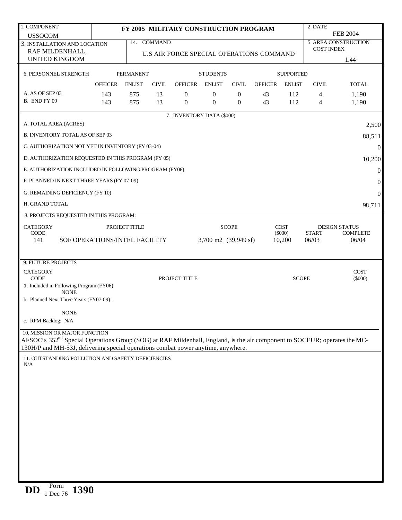| 1. COMPONENT                                                                                                                                                           |                |                  |              | FY 2005 MILITARY CONSTRUCTION PROGRAM    |                      |                |                |                     | 2. DATE               |                             |
|------------------------------------------------------------------------------------------------------------------------------------------------------------------------|----------------|------------------|--------------|------------------------------------------|----------------------|----------------|----------------|---------------------|-----------------------|-----------------------------|
| <b>USSOCOM</b>                                                                                                                                                         |                |                  |              |                                          |                      |                |                |                     |                       | <b>FEB 2004</b>             |
| 3. INSTALLATION AND LOCATION                                                                                                                                           |                |                  | 14. COMMAND  |                                          |                      |                |                |                     | <b>COST INDEX</b>     | <b>5. AREA CONSTRUCTION</b> |
| RAF MILDENHALL,<br><b>UNITED KINGDOM</b>                                                                                                                               |                |                  |              | U.S AIR FORCE SPECIAL OPERATIONS COMMAND |                      |                |                |                     |                       |                             |
|                                                                                                                                                                        |                |                  |              |                                          |                      |                |                |                     |                       | 1.44                        |
| 6. PERSONNEL STRENGTH                                                                                                                                                  |                | <b>PERMANENT</b> |              |                                          | <b>STUDENTS</b>      |                |                | <b>SUPPORTED</b>    |                       |                             |
|                                                                                                                                                                        | <b>OFFICER</b> | <b>ENLIST</b>    | <b>CIVIL</b> | <b>OFFICER</b>                           | <b>ENLIST</b>        | <b>CIVIL</b>   | <b>OFFICER</b> | <b>ENLIST</b>       | <b>CIVIL</b>          | <b>TOTAL</b>                |
| A. AS OF SEP 03                                                                                                                                                        | 143            | 875              | 13           | $\overline{0}$                           | $\boldsymbol{0}$     | $\mathbf{0}$   | 43             | 112                 | 4                     | 1,190                       |
| B. END FY 09                                                                                                                                                           | 143            | 875              | 13           | $\theta$                                 | $\mathbf{0}$         | $\overline{0}$ | 43             | 112                 | 4                     | 1,190                       |
|                                                                                                                                                                        |                |                  |              | 7. INVENTORY DATA (\$000)                |                      |                |                |                     |                       |                             |
| A. TOTAL AREA (ACRES)                                                                                                                                                  |                |                  |              |                                          |                      |                |                |                     |                       | 2,500                       |
| <b>B. INVENTORY TOTAL AS OF SEP 03</b>                                                                                                                                 |                |                  |              |                                          |                      |                |                |                     |                       | 88,511                      |
| C. AUTHORIZATION NOT YET IN INVENTORY (FY 03-04)                                                                                                                       |                |                  |              |                                          |                      |                |                |                     |                       | $\boldsymbol{0}$            |
| D. AUTHORIZATION REQUESTED IN THIS PROGRAM (FY 05)                                                                                                                     |                |                  |              |                                          |                      |                |                |                     |                       | 10,200                      |
| E. AUTHORIZATION INCLUDED IN FOLLOWING PROGRAM (FY06)                                                                                                                  |                |                  |              |                                          |                      |                |                |                     |                       | $\boldsymbol{0}$            |
| F. PLANNED IN NEXT THREE YEARS (FY 07-09)                                                                                                                              |                |                  |              |                                          |                      |                |                |                     |                       | $\boldsymbol{0}$            |
| G. REMAINING DEFICIENCY (FY 10)                                                                                                                                        |                |                  |              |                                          |                      |                |                |                     |                       | $\mathbf{0}$                |
| H. GRAND TOTAL                                                                                                                                                         |                |                  |              |                                          |                      |                |                |                     |                       | 98,711                      |
| 8. PROJECTS REQUESTED IN THIS PROGRAM:                                                                                                                                 |                |                  |              |                                          |                      |                |                |                     |                       |                             |
| <b>CATEGORY</b>                                                                                                                                                        |                | PROJECT TITLE    |              |                                          |                      | <b>SCOPE</b>   |                | <b>COST</b>         |                       | <b>DESIGN STATUS</b>        |
| <b>CODE</b><br>141<br>SOF OPERATIONS/INTEL FACILITY                                                                                                                    |                |                  |              |                                          | 3,700 m2 (39,949 sf) |                |                | $(\$000)$<br>10,200 | <b>START</b><br>06/03 | <b>COMPLETE</b><br>06/04    |
|                                                                                                                                                                        |                |                  |              |                                          |                      |                |                |                     |                       |                             |
| 9. FUTURE PROJECTS                                                                                                                                                     |                |                  |              |                                          |                      |                |                |                     |                       |                             |
| <b>CATEGORY</b>                                                                                                                                                        |                |                  |              |                                          |                      |                |                |                     |                       | <b>COST</b>                 |
| <b>CODE</b><br>a. Included in Following Program (FY06)                                                                                                                 |                |                  |              | PROJECT TITLE                            |                      |                |                | <b>SCOPE</b>        |                       | $(\$000)$                   |
| <b>NONE</b>                                                                                                                                                            |                |                  |              |                                          |                      |                |                |                     |                       |                             |
| b. Planned Next Three Years (FY07-09):                                                                                                                                 |                |                  |              |                                          |                      |                |                |                     |                       |                             |
| <b>NONE</b><br>c. RPM Backlog: N/A                                                                                                                                     |                |                  |              |                                          |                      |                |                |                     |                       |                             |
|                                                                                                                                                                        |                |                  |              |                                          |                      |                |                |                     |                       |                             |
| 10. MISSION OR MAJOR FUNCTION<br>AFSOC's 352 <sup>nd</sup> Special Operations Group (SOG) at RAF Mildenhall, England, is the air component to SOCEUR; operates the MC- |                |                  |              |                                          |                      |                |                |                     |                       |                             |
| 130H/P and MH-53J, delivering special operations combat power anytime, anywhere.                                                                                       |                |                  |              |                                          |                      |                |                |                     |                       |                             |
| 11. OUTSTANDING POLLUTION AND SAFETY DEFICIENCIES                                                                                                                      |                |                  |              |                                          |                      |                |                |                     |                       |                             |
| N/A                                                                                                                                                                    |                |                  |              |                                          |                      |                |                |                     |                       |                             |
|                                                                                                                                                                        |                |                  |              |                                          |                      |                |                |                     |                       |                             |
|                                                                                                                                                                        |                |                  |              |                                          |                      |                |                |                     |                       |                             |
|                                                                                                                                                                        |                |                  |              |                                          |                      |                |                |                     |                       |                             |
|                                                                                                                                                                        |                |                  |              |                                          |                      |                |                |                     |                       |                             |
|                                                                                                                                                                        |                |                  |              |                                          |                      |                |                |                     |                       |                             |
|                                                                                                                                                                        |                |                  |              |                                          |                      |                |                |                     |                       |                             |
|                                                                                                                                                                        |                |                  |              |                                          |                      |                |                |                     |                       |                             |
|                                                                                                                                                                        |                |                  |              |                                          |                      |                |                |                     |                       |                             |
|                                                                                                                                                                        |                |                  |              |                                          |                      |                |                |                     |                       |                             |
|                                                                                                                                                                        |                |                  |              |                                          |                      |                |                |                     |                       |                             |
|                                                                                                                                                                        |                |                  |              |                                          |                      |                |                |                     |                       |                             |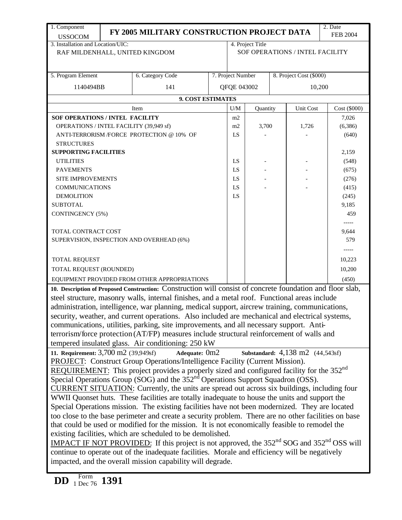| 1. Component                                                                                         |                                                                                                                                                              | FY 2005 MILITARY CONSTRUCTION PROJECT DATA                                                                 |  |                   |                  |  |                                  | 2. Date           |  |
|------------------------------------------------------------------------------------------------------|--------------------------------------------------------------------------------------------------------------------------------------------------------------|------------------------------------------------------------------------------------------------------------|--|-------------------|------------------|--|----------------------------------|-------------------|--|
| <b>USSOCOM</b>                                                                                       |                                                                                                                                                              |                                                                                                            |  |                   |                  |  |                                  | <b>FEB 2004</b>   |  |
| 3. Installation and Location/UIC:                                                                    |                                                                                                                                                              |                                                                                                            |  |                   | 4. Project Title |  |                                  |                   |  |
| RAF MILDENHALL, UNITED KINGDOM                                                                       |                                                                                                                                                              |                                                                                                            |  |                   |                  |  | SOF OPERATIONS / INTEL FACILITY  |                   |  |
|                                                                                                      |                                                                                                                                                              |                                                                                                            |  |                   |                  |  |                                  |                   |  |
| 5. Program Element                                                                                   |                                                                                                                                                              | 6. Category Code                                                                                           |  | 7. Project Number |                  |  | 8. Project Cost (\$000)          |                   |  |
|                                                                                                      |                                                                                                                                                              |                                                                                                            |  |                   |                  |  |                                  |                   |  |
| 1140494BB                                                                                            |                                                                                                                                                              | 141                                                                                                        |  | QFQE 043002       |                  |  | 10,200                           |                   |  |
|                                                                                                      |                                                                                                                                                              | 9. COST ESTIMATES                                                                                          |  |                   |                  |  |                                  |                   |  |
|                                                                                                      |                                                                                                                                                              | Item                                                                                                       |  | U/M               | Quantity         |  | Unit Cost                        | Cost (\$000)      |  |
| <b>SOF OPERATIONS / INTEL FACILITY</b>                                                               |                                                                                                                                                              |                                                                                                            |  | m2                |                  |  |                                  | 7,026             |  |
| OPERATIONS / INTEL FACILITY (39,949 sf)                                                              |                                                                                                                                                              |                                                                                                            |  | m2                | 3,700            |  | 1,726                            | (6,386)           |  |
|                                                                                                      |                                                                                                                                                              | ANTI-TERRORISM /FORCE PROTECTION @ 10% OF                                                                  |  | LS                |                  |  |                                  | (640)             |  |
| <b>STRUCTURES</b>                                                                                    |                                                                                                                                                              |                                                                                                            |  |                   |                  |  |                                  |                   |  |
| <b>SUPPORTING FACILITIES</b>                                                                         |                                                                                                                                                              |                                                                                                            |  |                   |                  |  |                                  | 2,159             |  |
| <b>UTILITIES</b>                                                                                     |                                                                                                                                                              |                                                                                                            |  | LS                |                  |  |                                  | (548)             |  |
| <b>PAVEMENTS</b>                                                                                     |                                                                                                                                                              |                                                                                                            |  | LS                |                  |  |                                  | (675)             |  |
| SITE IMPROVEMENTS                                                                                    |                                                                                                                                                              |                                                                                                            |  | LS                |                  |  |                                  | (276)             |  |
| <b>COMMUNICATIONS</b>                                                                                |                                                                                                                                                              |                                                                                                            |  | LS                |                  |  |                                  | (415)             |  |
| <b>DEMOLITION</b>                                                                                    |                                                                                                                                                              |                                                                                                            |  | LS                |                  |  |                                  | (245)             |  |
| <b>SUBTOTAL</b>                                                                                      |                                                                                                                                                              |                                                                                                            |  |                   |                  |  |                                  | 9,185             |  |
| <b>CONTINGENCY (5%)</b>                                                                              |                                                                                                                                                              |                                                                                                            |  |                   |                  |  |                                  | 459               |  |
| TOTAL CONTRACT COST                                                                                  |                                                                                                                                                              |                                                                                                            |  |                   |                  |  |                                  | $-----1$<br>9,644 |  |
| SUPERVISION, INSPECTION AND OVERHEAD (6%)                                                            |                                                                                                                                                              |                                                                                                            |  |                   |                  |  |                                  | 579               |  |
|                                                                                                      |                                                                                                                                                              |                                                                                                            |  |                   |                  |  |                                  |                   |  |
|                                                                                                      |                                                                                                                                                              |                                                                                                            |  |                   |                  |  |                                  |                   |  |
| TOTAL REQUEST                                                                                        |                                                                                                                                                              |                                                                                                            |  |                   |                  |  |                                  | 10,223            |  |
| TOTAL REQUEST (ROUNDED)                                                                              |                                                                                                                                                              |                                                                                                            |  |                   |                  |  |                                  | 10,200            |  |
|                                                                                                      |                                                                                                                                                              | EQUIPMENT PROVIDED FROM OTHER APPROPRIATIONS                                                               |  |                   |                  |  |                                  | (450)             |  |
|                                                                                                      |                                                                                                                                                              | 10. Description of Proposed Construction: Construction will consist of concrete foundation and floor slab, |  |                   |                  |  |                                  |                   |  |
|                                                                                                      |                                                                                                                                                              | steel structure, masonry walls, internal finishes, and a metal roof. Functional areas include              |  |                   |                  |  |                                  |                   |  |
|                                                                                                      |                                                                                                                                                              | administration, intelligence, war planning, medical support, aircrew training, communications,             |  |                   |                  |  |                                  |                   |  |
|                                                                                                      |                                                                                                                                                              | security, weather, and current operations. Also included are mechanical and electrical systems,            |  |                   |                  |  |                                  |                   |  |
|                                                                                                      |                                                                                                                                                              | communications, utilities, parking, site improvements, and all necessary support. Anti-                    |  |                   |                  |  |                                  |                   |  |
|                                                                                                      |                                                                                                                                                              | terrorism/force protection (AT/FP) measures include structural reinforcement of walls and                  |  |                   |                  |  |                                  |                   |  |
|                                                                                                      |                                                                                                                                                              | tempered insulated glass. Air conditioning: 250 kW                                                         |  |                   |                  |  |                                  |                   |  |
| 11. Requirement: 3,700 m2 (39,949sf)                                                                 |                                                                                                                                                              | Adequate: 0m2                                                                                              |  |                   |                  |  | Substandard: 4,138 m2 (44,543sf) |                   |  |
|                                                                                                      |                                                                                                                                                              | PROJECT: Construct Group Operations/Intelligence Facility (Current Mission).                               |  |                   |                  |  |                                  |                   |  |
|                                                                                                      |                                                                                                                                                              | REQUIREMENT: This project provides a properly sized and configured facility for the 352 <sup>nd</sup>      |  |                   |                  |  |                                  |                   |  |
|                                                                                                      |                                                                                                                                                              | Special Operations Group (SOG) and the $352nd$ Operations Support Squadron (OSS).                          |  |                   |                  |  |                                  |                   |  |
|                                                                                                      |                                                                                                                                                              | <b>CURRENT SITUATION:</b> Currently, the units are spread out across six buildings, including four         |  |                   |                  |  |                                  |                   |  |
|                                                                                                      |                                                                                                                                                              | WWII Quonset huts. These facilities are totally inadequate to house the units and support the              |  |                   |                  |  |                                  |                   |  |
|                                                                                                      |                                                                                                                                                              | Special Operations mission. The existing facilities have not been modernized. They are located             |  |                   |                  |  |                                  |                   |  |
| too close to the base perimeter and create a security problem. There are no other facilities on base |                                                                                                                                                              |                                                                                                            |  |                   |                  |  |                                  |                   |  |
|                                                                                                      | that could be used or modified for the mission. It is not economically feasible to remodel the<br>existing facilities, which are scheduled to be demolished. |                                                                                                            |  |                   |                  |  |                                  |                   |  |
|                                                                                                      |                                                                                                                                                              | <b>IMPACT IF NOT PROVIDED:</b> If this project is not approved, the $352nd$ SOG and $352nd$ OSS will       |  |                   |                  |  |                                  |                   |  |
|                                                                                                      |                                                                                                                                                              |                                                                                                            |  |                   |                  |  |                                  |                   |  |
|                                                                                                      |                                                                                                                                                              | continue to operate out of the inadequate facilities. Morale and efficiency will be negatively             |  |                   |                  |  |                                  |                   |  |
|                                                                                                      |                                                                                                                                                              | impacted, and the overall mission capability will degrade.                                                 |  |                   |                  |  |                                  |                   |  |

**DD** Form 1 Dec 76 **1391**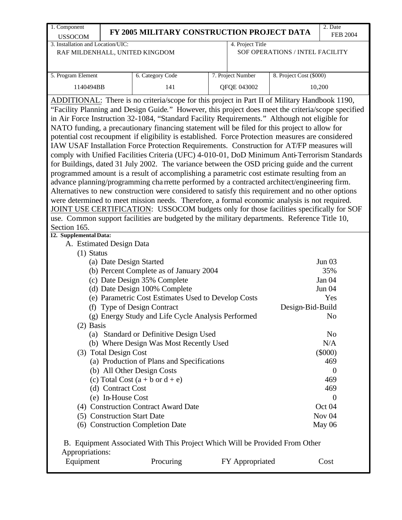| 1. Component                      |                       | FY 2005 MILITARY CONSTRUCTION PROJECT DATA                                                         |                   |                                 | 2. Date               |
|-----------------------------------|-----------------------|----------------------------------------------------------------------------------------------------|-------------------|---------------------------------|-----------------------|
| <b>USSOCOM</b>                    |                       |                                                                                                    |                   |                                 | <b>FEB 2004</b>       |
| 3. Installation and Location/UIC: |                       |                                                                                                    | 4. Project Title  |                                 |                       |
|                                   |                       | RAF MILDENHALL, UNITED KINGDOM                                                                     |                   | SOF OPERATIONS / INTEL FACILITY |                       |
|                                   |                       |                                                                                                    |                   |                                 |                       |
| 5. Program Element                |                       | 6. Category Code                                                                                   | 7. Project Number | 8. Project Cost (\$000)         |                       |
| 1140494BB                         |                       | 141                                                                                                | QFQE 043002       |                                 | 10,200                |
|                                   |                       |                                                                                                    |                   |                                 |                       |
|                                   |                       | ADDITIONAL: There is no criteria/scope for this project in Part II of Military Handbook 1190,      |                   |                                 |                       |
|                                   |                       | "Facility Planning and Design Guide." However, this project does meet the criteria/scope specified |                   |                                 |                       |
|                                   |                       | in Air Force Instruction 32-1084, "Standard Facility Requirements." Although not eligible for      |                   |                                 |                       |
|                                   |                       | NATO funding, a precautionary financing statement will be filed for this project to allow for      |                   |                                 |                       |
|                                   |                       | potential cost recoupment if eligibility is established. Force Protection measures are considered  |                   |                                 |                       |
|                                   |                       | IAW USAF Installation Force Protection Requirements. Construction for AT/FP measures will          |                   |                                 |                       |
|                                   |                       | comply with Unified Facilities Criteria (UFC) 4-010-01, DoD Minimum Anti-Terrorism Standards       |                   |                                 |                       |
|                                   |                       | for Buildings, dated 31 July 2002. The variance between the OSD pricing guide and the current      |                   |                                 |                       |
|                                   |                       | programmed amount is a result of accomplishing a parametric cost estimate resulting from an        |                   |                                 |                       |
|                                   |                       | advance planning/programming charrette performed by a contracted architect/engineering firm.       |                   |                                 |                       |
|                                   |                       | Alternatives to new construction were considered to satisfy this requirement and no other options  |                   |                                 |                       |
|                                   |                       | were determined to meet mission needs. Therefore, a formal economic analysis is not required.      |                   |                                 |                       |
|                                   |                       | JOINT USE CERTIFICATION: USSOCOM budgets only for those facilities specifically for SOF            |                   |                                 |                       |
|                                   |                       | use. Common support facilities are budgeted by the military departments. Reference Title 10,       |                   |                                 |                       |
| Section 165.                      |                       |                                                                                                    |                   |                                 |                       |
| 12. Supplemental Data:            |                       |                                                                                                    |                   |                                 |                       |
| A. Estimated Design Data          |                       |                                                                                                    |                   |                                 |                       |
| $(1)$ Status                      |                       |                                                                                                    |                   |                                 |                       |
|                                   |                       | (a) Date Design Started                                                                            |                   |                                 | Jun $03$              |
|                                   |                       | (b) Percent Complete as of January 2004                                                            |                   |                                 | 35%                   |
|                                   |                       | (c) Date Design 35% Complete                                                                       |                   |                                 | Jan 04                |
|                                   |                       | (d) Date Design 100% Complete                                                                      |                   |                                 | <b>Jun 04</b>         |
|                                   |                       | (e) Parametric Cost Estimates Used to Develop Costs                                                |                   |                                 | Yes                   |
|                                   |                       | (f) Type of Design Contract                                                                        |                   | Design-Bid-Build                |                       |
|                                   |                       | (g) Energy Study and Life Cycle Analysis Performed                                                 |                   |                                 | No                    |
| $(2)$ Basis                       |                       |                                                                                                    |                   |                                 |                       |
|                                   |                       | (a) Standard or Definitive Design Used<br>(b) Where Design Was Most Recently Used                  |                   |                                 | N <sub>o</sub><br>N/A |
|                                   |                       |                                                                                                    |                   |                                 |                       |
|                                   | (3) Total Design Cost | (a) Production of Plans and Specifications                                                         |                   |                                 | $(\$000)$<br>469      |
|                                   |                       |                                                                                                    |                   |                                 | $\overline{0}$        |
|                                   |                       | (b) All Other Design Costs<br>(c) Total Cost $(a + b \text{ or } d + e)$                           |                   |                                 | 469                   |
|                                   | (d) Contract Cost     |                                                                                                    |                   |                                 | 469                   |
|                                   | (e) In-House Cost     |                                                                                                    |                   |                                 | $\overline{0}$        |
|                                   |                       | (4) Construction Contract Award Date                                                               |                   |                                 | Oct 04                |
|                                   |                       | (5) Construction Start Date                                                                        |                   |                                 | Nov <sub>04</sub>     |
|                                   |                       | (6) Construction Completion Date                                                                   |                   |                                 | May 06                |
|                                   |                       |                                                                                                    |                   |                                 |                       |
|                                   |                       | B. Equipment Associated With This Project Which Will be Provided From Other                        |                   |                                 |                       |
| Appropriations:                   |                       |                                                                                                    |                   |                                 |                       |
| Equipment                         |                       | Procuring                                                                                          | FY Appropriated   |                                 | Cost                  |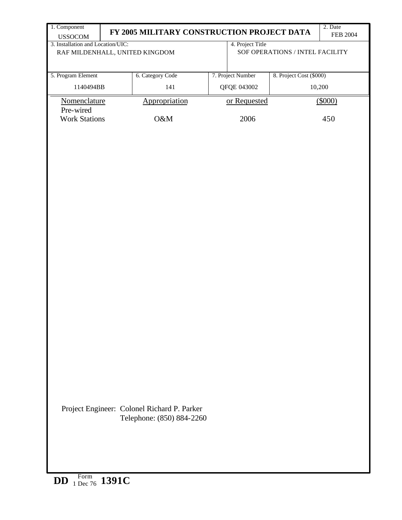| 1. Component                                        | 2. Date<br>FY 2005 MILITARY CONSTRUCTION PROJECT DATA<br><b>FEB 2004</b> |                                             |  |                   |                                 |         |  |  |  |  |
|-----------------------------------------------------|--------------------------------------------------------------------------|---------------------------------------------|--|-------------------|---------------------------------|---------|--|--|--|--|
| <b>USSOCOM</b><br>3. Installation and Location/UIC: |                                                                          |                                             |  | 4. Project Title  |                                 |         |  |  |  |  |
| RAF MILDENHALL, UNITED KINGDOM                      |                                                                          |                                             |  |                   | SOF OPERATIONS / INTEL FACILITY |         |  |  |  |  |
|                                                     |                                                                          |                                             |  |                   |                                 |         |  |  |  |  |
| 5. Program Element                                  |                                                                          | 6. Category Code                            |  | 7. Project Number | 8. Project Cost (\$000)         |         |  |  |  |  |
|                                                     |                                                                          |                                             |  |                   |                                 |         |  |  |  |  |
| 1140494BB                                           |                                                                          | 141                                         |  | QFQE 043002       |                                 | 10,200  |  |  |  |  |
| Nomenclature                                        |                                                                          | Appropriation                               |  | or Requested      |                                 | (\$000) |  |  |  |  |
| Pre-wired                                           |                                                                          |                                             |  |                   |                                 |         |  |  |  |  |
| <b>Work Stations</b>                                |                                                                          | O&M                                         |  | 2006              |                                 | 450     |  |  |  |  |
|                                                     |                                                                          |                                             |  |                   |                                 |         |  |  |  |  |
|                                                     |                                                                          |                                             |  |                   |                                 |         |  |  |  |  |
|                                                     |                                                                          |                                             |  |                   |                                 |         |  |  |  |  |
|                                                     |                                                                          |                                             |  |                   |                                 |         |  |  |  |  |
|                                                     |                                                                          |                                             |  |                   |                                 |         |  |  |  |  |
|                                                     |                                                                          |                                             |  |                   |                                 |         |  |  |  |  |
|                                                     |                                                                          |                                             |  |                   |                                 |         |  |  |  |  |
|                                                     |                                                                          |                                             |  |                   |                                 |         |  |  |  |  |
|                                                     |                                                                          |                                             |  |                   |                                 |         |  |  |  |  |
|                                                     |                                                                          |                                             |  |                   |                                 |         |  |  |  |  |
|                                                     |                                                                          |                                             |  |                   |                                 |         |  |  |  |  |
|                                                     |                                                                          |                                             |  |                   |                                 |         |  |  |  |  |
|                                                     |                                                                          |                                             |  |                   |                                 |         |  |  |  |  |
|                                                     |                                                                          |                                             |  |                   |                                 |         |  |  |  |  |
|                                                     |                                                                          |                                             |  |                   |                                 |         |  |  |  |  |
|                                                     |                                                                          |                                             |  |                   |                                 |         |  |  |  |  |
|                                                     |                                                                          |                                             |  |                   |                                 |         |  |  |  |  |
|                                                     |                                                                          |                                             |  |                   |                                 |         |  |  |  |  |
|                                                     |                                                                          |                                             |  |                   |                                 |         |  |  |  |  |
|                                                     |                                                                          |                                             |  |                   |                                 |         |  |  |  |  |
|                                                     |                                                                          |                                             |  |                   |                                 |         |  |  |  |  |
|                                                     |                                                                          |                                             |  |                   |                                 |         |  |  |  |  |
|                                                     |                                                                          |                                             |  |                   |                                 |         |  |  |  |  |
|                                                     |                                                                          |                                             |  |                   |                                 |         |  |  |  |  |
|                                                     |                                                                          |                                             |  |                   |                                 |         |  |  |  |  |
|                                                     |                                                                          |                                             |  |                   |                                 |         |  |  |  |  |
|                                                     |                                                                          |                                             |  |                   |                                 |         |  |  |  |  |
|                                                     |                                                                          |                                             |  |                   |                                 |         |  |  |  |  |
|                                                     |                                                                          |                                             |  |                   |                                 |         |  |  |  |  |
|                                                     |                                                                          | Project Engineer: Colonel Richard P. Parker |  |                   |                                 |         |  |  |  |  |
|                                                     |                                                                          | Telephone: (850) 884-2260                   |  |                   |                                 |         |  |  |  |  |
|                                                     |                                                                          |                                             |  |                   |                                 |         |  |  |  |  |
|                                                     |                                                                          |                                             |  |                   |                                 |         |  |  |  |  |
|                                                     |                                                                          |                                             |  |                   |                                 |         |  |  |  |  |
|                                                     |                                                                          |                                             |  |                   |                                 |         |  |  |  |  |
|                                                     |                                                                          |                                             |  |                   |                                 |         |  |  |  |  |
| Form 1391C<br><b>DD</b>                             |                                                                          |                                             |  |                   |                                 |         |  |  |  |  |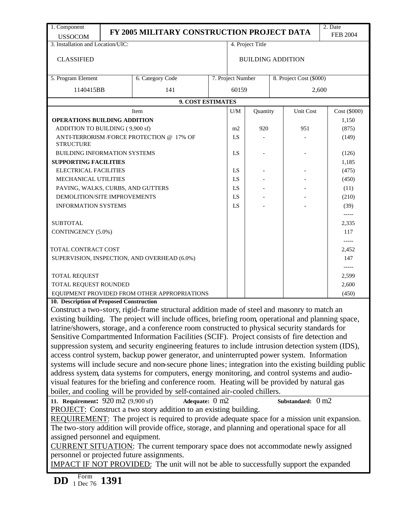| 1. Component<br><b>USSOCOM</b>                                                                  |                                                                                               | FY 2005 MILITARY CONSTRUCTION PROJECT DATA                                                            |                   |                  |                          |  |                         | 2. Date<br><b>FEB 2004</b> |  |
|-------------------------------------------------------------------------------------------------|-----------------------------------------------------------------------------------------------|-------------------------------------------------------------------------------------------------------|-------------------|------------------|--------------------------|--|-------------------------|----------------------------|--|
| 3. Installation and Location/UIC:                                                               |                                                                                               |                                                                                                       |                   | 4. Project Title |                          |  |                         |                            |  |
| <b>CLASSIFIED</b>                                                                               |                                                                                               |                                                                                                       |                   |                  | <b>BUILDING ADDITION</b> |  |                         |                            |  |
| 5. Program Element                                                                              |                                                                                               | 6. Category Code                                                                                      | 7. Project Number |                  |                          |  | 8. Project Cost (\$000) |                            |  |
|                                                                                                 | 1140415BB<br>141                                                                              |                                                                                                       |                   |                  |                          |  |                         | 2,600                      |  |
|                                                                                                 |                                                                                               | <b>9. COST ESTIMATES</b>                                                                              |                   |                  |                          |  |                         |                            |  |
|                                                                                                 |                                                                                               | Item                                                                                                  |                   | U/M              | Quantity                 |  | Unit Cost               | Cost (\$000)               |  |
| <b>OPERATIONS BUILDING ADDITION</b>                                                             |                                                                                               |                                                                                                       |                   |                  |                          |  |                         | 1,150                      |  |
| ADDITION TO BUILDING (9,900 sf)                                                                 |                                                                                               |                                                                                                       |                   | m2               | 920                      |  | 951                     | (875)                      |  |
| <b>STRUCTURE</b>                                                                                |                                                                                               | ANTI-TERRORISM /FORCE PROTECTION @ 17% OF                                                             |                   | LS               |                          |  | (149)                   |                            |  |
| BUILDING INFORMATION SYSTEMS                                                                    | LS                                                                                            |                                                                                                       |                   |                  | (126)                    |  |                         |                            |  |
| <b>SUPPORTING FACILITIES</b>                                                                    |                                                                                               |                                                                                                       |                   |                  |                          |  |                         | 1,185                      |  |
| <b>ELECTRICAL FACILITIES</b>                                                                    |                                                                                               |                                                                                                       |                   | LS               |                          |  |                         | (475)                      |  |
| MECHANICAL UTILITIES                                                                            |                                                                                               |                                                                                                       |                   | LS               |                          |  |                         | (450)                      |  |
| PAVING, WALKS, CURBS, AND GUTTERS                                                               |                                                                                               |                                                                                                       |                   | LS               |                          |  |                         | (11)                       |  |
| DEMOLITION/SITE IMPROVEMENTS                                                                    |                                                                                               |                                                                                                       |                   | LS               |                          |  |                         | (210)                      |  |
| <b>INFORMATION SYSTEMS</b>                                                                      |                                                                                               |                                                                                                       |                   | LS               |                          |  |                         | (39)<br>$-----$            |  |
| <b>SUBTOTAL</b>                                                                                 |                                                                                               |                                                                                                       |                   |                  |                          |  |                         | 2,335                      |  |
| CONTINGENCY (5.0%)                                                                              |                                                                                               |                                                                                                       |                   |                  |                          |  |                         | 117                        |  |
|                                                                                                 |                                                                                               |                                                                                                       |                   |                  |                          |  |                         | $--- -$                    |  |
| TOTAL CONTRACT COST                                                                             |                                                                                               |                                                                                                       |                   |                  |                          |  |                         | 2,452                      |  |
|                                                                                                 |                                                                                               | SUPERVISION, INSPECTION, AND OVERHEAD (6.0%)                                                          |                   |                  |                          |  |                         | 147                        |  |
| TOTAL REQUEST                                                                                   |                                                                                               |                                                                                                       |                   |                  |                          |  |                         | 2,599                      |  |
| TOTAL REQUEST ROUNDED                                                                           |                                                                                               |                                                                                                       |                   |                  |                          |  |                         | 2,600                      |  |
|                                                                                                 |                                                                                               | EQUIPMENT PROVIDED FROM OTHER APPROPRIATIONS                                                          |                   |                  |                          |  |                         | (450)                      |  |
| 10. Description of Proposed Construction                                                        |                                                                                               |                                                                                                       |                   |                  |                          |  |                         |                            |  |
|                                                                                                 |                                                                                               | Construct a two-story, rigid-frame structural addition made of steel and masonry to match an          |                   |                  |                          |  |                         |                            |  |
|                                                                                                 |                                                                                               | existing building. The project will include offices, briefing room, operational and planning space,   |                   |                  |                          |  |                         |                            |  |
|                                                                                                 |                                                                                               | latrine/showers, storage, and a conference room constructed to physical security standards for        |                   |                  |                          |  |                         |                            |  |
|                                                                                                 |                                                                                               | Sensitive Compartmented Information Facilities (SCIF). Project consists of fire detection and         |                   |                  |                          |  |                         |                            |  |
|                                                                                                 |                                                                                               | suppression system, and security engineering features to include intrusion detection system (IDS),    |                   |                  |                          |  |                         |                            |  |
|                                                                                                 |                                                                                               | access control system, backup power generator, and uninterrupted power system. Information            |                   |                  |                          |  |                         |                            |  |
|                                                                                                 |                                                                                               | systems will include secure and non-secure phone lines; integration into the existing building public |                   |                  |                          |  |                         |                            |  |
|                                                                                                 |                                                                                               | address system, data systems for computers, energy monitoring, and control systems and audio-         |                   |                  |                          |  |                         |                            |  |
|                                                                                                 |                                                                                               | visual features for the briefing and conference room. Heating will be provided by natural gas         |                   |                  |                          |  |                         |                            |  |
|                                                                                                 |                                                                                               | boiler, and cooling will be provided by self-contained air-cooled chillers.                           |                   |                  |                          |  |                         |                            |  |
| 11. Requirement: 920 m2 (9,900 sf)                                                              |                                                                                               | Adequate: 0 m2                                                                                        |                   |                  |                          |  | Substandard: 0 m2       |                            |  |
| PROJECT: Construct a two story addition to an existing building.                                |                                                                                               |                                                                                                       |                   |                  |                          |  |                         |                            |  |
| REQUIREMENT: The project is required to provide adequate space for a mission unit expansion.    |                                                                                               |                                                                                                       |                   |                  |                          |  |                         |                            |  |
| The two-story addition will provide office, storage, and planning and operational space for all |                                                                                               |                                                                                                       |                   |                  |                          |  |                         |                            |  |
|                                                                                                 | assigned personnel and equipment.                                                             |                                                                                                       |                   |                  |                          |  |                         |                            |  |
|                                                                                                 | CURRENT SITUATION: The current temporary space does not accommodate newly assigned            |                                                                                                       |                   |                  |                          |  |                         |                            |  |
| personnel or projected future assignments.                                                      |                                                                                               |                                                                                                       |                   |                  |                          |  |                         |                            |  |
|                                                                                                 | <b>IMPACT IF NOT PROVIDED:</b> The unit will not be able to successfully support the expanded |                                                                                                       |                   |                  |                          |  |                         |                            |  |
| Form<br>$1 \text{ Dec } 76$ 1391<br>DD                                                          |                                                                                               |                                                                                                       |                   |                  |                          |  |                         |                            |  |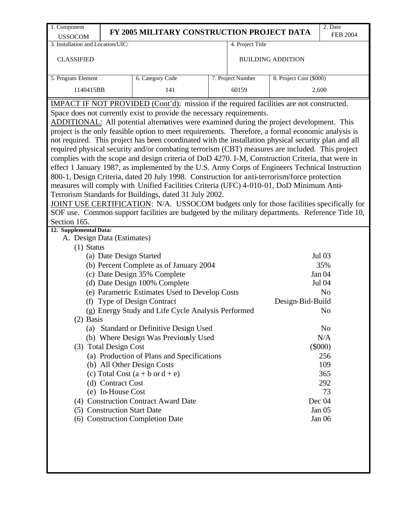| <b>USSOCOM</b><br>3. Installation and Location/UIC:<br><b>CLASSIFIED</b><br>5. Program Element<br>1140415BB                                                                                                                             |                                                                                          | FY 2005 MILITARY CONSTRUCTION PROJECT DATA<br>6. Category Code                                                                                                                                                                                                                                                                                                                                                                                                                                                                                                                                                                                                                                                                                                                                                                                                                                                                                                                                                                                                                                                                                                                                                                                                                                                                                                                                                                                                                                                                                                                                                                                                                                 |                                              | 4. Project Title         |                            | <b>FEB 2004</b>                                                                                                                                              |  |  |  |  |  |  |  |
|-----------------------------------------------------------------------------------------------------------------------------------------------------------------------------------------------------------------------------------------|------------------------------------------------------------------------------------------|------------------------------------------------------------------------------------------------------------------------------------------------------------------------------------------------------------------------------------------------------------------------------------------------------------------------------------------------------------------------------------------------------------------------------------------------------------------------------------------------------------------------------------------------------------------------------------------------------------------------------------------------------------------------------------------------------------------------------------------------------------------------------------------------------------------------------------------------------------------------------------------------------------------------------------------------------------------------------------------------------------------------------------------------------------------------------------------------------------------------------------------------------------------------------------------------------------------------------------------------------------------------------------------------------------------------------------------------------------------------------------------------------------------------------------------------------------------------------------------------------------------------------------------------------------------------------------------------------------------------------------------------------------------------------------------------|----------------------------------------------|--------------------------|----------------------------|--------------------------------------------------------------------------------------------------------------------------------------------------------------|--|--|--|--|--|--|--|
|                                                                                                                                                                                                                                         |                                                                                          |                                                                                                                                                                                                                                                                                                                                                                                                                                                                                                                                                                                                                                                                                                                                                                                                                                                                                                                                                                                                                                                                                                                                                                                                                                                                                                                                                                                                                                                                                                                                                                                                                                                                                                |                                              |                          |                            |                                                                                                                                                              |  |  |  |  |  |  |  |
|                                                                                                                                                                                                                                         |                                                                                          |                                                                                                                                                                                                                                                                                                                                                                                                                                                                                                                                                                                                                                                                                                                                                                                                                                                                                                                                                                                                                                                                                                                                                                                                                                                                                                                                                                                                                                                                                                                                                                                                                                                                                                |                                              |                          |                            |                                                                                                                                                              |  |  |  |  |  |  |  |
|                                                                                                                                                                                                                                         |                                                                                          |                                                                                                                                                                                                                                                                                                                                                                                                                                                                                                                                                                                                                                                                                                                                                                                                                                                                                                                                                                                                                                                                                                                                                                                                                                                                                                                                                                                                                                                                                                                                                                                                                                                                                                |                                              | <b>BUILDING ADDITION</b> |                            |                                                                                                                                                              |  |  |  |  |  |  |  |
|                                                                                                                                                                                                                                         |                                                                                          |                                                                                                                                                                                                                                                                                                                                                                                                                                                                                                                                                                                                                                                                                                                                                                                                                                                                                                                                                                                                                                                                                                                                                                                                                                                                                                                                                                                                                                                                                                                                                                                                                                                                                                | 8. Project Cost (\$000)<br>7. Project Number |                          |                            |                                                                                                                                                              |  |  |  |  |  |  |  |
| 141<br>60159<br>2,600                                                                                                                                                                                                                   |                                                                                          |                                                                                                                                                                                                                                                                                                                                                                                                                                                                                                                                                                                                                                                                                                                                                                                                                                                                                                                                                                                                                                                                                                                                                                                                                                                                                                                                                                                                                                                                                                                                                                                                                                                                                                |                                              |                          |                            |                                                                                                                                                              |  |  |  |  |  |  |  |
|                                                                                                                                                                                                                                         | IMPACT IF NOT PROVIDED (Cont'd): mission if the required facilities are not constructed. |                                                                                                                                                                                                                                                                                                                                                                                                                                                                                                                                                                                                                                                                                                                                                                                                                                                                                                                                                                                                                                                                                                                                                                                                                                                                                                                                                                                                                                                                                                                                                                                                                                                                                                |                                              |                          |                            |                                                                                                                                                              |  |  |  |  |  |  |  |
| Section 165.<br>12. Supplemental Data:<br>A. Design Data (Estimates)<br>$(1)$ Status<br>(a) Date Design Started<br>(f)<br>$(2)$ Basis<br>(3) Total Design Cost<br>(d) Contract Cost<br>(e) In-House Cost<br>(5) Construction Start Date |                                                                                          | Space does not currently exist to provide the necessary requirements.<br>ADDITIONAL: All potential alternatives were examined during the project development. This<br>project is the only feasible option to meet requirements. Therefore, a formal economic analysis is<br>not required. This project has been coordinated with the installation physical security plan and all<br>required physical security and/or combating terrorism (CBT) measures are included. This project<br>complies with the scope and design criteria of DoD 4270. I-M, Construction Criteria, that were in<br>effect 1 January 1987, as implemented by the U.S. Army Corps of Engineers Technical Instruction<br>800-1, Design Criteria, dated 20 July 1998. Construction for anti-terrorism/force protection<br>measures will comply with Unified Facilities Criteria (UFC) 4-010-01, DoD Minimum Anti-<br>Terrorism Standards for Buildings, dated 31 July 2002.<br>JOINT USE CERTIFICATION: N/A. USSOCOM budgets only for those facilities specifically for<br>SOF use. Common support facilities are budgeted by the military departments. Reference Title 10,<br>(b) Percent Complete as of January 2004<br>(c) Date Design 35% Complete<br>(d) Date Design 100% Complete<br>(e) Parametric Estimates Used to Develop Costs<br><b>Type of Design Contract</b><br>(g) Energy Study and Life Cycle Analysis Performed<br>(a) Standard or Definitive Design Used<br>(b) Where Design Was Previously Used<br>(a) Production of Plans and Specifications<br>(b) All Other Design Costs<br>(c) Total Cost $(a + b \text{ or } d + e)$<br>(4) Construction Contract Award Date<br>(6) Construction Completion Date |                                              |                          | Design-Bid-Build<br>Dec 04 | <b>Jul 03</b><br>35%<br>Jan 04<br>Jul 04<br>N <sub>o</sub><br>N <sub>o</sub><br>No<br>N/A<br>$(\$000)$<br>256<br>109<br>365<br>292<br>73<br>Jan 05<br>Jan 06 |  |  |  |  |  |  |  |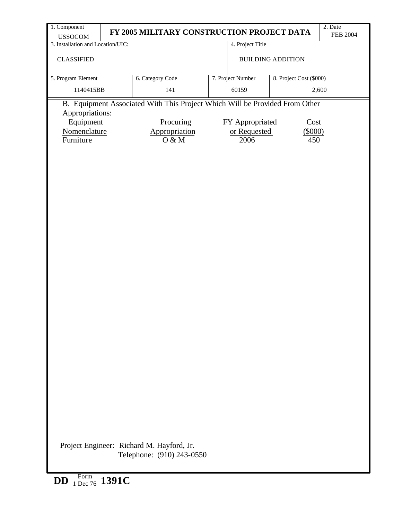| 1. Component                                        | FY 2005 MILITARY CONSTRUCTION PROJECT DATA                                  |                   |                          | 2. Date<br><b>FEB 2004</b> |
|-----------------------------------------------------|-----------------------------------------------------------------------------|-------------------|--------------------------|----------------------------|
| <b>USSOCOM</b><br>3. Installation and Location/UIC: |                                                                             | 4. Project Title  |                          |                            |
| <b>CLASSIFIED</b>                                   |                                                                             |                   | <b>BUILDING ADDITION</b> |                            |
| 5. Program Element                                  | 6. Category Code                                                            | 7. Project Number | 8. Project Cost (\$000)  |                            |
| 1140415BB                                           | 141                                                                         | 60159             |                          | 2,600                      |
| Appropriations:                                     | B. Equipment Associated With This Project Which Will be Provided From Other |                   |                          |                            |
| Equipment                                           | Procuring                                                                   | FY Appropriated   | Cost                     |                            |
| Nomenclature                                        | Appropriation                                                               | or Requested      | (\$000)                  |                            |
| Furniture                                           | O & M                                                                       | 2006              | 450                      |                            |
|                                                     |                                                                             |                   |                          |                            |
|                                                     | Project Engineer: Richard M. Hayford, Jr.<br>Telephone: (910) 243-0550      |                   |                          |                            |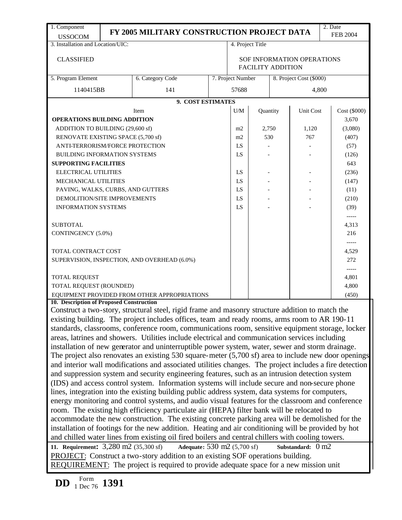| 1. Component                                                                                                                                                                                    |                                                                                                                                                                                                        |                                                                                                                                                                                                   |  |                                                        |                  |     |                         | 2. Date         |  |
|-------------------------------------------------------------------------------------------------------------------------------------------------------------------------------------------------|--------------------------------------------------------------------------------------------------------------------------------------------------------------------------------------------------------|---------------------------------------------------------------------------------------------------------------------------------------------------------------------------------------------------|--|--------------------------------------------------------|------------------|-----|-------------------------|-----------------|--|
| <b>USSOCOM</b>                                                                                                                                                                                  |                                                                                                                                                                                                        | FY 2005 MILITARY CONSTRUCTION PROJECT DATA                                                                                                                                                        |  |                                                        |                  |     |                         | <b>FEB 2004</b> |  |
| 3. Installation and Location/UIC:                                                                                                                                                               |                                                                                                                                                                                                        |                                                                                                                                                                                                   |  |                                                        | 4. Project Title |     |                         |                 |  |
|                                                                                                                                                                                                 |                                                                                                                                                                                                        |                                                                                                                                                                                                   |  |                                                        |                  |     |                         |                 |  |
| <b>CLASSIFIED</b>                                                                                                                                                                               |                                                                                                                                                                                                        |                                                                                                                                                                                                   |  | SOF INFORMATION OPERATIONS<br><b>FACILITY ADDITION</b> |                  |     |                         |                 |  |
| 5. Program Element                                                                                                                                                                              |                                                                                                                                                                                                        | 6. Category Code                                                                                                                                                                                  |  | 7. Project Number                                      |                  |     | 8. Project Cost (\$000) |                 |  |
| 1140415BB                                                                                                                                                                                       |                                                                                                                                                                                                        | 141                                                                                                                                                                                               |  | 57688                                                  |                  |     | 4,800                   |                 |  |
|                                                                                                                                                                                                 |                                                                                                                                                                                                        | 9. COST ESTIMATES                                                                                                                                                                                 |  |                                                        |                  |     |                         |                 |  |
|                                                                                                                                                                                                 |                                                                                                                                                                                                        | Item                                                                                                                                                                                              |  | U/M                                                    | Quantity         |     | Unit Cost               | Cost (\$000)    |  |
| <b>OPERATIONS BUILDING ADDITION</b>                                                                                                                                                             |                                                                                                                                                                                                        |                                                                                                                                                                                                   |  |                                                        |                  |     |                         | 3,670           |  |
| ADDITION TO BUILDING (29,600 sf)                                                                                                                                                                |                                                                                                                                                                                                        |                                                                                                                                                                                                   |  | m2                                                     | 2,750            |     | 1,120                   | (3,080)         |  |
| RENOVATE EXISTING SPACE (5,700 sf)                                                                                                                                                              |                                                                                                                                                                                                        |                                                                                                                                                                                                   |  | m2                                                     |                  | 530 | 767                     | (407)           |  |
| ANTI-TERRORISM/FORCE PROTECTION                                                                                                                                                                 |                                                                                                                                                                                                        |                                                                                                                                                                                                   |  | LS                                                     |                  |     |                         | (57)            |  |
| <b>BUILDING INFORMATION SYSTEMS</b>                                                                                                                                                             |                                                                                                                                                                                                        |                                                                                                                                                                                                   |  | LS                                                     |                  |     |                         | (126)           |  |
| <b>SUPPORTING FACILITIES</b>                                                                                                                                                                    |                                                                                                                                                                                                        |                                                                                                                                                                                                   |  |                                                        |                  |     |                         | 643             |  |
| ELECTRICAL UTILITIES                                                                                                                                                                            |                                                                                                                                                                                                        |                                                                                                                                                                                                   |  | LS                                                     |                  |     |                         | (236)           |  |
| MECHANICAL UTILITIES                                                                                                                                                                            |                                                                                                                                                                                                        |                                                                                                                                                                                                   |  | LS                                                     |                  |     |                         | (147)           |  |
| PAVING, WALKS, CURBS, AND GUTTERS                                                                                                                                                               | LS                                                                                                                                                                                                     |                                                                                                                                                                                                   |  |                                                        | (11)             |     |                         |                 |  |
| DEMOLITION/SITE IMPROVEMENTS                                                                                                                                                                    | LS                                                                                                                                                                                                     |                                                                                                                                                                                                   |  |                                                        | (210)            |     |                         |                 |  |
| <b>INFORMATION SYSTEMS</b>                                                                                                                                                                      |                                                                                                                                                                                                        |                                                                                                                                                                                                   |  | LS                                                     |                  |     |                         | (39)            |  |
|                                                                                                                                                                                                 |                                                                                                                                                                                                        |                                                                                                                                                                                                   |  |                                                        |                  |     |                         | -----           |  |
| <b>SUBTOTAL</b>                                                                                                                                                                                 |                                                                                                                                                                                                        |                                                                                                                                                                                                   |  |                                                        |                  |     |                         | 4,313           |  |
| CONTINGENCY (5.0%)                                                                                                                                                                              |                                                                                                                                                                                                        |                                                                                                                                                                                                   |  |                                                        |                  |     |                         | 216             |  |
|                                                                                                                                                                                                 |                                                                                                                                                                                                        |                                                                                                                                                                                                   |  |                                                        |                  |     |                         | -----           |  |
| TOTAL CONTRACT COST                                                                                                                                                                             |                                                                                                                                                                                                        |                                                                                                                                                                                                   |  |                                                        |                  |     |                         | 4,529           |  |
|                                                                                                                                                                                                 |                                                                                                                                                                                                        | SUPERVISION, INSPECTION, AND OVERHEAD (6.0%)                                                                                                                                                      |  |                                                        |                  |     |                         | 272             |  |
|                                                                                                                                                                                                 |                                                                                                                                                                                                        |                                                                                                                                                                                                   |  |                                                        |                  |     |                         | $-----$         |  |
| TOTAL REQUEST                                                                                                                                                                                   |                                                                                                                                                                                                        |                                                                                                                                                                                                   |  |                                                        |                  |     |                         | 4,801           |  |
| TOTAL REQUEST (ROUNDED)                                                                                                                                                                         |                                                                                                                                                                                                        |                                                                                                                                                                                                   |  |                                                        |                  |     |                         | 4,800           |  |
|                                                                                                                                                                                                 |                                                                                                                                                                                                        | EQUIPMENT PROVIDED FROM OTHER APPROPRIATIONS                                                                                                                                                      |  |                                                        |                  |     |                         | (450)           |  |
| 10. Description of Proposed Construction                                                                                                                                                        |                                                                                                                                                                                                        | Construct a two-story, structural steel, rigid frame and masonry structure addition to match the                                                                                                  |  |                                                        |                  |     |                         |                 |  |
|                                                                                                                                                                                                 |                                                                                                                                                                                                        |                                                                                                                                                                                                   |  |                                                        |                  |     |                         |                 |  |
|                                                                                                                                                                                                 |                                                                                                                                                                                                        | existing building. The project includes offices, team and ready rooms, arms room to AR 190-11<br>standards, classrooms, conference room, communications room, sensitive equipment storage, locker |  |                                                        |                  |     |                         |                 |  |
|                                                                                                                                                                                                 |                                                                                                                                                                                                        | areas, latrines and showers. Utilities include electrical and communication services including                                                                                                    |  |                                                        |                  |     |                         |                 |  |
|                                                                                                                                                                                                 |                                                                                                                                                                                                        |                                                                                                                                                                                                   |  |                                                        |                  |     |                         |                 |  |
|                                                                                                                                                                                                 |                                                                                                                                                                                                        | installation of new generator and uninterruptible power system, water, sewer and storm drainage.                                                                                                  |  |                                                        |                  |     |                         |                 |  |
|                                                                                                                                                                                                 |                                                                                                                                                                                                        | The project also renovates an existing $530$ square-meter $(5,700 \text{ sf})$ area to include new door openings                                                                                  |  |                                                        |                  |     |                         |                 |  |
|                                                                                                                                                                                                 |                                                                                                                                                                                                        | and interior wall modifications and associated utilities changes. The project includes a fire detection                                                                                           |  |                                                        |                  |     |                         |                 |  |
|                                                                                                                                                                                                 |                                                                                                                                                                                                        | and suppression system and security engineering features, such as an intrusion detection system                                                                                                   |  |                                                        |                  |     |                         |                 |  |
|                                                                                                                                                                                                 |                                                                                                                                                                                                        | (IDS) and access control system. Information systems will include secure and non-secure phone                                                                                                     |  |                                                        |                  |     |                         |                 |  |
| lines, integration into the existing building public address system, data systems for computers,                                                                                                |                                                                                                                                                                                                        |                                                                                                                                                                                                   |  |                                                        |                  |     |                         |                 |  |
| energy monitoring and control systems, and audio visual features for the classroom and conference<br>room. The existing high efficiency particulate air (HEPA) filter bank will be relocated to |                                                                                                                                                                                                        |                                                                                                                                                                                                   |  |                                                        |                  |     |                         |                 |  |
|                                                                                                                                                                                                 |                                                                                                                                                                                                        |                                                                                                                                                                                                   |  |                                                        |                  |     |                         |                 |  |
|                                                                                                                                                                                                 | accommodate the new construction. The existing concrete parking area will be demolished for the<br>installation of footings for the new addition. Heating and air conditioning will be provided by hot |                                                                                                                                                                                                   |  |                                                        |                  |     |                         |                 |  |
|                                                                                                                                                                                                 |                                                                                                                                                                                                        |                                                                                                                                                                                                   |  |                                                        |                  |     |                         |                 |  |
| and chilled water lines from existing oil fired boilers and central chillers with cooling towers.                                                                                               |                                                                                                                                                                                                        |                                                                                                                                                                                                   |  |                                                        |                  |     |                         |                 |  |

**11. Requirement:** 3,280 m2 (35,300 sf) **Adequate:** 530 m2 (5,700 sf) **Substandard:** 0 m2 PROJECT: Construct a two-story addition to an existing SOF operations building. REQUIREMENT: The project is required to provide adequate space for a new mission unit

**DD** Form 1 Dec 76 **1391**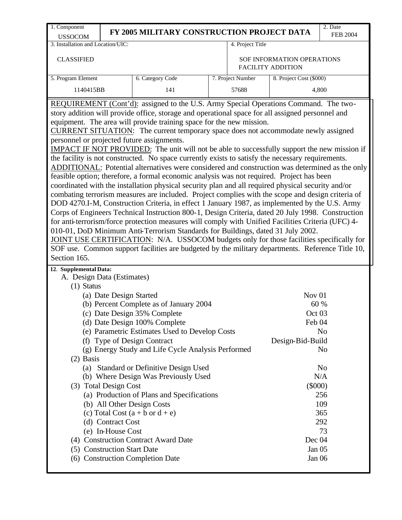| 1. Component                                                                                                                                                                                                                                                                                                                                                                                                                                                                                                                                                                                                                                                                                                                                                                                                                                                                                                                                                                                                                                                                                                                                                                                                                                                                                                                                                                                                                                                                                                                                                                 |                                                                                                                           |                                                                                                                                                                                                                                                                                                                                                                                                                                                                                                                                         |                   |                                                                                                      | 2. Date                                                                                 |  |  |  |  |
|------------------------------------------------------------------------------------------------------------------------------------------------------------------------------------------------------------------------------------------------------------------------------------------------------------------------------------------------------------------------------------------------------------------------------------------------------------------------------------------------------------------------------------------------------------------------------------------------------------------------------------------------------------------------------------------------------------------------------------------------------------------------------------------------------------------------------------------------------------------------------------------------------------------------------------------------------------------------------------------------------------------------------------------------------------------------------------------------------------------------------------------------------------------------------------------------------------------------------------------------------------------------------------------------------------------------------------------------------------------------------------------------------------------------------------------------------------------------------------------------------------------------------------------------------------------------------|---------------------------------------------------------------------------------------------------------------------------|-----------------------------------------------------------------------------------------------------------------------------------------------------------------------------------------------------------------------------------------------------------------------------------------------------------------------------------------------------------------------------------------------------------------------------------------------------------------------------------------------------------------------------------------|-------------------|------------------------------------------------------------------------------------------------------|-----------------------------------------------------------------------------------------|--|--|--|--|
| <b>USSOCOM</b>                                                                                                                                                                                                                                                                                                                                                                                                                                                                                                                                                                                                                                                                                                                                                                                                                                                                                                                                                                                                                                                                                                                                                                                                                                                                                                                                                                                                                                                                                                                                                               |                                                                                                                           | FY 2005 MILITARY CONSTRUCTION PROJECT DATA                                                                                                                                                                                                                                                                                                                                                                                                                                                                                              |                   |                                                                                                      | <b>FEB 2004</b>                                                                         |  |  |  |  |
| 3. Installation and Location/UIC:                                                                                                                                                                                                                                                                                                                                                                                                                                                                                                                                                                                                                                                                                                                                                                                                                                                                                                                                                                                                                                                                                                                                                                                                                                                                                                                                                                                                                                                                                                                                            |                                                                                                                           |                                                                                                                                                                                                                                                                                                                                                                                                                                                                                                                                         | 4. Project Title  |                                                                                                      |                                                                                         |  |  |  |  |
| <b>CLASSIFIED</b>                                                                                                                                                                                                                                                                                                                                                                                                                                                                                                                                                                                                                                                                                                                                                                                                                                                                                                                                                                                                                                                                                                                                                                                                                                                                                                                                                                                                                                                                                                                                                            |                                                                                                                           |                                                                                                                                                                                                                                                                                                                                                                                                                                                                                                                                         |                   | SOF INFORMATION OPERATIONS<br><b>FACILITY ADDITION</b>                                               |                                                                                         |  |  |  |  |
| 5. Program Element                                                                                                                                                                                                                                                                                                                                                                                                                                                                                                                                                                                                                                                                                                                                                                                                                                                                                                                                                                                                                                                                                                                                                                                                                                                                                                                                                                                                                                                                                                                                                           |                                                                                                                           | 6. Category Code                                                                                                                                                                                                                                                                                                                                                                                                                                                                                                                        | 7. Project Number | 8. Project Cost (\$000)                                                                              |                                                                                         |  |  |  |  |
| 1140415BB                                                                                                                                                                                                                                                                                                                                                                                                                                                                                                                                                                                                                                                                                                                                                                                                                                                                                                                                                                                                                                                                                                                                                                                                                                                                                                                                                                                                                                                                                                                                                                    |                                                                                                                           | 141                                                                                                                                                                                                                                                                                                                                                                                                                                                                                                                                     | 57688             |                                                                                                      | 4,800                                                                                   |  |  |  |  |
| story addition will provide office, storage and operational space for all assigned personnel and<br>equipment. The area will provide training space for the new mission.<br>CURRENT SITUATION: The current temporary space does not accommodate newly assigned<br>personnel or projected future assignments.<br><b>IMPACT IF NOT PROVIDED:</b> The unit will not be able to successfully support the new mission if<br>the facility is not constructed. No space currently exists to satisfy the necessary requirements.<br>ADDITIONAL: Potential alternatives were considered and construction was determined as the only<br>feasible option; therefore, a formal economic analysis was not required. Project has been<br>coordinated with the installation physical security plan and all required physical security and/or<br>combating terrorism measures are included. Project complies with the scope and design criteria of<br>DOD 4270.I-M, Construction Criteria, in effect 1 January 1987, as implemented by the U.S. Army<br>Corps of Engineers Technical Instruction 800-1, Design Criteria, dated 20 July 1998. Construction<br>for anti-terrorism/force protection measures will comply with Unified Facilities Criteria (UFC) 4-<br>010-01, DoD Minimum Anti-Terrorism Standards for Buildings, dated 31 July 2002.<br>JOINT USE CERTIFICATION: N/A. USSOCOM budgets only for those facilities specifically for<br>SOF use. Common support facilities are budgeted by the military departments. Reference Title 10,<br>Section 165.<br>12. Supplemental Data: |                                                                                                                           |                                                                                                                                                                                                                                                                                                                                                                                                                                                                                                                                         |                   |                                                                                                      |                                                                                         |  |  |  |  |
| A. Design Data (Estimates)<br>$(1)$ Status<br>$(2)$ Basis                                                                                                                                                                                                                                                                                                                                                                                                                                                                                                                                                                                                                                                                                                                                                                                                                                                                                                                                                                                                                                                                                                                                                                                                                                                                                                                                                                                                                                                                                                                    | (a) Date Design Started<br>(3) Total Design Cost<br>(d) Contract Cost<br>(e) In-House Cost<br>(5) Construction Start Date | (b) Percent Complete as of January 2004<br>(c) Date Design 35% Complete<br>(d) Date Design 100% Complete<br>(e) Parametric Estimates Used to Develop Costs<br>(f) Type of Design Contract<br>(g) Energy Study and Life Cycle Analysis Performed<br>(a) Standard or Definitive Design Used<br>(b) Where Design Was Previously Used<br>(a) Production of Plans and Specifications<br>(b) All Other Design Costs<br>(c) Total Cost $(a + b \text{ or } d + e)$<br>(4) Construction Contract Award Date<br>(6) Construction Completion Date |                   | Nov <sub>01</sub><br>Oct 03<br>Feb 04<br>Design-Bid-Build<br>$(\$000)$<br>Dec 04<br>Jan 05<br>Jan 06 | 60 %<br>N <sub>o</sub><br>No<br>N <sub>0</sub><br>N/A<br>256<br>109<br>365<br>292<br>73 |  |  |  |  |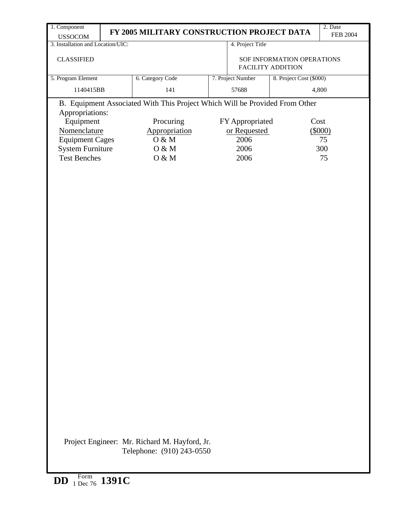| 1. Component                      |                                                                             |                   |                                                        | 2. Date         |
|-----------------------------------|-----------------------------------------------------------------------------|-------------------|--------------------------------------------------------|-----------------|
| <b>USSOCOM</b>                    | FY 2005 MILITARY CONSTRUCTION PROJECT DATA                                  |                   |                                                        | <b>FEB 2004</b> |
| 3. Installation and Location/UIC: |                                                                             | 4. Project Title  |                                                        |                 |
| <b>CLASSIFIED</b>                 |                                                                             |                   | SOF INFORMATION OPERATIONS<br><b>FACILITY ADDITION</b> |                 |
| 5. Program Element                | 6. Category Code                                                            | 7. Project Number | 8. Project Cost (\$000)                                |                 |
| 1140415BB                         | 141                                                                         | 57688             |                                                        | 4,800           |
| Appropriations:                   | B. Equipment Associated With This Project Which Will be Provided From Other |                   |                                                        |                 |
| Equipment                         | Procuring                                                                   | FY Appropriated   | Cost                                                   |                 |
| Nomenclature                      | Appropriation                                                               | or Requested      |                                                        | (5000)          |
| <b>Equipment Cages</b>            | O & M                                                                       | 2006              |                                                        | 75              |
| <b>System Furniture</b>           | O & M                                                                       | 2006              |                                                        | 300             |
| <b>Test Benches</b>               | O & M                                                                       | 2006              |                                                        | 75              |
|                                   |                                                                             |                   |                                                        |                 |
|                                   |                                                                             |                   |                                                        |                 |
|                                   | Project Engineer: Mr. Richard M. Hayford, Jr.<br>Telephone: (910) 243-0550  |                   |                                                        |                 |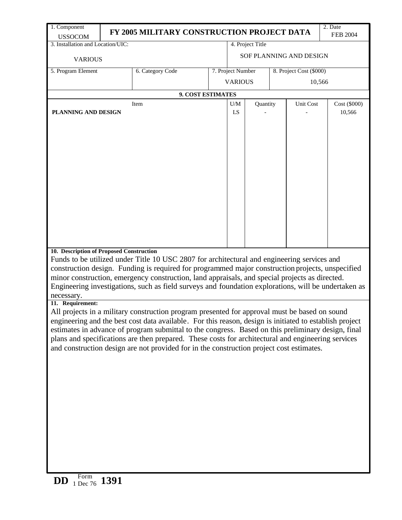| 1. Component<br>2. Date<br>FY 2005 MILITARY CONSTRUCTION PROJECT DATA<br>FEB 2004                                                                                                              |  |                   |                         |                       |  |                         |  |  |                        |  |
|------------------------------------------------------------------------------------------------------------------------------------------------------------------------------------------------|--|-------------------|-------------------------|-----------------------|--|-------------------------|--|--|------------------------|--|
| <b>USSOCOM</b><br>3. Installation and Location/UIC:                                                                                                                                            |  |                   | 4. Project Title        |                       |  |                         |  |  |                        |  |
|                                                                                                                                                                                                |  |                   | SOF PLANNING AND DESIGN |                       |  |                         |  |  |                        |  |
| <b>VARIOUS</b>                                                                                                                                                                                 |  |                   |                         |                       |  |                         |  |  |                        |  |
| 5. Program Element                                                                                                                                                                             |  | 6. Category Code  |                         | 7. Project Number     |  | 8. Project Cost (\$000) |  |  |                        |  |
|                                                                                                                                                                                                |  |                   |                         | <b>VARIOUS</b>        |  | 10,566                  |  |  |                        |  |
|                                                                                                                                                                                                |  | 9. COST ESTIMATES |                         |                       |  |                         |  |  |                        |  |
| Item<br>PLANNING AND DESIGN                                                                                                                                                                    |  |                   |                         | Quantity<br>U/M<br>LS |  | Unit Cost               |  |  | Cost (\$000)<br>10,566 |  |
|                                                                                                                                                                                                |  |                   |                         |                       |  |                         |  |  |                        |  |
|                                                                                                                                                                                                |  |                   |                         |                       |  |                         |  |  |                        |  |
|                                                                                                                                                                                                |  |                   |                         |                       |  |                         |  |  |                        |  |
|                                                                                                                                                                                                |  |                   |                         |                       |  |                         |  |  |                        |  |
|                                                                                                                                                                                                |  |                   |                         |                       |  |                         |  |  |                        |  |
|                                                                                                                                                                                                |  |                   |                         |                       |  |                         |  |  |                        |  |
|                                                                                                                                                                                                |  |                   |                         |                       |  |                         |  |  |                        |  |
|                                                                                                                                                                                                |  |                   |                         |                       |  |                         |  |  |                        |  |
|                                                                                                                                                                                                |  |                   |                         |                       |  |                         |  |  |                        |  |
|                                                                                                                                                                                                |  |                   |                         |                       |  |                         |  |  |                        |  |
|                                                                                                                                                                                                |  |                   |                         |                       |  |                         |  |  |                        |  |
|                                                                                                                                                                                                |  |                   |                         |                       |  |                         |  |  |                        |  |
|                                                                                                                                                                                                |  |                   |                         |                       |  |                         |  |  |                        |  |
| 10. Description of Proposed Construction<br>Funds to be utilized under Title 10 USC 2807 for architectural and engineering services and                                                        |  |                   |                         |                       |  |                         |  |  |                        |  |
| construction design. Funding is required for programmed major construction projects, unspecified                                                                                               |  |                   |                         |                       |  |                         |  |  |                        |  |
| minor construction, emergency construction, land appraisals, and special projects as directed.                                                                                                 |  |                   |                         |                       |  |                         |  |  |                        |  |
| Engineering investigations, such as field surveys and foundation explorations, will be undertaken as                                                                                           |  |                   |                         |                       |  |                         |  |  |                        |  |
| necessary.<br>11. Requirement:                                                                                                                                                                 |  |                   |                         |                       |  |                         |  |  |                        |  |
| All projects in a military construction program presented for approval must be based on sound                                                                                                  |  |                   |                         |                       |  |                         |  |  |                        |  |
| engineering and the best cost data available. For this reason, design is initiated to establish project                                                                                        |  |                   |                         |                       |  |                         |  |  |                        |  |
| estimates in advance of program submittal to the congress. Based on this preliminary design, final                                                                                             |  |                   |                         |                       |  |                         |  |  |                        |  |
| plans and specifications are then prepared. These costs for architectural and engineering services<br>and construction design are not provided for in the construction project cost estimates. |  |                   |                         |                       |  |                         |  |  |                        |  |
|                                                                                                                                                                                                |  |                   |                         |                       |  |                         |  |  |                        |  |
|                                                                                                                                                                                                |  |                   |                         |                       |  |                         |  |  |                        |  |
|                                                                                                                                                                                                |  |                   |                         |                       |  |                         |  |  |                        |  |
|                                                                                                                                                                                                |  |                   |                         |                       |  |                         |  |  |                        |  |
|                                                                                                                                                                                                |  |                   |                         |                       |  |                         |  |  |                        |  |
|                                                                                                                                                                                                |  |                   |                         |                       |  |                         |  |  |                        |  |
|                                                                                                                                                                                                |  |                   |                         |                       |  |                         |  |  |                        |  |
|                                                                                                                                                                                                |  |                   |                         |                       |  |                         |  |  |                        |  |
|                                                                                                                                                                                                |  |                   |                         |                       |  |                         |  |  |                        |  |
|                                                                                                                                                                                                |  |                   |                         |                       |  |                         |  |  |                        |  |
|                                                                                                                                                                                                |  |                   |                         |                       |  |                         |  |  |                        |  |
|                                                                                                                                                                                                |  |                   |                         |                       |  |                         |  |  |                        |  |